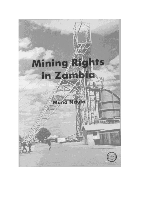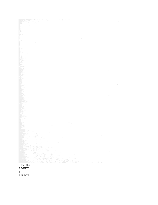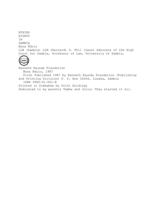MINING RIGHTS IN ZAMBIA Muna Ndulo LLB (Zambia) LLM (Harvard) D. Phil (Oxon) Advocate of the High Court for Zambia, Professor of Law, University of Zambia.



Kenneth Kaunda Foundation Muna Ndulo, 1987 First Published 1987 by Kenneth Kaunda Foundation (Publishing and Printing Division) P. O. Box 32664, Lusaka, Zambia ISBN 9982-01-001-8 Printed in Zimbabwe by Print Holdings Dedicated to my parents Temba and Julia: They started it all.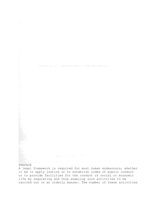

#### PREFACE

**CIRCUM REPORT OF A REPORT OF THE VALUE** 

**Warranted School** 

A legal framework is required for most human endeavours, whether it be to apply justice or to establish codes of public conduct or to provide facilities for the conduct of social or economic life by regulating and thus enabling such activities to be carried out in an orderly manner. The number of these activities

 $\Delta\chi_{\rm c}^2$  and the  $55^2$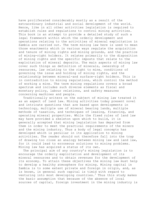have proliferated considerably mostly as a result of the extraordinary industrial and social development of the world. Hence, like in all other activities legislation is required to establish rules and regulations to control mining activities. This book is an attempt to provide a detailed study of such a legal framework within which the orderly development and operations relating to the activities of mineral exploitation in Zambia are carried out. The term mining law here is used to mean those enactments which in various ways regulate the acquisition and tenure of mining rights and mining grounds, and the practice of mining-right holders. It relates primarily to the disposition of mining rights and the specific imposts that relate to the exploitation of mineral deposits. The main aspects of mining law cover such things as definition of minerals, ownership of resources, law relating to the right to mine, conditions of governing the issue and holding of mining rights, and the relationship between mineral-and surface-right holders. This is in contradiction to mining regulations, which control the method of working a mine. The term mining regulations covers a broad spectrum and includes such diverse elements as fiscal and monetary policy, labour relations, and safety measures concerning machines and people.

Traditionally writers on the subject of mining law treated it as an aspect of land law. Mining activities today present novel and intricate questions that are based upon developments in technology, multiple use of mineral bearing lands, multiple methods of taxation, and techniques of leasing, financing, and operating mineral properties. While the fixed rules of land law may have provided a skeleton upon which to build, it is generally accepted that mining legislation has departed from them in order to meet the practical requirements of the miners and the mining industry. Thus a body of legal concepts has developed which is peculiar in its application to mining activities. The reader should not therefore fall into the trap of drawing too close an analogy between mining law and land law, for it could lead to erroneous solutions to mining problems. Mining law has acquired a status of its own.

The principal aim of any country's mining legislation is to encourage the orderly exploitation and development of its mineral resources and to obtain revenues for the development of its economy. To attain these objectives the mining law must help to develop a healthy atmosphere for mining. Mining capital in Zambia is to some extent private and foreign in origin, and, as is known, in general such capital is timid with regard to venturing into most developing countries.<sup>1</sup> Thus this study makes the basic assumption that because of the absence of local sources of capital, foreign investment in the mining industry is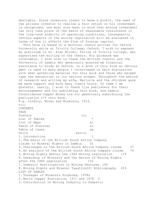desirable. Since investors invest to make a profit, the need of the private investor to realise a fair return on his investment is recognised, one must also bear in mind that mining investment can only take place on the basis of reasonable consistence in the long-term stabilty of operating conditions, consequently certain aspects of the mining legislation will be evaluated in terms of how it affects the flow of foreign capital.

This book is based on a doctoral thesis written for Oxford University while at Trinity College, Oxford. I wish to express my gratitude to Dr. Alan Milner, Fellow of Trinity College, who supervised the writing of the thesis. His guidance was invaluable. I wish also to thank the British Council and the University of Zambia who generously granted me financial assistance to study at Oxford. In a work of this kind an obvious debt is owed to many people I interviewed or held discussions with when gathering material for this book and those who helped type the manuscript in its various stages. Throughout the period of research and writing my wife, Marjorie and the children gave me warm support and bore many lonely hours. To them I am grateful. Lastly, I wish to thank tjie publishers for their encouragement and for publishing this book, and Zambia Consolidated Copper Minea Ltd for generously subsidising the publication o'f this book. E.g. Lindlcy, Mines and Minerals, 1914. viii CONTENTS PAGE Preface vii List of Tables  $*$ List of Maps xi Table of Statutes xi Table of Cases xx Units xxviii 1. Introduction 1 2. The basis of the British South Africa Company claims to Mineral Rights in Zambia 20 3. Challenges to the British South Africa Company claims 37 4. [An analysis of the British South Africa Company claims](#page-90-0) 76 5. Mining Rights Before the 1969 Mining Legislation 119 6. Ownership of Minerals and the Nature of Mining Rights after the 1969 Legislation 133 7. Domestic Participation in Mining Ventures 190 8. Mining Rights and Mineral Taxation221 Bibliography 253 LIST OF TABLES 1. Tonnages of Minerals Produced, 19782 2. World Copper Statistics, 1971 and 1978 3 3. Contribution of Mining Industry to Domestic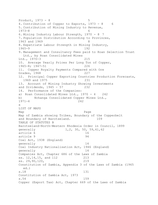Product, 1973 - 8 5 4. Contribution of Copper to Exports, 1973 - 8 6 5. Contribution of Mining Industry to Revenue,  $1973 - 8$ 6. Mining Industry Labour Strength, 1970 - 8 7 7. Population Distribution According to Provinces, 1963 and 1969 8 8. Expatriate Labour Strength in Mining Industry, 1965-9 192 9. Management and Consultancy Fees paid to Roan Selection Trust Ltd., by Roan Consolidated Mines Ltd., 1970-3 215 10. Average Yearly Prices Per Long Ton of Copper, 1965-8; 1947-51 226 11. Copper Royalty Payments Compared with Ore Grades, 1968 227 12. Principal Copper Exporting Countries Production Forecasts, 1969 and 1975 231 13. Account of Mining Industry Showing Investments and Dividends, 1945 - 57 232 14. Performance of the Companies: a) Roan Consolidated Mines Ltd., 1970 - 4 242 b) Nchanga Consolidated Copper Mines Ltd., 1971-4 242 x LIST OF MAPS Map Page Map of Zambia showing Tribes, Boundary of the Copperbelt and Boundary of Barotseland. 109 TABLE OF STATUTES B Barotseland-North-Western Rhodesia Order in Council, 1899 generally 1,2, 30, 50, 59,61,62 article 6 16 article 9 94 Coal Act, 1938 (England) generally 14 Coal Industry Nationalisation Act, 1946 (England) generally 14 Companies Act, Chapter 686 of the Laws of Zambia ss. 12, 14, 15, and 112 213 ss. 29,90,120, 219 Constitution of Zambia, Appendix 3 of the Laws of Zambia (1965 ed.) s.18 131 Constitution of Zambia Act, 1973 s.54 159 Copper (Export Tax) Act, Chapter 669 of the Laws of Zambia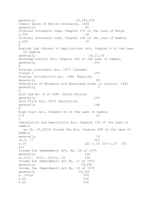generally 19,190,229 Credit Sales of Native Ordinance, 1936 qenerally 85 Criminal Procedure Code, Chapter 175 of the Laws of Kenya s.200 18 Criminal Procedure Code, Chapter 160 of the Laws of Zambia s.203 18 E English Law (Extent of Application) Act, Chapter 4 of the Laws of Zambia generally 16,17,19 Exchange Control Act, Chapter 593 of the Laws of Zambia generally 250 F Foreign investment Act, 1973 (Canada) Clause 2 193 Foreign Jurisdiction Act, 1890 (English) generally 93 Federation of Rhodesia and Nyasaland Order in Council, 1963 generally 2 G Gold Law No. 8 of 1885 (South Africa) generally 120 Gold Field Act, 1874 (Australia) generally 148 H High Court Act, Chapter 50 of the Laws of Zambia s.9 16 1 Immigration and Deportation Act, Chapter 122 of the Laws of Zambia ss.18, 19,20218 Income Tax Act, Chapter 668 of the Laws of Zambia generally 19 ss.5, 17 223 s.14 222 s.16 223 s.33 230 xii Income Tax (Amendment) Act, No. 26 of 1970 generally 230 ss.2(1), 19(1), 20(1), 23 230 Income Tax (Amendment) Act No. 11 of 1973 generally 19,235 Income Tax (Amendment) Act No. 10 of 1975 generally 19,235 s. 19(a) 235 s.22 236 s.23 236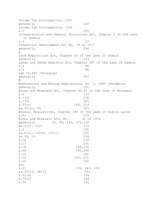Income Tax Proclamation, 1921 generally 229 Income Tax Proclamation, 1926 s.5 230 Interpretation and General Provisions Act. Chapter 2 of the Laws of Zambia s. 3 17 Industrial Development Act No. 18 of 1977 generally 244 L Land Acquisition Act, Chapter 2% of the Laws of Zambia generally 163 Lands and Deeds Registry Act, Chapter 287 of the Laws of Zambia  $s.4$  88 s.6 88 Law 16,066 (Paraquay) generally 153 M Mashonaland and Mining Regulations, No. 1, 1890 (Rhodesia) generally 121 Mines and Minerals Act, Chapter 66.01 of the Laws of Botswana s.2 133 s.7(3) 178 s.7(5) 183 s.33(1) 140, 153 ss.33(2), 34 153 Mineral Regulations, Chapter 196 of the Laws of Sierra Leone s.31 155 Mines and Minerals Act, No. 32 of 1976 generally 19, 96, 133, 175,190 ss.3(1), 3(2) 133 s.5 140 ss.6(1), 134(0, 135(1) 135 ss.10, 14 154 s.16 139 s.17 141 s.18 154,155 s.20 190,208 s. 24 141 s.25 143, 171 s.26 156 xiv s. 27 139, 143, 154 ss.30(1), 48(1) 143 s.31(a) 196 s.33(1) 154 s.34 141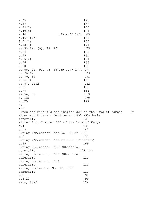s.35 171 s.37 156 s.39(1) 145 s.40(a) 144 s.44 139 s.45 143, 145 s.46(l)(b) 196 8.51(1) 155 s.53(1) 174 ss.53(1), (9), 79, 80 175 s.54 160 s.55 161 s.55(2) 164 s.56 166 s.60 139 ss.65, 92, 93, 94, 96 169 s.77 177, 178 s. 76(4) 173 ss.80, 81 181 s.86(1) 138 ss.87, 91(2) 162 s.91 169 s.98 182 ss.54, 55 163 s. 126 170 s.125 144 XV xvi' Mines and Minerals Act Chapter 329 of the Laws of Zambia 19 Mines and Minerals Ordinance, 1895 (Rhodesia) generally 121 Mining Act, Chapter 306 of the Laws of Kenya s. 4 133 s.13 140 Mining (Amendment) Act No. 52 of 1968 s.2 131 Mining (Amendment) Act of 1969 (Tanzania) s.65 169 Mining Ordinance, 1903 (Rhodesia) generally 121,123 Mining Ordinance, 1905 (Rhodesia) generally 121 Mining Ordinance, 1934 generally 123 Mining Ordinance, No. 13, 1958 generally 123 s.3 99 s. 3(2) 99 ss.6, 17(2) 124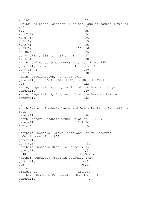s. 108 19 Mining Ordinance, Chapter 91 of the Laws of Zambia (1965 ed.) s.6 122 1.9 125 s. 17(2) 124 s.20(l) 126 s.22(l) 125 s.22(4) 125 s.25(l) 125,126 ss.38,46 126 ss.38(a)(l), 38(1), 44(3), 44(1) 127 s.64(l) 128 Mining Ordinance (Amendment) Act, No. 5 of 1965 generally, s.3(2) 129,130,223 ss.3(3), 4 130 s.7(l) 130 Mining Proclamation, no. 1 of 1912 generally 19,40, 50,51,97,98,100,101,122,123 s.5 122 Mining Regulations, Chapter 132 of the Laws of Kenya generally 140 Mining Regulátions, Chapter 329 of the Laws of Zambia generally 133 N  $-V$ North-Eastern Rhodesia Lands and Deeds Registry Regulations, 1905 generally 88 North-Eastern Rhodesia Order in Council, 1900 generally 1,2,94 article 4 16 xvii Northern Rhodesia (Crown lands and Native Reserves) Order in Council, 1928 generally 99 ss.3,4,6 95 Northern Rhodesia Order in Council, 1911 generally 2,94 s.40 41,94,97 Northern Rhodesia Order in Council, 1924 generally 2,45 s.2 95,97 s. 14 95 article 41 124,130 Northern Rhodesia Proclamation No. 1 of 1911 generally 2 P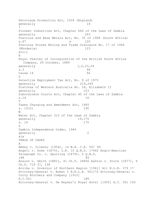Petroleum Production Act, 1934 (England) generally 14 \* Pioneer Industries Act, Chapter 666 of the Laws of Zambia generally 243 Precious and Base Metals Act, No. 35 of 1908 (South Africa) s.67 » 120 Precious Stones Mining and Trade Ordinance No. 17 of 1906 (Rhodesia) 123 xviii R Royal Charter of Incorporation of the British South Africa Company, 29 October, 1889 qenerally 1,2,23,24 s. 3 94  $\frac{14}{94}$ S Selective Employment Tax Act, No. 9 of 1975 generally 219,249 Statutes of Western Australia No. 18, Elizabeth II generally 153 Subordinate Courts Act, Chapter 45 of the Laws of Zambia s. 14 16 T Taxes Charging and Amendment Act, 1965 s. 19(2) 190 W Water Act, Chapter 312 of the Laws of Zambia generally 19,175 s. 14 175 Z. Zambia Independence Order, 1964 generally 2 xix TABLE OF CASES  $\Delta$ Abbey v. Ollennu (1954), 14 W.A. C.A. 567 84 Angell v. Duke (1875), L.R. 10 Q.B.D. 17462 Anglo-American Telegraph Co. v. Spurling (1879), 5 Q.B.D. 188 85 Ansorn v. Smith (1881), 41 Ch.D. 34892 Ashton v. Stock (1877), 6 Ch.D. 719 37, 138 Arzika v. Governor of Northern Region [1961] All N.L.R. 379 17 Attorney-General v. Bobat 5 N.R.L.R. 501172 Attorney-General v. Corvy Brothers and Company [1912] A.C.521 180 Attorney-General v. De Keyser's Royal Hotel [1920] A.C. 561 100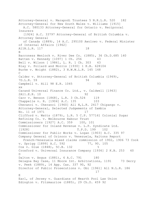Attorney-General v. Marapodi Trustees 5 N.R.L.R. 520 182 Attorney-General for New South Wales v. Williams [1915] A.C. 580133 Attorney-General for Ontario v. Reciprocal Insurers [1924] A.C. 33797 Attorney-General of British Columbia v. Attorney General of Canada (1889), 14 A.C. 29510\$ Awolowo v. Federal Minister of Internal Affairs [1962] A11N.L.R. 117 18 B Barroness Wenlock v. River Dee Co. (1885), 36 Ch.D.685 140 Batten v. Kennedy [1097] 1 Ch. 256 43 Bell v. Wilson [ 1986], L. R. 1 Ch. 303 43 Blay v. Pollard and Morris [1930] 1 K.B. 628104 Burke v. Wright (1882), 3 N.W.W.L.R. 145 148  $\mathcal{C}$ Calder v. Attorney-General of British Columbia (1969), 7D.L.R. 59 94 Campbell v. Hill 98 E.R. 1045 93 xx Carand Universal Finance Co. Ltd., v. Caldwell [1963] 2A11.E.R. 10 92 Carr v. Benson [1868], L.R. 3 Ch.524 119 Chappelle v. R. [1904] A.C. 135 103 Cheranci v. Cheranci [1960] All N,L.R. 2417 Chipango v. Attorney-General, Selected Judgements of Zambia No. 11 of 1971 17 Clifford v. Watts (1879), L.R. 5 C.P. 577161 Colonial Sugar Refining Co. v. Welbourne Habour Trust Commissioners [1927] A.C. 359 100, 101 Commissioner for Inland Revenue v. L.P. Syndicate Ltd. [1928] T.P.D. 199 102 Commissioner for Public Works v. Logan [1903] A.C. 335 97 Company General of Orinoco v. Venezuela, Raltons Report French-Venezuela mixed claims commission of 1902, 1906 73 Cook v. Sprigg [1899] A.C. 592 77, 90. 105 Cox v. Glue (1848), 5C.B. 132 % Croxford v. Universal Insurance Company [1936] 2 K.B. 253 60 D Dalton v. Angus (1881), 6 A.C. 791 180 Delagoa Bay Case, 11 Moore Int. Arbitrations, 1191 73 Derry v. Peek (1889), 14 App. Cas. 337 90, 92 Director of Public Prosecutions v. Obi [1961] All N.L.R. 186 17 E Earl, of Jersey v. Guardians of Nearth Pool Law Union Edington v. Fitzmaurice (1885), 29 Ch.D. 459 92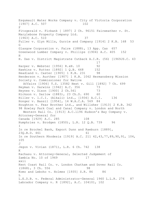Esqumault Water Works Company v. City of Victoria Corporation [1907] A.C. 507 102 F Fitzgerald v. Firbank [ 1897] 2 Ch. 96151 Fairweather v. St. Marylebone Property Company Ltd. [1963] A.C. 510 37 Fuller v. Glyn Mills, Gurrie and Company [19141 2 K.B. 168 53 G Glasgow Corporation v. Faire (1888), 13 App. Cas 657 Greenwood Lumber Company v. Phillips (1904) A.C. 405 152 H H. Das v. District Magistrate Cutback A.I.R. (56) [1969JS.C. 43 17 Harper v. Webster [1956] R. &N. 10 92 Hawkins v. Rutter [1892] 1 Q.B. 668 152 Headland v. Caster [1905] 1 K.B. 231 98 Henderson v. Aurther [1907] 1 K.B. 1062 Hermansberg Mission Society v. Commissioner for Native Affairs [1906] T.S. 13582 Hext v. Gill [1892] 7 Ch. 699 Heyman v. Darwins [1942] A.C. 356 73 Heynes v. Dixon [1900] 2 Ch.561 73 Hickson v. Darlow (1883), 23 Ch.D. 690 60 Hiller v. l.C.I. (Alkali) Ltd., [1936] A.C.I. 136 Honger v. Bassil [1954], 14 W.A.C.A. 569 84 Houghton v. Fear Brother Ltd., and Willsher [1913] 2 K.B. 342 98 Howley Park Coal and Canal Company v. London and North Western Rail Co. [1913] A.C.ll96 Hudson's Bay Company v. Attorney-General for Canada [1929] A.C. 285 108 Humphries v. Brodgen (1850), L.R. 12 Q.B. 739 96 I In re Brockel Bank, Export Dunn and Raeburn [1889], 23Q.B.D. 461 61 In re Southern Rhodesia [1919] A.C. 211 42,43,77,89,90,91, 104, 105 J Jegon v. Vivian (1871), L.R. 6 Ch. 742 138 K Kachasu v. Attorney-General, Selected Judgement of Zambia No. 10 of 1969 17 xxii Kent Coast Rail Co. v. London Chatham and Dover Rail Co. (1868), 3 Ch. 556 98 Komo and Leboho v. Holmes [1935] S.R. 86 86 L L.E.D.B. v. Federal Administrator-General 1960 L.L.R. 276 87 Labrador Company v. R [1892], A.C. 104101, 102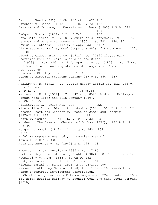Lauri v. Read (1892), 3 Ch. 402 at p. 420 100 Lavender v. Betts [ 1942] 2 All E. R. 72 136 Lazarus and Jackson, v. Wessels and others [1903] T.P.D. 499 148 Ledgonv. Vivian (1871) 6 Ch. D 742 138 Lena Gold Fields, v. U.S.S.R. Award of 3 September, 1939 73 Le Roux and Others v. Loewethal [1905] T.S. 742 120, 87 Lewiss v. Fothergill (1877), 5 App. Cas. 25167 Livingstone v. Railway Coal Company (1880), 5 App. Case 137, 138 Lloyd v. Grace, Smith & Co. [1912] A.C. 71690 Lloyds Bank v. Chartered Bank of India, Australia and China [1929] 1 K.B. 4054 Lord Abinger v. Ashton (1873) L.K. 17 Ex. 358 Lord Provost and Magistrates of Glasgrow v. Faire (1888) 13 App. Cas. 657 Lawmoorv. Stanley (1875), 33 L.T. 436 149 Lynch v. Alsworth Stephens Company 267 U.S. 364 239 M Mchlary v. R. [1912] A.D. 119103 Massey Harris Co. (SA) Ltd v. Ohio Stores 2N.R.L.R. 76,85,86 Mattens v. Hill [1901] 1 Ch. 842 at p.85298 Midland. Railway v. Hannch Wood Brick and Tile Company(1880), 20 Ch. D.555 Millinv.C.I.R. [1912] A.D. 207 223 Minersville School District v. Gobits (1950), 310 U.S. 586 17 Mohamed Shaft and Another v. State of Jammu and Kashmir [1970JA.I.R. 688 17 Moore v. Campbell (1854), L.R. 10 Ex. 323 54 Mordue v. The Dean and Chapter of Durham (1872), 182 L.R. 8 C.P. 336 Morgan v. Powell (1842), 11 L.J.Q.B. 263 138 xxiii Mufulira Copper Mines Ltd., v. Commissioner of Taxes 1958 R.&N. 336 223 Musa and Another v. R. [1962] E.A. 493 18 N Naested v. Kiora Syndicate 1935 S.R. 117 85 Neebe v. Registrar of Mining Rights (1902) T.S. 65 120, 147 Newbigging v. Adam (1886), 34 Ch D. 582 Newby v. Harrison (1861), 4 L.T. 397 151 Nireaha Tamaki v. Baker (1901) A.C. 567100, 106 Nissan v. Attorney-General (1970) A.C. 17973, 105 Nkumbula v. Mines Industrial Development Corporation, Chief Mining Engineers File on Disputes, 1975, Lusaka 150, 151 North British Railway v. Budhill Coal and Sand Stone Company

[1910]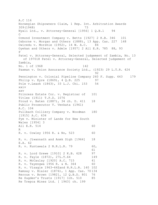A.C 116 Norwegian Shipowners Claim, 1 Rep. Int. Arbitration Awards 309(1948) 73 Nyali Ltd., v. Attorney-General [1956] 1 Q.B.l 94 O Ormond Investment Company v. Betts [1927] 2 K.B. 346 101 Osborne v. Morgan and Others (1888), 13 App. Cas. 227 148 Owiredu v. Morshie (1952), 14 W. A.C. 84 Oyekan and Others v. Adele [1957] 2 All E.R. 785 88, 93 P Patel v. Attorney-General, Selected judgement of Zambia, No. 13 of 197018 Patel v. Attorney-General, Selected judgement of Zambia, No. 1 of 1968 142 Paxman v. Union Assurance Society Ltd., (1923) 29 L.T.R. 424 92 Pennington v. Colonial Pipeline Company 260 F. Supp. 643 179 Philip v. Eyre (1869), 4 Q.B. 225 97 Pole v.Leask (1863), 33 L.J. Chi. 153 54 xxiv xxv Princess Estate Cor. v. Registrar of Titles (1911) T.P.D. 1076 101 Proud v. Baten (1887), 34 ch. D. 411 18 Public Prosecutor V. Venkata (1961) A.C. 104 Pullbach Colliery Company v. Woodman [1915] A.C. 634 180 Pye v. Minister of Lands for New South Wales [1954] 3 All E.R. 514 R 60 R. v. Cowley 1956 R. & No, 523 60 R. v. Jiwannath and Anmk Sigh [1964] E.A. 62 18 R. v. Kuntawala 2 N.R.L.R. 79 60, 61 R. v. Lord Grewe [1910] 2 K.B. 628 97 R. v. Fayle (1872), 27L.T.64 149 R. v. McCaulay [1920] A.C. 715 41 R. v. Tayengwa 1956 R. & N. 364 60 R. v. Visagie 1963-64Zand N.R.L.R. 140 102 Ramsay v. Blaier (1876), 1 App. Cas. 70 134 Reroux v. Brown [1982], 12 Q.B.D. 801 76 Re Sugden's Trusts [1917] Ich. 510 85 Re Trepca Mines Ltd. [ 1963] ch. 199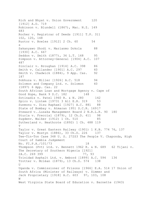Rich and Bhyat v. Union Government [1912] A.D. 719 120 Robinson v. Blundell (1867), Mac. N.Z. 149 683 Rocher v. Registrar of Deeds [1911] T.P. 311 102, 120, 148 Ruotor v. Bowles [1912] 2 Ch. 60 54 s Sakanyawo Shodi v. Marianmo Dokola [1930] A.C. 667 88 Seddon v. Smith (1877), 36 L.T. 168 95 Simpson v. Attorney-General [1904] A.C. 487 107 Sinclair v. Broughan [1914] A.C. 398 86 Smith v. Callander [1901] A.C. 297 60 Smith v. Chadwick (1884), 9 App. Cas. 187 92 Sobhuza v. Miller [1926] A.C. 518 94 Solomon and Company Ltd. v. Solomon (1897) 6 App. Cas. 22 60 South African Loan and Mortgage Agency v. Cape of Good Hope, Bank 9 S.C. 182 148 Sotinadis v. Patel 1960 R. & N. 280 142 Spiro v. Lintem [19731 3 All E.R. 319 53 Sunmonu v. Disu Raphael [1927] A.C. 881 88 State of Bombay v. Atmaran 1951 S.C.R. 16917 Steward v..Lusaka Management Board 2 N.R.L.R. 90 180 Sturla v. Freccial (1879), 12 Ch.D. 411 98 Sugdenv. Walker (1912) 1 Ch. 510 85 Sutherland v. Heathcote (1892) 1 Ch. 488 119 T Taylor v. Great Eastern Railway (1901) 1 K.B. 774 76, 137 Taylor v. Mostyn (1886), 33 Ch.D. 226 137 Tee-Tin-Ton Case 348 U. S. 272S3 The People V. Chaponda, High Court of Zambia Judgement No. FI.P.A./101/73 18 Thompson (Pvt) Ltd. v. Bennett 1962 R. & N. 689 62 Tijani v. The Secretary of Southern Nigeria [1921] 2A.C. 269 399 77, 93 Trinidad Asphalt Ltd. v. Ambord [1899] A.C. 594 136 Trotter v. Mcléan (1879), 13 Ch.D. 574 138  $U$ Uganda v. Commissioner of Prisons [1966] E.A. 514 17 Union of South Africa (Minister of Railways) v. Simmer and Jack Proprietary [1918] A.C. 603 97, 103, 108 W West Virginia State Board of Education v. Barnette (1943)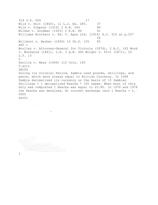319 U.S. 624 17 Wild v. Holt (1842), 11 L.J. Ex. 285. 37 Wild v. Simpson [1919] 2 K.B. 544 86 Wilkes v. Goodman [1923] 2 K.B. 86 61 Williams Brothers v. Ed. T. Agux Ltd. [1914] A.C. 510 at p.527 54 Willmont v. Berber (1850) 15 Ch.D. 105 85 XXV i Woolley v. Attorney-General for Victoria (1876), 2 A.C. 163 Wood v. Morewood (1841), L.R. 3 Q.B. 440 Wright v. Pitt (1871), 25 L.T. 13 Z Zavilla v. Mass (1944) 112 Colo. 183 T.xv+r UNITS During its Colonial Period, Zambia used pounds, shillings, and pence, which were always equal to British Currency. In 1968 Zambia decimalised its currency on the basis of 10 Zambian Shillings = 1 decimalised Kwacha  $*$  100 ngwee. When most of this duty was completed 1 Kwacha was equal to £0.85. In 1976 and 1978 the Kwacha was devalued. At current exchange rate 1 Kwacha =  $E$ . 0955 xxvüi

I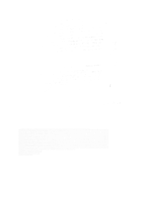£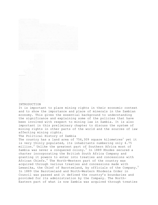#### INTRODUCTION

It is important to place mining rights in their economic context and to show the importance and place of minerals in the Zambian economy. This gives the essential background to understanding the significance and explaining some of the policies that have been involved with respect to mining law in Zambia. It is also important in this preliminary chapter to discuss the system of mining rights in other parts of the world and the sources of law affecting mining rights.

# The Political History of Zambia

The country has a land area of  $756,309$  square kilometres<sup>1</sup> yet it is very thinly populated, its inhabitants numbering only 4.75 million.<sup>2</sup> Unlike the greatest part of Southern Africa most of Zambia was never a conquered colony.<sup>3</sup> In 1889 Rhodes secured a charter incorporating the British South Africa Company and granting it powers to enter into treaties and concessions with African Chiefs. $4$  The North-Western part of the country was acquired through various treaties and concessions made with Lewanika, the Chief of Barotseland, by officials of the Company. $5$ In 1889 the Barotseland and North-Western Rhodesia Order in Council was passed and it defined the country's boundaries and provided for its administration by the Company. The North-Eastern part of what is now Zambia was acquired through treaties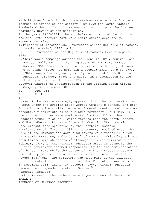Thomson as agents of the Company.<sup>6</sup> By 1900 the North-Eastern Rhodesia Order in Council was enacted, and it gave the Company statutory powers of administration. In the years 1900-1911, the North-Eastern part of the country and the North-Western part were administered separately. However, as time 1. Ministry of Information, Government of the Republic of Zambia, Zambia in Brief, 1970. p.l. 2. Government of the Republic of Zambia, Census Report. 1974. 3. There was a campaign against the Ngoni in 1897, however, see Barnes, Politics in a Changing Society: The Fort Jameson Ngoni, 1954. There are several books on the history of Zambia e.g. Gann, History of Northern Rhodesia; Early Days to 1953, 1964; Hanna, The Beginnings of Nyataland and North-Eastern Rhodesia, 1859-95, 1956, and Wills, An Introduction to the History of Central Africa, 1973. 4. Royal Charter of Incorporation of the British South Africa Company, 29 October, 1889. 5. See, p36. 6. Ibid. 1 passed it became increasingly apparent that the two territories — both under the British South Africa Company's control and both following a quite similar pattern of development — could be more effectively administered as a single territory. On 4 May, 1911, the two territories were amalgamated by the 1911 Northern Rhodesia Order in Council which revoked both the North-Eastern and North-Western Rhodesia Orders in Council. Its provisions were brought into operation by the Northern Rhodesia Proclamation of 17 August 1911J The country remained under the rule of the Company and governing powers were vested in a Company administration, and a Council of Company Officails, subject to ultimate British control,  $8$  although this was terminated on 1 February 1924, by the Northern Rhodesia Order in Council. The British government assumed responsibility for the administration of the territory while the status of Northern Rhodesia became that of a protectorate, a situation which obtained until 1 August  $1953<sup>9</sup>$  when the territory was made part of the illfated British Central African Federation. The Federation was dissolved in December 1963, and by 24 October, 1964, Northern Rhodesia became the independent state of Zambia. $^{10}$ Minerals Produced Zambia is one of the richest métallogénie areas of the world. TABLE I

with African Chiefs in which concessions were made to Sharpe and

TONNAGES OF MINERALS PRODUCED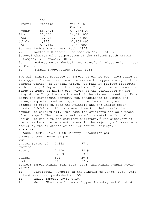1978 Mineral Tonnage Value in Kwacha Copper 587,398 612,178,000 Zinc 12,336 24,821,000 Lead 12,878 12,087,000 Cobalt 1,823 35,152,895 Coal 615,145 1,246,000 Source: Zambia Mining Year Book (1978) 7. Northern Rhodesia Proclamation No. 1, of 1911. 8. Royal Charter of Incorporation of the British South Africa Company, 29 October, 1889. 9. Federation of Rhodesia and Nyasaland, Dissolution, Order in Council, 1963. 10. Zambia Independence Order, 1964. 2 The main mineral produced in Zambia as can be seen from table 1, is copper. The earliest known reference to copper mining in this general portion of Central Africa was made by Filippo Figafetta in his book, A Report on the Kingdom of Congo.<sup>11</sup> He mentions the mines of Bembe as having been given to the Portuguese by the King of the Congo towards the end of the sixteenth century. From about the eighteenth century, the inhabitants of Zambia and Katanga exported smelted copper in the form of bangles or crosses to ports on both the Atlantic and the Indian ocean coasts of Africa.<sup>12</sup> Africans used iron for their tools, but copper was particularly important for ornaments and as a means of exchange. $^{13}$  The presence and use of the metal in Central Africa was known to the earliest explorers.<sup>14</sup> The discovery of the mines by white prospectors was in the majority of cases made easier by the existence of earlier native workings.<sup>15</sup> TABLE II WORLD COPPER STATISTICS Country Production per thousand tons ReserveI per mmm United States of America 1,362 77.J Russia 1,100 34.9 Chile 1,039 53.8 Canada 644 20.8 Zambia 643 27.2 Source: Zambia Mining Year Book (1978) and Mining Adnual Review (1971) 11. Figafetta, A Report on the Kingdom of Congo, 1969, This book was first published in 1591. 12. Hall, Zambia. 1965, p.10. 13. Gann, 'Northern Rhodesia Copper Industry and World of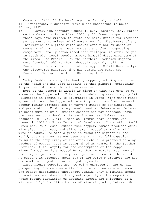Coppers' (1955) 18 Rhodes-Lningstone Journal, pp.1-18. 14. Livingstone, Missionary Travels and Researches in South Africa, 1857.

- 15. Davey, The Northern Copper (B.S.A.) Company Ltd., Report on the Company's Properties, 1905, p.23. Many prospectors in those days have written to state the same. Brooks for instance points out that prizes of £5 were given for disclosure of any information of a place which showed even minor evidence of copper mining or other metal content and that prospecting camps were usually established near villages, in order to get in touch with local people, Brooks himself discovered some of the mines. See Brooks. 'How the Northern Rhodesian Coppers were founded' 1950 Northern Rhodesia Journal, p.42. Dr Bancroft, a former Professor of Geology at McGill University, who discovered Bancroft mine has stated the same. See Bancroft, Mining in Northern Rhodesia, 1962.
- 3

Today Zambia is among the leading copper producing countries of the world and has vast deposits of this mineral, containing 13 per cent of the world's known reserves. $16$ 

Most of the copper in Zambia is mined on what has come to be known as the Copperbelt. This is an undulating area, roughly 144 kilometres in length by 48 kilometres in width. Nine major mines spread all over the Copperbelt are in production,  $17$  and several copper mining projects are in varying stages of consideration and preparation. Exploratory development at Seberere and Mokambo is being pursued by a Romanian concern and may increase known ore reserves considerably. Kansashi mine near Solwezi was reopened in 1975. A small mine at Jifumpa near Kasempa was opened in 1976 by Mines Industrial Development Corporation Small Mines Ltd. To a lesser extent than copper, Zambia produces other minerals. Zinc, lead, and silver are produced at Broken Hill mine in Kabwe. The mine's grade is among the highest in the world, but the mine has not been operating at full capacity owing to the complexity of its ores. Cobalt is produced as a byproduct of copper. Coal is being mined at Maamba in the Southern Province. It is largely for the consumption of the copper mines.<sup>18</sup> Amethyst is produced by Northern Minerals Ltd., one of the largest producers of any semi-precious stone in the world. At present it produces about 50% of the world's amethyst and has the world's largest known amethyst deposit.

Large nickel deposits are now being explored in the Munali prospecting licence area while Iron ore occurences are common and widely distributed throughout Zambia. Only a limited amount of work has been done on the great majority of the deposits where recent tabulation of deposits showed the existence of a minimum of 1,000 million tonnes of mineral grading between 50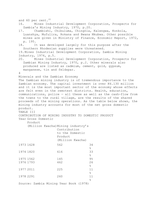and 60 per cent. $20$ 16. Mines Industrial Development Corporation, Prospects for Zambia's Mining Industry, 1970, p.20. 17. Chambishi, Chibuluma, Chingóla, Kalengwa, Konkola, Luanshya, Mufulira, Rokana and Bwana Mkubwa. Other possible mines are given in Ministry of Finance, Economic Report, 1972, p. 195. 18. It was developed largely for this purpose after the Southern Rhodesian supplies were threatened. 19. Mines Industrial Development Corporation, Zambia Mining Industry, 1974, p.5. 20. Mines Industrial Development Corporation, Prospects for Zambian Mining Industry, 1970, p.J. Other minerals also produced are listed as cadmium, cement, gold, gypsum, manganese, tin and feldspar. 4 Minerals and the Zambian Economy The Zambian mining industry is of tremendous importance to the Zambian economy. The capital investment is over K6.130 million and it is the most important sector of the economy whose effects are felt even in the remotest districts. Health, education, communications, police — all these as well as the cash-flow from the towns to the ruràl village, are the results of the shared proceeds of the mining operations. As the table below shows, the mining industry accounts for most of the net gross domestic product. TABLE III CONTRIBUTION OF MINING INDUSTRY TO DOMESTIC PRODUCT Year Gross Domestic Product (Million Kwacha) Mining industry's Contribution to the Domestic Product (Million Kwacha) 1973 1628 562 34  $\frac{6}{5}$ 1974 1820 616 33  $\approx$ 1975 1562 145 9% 1976 1793 462 26  $\frac{6}{6}$ 1977 2011 225 11  $\approx$ 1978 2291 260 11 % Source: Zambia Mining Year Book (1978)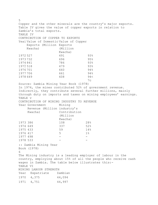5 Copper and the other minerals are the country's major exports. Table IV gives the value of copper exports in relation to Zambia's total exports. TABLE IV CONTRIBUTION OF COPPER TO EXPORTS Yeai Value of Domestic Value of Copper Exports (Million Exports Kwacha) (Million Kwacha) 1972 527 491 93% 1973 732 696 95% 1974 841 786 93% 197Ì 518 479 49 1976 701 660 94% 1977 706 661 94% 1978 649 608 94< 7c Source: Zambia Mining Year Book (1978) In 1974, the mines contributed 52% of government revenue. Indirectly, they contribute several further millions, mainly through duty on imports and taxes on mining employees' earnings. TABLE v CONTRIBUTION OF MINING INDUSTRY TO REVENUE Year Government Revenue (Million industry's Kwacha) Mining Contribution (Million Kwacha) 1973 386 108 28% 1974 649 337 52% 1975 433 59 14% 1976 417 5 1% 1977 498 1978 533 - - :: Zambia Mining Year Book (1978) 6 The Mining industry is a leading employer of labour in the country, employing about 15% of all the people who receive cash wages in Zambia. The table below illustrates this:- TABLE VI MINING LABOUR STRENGTH Year Expatriate Zambian 1970 4,375 44,094 1971 4,751 44,997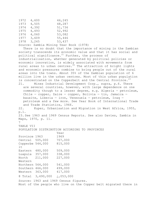| 1972 4,600                                                                                                                         | 46,245                                                                    |
|------------------------------------------------------------------------------------------------------------------------------------|---------------------------------------------------------------------------|
| 1973 4,505                                                                                                                         | 48,287                                                                    |
| 1974 4,392                                                                                                                         | 51,736                                                                    |
| 1975 4,493                                                                                                                         | 52,992                                                                    |
| 1976 4,060                                                                                                                         | 53,082                                                                    |
| 1977 3,609                                                                                                                         | 55,446                                                                    |
| 1978 3,245                                                                                                                         | 53,437                                                                    |
| Source: Zambia Mining Year Book (1978)                                                                                             |                                                                           |
| There is no doubt that the importance of mining in the Zambian<br>society transcends its economic value and that it has social and |                                                                           |
| political significance. <sup>21</sup> Further, the process of                                                                      |                                                                           |
| industrialisation, whether generated by political policies or                                                                      |                                                                           |
| economic innovation, is widely associated with movements from                                                                      |                                                                           |
| rural areas to urban centres. <sup>22</sup> The attraction of bright lights                                                        |                                                                           |
| and economic pressures combine to bring people out of the rural                                                                    |                                                                           |
|                                                                                                                                    | areas into the towns. About 35% of the Zambian population of 6            |
| million live in the urban centres. Most of this urban population                                                                   |                                                                           |
|                                                                                                                                    | is concentrated on the Copperbelt and the Central Province. <sup>23</sup> |
| 21.                                                                                                                                | Mines Industrial Development Corp., supra, p.6. There                     |
|                                                                                                                                    | are several countries, however, with large dependence on one              |
| commodity though to a lesser degree, e.g. Algeria - petroleum,                                                                     |                                                                           |
| Chile - copper, Zaire - copper, Bolivia - tin, Jamaica -                                                                           |                                                                           |
| bauxite, Liberia - iron, Venezuela - petroleum, Iraq -                                                                             |                                                                           |
|                                                                                                                                    | petroleum and a few more. See Year Book of International Trade            |
| and Trade Statistics, 1966.                                                                                                        |                                                                           |
| 22.                                                                                                                                | Kuper, Urbanisation and Migration in West Africa, 1955,                   |
| $p.1$ .                                                                                                                            |                                                                           |
|                                                                                                                                    | 23. See 1963 and 1969 Census Reports. See also Davies, Zambia in          |
| Maps, 1970, p. 11.                                                                                                                 |                                                                           |
| 7                                                                                                                                  |                                                                           |
| TABLE VII                                                                                                                          |                                                                           |
| POPULATION DISTRIBUTION ACCORDING TO PROVINCES                                                                                     |                                                                           |
|                                                                                                                                    | Year                                                                      |
| Province 1963                                                                                                                      | 1969                                                                      |
| Central<br>505,000                                                                                                                 | 707,000                                                                   |
| Copperbe 544,000                                                                                                                   | 815,000                                                                   |
| lt                                                                                                                                 |                                                                           |
| 480,000<br>Eastern                                                                                                                 | 509,000                                                                   |
| 357,000<br>Luapula                                                                                                                 | 338,000                                                                   |
| North<br>211,000                                                                                                                   | 227,000                                                                   |
| Western                                                                                                                            |                                                                           |
| Northern 564,000                                                                                                                   | 541,000                                                                   |
| Southern 466,000                                                                                                                   | 499,000                                                                   |
| 363,000<br>Western                                                                                                                 | 417,000                                                                   |
| 3,490,000<br>8 Total                                                                                                               | $\dot{\mathcal{L}}$ , 053, 000                                            |
| Source: 1963 and 1969 Census figures.<br>Most of the people who live on the Copper belt migrated there in                          |                                                                           |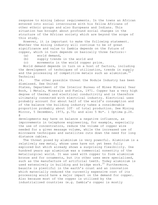response to mining labour requirements. In the towns an African entered into social intercourse with his fellow Africans of other ethnic groups and also Europeans and Indians. This situation has brought about profound social changes in the structure of the African society which are beyond the scope of this study.

However, it is important to make the following statement. Whether the mining industry will continue to be of great significance and value to Zambia depends on the future of copper, which in turn depends on basically three factors:-

- (a) world demand,
- (b) supply trends in the world and
- (c) movements in the world copper price.

World demand depends in turn on a host of factors, including the development of techniques of utilisation, trends in supply and the processing of competitive metals such as aluminium.<sup>24</sup> Technical

24. The other possible threat the Nodule Industry has been dismissed. See United

States, Department of the Interior Bureau of Mines Mineral Year Book, 1 Metals, Minerals and Fuels, 1971. Copper has a very high degree of thermal and electrical conductivity and is therefore ultimately connected with electrical industry. Electrical uses probably account for about half of the world's consumption and of the balance the building industry takes a considerable proportion probably about  $10T \cdot$  of total production. See Mining Mirror, 5 December, 1973, p.70; and also 5 No\*. 1 Optima p.26. 8

developments may have on balance a negative influence, as improvements in telephone engineering, for example, especially the use of concentrators, reduce the volume of copper wire needed for a given message volume, while the increased use of microwave techniques and satellites cuts down the need for long distance cables.

The threat posed by aluminium is very powerful. Aluminium is a relatively new metal, whose uses have not yet been fully explored but which already shows a surprising flexibility. One hundred years ago aluminium was a commercial nonentity of the metallurgical world. It was used with copper to form aluminium bronze and for ornaments, but its other uses were specialised, such as the manufacture of artificial teeth. Today aluminium is used extensively in building and bridge work.<sup>25</sup> Furthermore, bauxite is plentiful in the earth's crust and an innovation which materially reduced the currently expensive cost of its processing would have a major impact on the demand for copper. Also because most of the copper is utilised by the industrialised countries (e.g. Zambia's copper is mostly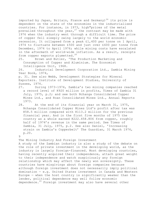imported by Japan, Britain, France and Germany)<sup>26</sup> its price is dependent on the state of the economies in the industrialised countries. For instance, in 1973, high"prices of the metal prevailed throughout the year,  $27$  the contrast may be made with 1976 when the industry went through a difficult time. The price of copper fell sieeply owing largely to the world economic recession. It collapsed from a peak £1,400 per tonne on 1 April, 1974 to fluctuate between £500 and just over £600 per tonne from December, 1974 to April 1976; while mining costs have escalated in the aftermath of world-wide inflation. As a result, receipts from copper exports plumetted.<sup>28</sup>

25. Brown and Butler, 'The Production Marketing and Consumption of Copper and Aluminium. The Economist Intelligence Unit, 1968.

26. Industrial Development Corporation Ltd., Zambia Mining Year Book, 1974,

p. 31. See also Webb, Development Strategies for Mineral Exporters. Institute of Development Studies, University of Sussex, 1974.

- 27. During 1973-1974, Zambia's two mining companies reached a record level of K920 million in profits, Times of Zambia 31 July, 1975, p.2; and see both Nchanga Consolidated Copper Mines Ltd., and Roan Consolidated Mines Ltd., Annual Reports 1973.
- 28. At the end of its financial year on March 31, 1975, Nchanga Consolidated Copper Mines Ltd's profit after tax was K58.5 million compared with K113.2 million for the previous financial year. And in the first five months of 1975 the country as a whole earned K222.458.806 from copper, roughly half of 1974's revenue in the same period. See Times of Zambia, 31 July, 1975, p.2. See also Daniel, 'Increasing strain on Zambia's Copperbelt' The Guardian, 31 March 1976, p.20.

## 9

The Mining Industry And Foreign Investment

A study of the Zambian industry is also a study of the debate on the role of private investment in the developing world, as the industry is largely foreign-financed. Most developing countries, having recently acquired their independence, attach great weight to their independence and watch suspiciously any foreign relationship which may affect the newly won sovereignty. These countries have misgivings about foreign companies because although foreign investment does not necessarily imply political domination — e.g. United States investment in Canada and Western Europe  $-$  when the host country is significantly weaker than the lender, political dependence may well follow economic dependence.<sup>29</sup> Foreign investment may also have several other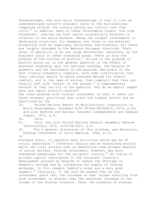disadvantages. One such major disadvantage is that it ties an underdeveloped nation's economic cycle to the multinational companies without the country having any control over that cycle.<sup>30</sup> In additon, many of these investments create 'one crop economies', leaving the host nation economically helpless in relation to the world markets. Among the largest investments in developing countries, for example, are those in raw material production such as sugarcane, petroleum, and minerals. All these are largely consumed in the Western European countries. Their level of operation is by and large determined, therefore, by the business cycle in these consuming areas. There is also the problem of the outflow of profits.<sup>31</sup> Allied to the problem of profits going out is the general question of the effect of absentee ownership upon the national economy, the balance of payments and the sentiments of nationalism. Nationals of the host country frequently complain, with some justification that their national wealth is being consumed abroad for others' comfort, and in the case of mining, they complain that they are finally left with 'holes' in the ground.  $32$  A complementary version of that out-cry is the question 'why do we export copper bars and import electric motors?'

The other problem with foreign investment is that it seeks out those economic activities that yield the highest profit and as sanctioned by the

29. United Nations Report on Multinational Corporation in World Development, Document E/55 00/Rev/84/ESA/6,/1973, p.46; and also Bostock and Harvey; Economic Independence and Zambian Copper, 1972, p.9.

30. Ibid.

31. Ibid. See also United Nations General Assembly Debates (Provisional) 1972, A/C2/SR/1051, p.5.

32. For a general discussion of this problem, see Bernstein, Foreign Investment in Latin America, 1966, p.13.

10

business ethic, it neglects many activities which may be of social importance.<sup>33</sup> Investors usually aim at maximising profits while the local society aims at maximising some broader measure of social welfare. Foreign investment, however, may have undoubted advantages for the recipient country.<sup>34</sup> An inflow of private capital contributes to the recipient country's development process by helping to reduce the shortage of domestic savings and by increasing the supply of foreign exchange. In this respect Zambia's mines are a very good example.<sup>35</sup> Similarly, it can also be argued that as the investment opera tes, the increase in real income resulting from such investment is greater than the resultant increase in the income of the foreign investor. Thus, the presence of foreign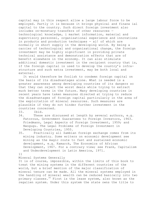capital may in this respect allow a large labour force to be employed. Partly it is because it brings physical and finan« ial capital to the country. Such direct foreign investment also includes on-monetary transfers of other resources technological knowledge, i market information, material and supervisory personnel, organisational experience and innovations in products and production techniques — aj! of which are normally in short supply in the developing world. By being a carrier of technological and organisational change, the foreign investment may be highly significant in providing private technical assistance and demonstration effects that are of benefit elsewhere in the economy. It can also stimulate additional domestic investment in the recipient country that is, if the foreign capital is used to develop the country's infrastructure and such extra investment, may be both local and external.

It would therefore be foolish to condemn foreign capital on the basis of its disadvantages alone. What is needed is a greater awareness among developing countries of its dangers so that they can reject the worst deals while trying to extract much better terms in the future. Many developing countries in recent years have taken measures directed at trying to reduce the disadvantages of foreign capital particularly in the area of the exploitation of mineral resources. Such measures are plausible if they do not hinder further investment in the countries concerned.

33. Ibid.

- 34. These are discussed at length by several authors, e.g. Fatorous, Government Guarantees to Foreign Investors, 1963. Friedmann, Legal Aspects of Foreign Investment, 1959; and Nwogugu. The Legal Problems of Foreign Investment in Developing Countries, 1955.
- 35. Practically all Zambian foreign exchange comes from its mining industry. Some writers on economic development see mining as the magic route to fast and sustained economic development, e.g. Kamarck, The Economics of African Development, 1967. For a contrary view; see Frank, Capitalism and Underdevelopment in Latin America, 1971.

11

#### Mineral Systems Generally

It is of course, impossible, within the limits of this book to treat the mining systems in the different countries of the world, but a brief mention of the major classification of mineral tenure can be made. All the mineral systems employed in the handling of mineral wealth can be reduced basically into two primary classes.<sup>36</sup> First is the lease system, also known as the regalien system. Under this system the state owns the title to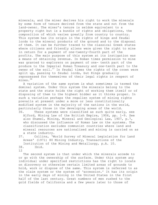minerals, and the miner derives his right to work the minerals by some form of tenure derived from the state and not from the land-owner. The miner's tenure is seldom equivalent to a property right but is a bundle of rights and obligations, the composition of which varies greatly from country to country. This system has its origin in the rights of kings and feudal lords to the mineral products of the ground and to the disposal of them. It can be further traced to the classical Greek states where citizens and friendly aliens were given the right to mine in return for a payment of one-twenty-fourth part of the profits. The main purpose of this system at its instigation was a means of obtaining revenue. In Roman times permission to mine was granted to explorers on payment of one- tenth part of the produce to the Imperial Roman Treasury and one-tenth part to the owner of the soil. $37$  In feudal times the rights of the crown were split up, passing to feudal lords, but Kings gradually repossessed for themselves of their legal rights in respect of mines.<sup>38</sup>

A variation of the same system is what sometimes is termed the dominal system. Under this system the minerals belong to the state and the state holds the right of working them itself or of disposing of them to the highest bidder as it thinks proper. In such a variation perhaps the regalien system of mining rights prevails at present under a more or less constitutionally modified system in the majority of the nations in the world, particularly those in the developing areas of the world.

36. These systems were classified as such quite early, see Alford, Mining Law of the British Empire, 1906, pp. 1-9. See also Shamel, Mining, Mineral and Geological Law, 1907, p.7, who discussed the influence of Roman Law on the systems. The classification excludes communist countries where land and mineral resources are nationalised and mining is carried on as a state industry.

37. Collins, 'World Survey of Mineral Legislation for Land Areas' (1971) 80 Mining Industry, Transactions of the Institution of the Mining and Metallurgy, p.A. 10. 38. Ibid.

12

The second system is that under which the minerals accede to or go with the ownership of the surface. Under this system any individual under specified restrictions has the right to locate on discovery or otherwise certain limited areas of grounds to hold, work or dispose of the same. This system is referred to as the claim system or the system of 'accession.' It has its origin in the early days of mining in the United States in the first half of the last century. Great numbers of men rushed to the gold fields of California and a few years later to those of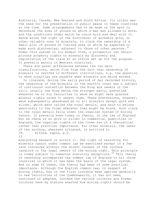Australia, Canada, New Zealand and South Africa. Its origin was the need for the preservation of public peace in these countries at the time. Some arrangements had to be made on the spot to determine the area of ground on which a man was allowed to work, and the conditions under which he could hold and deal with it. Hence arose the right of the discoverer of workable gold, or other valuable ores or minerals, to claim the ownership of a small plot of ground of limited area on which he expected to make such discoveries, adjacent to those of other persons.  $39$ Under this system in its modern form, a prospector can obtain private property rights to minerals by discovery and registration of the claim at an office set up for the purpose. It prevails mainly in Western countries.

There are great differences between the two main classifications, which flow from the fact that ownership of minerals is vestfed in different institutions, e.g. the question to whom royalties are payable when minerals are being worked.

In lingland, during the early period of her recorded history, the ownership of the minerals in the earth's crust was a subject of continuous contention between the King and owners of the soil; usually the King being the stronger party, prevailed whenever he or his favourites to whom he might have granted mineral rights cared to assert them. These pretensions, however, were subsequently abandoned as to all minerals except gold and silver, which were called the royal metals, and held to belong absolutely to the Crown wherever they might be found. Such claim to the royal metals falls under the regalien system of mining tenure. It prevails even today in theory, in the law of England but as there is no gold or silver in commercial quantities in England, the regalien rights of the Crown are of a theoretical rather than practical importance. For other minerals, the owner of the surface, wherever situated, is entitled to 39. Alford, supra, p.2.

## 13

everything beneath or within it. The right of searching for minerals cannot under common law be exercised except in a few rare instances without the direct consent of the surface landlord or the legal owners of the mining right. This principle is today subject to numerous statutory exceptions.  $40$  This theory of ownership accompanied the common law of England to ail those countries in which it has been the basis of the legal system. And in some of these, the theory has been of some practical importance. Although the English common law, in respect of mining rights, has in the first instance been applied generally to new territories of the Commonwealth, it has not been continued or adopted. Instead the various colonies and former colonies have by statute enacted how mining rights should be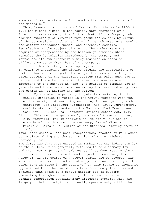acquired from the state, which remains the paramount owner of the minerals.<sup>41</sup>

This, however, is not true of Zambia. From the early 1900s to 1964 the mining rights in the country were exercised by a foreign private company, the British South Africa Company, which claimed ownership of minerals throughout the country by virtue of the concessions it obtained from African chiefs. As a result, the Company introduced special and extensive codified legislation on the subject of mining. The rights were then acquired at independence by the Zambian government, which repealed the legislation introduced by the Company and introduced its own extensive mining legislation based on different concepts from that of the Company. Sources of Law Relating to Mining Rights In order to understand the diverse origins and applications of Zambian law on the subject of mining, it is desirable to give a brief statement of the different sources from which such law is derived and the extent to which the various sources are important to the subject at hand. The sources of Zambian law in general, and therefore of Zambian mining law, are customary law, the common law of England and the various

40. By statute the property in petroleum existing in its natural condition is vested in the Crown, together with the exclusive right of searching and bring fot and getting such petroleum. See Petroleum (Production) Act, 1934. Furthermore, coal is statutorily vested in the National Coal Board, see Coal Act, 1938 and Coal Industry Nationalisation Act, 1946.

41. This was done quite early in some of these countries, e.g. Australia. For an analysis of its early laws and an example of how this was done see Kemp, Law of Mines and Minerals: Being a Collection of the Statutes Relating there to 1910.

laws, both colonial and post-independence, enacted by Parliament to regulate mining and the acquisition of mining rights. Customary Law

The first law that ever existed in Zambia was the indigenous law of the tribes. It is generally referred to as customary law and the great majority of Zambians still conduct most of their activities in accordance with and subject to customary law. Moreover, if all courts of whatever status are considered, far more cases are decided under customary law than under any of the other laws in force in the country.<sup>42</sup> In this regard it should be appreciated that the use of this term 'customary law' does not indicate that there is a single uniform set of customs prevailing throughout the country. It is used rather as a blanket description covering many different systems. They are largely tribal in origin, and usually operate only within the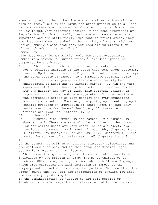area occupied by the tribe. There are local variations within such an area,  $43$  but by and large the broad principles in all the various systems are the same. As for mining rights this source of law is not very important because it has been superseded by legislation. But historically land tenure concepts were very important and are still fairly important in tribal areas. They are discussed when considering the validity of the British South Africa Company claims that they acquired mining rights from African chiefs in Chapter five.<sup>44</sup>

## Common Law

Like most other former British colonies and protectorates, Zambia is a common law jurisdiction.<sup>45</sup> This description is supported by the history

- 42. This covers such areas as divorce, contracts, and tort. For a detailed analysis of the cases that come under customary law see Spalding, Hoover and Piper, 'One Nation One Judiciary, The Lower Courts of Zambia' 1970 Zambia Law Journal, p.219.
- 43. But such divergences as there are can easily be exaggerated as Kuper has so rightly warned, ... 'in the vast continent of Africa there are hundreds of tribes, each with its own history and way of life. This cultural variety is important but it must not be exaggerated. It under-estimates the tremendous effect of past contact and over emphasizes African conversation. Moreover, the piling up of enthnographic details produces an impression of chaos where in fact only variations on a few themes' See Kuper, 'Cultures in Transition' 1952 The Listener, p.212.

44. See p.15.

45. Church, 'The Common Law and Zambia' 1974 Zambia Law Journal, p.l. There are several other studies on the common law and Africa which are very useful on this subject, e.g. Danniels, The Common Law in West Africa, 1964, Chapters 3 and 4; Allott, New Essays in African Law, 1970, Chapters 1—3; and Park, The Sources of Nigerian Law, 1963 Chapters 2 and 3. 15

of the country as well as by current statutory guide-lines and judicial declarations. And in this sense the Zambian legal system is a product of its history.

The common law system of judicial administration was first introduced by the British in 1889. The Royal Charter of 29 October, 1889, incorporating the British South Africa Company, which also entrusted the administration of Zambia to the Company, authorised it. to administer justice. Section 14 of the Order<sup>46</sup> paved the way ) for the introduction of English law into the territory by stating that:

In the administration of justice to the said peoples or inhabitants careful regard shall always be had to the customs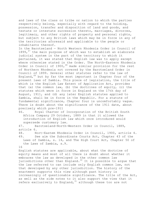and laws of the class or tribe or nation to which the parties respectively belong, especially with regard to the holding, possession, transfer and disposition of land and goods, and testate or intestate succession thereto, marriages, divorces, legitimacy, and other rights of property and personal rights, but subject to any British laws which may be in force in any of the territories aforesaid and applicable to the people or inhabitants thereof.

In the Barotseland — North Western Rhodesia Order in Council of 1899, $47$  the main purpose of which was to establish an elaborate judicial system in the part of the territory to which it pertained, it was stated that English law was to apply except where otherwise stated in the Order. The North-Eastern Rhodesia Order in Council of 1900,  $48$  made similar provision for the rest of Northern Rhodesia not covered by the Barotseland Order in Council of 1899. Several other statutes refer to the law of England, $49$  but by far the most important is Chapter four of the present laws of Zambia. This piece of legislation, the title of which is the English Law Extent of Application Act, provides that (a) the common law, (b) the doctrines of equity, (c) the statutes which were in force in England on the 17th day of August, 1911, and (d) any later English statutes applied to Zambia, shall be in force in the Republic. For a statute of fundamental significance, Chapter four is uncomfortably vague. There is doubt about the significance of the 1911 date, about precisely which pre-1911

46. Royal Charter of Incorporation of the British South Africa Company 29 October, 1889 in that it allowed the introduction of English law which once introduced would supersede customary law.

47. Barotseland-North-Western Order in Council, 1889, article 6.

48. Nort-Eastem Rhodesia Order in Council, 1900, article 4. 49. See aim the Subordinate Courts Act, Chapter 43 of the Laws of Zambia, s. 14, and The High Court Act, Chapter 50 of

```
the Laws of Zambia, s.9.
```
16

English statutes are applicable, about what the doctrine of equity means and most of all there is doubt about whether it embraces the law as developed in the other common law jurisdictions other than England.<sup>30</sup> It is possible to argue that the law referred to can include only English common law, not that developed by any other jurisdiction. The history of the enactment supports this view although past history is increasingly of questionable significance. The title of the Act, as well as the side notes to it also support the view that it refers exclusively to England,  $31$  although these too are not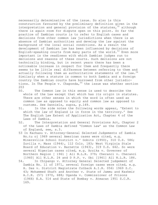necessarily determinative of the issue. So also is this construction favoured by the preliminary definition given in the interpretation and general provision of the statutes,  $32$  although there is again room for dispute open on this point. So far the practice of Zambian courts is to refer to English cases and decisions from other common law jurisdictions when there is an absence of Zambian authorities and develop the law against the background of the local social conditions. As a result the development of Zambian law has been influenced by decisions of English-speaking courts from many parts of the world. $53$  Even more important is the readiness with which Zambian judges run to decisions and reasons of these courts. Such decisions are not technically binding, but in recent years there has been a noticeable increase in respect for them and frequently there seems to be little real difference between referring to them and actually following them as authoritative statements of the law.  $34$ Similarly when a statute is common to both Zambia and a foreign country the Zambian courts have borrowed from other jurisdictions. In The People v. Chaponda, <sup>55</sup> the issue was whether section 203

- 50. The Common law in this sense is used to describe the whole of the Law except that which has its origin in statutes. There are other senses in which the word is often used as common law as opposed to equity and common law as opposed to customs. See Danniels, supra, p.149.
- 51. In the side notes the following words appear, 'Extent to which the law of England is in force in the territory.' See The English Law Extent of Application Act, Chapter 4 of the Laws of Zambia.
- 52. The Interpretation and General Provisions Act, Chapter 2 of the Laws of Zambia defined 'Common Law' as the Common Law of England, see, s.3.
- 53 In Kachasu v. Attorney-General Selected Judgements of Zambia No.tu oj 1969 several American cases were cited, e.g. Minersville School District v.' Gobits (1950), 310 U.S. 586; Zuvilla v. Mass (1944), 112 Colo. 183; West Virginia Stale Board of Education v. Barnette (1943), 319 U.S. 642. So were several Nigerian cases cited, e.g. Arzika v. Governer of Northern Region [ 1961 ] All N.L.R. 379; Cheranci v. Cheranci [1960] All N.L.R. 24 and D P.P. v. Obi [1961] All N.L.R. 186.
- 54. In Chipango v. Attorney General Selected judgement of Zambia No. 11 of 1971, several foreign cases were cited, e.g. H. Das v. District Magistrate Cutback A.I.R. 056) 1969 S.C. 43; Mohammed Shaft and Another v. State of Jammu and Kashmir A.I.R. (57) 1970, 688; Uganda v. Commissioner of Prisons (1966) E.A. 514 and State of Bombay v. Atmaran 1951 S.C.R. 169.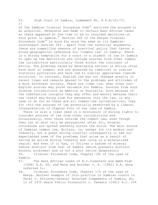55. High Court of Zambia, Judgement No. H P.A/101/73. 17

of the Zambian Criminal Procedure Code<sup>56</sup> entitled the accused to an acquittal. Reference was made to certain East African cases as there appeared at the time to be no recorded decisions on this point in Zambia.<sup>57</sup> Section 200 of the Kenyan Criminal Procedure Code<sup>58</sup> is word for word the same as its Zambiancounterpart Section 203 $\cdot$ . Apart from the technical arguments, there are compelling reasons of practical policy that favour a broad geographical reference for 'common law' in Zambia. There is a strong temptation for a court or a student of law in Zambia to open up the definition and include sources from other common law jurisdiction particularly those within the continent of Africa. The problems faced by developing nations in Africa often have much in common, and are governed by identical or similar statutory provisions and have led to similar approaches towards solutions. In contrast, English law has not changed greatly in recent times and remains geared to the problems and attitudes of a much different society. There are times too, when other non-English sources may prove valuable for Zambia. Sources from such diverse jurisdictions as America or Australia, both because of the substantive insights they may offer and merely because their use itself may bring room for manoeuvre into the law, in any case in so far as these are all common-law jurisdications, they fit into the sources of law potentially permitted by a liberal interpretation of Chapter four of the laws of Zambia.

There is also a clear need in a discussion of mining rights to consider sources of law from other jurisdictions and occasionally, even those outside the common law, even though they can at most only be persuasive; after all, mineral occurences are spread unevenly across the world. The main source of Zambian common law, Britain, is, except for its modern coal industry, not a great mining country; consequently it has not experienced some of the problems that arise as a result of having an active mining industry and lying in a mineralised region. And even if it had, it follows a system of mineral tenure distinct from that of Zambia (which presents distinct mineral problems) and is not a poor nation desperately 56. Criminal Procedure Code, Chapter 160 of the Laws of Zambia.

57. The East African cases of R.v.Jiwannath and Ammk Sigh [1944] E.A. 62, and Musa and Another v. R. [1962] E.A. were referred to.

58. Criminal Procedure Code, Chapter 175 of the Laws of Kenya. Another example of this practice in Zambian courts is Patel v. Attorney-General Selected Judgements of Zambia, No, 13 of 1970 where Public Prosecutor v. Venkata (1961) A.C. 104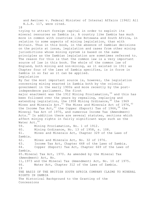and Awolowo v. Federal Minister of Internal Affairs [1962] All N.L.R. 117, were cited. 18 trying to attract foreign capital in order to exploit its mineral resources as Zambia is. A country like Zambia has much more in common with countries like Botswana and South Africa, in relation to some aspects of mining legislation, than with Britain. Thus in this book, in the absence of Zambian decisions on the points at issue, legislation and cases from other mining jurisdictions whose mining system is based on the same principles as the Zambian legislation are sometimes referred to. The reason for this is that the common law is a very important source of law in this book. The whole of the common law of England, both mining and non-mining, as it existed in 1911 as Chapter four of the laws of Zambia specifies, is in force in Zambia in so far as it can be applied. Legislation By far the most important source is, however, the legislation concerning mining enacted in Zambia both by the colonial government in the early 1900s and more recently by the postindependence parliament. The first major enactment was the 1912 Mining Proclamation,  $59$  and this has been followed over the years by repealing, replacing and extending legislation, the 1958 Mining Ordinance,  $60$  the 1969 Mines and Minerals Act.  $61$  The Mines and Minerals Act of 1976,  $62$ the Income Tax Act,  $63$  the Copper (Export) Tax of 1966,  $64$  the Mineral Tax Act of 1970, and numerous Income Tax (Amendment) Acts.<sup>65</sup> In addition there are several statutes, sections which affect mining rights in fairly significant ways such as the Water Act.<sup>66</sup> 59. Mining Proclamation, No. 1 of 1912. 60. Mining Ordinance, No. 13 of 1958, s. 108. 61. Mines and Minerals Act, Chapter 329 of the Laws of Zambia. 62. Mines and Minerals Act, No. 32 of 1976. 63. Income Tax Act, Chapter 668 of the Laws of Zambia. 64. Copper (Export) Tax Act, Chapter 669 of the Laws of Zambia. 65. Mineral Tax Act, 1970. As amended by the Mineral Tax (Amendment) Act, No. 11, 1973 and the Mineral Tax (Amendment) Act, No. 10 of 1975. 66. Water Act, Chapter 312 of the Laws of Zambia. 19 THE BASIS OF THE BRITISH SOUTH AFRICA COMPANY CLAIMS TO MINERAL RIGHTS IN ZAMBIA The Historical Background to the Granting of the Concessions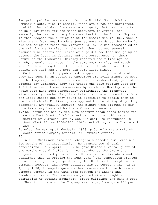Two principal factors account for the British South Africa Company's activities in Zambia. These are first the persistent tradition handed down from remote antiquity that vast deposits of gold lay ready for the miner somewhere in Africa, and secondly the desire to acquire more land for the British Empire. In this respect the turning point for Zambia was in 1867, when a missionary from Inyati made a journey northwards to the Zambezi, his aim being to reach the Victoria Falls. He was accompanied on the trip by one Hartley. On the trip they noticed several disused mine shafts and learnt of a gold trade that was going on between the local inhabitants and the Portuguese.<sup>1</sup> On their return to the Transvaal, Hartley reported their findings to Mauch, a geologist. Later in the same year Hartley and Mauch went North and together identified the reefs which were later called the Tati and the Northern gold field mines.

On their return they published exaggerated reports of what they had seen in an effort to encourage Transvaal miners to move north. They reported for instance that in Mashonaland, part of present-day Zimbabwe, they had traced one gold-bearing lode for 130 kilometres. $2$  These discoveries by Mauch and Hartley made the whole gold hunt seem conceivably worthwhile. The Transvaal miners easily reached Tatjlland tried to obtain concessions from the local chiefs but they found it difficult to obtain them as the local chief, Mzilikazi, was opposed to the mining of gold by Europeans. Eventually, however, the miners were allowed to dig on a temporary basis without any formal agreements.

- 1. The Portuguese had by the ISth century established themselves on the East Coast of Africa and carried on a gold trade particularly around Sofala. See Exelson; The Portuguese in South-East Africa 1600—1970, 1960; and Wills, supra Chapters 1 and 2.
- 2. Hole, The Making of Rhodesia. 1928, p.3. Hole was a British South Africa Company Official in Southern Africa. 20

In 1868 Mzilikazi died and Lobengula succeeded him; within a few months of his installation, he granted two mineral concessions. On 9 April, 1870, he gave Barnes a verbal grant of the Northern Gold fields (an area bounded by the Gwelo and Hunyani river — today the rich midlands area of Zimbabwe) and confirmed this in writing the next year.<sup>3</sup> The concession granted Barnes the right to prospect for gold. He formed no exploration company, however, and never utilised his concession. Then on 29 April, 1870, Lobengula gave another concession to the London and Limpopo Company in the Tati area between the Shashi and Ramahlane rivers. The concession granted mineral rights, permission to operate machinery, erect buildings and make a road to Shashi; in return, the Company was to pay Lobengula £60 per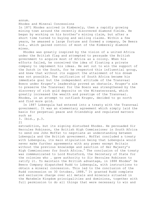Rhodes and Mineral Concessions In 1871 Rhodes arrived in Kimberely, then a rapidly growing mining town around the recently discovered diamond fields. He began by working on his brother's mining claim, but after a short time turned to buying and selling claims. Within a few years, he amassed a large fortune and formed a company, De Beers Ltd., which gained control of most of the Kimberely diamond mines.

Rhodes was greatly inspired by the vision of a united Africa under the British flag and attempted to persuade the British government to acquire most of Africa as a colony. When his efforts failed, he conceived the idea of floating a private company to implement his ideas. He set out to win the support of the Dutch in the South, for he respectrd this influential group, and knew that without its support the attainment of his dream was not possible. The unification of South Africa became his immediate goal but the independent attitude of the Transvaal Boers under Kruger's leadership proved an obstacle. Kruger's aim to preserve the Transvaal for the Boers was strengthened by the discovery of rich gold deposits on the Witwatersrand, which greatly increased the wealth and prestige of the Transvaal. Rhodes, in an attempt to outflank Kruger, decided to go north and find more gold.

In 1887 Lobengula had entered into a treaty with the Transvaal government. It was an elementary agreement which simply laid the basis for perpetual peace and friendship and regulated matters such as

3. Ibid., p.3.

## 21

annum.

extradition, but its signing disturbed Rhodes. He persuaded Sir Hercules Robinson, the British High Commissioner in South Africa to send one John Moffat to negotiate an understanding between Lobengula and the British government. Moffat concluded a treaty with Lobengula, its main stipulation being that Lobengula would never make further agreements with any power except Britain without the previous knowledge and sanction of Her Majesty's High Commissioner for South Africa.<sup>4</sup> The conclusion of the treaty was commmunicated to Lord Knutsford, the Secretary of State for the colonies who . gave authority to Sir Hercules Robinson to ratify it. To maintain the British advantage, in 1888 Rhodes' De Beers Company dispatched Rudd to Lobengula, with instructions to obtain a mineral concession. This led to the conclusion of the Rudd concession on 30 October, 1888.<sup>5</sup> It granted Rudd complete and exclusive charge over all metals and minerals situated in the Matebele Kingdom principalities and dominions, together with full permission to do all things that were necessary to win and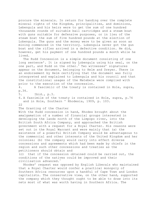procure the minerals. In return for handing over the complete mineral rights of the Kingdom, principalities, and dominions, Lebengula and his heirs were to get the sum of one hundred thousands rounds of suitable bail cartridges and a steam boat with guns suitable for defensive purposes, or in lieu of the steam boat the sum of five hundred pounds at the election of Lobengula. The guns and the money were to be given as soon as mining commenced in the territory. Lobengula never got the gun boat and the rifles arrived in a defective condition. He did, however, get his payment of one hundred pounds a month while he lived.

The Rudd Concession is a simple document consisting of one long sentence'. It is signed by Lobengula using his seal, on the one part, and Rudd on the other. $6$  Two witnesses' signatures appear on the document, belonging to Helm and Dreyer. There is an endorsement by Helm certifying that the document was fully interpreted and explained to Lobengula and his council and that the constitutional usages of the Matebele were complied with prior to the execution of the concession.

4. A fascimilc of the treaty is contained in Hole, supra, p.34.

5. Ibid., p.3.

6. A fascimile of the treaty is contained in Hole, supra, p.74 and in Hole, Southern ' Rhodesia, 1909, p. 103. 22

The Granting of the Charter

With the Rudd concession in hand, Rhodes brought about the amalgamation of a number of financial groups interested in developing the lands north of the Limpopo river, into the British South Africa Company, and approached the British government with a request for a Royal Charter. His reasons were set out in the Royal Warrant and were mainly that (a) the existence of a powerful British Company would be advantageous to the commercial and other interests of the United Kingdom and her colonies; (b) the company would carry into effect diverse concessions and agreements which had been made by chiefs in the region and such other concessions and treaties as the petitioners should obtain and

(c) that if the concession obtained could be carried out, the conditions of the natives could be improved and their civilisation advanced.<sup>7</sup>

Rhodes' request was opposed by English Liberals who maintained that a Royal Charter would confer a practical monopoly of Southern Africa resources upon a handful of Cape Town and London capitalists. The conservative view, on the other hand, supported the company which they thought ought to be able to draw into its nets most of what was worth having in Southern Africa. The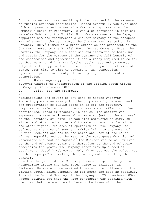British government was unwilling to be involved in the expense of running overseas territories. Rhodes eventually won over some of his opponents and persuaded a few to accept seats on the Company's Board of Directors. He was also fortunate in that Sir Hercules Robinson, the British High Commissioner at the Cape, supported him and recommended a charter company as the cheapest way of annexing the territory. The Charter was granted on 29 October,  $1889,$ <sup>8</sup> framed to a great extent on the precedent of the Charter granted to the British North Borneo Company. Under the Charter, the Company was authorised and empowered to hold, use and retain for the purpose of the Company the full benefit of the concessions and agreements it had already acquired in so far as they were valid. $9$  It was further authorised and empowered, subject to the approval of one of the Principal Secretaries of State, from time to time to acquire by any concession, agreement, grant, or treaty all or any rights, interests, authorities,

- 7. Hole, supra, pp 107—111.
- 8. Royal Charter of Incorporation of the British South Africa Company, 29 October, 1889.
- 9. Ibid., see the preamble.
- 23

jurisdictions and powers of any kind or nature whatever including powers necessary for the purposes of government and the preservation of public order in or for the property, comprised or referred to in the concessions or affecting other territories, lands or property in Africa. The Company was empowered to make ordinances which were subject to the approval of the Secretary of State. It was also empowered to carry on mining and other industries and to make concessions for mining and other rights. The area of operation for the Company was defined as the area of Southern Africa lying to the north of British Bechuanaland and to the north and west of the South African Republic and to the west of the Portuguese dominion of Mozambique and east of Angola. $10$  The Charter was to be reviewed at the end of twenty years and thereafter at the end of every succeeding ten years. The Company later drew up a deed of settlement, dated 3 February, 1891, which set out the objectives of the Company,  $11$  reflecting the powers granted to it by the Charter.

After the grant of the Charter, Rhodes occupied the part of Mashonaland around the area later named as Salisbury in Zimbabwe. He was also determined to extend the influence of the British South Africa Company, as far north and east as possible. Thus at the Second Meeting of the Company on 29 November, 1892, Rhodes pointed out that the Rudd concession was obtained with the idea that the north would have to be taken with the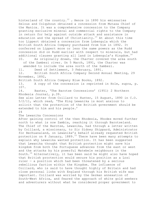hinterland of the country. $^{12}$   $_{\rm f}$  Hence in 1890 his emissaries Selous and Colquhoun obtained a concession from Mutasa Chief of the Manica. It was a comprehensive concession to the Company granting exclusive mineral and commercial rights to the Company in return for help against outside attack and assistance in education and the spread of Christianity.<sup>13</sup> At about this time too Lippert obtained a concession from Lobengula which the British South Africa Company purchased from him in 1892. It conferred on Lippert more or less the same powers as the Rudd concession did on Rudd earlier with respect to minerals, but had additional clauses granting all land in Lobengula's Kingdom.<sup>14</sup> 10. As originally drawn, the Charter covered the area south of the Zambezi river. On 5 March, 1891, the Charter was amended to include the area north of the Zambezi. 11. Deed of Settlement, 3 February, 1891. 12. British South Africa Company Second Annual Meeting, 29 November, 1892, British South Africa Company Blue Books, 1892. 13. A copy of the concession is reprinted in Hole, supra, p. 107. 14. Baxter, 'The Barotse Concessions' (1951) 2 Northern Rhodesia Journal, p.39. See also Letter from Coillard to Hunter, 15 August, 1890 in C.O. 5/2/11, which read, 'The King Lewanika is most anxious to solicit that the protection of the British government should be extended to him and his people.' 24 The Lewanika Concessions After gaining control of the then Rhodesia, Rhodes moved further north to what is now Zambia, reaching it through Barotseland. The Chief of the Barotse, Lewanika, had through a letter written by Coillard, a missionary, to Sir Sidney Shippard, Administrator for Bechuanaland, on Lewanika's behalf already requested British protection on 8 January, 1889.<sup>15</sup> There have been many attempts to explain why Lewanika wanted protection. It has been suggested that Lewanika thought that British protection might save his kingdom from both the Portuguese advances from the east or west and the attacks by his powerful Matebele neighbours in the South.<sup>16</sup> Alternatively, it has been said he might also have hoped that British proctection would secure his position as a Lozi ruler  $-$  a position which had been threatened by a serious rebellious faction within the Kingdom. The influence of Coillard, who is said to have thought highly of Britain and had close personal links with England through his British wife was important. Coillard was worried by the German annexation of South-West Africa, and feared the approach of white gold seekers and adventurers without what he considered proper government to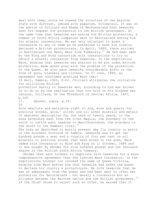deal with them, since he viewed the structure of the Barotse state with distrust, imbued with paganism. Ultimately, it was on the advice of Coillard and Khama of Bechuanaland that Lewanika sent his request for protection to the British government. At the same time that Lewanika was asking for British protection, a number of South Africa companies were in Barotseland asking him for mineral concessions. He was very reluctant to grant a concession to any of them as he preferred to have his country declared a British protectorate. In April, 1889, there arrived in Barotseland one Henry Ware from Kimberely.<sup>17</sup> He had been sent by the King and Nind consortium with instructions to try to obtain a mineral concession from Lewanika. In the negotiation Ware, knowing that Lewanika was anxious to be put under British protection, made great play with the promise of the protection of the Queen. He also gave Lewanika considerable gifts in the form of guns, blankets and clothes. On 27 June, 1889, an agreement was concluded granting Ware the:- 16 Halt, Zambia, 1965, P-63. Coillard attributes the initiative for soliciting British protection mainly to Lewanika who, according to him was driven on to do so by the realisation that his hold on his kingdom was tenuous, Coillard, On the Threshold of Central Africa, 1897, p.329 17. Baxter, supra, p.39. 25 Sole absolute and exclusive right to dig, mine and quarry for precious stones, gold,' silver and all other minerals and metals of whatever description for the term of twenty years, in the area extending east from the river Magila, the boundary to the north to cattle path leading to Maccikunninboe, the boundary to the South to the Zambezi river.<sup>18</sup> The area as described in mostly present day Ila country in parts of the Southern Province of Zambia. Lewanika was to get two hundred pounds a year and a royalty of four per cent on all minerals or precious stones that were mined in the area. Ware ceded this concession to Nind and King on 11 October, 1889 and it was bought by Rhodes for nine hundred pounds and ten thousand

Rhodes then sent Lochner to negotiate with Lewanika for a more comprehensive agreement than the Limited Ware Concession. In the negotiations Lochner too invoked the name of Queen Victoria, knowing like Ware before him that Lewanika had asked the Queen to declare his country a protectorate. He told Lewanika that he was an ambassador from the Queen and had been sent to offer her protection for Barotseland — not merely a concession but an alliance between the Barotse nation and the British government.<sup>19</sup> If the Chief chose to reject such an offer, he warned that it

shares in the British South Africa Company.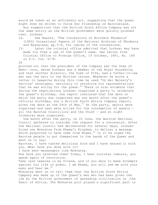would be taken as an unfriendly act, suggesting that the Queen might even be driven to force her friendship on Barotseland.

Any suggestions that the British South Africa Company was not the same entity as the British government were quickly glossed over. Lochner

18. See Baxter, 'The Concessions of Northern Rhodesia' (1963) Occassional Papers of the National Archives of Rhodesia and Nyasaland, pp.3—4, for copies of the concessions.

- 19. Later the colonial office admitted that Lochner may have made too free a use of the Queen's name. See Letter from Colonial Office to Foreign Office, 19 October, 1891, No. 169 in F.O. Con. 6/78.
- 26

pointed out that the president of the Company was the Duke of Aber- corn, whose Duchess was a member of the Royal Household, and that another director, the Duke of Fife, had a father-in-law who was the heir to the British throne. Whenever he wrote a letter to Lewanika during this time he used 'On Her Majesty's Service' envelopes, obviously to reinforce his representations that he was acting for the Queen.<sup>20</sup> There is also evidence that during the negotiations Lochner organised a party to celebrate the Queen's birthday. One report indicated that the date on which the party was organised was one month after the Queen's official birthday, but a British South Africa Company report, gives the date as the 24th of May.<sup>21</sup> At the party, sports were organised and oxen were killed for the consumption of guests all the Barotse Councillors and the Chief — and at night fireworks were organised.

One month after the party, on 22 June, the Barotse National Council gathered to consider the request for a concession. After the National Council had deliberated for several days, Lochner hired one Mokoatsa from Khama's Kingdom, to deliver a message which purported to have come from  $Khama$ .<sup>22</sup> In it he urged the Barotse people to put themselves in the hands of the Queen and went on to say:

Barotse, I have tasted delicious food and I have shared it with you. What have you done with it?

I have sent messengers like Mokoatsa.

How have you received them? Today, I hear sinister rumours, you speak again of revolution.

Take care Lewaika is my friend, and if you dare to make attempts against his life or power, I am Khama, you will see me with your eyes and hear me. $23$ 

Mokoatsa went on to tell them that the British South Africa Cqmpany was made up of the Queen's men who had been given the job by the British government of spreading civilisation in .the heart of Africa. The Mokoatsa plot played a significant part in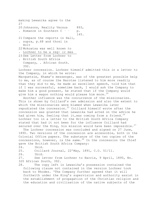making Lewanika agree to the 27 20 Johnsons, Reality Versus . Romance in Southern C · · 893, p. 145. 21 Compare the reports in Hall, . supra, p.68 and thosi in Holt 22 Mokoatsa was well known to . Lochner to be a reg- ir mes 23 See Letter from Lochner to . British South Africa Company, . African South. 392.

Lochner concession. Lochner himself admitted this in a letter to the Company, in which he wrote:

Macquetsie, Khama's messenger, was of the greatest possible help to me, as of course the Barotse listened to him more readily than they did to me, he made an excellent speech, told him that if I was successful, sometime back, I would ask the Company to make him a good present, he stated that if the Company would give him a wagon nothing would please him more.  $24$ 

Another influence was the concurrence of the missionaries. This is shown by Coillard's own admission and also the extent to which the missionaries were blamed when Lewanika later repudiated the concession. $25$  Coillard himself wrote after the concession was granted that Lewanika had acted on the advice he had given him, feeling that it, was coming from a friend.<sup>26</sup> Lochner too in a letter to the British South Africa Company stated that had it not been for the influence Coillard had secured over the King, his mission would have been impossible.<sup>27</sup>

The Lochner concession was concluded and signed on 27 June, 1890. Two versions of the concession are accessible, both in the Colonial Office papers. The substance of the two copies of the concessions, however, is the same.<sup>28</sup> In the concession the Chief gave the British South Africa Company:

24. Ibid.

25. Coillard Journal, 22'May, 1891, C.O. 51/11.

26. Ibid.

27. See letter from Lochner to Harris, 9 April, 1890, No. 320 African South, 392.

28. The copy left in Lewanika's possession contained the following clause not contained in the version Lochner took back to Rhodes. 'The Company further agreed that it will forthwith under the King's supervision and authority assist in the establishment of propagation of the Christian religion and the education and civilisation of the native subjects of the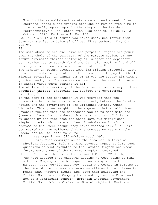King by the establishment maintenance and endownment of such churches, schools and trading stations as may be from time to time mutually agreed upon by the King and the Resident Representative.' See Letter from Middleton to Salisbury, 27 October, 1890, Enclosure in No. 158 F.O. 403/157. This of course was never done. See letter from Governor Stanley to Colonial Office, 25 September, 1924, C.O. 795-99. 28 The sole absolute and exclusive and perpetual rights and power over the whole of the territory of the Barotse nation, or any future extension thereof including all subject and dependent territories ... to search for diamonds, gold, coal, oil and all other precious stones, minerals or substances.<sup>29</sup> The Company in return promised Lewanika British protection from outside attack, to appoint a British resident, to pay the Chief mineral royalties, an annual sum of £2,000 and supply him with a gun boat and guns. The concession described the area it covered in rather vague terms stating it as: The whole of the territory of the Barotse nation and any further extension thereof, including all subject and development territory.<sup>30</sup> In the text of the concession it was provided that the concession had to be considered as a treaty between the Barotse nation and the government of Her Britannic Majesty Queen Victoria. This gives weight to the argument that at all times Lewanika thought that the concession was being made with the Queen and Lewanika considered this very important.  $31$  This is evidenced by the fact that the Chief gave two magnificent elephant tasks, which are a token of submission in African customs to the Queen though they never reached her.  $32$  Coillard too seemed to have believed that the concession was with the Queen, for he was later to write: 29. See copy in No. 320 African South 392. 30. Ibid. This description of the area not in terms of physical features, left the area covered vague. It left such questions as what amounted to the Barotse Kingdom and whose future extensions of the Barotse Kingdom unanswered. 31. Yeta in a letter to the Colonial Office 22 March, 1922.

'We were assured that whatever dealing we were going to make with the Company would be regarded as being made with Her Majesty' C.O. 795-90. Also Rev. Jalla who worked in Barotse at the time of the concessions swore an affidavit that 'Lewanika meant that whatever rights (he) gave them believing the British South Africa Company to be asking for the Crown and not as a Commercial concern' Northern Rhodesia Government, British South Africa Claims to Mineral rights in Northern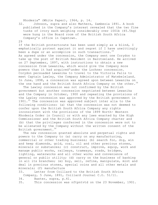Rhodesia" (White Paper), 1964, p. 14.

32. Johnson, supra and also Mathers, Zambezia 1891. A book published in the Company's interest revealed that the two fine tusks of ivory each weighing considerably over 1001b (45.5kg) were hung in the Board room of the British South Africa Company's office in Capetown.

29

If the British protectorate has been used simply as a blind, I emphatically protest against it and regret if I have unwittingly been a dupe or an accomplice in such transactions.  $33$ As agreed under the concession, the Company sent one Corydon to take up the post of British Resident in Barotseland. He arrived on 27 September, 1897, with instructions to obtain a new concession from Lewanika, which would give the Company more powers than it had acquired'under the Lochner concession. Corydon persuaded Lewanika to travel to the Victoria Falls to meet Captain Lawley, the Company Administrator of Matebeleland. In June, 1898, a concession was agreed upon between Lewanika on the one hand and the British South Africa Company on the other.<sup>34</sup>

The Lawley concession was not confirmed by the British government but another concession negotiated between Lewanika and the Company in October, 1900 and repeating the provisions of the Lawley concession was approved by the British government in  $1901.^{35}$  The concession was approved subject inter alia to the following conditions: (a) that the concession was not deemed to confer upon the British South Africa Company any rights inconsistent with the provisions of the 1899 North- Western Rhodesia Order in Council or with any laws enacted by the High Commissioner and the British South Africa Company charter and (b) that the privileges conferred in the concession were not to be alienated by the Company without the written consent of the British government.<sup>36</sup>

The new concession granted absolute and perpetual rights and powers to the Company to (a) carry on any manufacturing, commercial or other trading business; (b) search for, dig, win and keep diamonds, gold, coal, oil and other precious stones, minerals or substances; (c) construct, improve, equip, work and manage public works, railways, tramways, roads, bridges, lighting, waterworks and all other works and convenience of general or public utility; (d) carry on the business of banking in all its branches; (e) buy, sell, refine, manipulate, mint and deal in precious stones, special coins and all other metals and minerals; (f) manufacture

33. Letter from Coillard to the British South Africa Company, 5 June, 1891, Coillard Journal C.O. 51/11.

34. Baxter, supra, p.41.

35. This concession was nftpntvtd on the 23 November, 1901.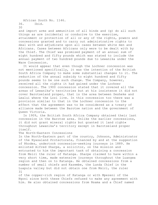African South No. 1146. 36. Ibid.

30

and import arms and ammunition of all kinds and (g) do all such things as are incidental or conducive to the exercise, attainment or protection of all or any of the rights, powers and concessions granted and to carry out administrative rights to deal with and adjudicate upon all cases between white men and Africans. Cases between Africans only were to be dealt with by the Chief. The Chief was promised payment of an annual sum of eight hundred and fifty pounds which was stated to include the annual payment of two hundred pounds due to Lewanika under the Ware Concession.

It would appear that even though the Lochner concession was not mentioned specifically, it was the intention of the British South Africa Company to make some substantial changes to it. The reduction of the annual subsidy to eight hundred and fifty pounds seems to be one such change. The Company, however, received all the rights it had gained under the Lochner concession. The 1900 concession stated that it covered all the areas of Lewanika's territories but at his insistence it did not cover Barotseland proper, that is the area between Sesheke and Lealui where the Lozi live. In this concession too there was a provision similar to that in the Lochner concession to the effect that the agreement was to be considered as a treaty of alliance made between the Barotse nation and the government of Queen Victoria.

In 1909, the British South Africa Company obtained their last concession in the Barotse area. Unlike the earlier concessions, it did not grant mineral rights but granted it land right« throughout Lewanika's territory except in Barotseland proper itself.

The North-Eastern Concessions

In the North-Eastern part of the country, Johnson, Administrator of the Nyasaland Protectorate, financed by and at the suggestion of Rhodes, undertook concession-seeking journeys in 1889. He enlisted Alfred Sharpe, a solicitor, on the mission and entrusted to him the important task of obtaining a concession from Msiri the ruler of Katanga. Sharpe claimed to have within a very short time, made extensive journeys throughout the Luangwa region and then on to Katanga. He obtained concessions from a number of small chiefs and Kazembe, the Lunda Chief in the Luapula valley but did not obtain one from Msiri, the ruler 31

of the copper-rich region of Katanga or with Mpezeni of the Ngoni since both these Chiefs refused to make any agreement with him. He also obtained concessions from Nsama and a Chief named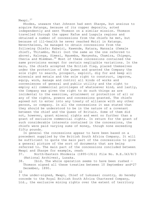## Mwapi.<sup>37</sup>

Rhodes, unaware that Johnson had sent Sharpe, but anxious to acquire Katanga, because of its copper deposits, acted independently and sent Thomson on a similar mission. Thomson travelled through the upper Kafue and Luapula regions and obtained a number of concessions from the chiefs he met, but because of ill-health he never reached Msiri in Katanga. Nevertheless, he managed to obtain concessions from the following Chiefs: Kabwiri, Kawende, Katara, Mansala (female chief), Thitambo, Msiri (not the same as the one referred to above), Kalonga, Simesi, Nguemba, Manyesha, Chamira, Chipepo, Cheria and Mlembwe.<sup>38</sup> Most of these concessions contained the same provisions except for certain negligible variations. In the main, the chiefs accepted the British flag, placed themselves under the protection of the Queen and granted the Company the sole right to search, prospect, exploit, dig for and keep all minerals and metals and the sole right to construct, improve, equip, work, manage and control all kinds of works and conveniences of general and public utility and the right to employ all commercial privileges of whatsoever kind, and lastly, the Company was given the right to do such things as are incidental to the exercise, attainment or protection of all or any of the rights, powers and concessions granted. The chiefs agreed not to enter into any treaty of alliance with any other person, or company. In all the concessions it was stated that they should be understood to be in the nature of a covenant between the chief and the Queen of Britain. Some of them did not, however, grant mineral rights and went no further than a grant of exclusive commercial rights. In return for the grant of such considerable interests contained in the concessions, the chiefs were paid varying sums of money, though none exceeding fifty pounds.

In general the concessions appear to have been based on a precedent supplied by the British South Africa Company. It will be sufficient to quote the main part of the concessions to give a general picture of the sort of documents that are being referred to. The main part of the concessions concluded between Mwapi and Sharpe for example, read:

37. North-Eastern Rhodesia (1895-1911) File No. N.E./A3/8/3 (National Archives), Lusaka.

38. Ibid. The whole operation seems to have been rushed — Thomson signed all these treaties between 10 September and\*27 December, 1890.

32

I the under-signed, Mwapi, Chief of Lukusasi country, do hereby concede to the Royal British South Africa Chartered Company, Ltd., the exclusive mining rights over the extent of territory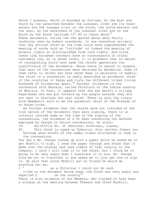which I possess, which is bounded as follows: On the East and South by the watershed between the Lukusasi river and its headwaters and the Luangwa river on the north, the north-western and the west, by the watershed of the Lukusasi river ard on the South by the South Latitude  $13^\circ$ .40 or there about<sup>39</sup> These documents, noting the one quoted above were fairly technical even by modern standards. It was therefore unlikely that any African chief at the time could have comprehended the meaning of words such as 'latitude' or indeed the meaning of mineral rights as distinguished from land rights. And since these tidy European concepts have no counterparts in tribal customary law, as is shown later, it is probable that no amount of interpreting could have made the chiefs appreciate the significance of the documents. Hence there is reason to suspect that most of the concessions were obtained by deception. Some of them refer to chiefs who have never been in existence in Zambia. One chief in a concession is oddly described as paramount chief of the countries of Senga and Ilala two different tribes living hundreds of kilometres apart.<sup>40</sup> Another incidence is the concession with Nansala, called Chieftain of the Lobisa country of Mbalala. In fact, it appears that she was merely a village head-woman who was put forward by the people because they did not want to disclose the real chief. There is also the treaty with Mwambwiri said to be the paramount chief of the Kiwende of no known tribe.

As further evidence that the chiefs were not informed of the true nature of the documents they were signing, there is in colonial records made at the time of the signing of the concessions, the evidence of a Dr Swan concerning the methods employed by Sharpe to obtain concessions. He wrote: 39. ZA/19/File No. 35 (National Archives), Lusaka.

40. This chief is named as Tshavira. Also neither Simesi nor Kalonga were chiefs of the Lamba tribes attributed to them in the concessions.

One day a Mr. Sharpe turned up with a paper which he asked me to get Mushili to sign. I read the paper through and found that it made over the mineral and land rights of that country to the Company. I said I will take it to the Chief, but I think he is going to be very angry when I translate it to him. Mr. Sharpe told me not to translate it and asked me to just get him to sign it. He said that since Mushili wa< ny friend he would do anything for me.

• ' as a Christian 1 could not do such r-?ed to the document being read, the Chief was very angry and expelled S om the country<sup>41</sup> There is also evidence of one Mwebela, who claimed to have been a witness at the meeting between Thomson and Chief Mushili,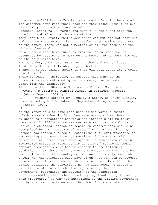obtained in 1964 by the Zambian government. In which he stated: The Whitemen came with their book and they asked Mushili to put his thumb print in the presence of ... Musepelo, Kanamina, Mukwemba and myself, Mwebela and told the chief to look after that book carefully. They used black stuff, that black stuff was put against that one and then on the paper. I do not remember them making any cross on the paper. There was not a meeting of all the people of the village they said; As all the chiefs have run away from us, so we want you to accept us by putting this mark on the book, and we recognise you as the only chief here. The Mupundus, they were interpreting they did not talk about land. They did not talk about Iyela (metals). I know what was talked about; if they did talk about it, I would have known.<sup>42</sup> There is reason, therefore, to suspect that many of the concessions were obtained by various deceptive methods. Quite apart from the inadequacy 41. Northern Rhodesia Government, British South Africa Company's Claims to Mineral Rights in Northern Rhodesia, (white Paper), 1964, p.15. 42. Evidence deposed by Mwebela, a nephew of Chief Mushili, collected by M.I.O. Faber, 1 September, 1964, Maxwell Stamp Papers, 1964. 34 of the money said to have been paid to the various chiefs,

nobodv knows whether in fact they were ever paid as there is no evidence to substantiate Sharpe\s and Thomson's claims ftiat they were. In 1892 the concessions were sent to the Colonial Office which asked Johnson to report on whether they should be recognised by the Secretary of State.<sup>43</sup> Earlier, on 18 July,. Johnson had issued a circular establishing a legal procedure for registering and recognising concessions within the British sphere of influence. Under this system, no concession would be registered unless it received his sanction.<sup>44</sup> Before he could approve a concession, it had to conform to the following conditions: (a) the chief who gave the concession must have been the real ruler of the country covered and not merely some subchief; (b) the purchaser must have given what Johnson considered a fair price. In each case in which he was satisfied that the claims fulfilled the conditions he had laid down, he issued a certificate of claim which after approval by the British Government, recognised the validity of the concession

It is doubtful that Johnson had any legal authority to set up this procedure. $45$  He was not authorised by the British government nor by any law in existence at the time. It is even doubtful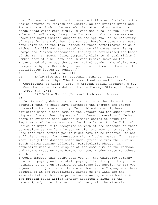that Johnson had authority to issue certificates of claim in the region covered by Thomson and Sharpe, as the British Nyasaland Protectorate of which he was administrator did not extend to these areas which were simply in what was n called the British sphere of influence, though the Company could ac e concessions under its Royal Charter subject to the approval ot he Secretary of State for the Colonies. One cannot therefore come to an easy conclusion as to the legal effect of these certificates of da m although by 1893 Johnson issued such certificates recognising Sharpe and Thomson concessions, thereby he established the basis of the Br . sh South Africa Company's claim to mineral rights in Zambia east of f he Kafue and in what became known as the Katanga pedicle across the Congo (Zaire) border. The claims were recognised by the British government in 1894 on the basis of the certificates issued by Johnson.<sup>46</sup>

43. African South, No. 1146.

44. ZA/19/File No. 35 (National Archives), Lusaka.

45. Krishnamurthy, 'The Thomson Treaties and Johnson's Certificate of Claim' (1969) 8 African Social Research, p.50. See also letter from Johnson to the Foreign Office, 19 August, 1893, F.O. 2/66.

46. ZA/19/File No. 35 (National Archives), Lusaka. 35

In discussing Johnson's decision to issue the claims it is doubtful that he could have subjected the Thomson and Sharpe concession to close scrutiny. He could not possibly have satisfied himself that some of the vendors had the authority to dispose of what they disposed of in these concessions.<sup>47</sup> Indeed, there is evidence that Johnson himself seemed to doubt the legitimacy of the concessions, for in a letter to the Colonial Office he urged it to recognise as much of the contents of these concessions as was legally admissible, and went on to say that 'the fact that certain points might have to be rejected was not sufficient reason for non-recognition of other parts'.<sup>48</sup> It seems most likely that Johnson acted under pressure from the British South Africa Company officials, particularly Rhodes. In connection with a land dispute at the same time as the Thomson and Sharpe treaties were before Johnson, Rhodes wrote to Johnson in these terms:

I would impress this point upon you ... the Chartered Company have been paying and are still paying £10,000 a year to you for nothing. It is even prepared to increase its subsidy to £15,000 a year but in justice to its shareholders, the Company must have secured to it the reversionary rights of the land and the minerals both within the protectorate and sphere without it<sup>4</sup>® The British South Africa Company asserted a right to the ownership of, or exclusive control over, all the minerals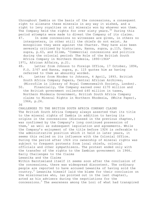throughout Zambia on the basis of the concessions, a consequent right to alienate these minerals in any way it wished, and a right to levy royalties on all minerals won by whoever won them. The Company held the rights for over sixty years.<sup>50</sup> During this period attempts were made to divest the Company of its claims.

- 47. In some concessions no witnesses are given, in others no interpreters, in other still the chiefs do not exist. As monopolies they were against the Charter. They have also been severely critised by historians, Hanna, supra, p.115, Gann, supra, p.63, and Slimm, 'Commercial concessions and politics during the colonial period: The Role of the British South Africa Company in Northern Rhodesia, 1890-1964'
- 1971, African Affairs, p.21.
- 48. Letter from Johnson to Foreign Office, 17 October, 1894, F.O. 2/67 and Hanna, supra, p. 115 quotes him as having referred to them as absurdly worded.
- 49. Letter from Rhodes to Johnson, 4 April, 1893. British South Africa Company Papers, Central African Archives, (Microfilm in library of Royal Commonwealth Society, London).
- 50. Financially, the Company earned over £170 million and the British government collected £40 million in taxes, Northern Rhodesia Government, British South Africa Company claims to Mineral Rights in Northern Rhodesia, (White Paper), 1964, p.24.

## 36

CHALLENGES TO THE BRITISH SOUTH AFRICA COMPANY CLAIMS The British South Africa Company always asserted that its title to the mineral rights of Zambia in addition to having its origins in the concessions (discussed in the previous chapter,) was confirmed by the Company's long continued possession of them,  $1$  as well as subsequent legislation and agreements. While the Company's enjoyment of the title before 1924 is referable to the administrative position which it held in later years, it seems this relied on its influence with the Colonial Office. During the period after 1924 its ownership of mineral rights was subject to frequent protests from local chiefs, colonial officials and other sympathisers. The protest ended only with the transfer of the rights to the Zambian government in 1964. Early Challenges to the Claims

Lewanika and the Claims

Within Barotseland itself it seems soon after the conclusion of the concessions, there was widespread discontent. The ordinary people are reported to have accused Lewanika of having sold the country.<sup>2</sup> Lewanika himself laid the blame for their conclusion on the missionaries who, (as pointed out in the last chapter), acted as his advisers during the negotiations for the concessions.<sup>3</sup> The awareness among the Lozi of what had transpired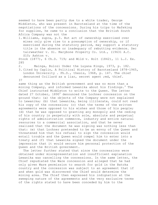seemed to have been partly due to a white trader, George Middleton, who was present in Barotseland at the time of the negotiations of the concessions. During his trips to Mafeking for supplies, he came to a conclusion that the British South Africa Company was not the

1. Williams, supra, p.3. But act of ownership exercised over mines only give rise to a presumption of ownership, or if exercised during the statutory period, may support a statutory title in the absence or inadequacy of rebutting evidence. Sec tairweather v. Si. Marybone Property Co. Ltd., (19631 A.C. S10; Ashton v.

Stook (1877), 6 Ch.D. 719; and Wild v. Holt (1842), 11 L.J. Ex. 285

2. Mainga, Bulozi Under the Luyana Kings, 1973, p. 182.

3. Cited by Caplin, A Political History of Barotseland 1878-1965, London University . Ph.D., thesis, 1968, p. 147. The chief denounced Coillard as a liar, secret agent ; md, thief. 37

same thing as the British government and was no more than a mining Company, and informed Lewanika about his findings.<sup>4</sup> The Chief instructed Middleton to write to the Queen. The letter dated 27 October, 1890<sup>5</sup> denounced the Lochner concession on the ground that: (a) the objects of the Company were not explained to Lewanika; (b) that Lewanika, being illiterate, could not read his copy of the concession; (c) that the terms of the written agreements were opposed to his wishes and those of his people; (d) that he was opposed to granting any monopoly and the ceding of his country in perpetuity with sole, absolute and perpetual rights of administration commerce, industry and entire natural resources to a commercial association, and that he never realised that the document he was signing was nothing less than that: (e) that Lochner pretended to be an envoy of the Queen and threatened him that his refusal to sign the concession would entail trouble and the Queen would compel him to enter into a treaty and (f) that Lewanika signed the document under the impression that it would secure him personal protection of the Queen and the British government.

The letter further stated that since the concessions were obtained under misrepresentation and insufficient explanation Lewanika was cancelling the concessions. In the same letter, the Chief repudiated the Ware concession and alleged that he had only given Ware permission to search for gold in the Batoka country and the concession was subject to an agreement that if and when gold was discovered the Chief would determine the mining area. The Chief then expressed his indignation at the sweeping nature of the agreements and the very exclusive terms of the rights stated to have been conceded by him to the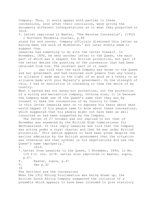Company. Thus, it would appear both parties to these concessions, soon after their conclusion, were giving the documents different interpretations as to what they purported to Ibid.

5. Letter reprinted in Baxter, 'The Barotse Concession', (1952) 2 Northern Rhodesia Journal, p.44

stand for and convey. Company officials dismissed this letter as having been the work of Middleton,  $6$  but later events seem to suggest that

Lewanika had something to do with the letter himself. In November, 1890, he sent another letter to the Queen, the main part of which was a request for British protection, but part of the letter denied the granting of the concession that had been obtained from him. The relevant part of it read:

was told that the said Company was known to the Queen and her government and had received such powers that any treaty or alliance I made was in the light of as good as a treaty or an alliance made with your Majesty's government. On the strength of this, I had no hesitation in conceding to them the whole of my country.

What I wanted was not money but protection, not the protection of a mining and mercantile company, nothing else, it is because the Company made use of the Queen's name that they won my consent to make the concessions of my country to them.<sup>7</sup> In this letter Lewanika went on to express his fears about what would happen if his people came to know about these concessions, which suggested that his people might not have been as well consulted as had been suggested by the Company.

The letter of 27 October was not replied to but that of November was answered by the British High Commissioner for Bechuanaland. In this reply Lewanika was told that the Company was acting under a royal charter and that he was under British protection.<sup>8</sup> This advice appears to have been given despite the earlier admission by the British government that the situation was otherwise and that Lochner in his negotiations did use the Queen's name improperly.<sup>9</sup>

6. Ibid.

7. Letter from Lewanika to the Queen, 1 November, 1890, in No. 119 F.O. con. 6178. Letter also reprinted in Baxter, supra, p.47.

```
8. Baxter, supra, p.47
```

```
9. See p.32
```
39

The Settlers and the Concessions

When the 1912 Mining Proclamation was being drawn up, the British South Africa Company suggested the inclusion of a preamble which appears to have been intended to give statutory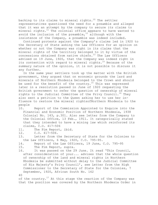backing to its claims to mineral rights. $^{10}$  The settler representatives questioned the need for a preamble and alleged that it was an attempt by the company to secure its claims to mineral rights. $11$  The colonial office appears to have wanted to avoid the inclusion of the preamble,  $12$  although with the insistence of the Company, a preamble was indeed included.

Continued protests against the Company's claims led in 1920 to the Secretary of State asking the Law Officers for an opinion on whether or not the Company was right in its claims that the mineral rights of the territory belonged to it by virtue of the concessions obtained from native chiefs.<sup>13</sup> The Law Officers advised on 19 June, 1920, that the Company was indeed right in its contention with regard to mineral rights.<sup>14</sup> Because of the summary nature of the opinion, it is not possible to discuss it any further.

In the same year settlers took up the matter with the British government, they argued that on economic grounds the lard and minerals of Northern Rhodesia belonged to the Crown and should be used for the benefit of the country.<sup>15</sup> This was expressed later in a resolution passed in June of 1920 requesting the British government to refer the question of ownership of mineral rights to the Judicial Committee of the Privy Council.<sup>16</sup> They also sent a petition to the Queen asking her to use her influence to restore the mineral rightsofNorthern Rhodesia to the people

- 10. Report of the Commission Appointed to Enquire into the Financial and Economic Position of Northern Rhodesia, 1938 Colonial No. 143, p.301. Also see letter from the Company to the Colonial Office, 13 Feb., 1911. It categorically stated that they intended to have a mining law which reinforced its claims, C.O. 417-506
- 11. The Pim Report, ibid.
- 12. C.O. 417-506.

13. Letter from the Secretary of State for the Colonies to the Law Officers, 6 May, 1920, C.O. 795-95.

14. Report of the Law Officers, 19 June, C.O. 795-95

15. The Pim Report, supra.

16. It was passed on the 29 June. It read 'This Council, after consideration of your... advises that the whole question of ownership of the land and mineral rights in Northern Rhodesia be submitted without delay to the Judicial Committee of His Majesty's Privy Council', see Letter from the High Commissioner to the Secretary of State for the Colonies, 7 September, 1920, African South No. 162

40

of the country.<sup>17</sup> At this stage the reaction of the Company was that the position was covered by the Northern Rhodesia Order in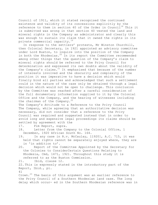Council of 1911, which it stated recognised the continued existence and validity of its concessions explicitly by the reference to them in section 40 of the Order in Council<sup>18</sup> This it is submitted was wrong in that section 40 vested the land and mineral rights in the Company as administrator and clearly this was enough to sustain its claim that it owned the rights in its private commercial capacity.<sup>19</sup>

In response to the settlers' protests, Mr Winston Churchill, then Colonial Secretary, in 1921 appointed an advisory committee under Lord Buxton, to inquire into the position of the Company in both the Rhodesias.<sup>20</sup> In its report the Committee recommended among other things that the question of the Company's claim to mineral rights should be referred to the Privy Council for determination and expressed its own doubts about the validity of the Company's claims. $21$  It emphasised that because of the number of interests involved and the obscurity and complexity of the position it was imperative to have a decision which would finally bind all parties and acknowledged that such a settlement could in the nature of the case only be obtained through a legal decision which would not be open to challenge. This conclusion by the Committee was reached after a careful consideration of the full documentary information supplied to it by the Colonial Office and the Company, and the hearing of witnesses including the chairman of the Company. $22$ 

The Company's Attitude to a Reference to the Privy Council The Company, while agreeing that an authoritative decision was necessary, did not consider that a reference to the Privy Council was required and suggested instead that in order to avoid long and expensive legal proceedings its claims should be settled by agreement with the

17. Pim Report, supra.

- 18. Letter from the Company to the Colonial Office, 1 December, 1920 African South No. 164.
- 19. In any case in R.v. McCaulay, 11920], A.C. 715, it was held that rights cannot be separately enjoyed where, they are in 'in addition to'.
- 20. Report of the Committee Appointed by the Secretary for the Colonies to ConsiderCertain Questions Relating to Rhodesia, Cmd, 1471, 1921. Throughout this study it is referred to as the Buxton Commission.

21. Ibid, clause 12.

22. This is expressly stated in the introductory part of the Report, Ibid., pi.

41

Crown.<sup>23</sup> The basis of this argument was an earlier reference to the Privy Council of a Southern Rhodesian land case. The long delay which occur- ed in the Southern Rhodesian reference was in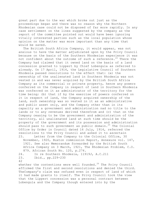great part due to the war which broke out just as the proceedings began and there was no reason why the Northern Rhodesian case could not be disposed of far more rapidly. In any case settlement on the lines suggested by the company as the report of the committee pointed out would have been ignoring vitally interested parties such as the local population whose opinion on the matter was more important than any time that would be saved.

The British South Africa Company, it would appear, was not anxious to have the matter adjudicated upon by the Privy Council because on the basis of the Southern Rhodesian experience it was not confident about the outcome of such a reference.<sup>24</sup> There the Company had claimed that it owned land on the basis of a land concession granted to Lippert by Chief Lobengula as referred to already. On 17 April, 1914, the Legislative Council of Southern Rhodesia passed resolutions to the effect that: (a) the ownership of the unalienated land in Southern Rhodesia was not vested in and was never acquired by the British South Africa Company as its commercial or private property, hence any powers conferred on the Company in respect of land in Southern Rhodesia was conferred on it as administrator of the territory for the time being; (b) that if by the exercise of powers conferred on it in respect of land, the Company acquired ownership of the land, such ownership was so vested in it as an administrative and public asset only, and the Company other than in its capacity as a government and administration nad no title to the lands or to any revenues derived therefrom and (c) that on the Company ceasing to be the government and administration of the territory, all unalienated land at such time should be the property of the government and its possession and administration should pass to such government as public domain.<sup>25</sup> The Colonial Office by Order in Council dated 16 July, 1914, referred the resolutions to the Privy Council and asked it to ascertain 23. Letter from the Company to the Colonial Office, 30

November, 1920, Buxton commission Report, Annexure vol. 147, 1921. See also Memorandum forwarded by the British South Africa Company on 3 March, 1921, The Rhodesian Problem, C.O. 879. African South No. 120, p.274.

24. In re Southern Rhodesia, 11919J, A.C.211

23. Ibid., pp.229-230

42

whether the contentions were well founded.<sup>26</sup> The Privy Council affirmed the first and second resolutions and denied the third. TheCompany's claim was refused even in respect of land of which it had made grants to itself. The Privy Council took the view that the Lippert concession was a personal contract between Lobengula and the Company though entered into by the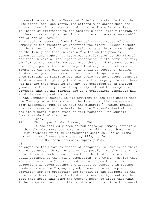concessionaire with the Paramount Chief and stated further that: Like other legal documents, its effects must depend upon the construction of its terms according to ordinary legal rules; it is indeed of importance to the Company's case largely because it confers private rights, and it is not in any sense a mere public act or act of State. $27$ 

This decision seems to have influenced the attitudes of the Company to the question of referring the mineral rights dispute to the Privy Council. It can be said to have thrown some light on the likely position in Zambia.<sup>28</sup> Although the problem concerned land rights, it had great similarities to the mineral position in Zambia. The Lippert concession in its terms was very similar to the Lewanika concessions, the only difference being that it purported to have conveyed land rights and not mineral rights as was the case with the Lewanika concessions. Another fundamental point in common between the 1914 questions and the ones relating to minerals was that there was no express grant of land or mineral rights by the Crown to the Company. Indeed there was nothing that could be in, any way construed as an implied grant, and the Privy Council expressly refused to accept the argument that by his mineral and land concessions Lobengula had sold his country out and out.

The Company's counsel in his argument in the case stated that the Company owned the whole of the land under the concession from Lobengula, just as it held the minerals<sup>29</sup> – which implied that he proceeded on the basis that the Company's land rights and its mineral rights stood or fell together. The Judicial Committee decided that land

26. Ibid.

27. Ibid., per London Summer, p.236.

28. It has impliedly been acknowledged by Company officials that the circumstances were so very similar that there was a high probability of an unfavourable decision, See Williams, Mining Law of Northern Rhodesia, 1963, p.150.

```
29. In re Southern Rhodesia, supra, p.236.
43
```
belonged to the Crown by reason of conquest. In Zambia, as there was no conquest, there was a distinct possibility that the Privy Council could reach a conclusion that the land and minerals still belonged to the native population. The Company denied that its concessions in Northern Rhodesia were open to the same objections as urged against the Lippert concessions in Southern Rhodesia since the Company argued, these contained ample provision for the protection and benefit of the subjects of the chiefs, both with regard to land and minerals. Apparent is the fact that about this time the Company began to argue that what it had acquired was not title to minerals but a title to mineral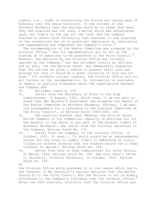rights, i.e., right to authorising the mining and taking away of minerals over the whole territory. In the context of the Southern Rhodesia case the analogy would be to argue that what they had acquired was not land, a matter which was adjudicated upon, but rights to the use ofi the land. And the Company started to assert more forcefully that whatever it had acquired in the concessions was of no practical importance as legislation had supplemented and completed the Company's title.<sup>30</sup>

The recommendation of the Buxton Committee was accepted by the Colonial Office.<sup>31</sup> And its implementation got as far as the drawing up of questions to be presented to the Privy Council.<sup>32</sup> However, the decision by the Colonial Office was strongly opposed by the Company,  $33$  but was welcomed locally by settlers and by Yeta, the new Barotse Chief, who immediately requested that the natives be given a chance to present their case and pointed out that it would be a great injustice if this was not done.<sup>34</sup> For hitherto unclear reasons, the Colonial Office did not act further on the recommendation. No information is available in Zambia or publicly elsewhere about the negotiations between the Company and

30. Williams, supra p. 150

- 31. Letter from the Secretary of State to the High Commissioner, 15 August, 1921, which read, \*1 am now able to state that Her Majesty's government has accepted the Report of the Buxton Committee on Northern Rhodesia. Further, I am making arrangements for a reference to the judicial Committee of the Privy Council', in African South 1083-1096. 120.
- 32. The question drafted read 'Whether the British South Africa Company in its commercial capacity is entitled for its own benefit to the whole or any part of the mineral rights in Northern Rhodesia', see letter from the Colonial Secretary to the Company, African South No. 172.
- 33. Letter from the Company, to the Colonial Office, 15 October, 1922. It read... 'It would surely be an unprecedented course for the Crown to commit itself to embarking on costly litigation without knowing that any dispute exists for a legal tribunal to decide.' African South No. 148.
- 34. Letter from Yeta to High Commissioner for South Africa, 22 March, 1922, African South No. 189. See also Yeta's letter to Churchill, Colonial Secretary, 10 October, 1922. African South No. 190.

44

the Colonial Office which preceded it or the reason which led to the reversal of Mr Churchill's earlier decision that the matter should go to the Privy Council. But the failure to act is widely attributed to the Company's influence over the Colonial Office.  $35$ After the 1922 election, Churchill left the Colonial Office and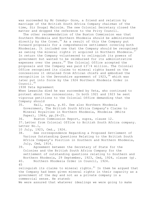was succeeded by Mr Ormsby- Gore, a friend and relation by marriage of the British South Africa Company chairman of the time, Sir Dougal Malcolm. The new Colonial Secretary closed the matter and dropped the reference to the Privy Council.

The other recommendation of the Buxton Commission was that Southern Rhodesia and Northern Rhodesia should be administered directly by the Crown.<sup>36</sup> As a result of this the Company put forward proposals for a comprehensive settlement covering both Rhodesias. It included one that the Company should be recognised as owning the mineral rights it acquired in Northern Rhodesia.<sup>37</sup> In return the Company volunteered to relinquish its powers of government but wanted to be reimbursed for its administrative expenses over the years.<sup>38</sup> The Colonial Office accepted the proposals and the Company was paid  $E^{3/4}$  million. The Colonial Office recognised its claims to mineral rights based on the concessions it obtained from African chiefs and embodied the recognition in the Devonshire agreement of  $1923,$ <sup>39</sup> which was later put into force by the 1924 Northern Rhodesia Order in Council.<sup>40</sup>

1938 Yeta Agreement

When Lewanika died he was succeeded by Yeta, who continued to protest about the concessions. In both 1921 and 1923 he sent vigorous petitions to the Colonial Office demanding that the Company should

35. Hall, supra, p.40. See also Northern Rhodesia Government, The British South Africa Company's Claims to Mineral Royalties in Northern Rhodesia, Rhodeisa (White Paper), 1964, pp.24-25.

36. Buxton Commission Report, supra, clause 12.

37. Letter from Colonial Office to British South Africa company. Letter No.l,

10 July, 1923, Cmd., 1924.

38. See correspondence Regarding a Proposed Settlement of Various Outstanding Questions Relating to the British South Africa Company's Position in Southern and Northern Rhodesia, July, Cmd, 1914.

39. Agreement between the Secretary of State for the Colonies and the British South Africa Company for the settlement of outstanding questions relating to Southern and Northern Rhodesia, 29 September, 1923, Cmd, 1924, clause (g).

40. Northern Rhodesia Order in Council, 1924. 45

relinguish its claims to mineral rights. $41$  In them he argued that the Company had been given mineral rights in their capacity as a government of the day and not as a private company in a commercial sense. He stated:

We were assured that whatever (dealings we were going to make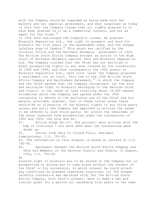with the Company would be regarded as being made with Her majesty and her imperial government, and what surprises us today is this that the Company claims that all rigHts granted to it have been granted td it as a commercial concern, and not as agent for the Crown.<sup>42</sup>

In 1926 Yeta challenged the Company's claims. He granted Minerals Separation Ltd., the right to prospect and work for minerals for five years in the Kashendeko area, and the Dongwe Lalafuta area of Zambia. $43$  This grant was ratified by the Colonial Office and the Northern Rhodesia· government in 1929. The British South Africa Company brought an action in the High Court of Northern Rhodesia against Yeta and Minerals Separation Ltd. The Company claimed that the Chief was not entitled to grant prospecting rights in any area covered by the concessions of 1900 and 1909, and that consequently the 1926 grants to Minerals Separation Ltd., were void. Later the Company proposed a settlement out of court. This led to the 1938 British South Africa Company and Barotsdand Agreement,  $44$  in which the Company and the Chief agreed that the company recognises: (a) the sole and exclusive right to minerals belonging to the Barotse Chief and Council in two areas of land totalling about 10,400 square kilometres which the Company had agreed under the 1900 concession to devote to the exclusive use of the Chief and his people, provided, however, that in these latter areas there should be no alienation of the mineral rights to any third party unless and until the Company had approved in writing the terms to be offered to such third party; (b) within the remainder of the areas reserved from prospecting under the concessions of 1900 and 1909, the sole and ex-

41. Africm Sthgk N6.113. The protest! were written with the bdp of counciUon \* win were aHfe when the concession« were drawn up.

42. Letter from Yeta to Colond Flair, Resident Commissioner, C.O. 795-95.

43. The information on this dispute is based on letters hi C.O. 795-95.

44. Agnssaant between the British South Africa Company and Yeta and Members of the Barotse Council and Others, 12 August, 193«, C.O. 795-95.

46

elusive right to minerals was to be vested in the Company but no prospecting or mining was to take place without the consent of the Chief or his successors, to which consent he could attach any conditions he pleased regarding royalties; (c) The Dongwe Lalafuta concession was declared void, but the British South Africa Company, with Yeta's consent, were to make a new and similar grant for a period not exceeding five years in the same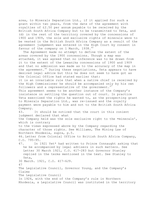area, to Minerals Separation Ltd., if it applied for such a grant within two years, from the date of the agreement with royalties of £2.50 per annum payable to be received by the British South Africa Company but to be transmitted to Yeta, and (d) in the rest of the territory covered by the concessions of 1900 and 1909, the sole and exclusive rights of minerals were to be vested in the British South Africa Company as a result of the agreement judgement was entered in the High Court by consent in favour of the company on 1 March, 1938.<sup>45</sup>

The Agreement made no attempt to define the extent of the areas covered by the 1900 concessions. Though a map was attached, it was agreed that no inference was to be drawn from it to the extent of the Lewanika concessions of 1900 and 1909 and that no admission was made as to the accuracy of the map in the agreement.<sup>46</sup> During these negotiations, Yeta appears to have desired legal advice but this he does not seem to have got as the Colonial Office had stated earlier that: it is an invariable rule that when a native chief is received by the High Commissioner he should be accompanied only by his own followers and a representative of the government. $47$ This agreement seems to be another instance of the Company's insistence on settling the question out of court. In practice Yeta exercised the rights he wanted to, as the prospecting grant to Minerals Separation Ltd., was re-issued and the royalty payment were payable to him and not to the British South Africa Company. 43. It should be noticed that the court in this conient judgment declared that what the Company held was the sole exclusive right to the •minerals', which is contrary to the views expressed above by the Company regarding the character of those rights. See Williams, The Mining Law of Northern Rhodesia, supra, p.5. 46. Letter from Colonial Office to British South Africa Company, C.O. 795-95. 47. In 1921 Yet\* had written to Prince Connaught asking that he be accompanied by legal advisers in such matters. See Letter 30 March 1921, C.O. 417-283 but Governor Stanley replied in the terms mentioned in the text. See Stanley to Yeta, 30 March. 1921, C.O. 4I7-6J9. 47 The Legislative Council, Governor Young, and the Company's Claims The Legislative Council In 1924, with the end of the Company's rule in Northern Rhodesia, a Legislative Council was instituted in the territory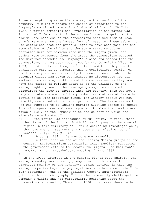in an attempt to give settlers a say in the running of the country. It quickly became the centre of opposition to the Company's continued ownership of mineral rights. On 20 July, 1927, a motion demanding the investigation of the matter was introduced. $48$  In support of the motion it was charged that the claims were baseless as the concessions obtained from African chiefs were even on the lowest form of reasoning inequitable. It was complained that the price alleged to have been paid for the acquisition of the rights and the administrative duties performed were not commensurate with the rights given, and doubts were expressed about the areas the concessions covered. The Governor defended the Company's claims and stated that the concessions, having been recognised by the Colonial Office in 1923, could not be challenged. $49$  He believed that they could be challenged only if it appeared that a considerable portion of the territory was not covered by the concessions of which the Colonial Office had taken cognisance. He discouraged Council members from raising doubts about the concessions as they would have the effect of raising doubt as to the validity of the mining rights given to the developing companies and could discourage the flow of capital into the country. This was not a very accurate statement of the problem, as what was-at issue had little to do with operating mines. The Company itself was not directly concerned with mineral production. The issue was as to who was supposed to be issuing permits allowing others to engage in mining operations and more important to whom the royalty was payable i.e., to the Company or to the country in which the minerals were located.<sup>50</sup>

48. The motion was introduced by Mr Strike. It read, 'that the claims of the British South Africa Company to the mineral rights in this territory call for a searching investigation by the government.' See Northern Rhodesia Legislative Council Debates, July, 1927 p. 164

49. Ibid., p. 169. This was Governor Maxwell.

50. In fact later on one of the leading Mining groups in the country, Anglo-American Corporation Ltd., publicly supported the government efforts to recover the rights. See Chairman's remarks, Annua! Stockholders Meeting, 7 May, 1964.

In the 1930s interest in the mineral rights rose sharply. The mining industry was becoming prosperous and this made the practical meaning of the Company's claims obvious in that the mining companies began to pay royalties on a handsome scale.  $51$  In 1937 Stephenson, one of the earliest Company administrators, published his autobiography.<sup>52</sup> In it he vehemently challenged the Company's claims and was particularly scatching about the concessions obtained by Thomson in 1890 in an area where he had

<sup>48</sup>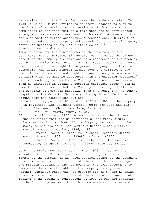personally run up the Union Jack less than a decade later. In 1938 Sir Alan Pim was invited to Northern Rhodesia to examine the financial situation in the territory. In his report he complained of the fact that at a time when the country lacked money, a private company was reaping thousands of pounds on the basis of what he termed questionable concessions. $53$  During this period attacks on the Company and demands for a judicial inquiry continued unabated in the legislative council. $54$ 

Governor Young and the claims

These events, and the convictions of the Governor of the territory in the thirties, Sir Hubert Young, led to the biggest threat to the Company's claims and to a reference of the problem to the Law Officers for an opinion. Sir Hubert became convinced that it could not be right for a private company to retain in perpetuity the entire mineral rights over the territory, and that if the claims were not right in law, he as governor would be failing in his duty be acquiescing in the existing position.<sup>55</sup> He first made approaches to the Company but was not successful. Then he initiated in Lusaka a research exercise, after which he came to the conclusion that the Company had no legal title to the minerals of Northern Rhodesia. Thus by August 1937 he sent a dispatch to the Colonial Secretary, Ormsby-Gore.<sup>56</sup> In it he argued that the concessions did not

51 In 1936 [hey paid £13,000 and in 1937 £31,000 to the Company in royalties, See Colonial Office Report for 1936 and 1937.

52. Stephenson, Chimpula's Tale, 1937, p.30.

53. The Pirn Report, supra, p.135.

54. On 14 October, 1936, Mr Moor complained that it was unjustifiable that the countryishould lack money simply because the British South Africa Company was exporting the money to shareholders. See Northern Rhodesia Legislative Council Debates, October, 1936, p.97.

55. Governor Young's letter to Colonial Secretary Ormsby-Gore, 19 March, 1938, C.o. 795-95, File No. 45105.

56. Governor Young's letter to Ormsby-Gore, the Colonial Secretary, 21 April, 1937, C.O. 795-95. File No. 45105. 49

cover the whole country; that prior to 1923 it was not the intention of the British government to recognise the mineral rights of the Company in any area covered either by the Lewanika concessions or the certificates of claim and that in consequence the British government was not bound by the 1923 agreement to recognise the mineral rights of the Company in any area of Northern Rhodesia which was not covered either by the Lewanika concessions or the certificates of claim. He also argued that in ratifying the Lewanika concessions of 1900 it was the intention of the British government that this concession should extend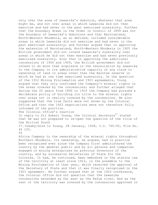only over the area of Lewanika's dominion, whatever that area might be, and not over areas in which Lewanika did not then exercise and had never in the past exercised suzerainty. Further that the boundary drawn in the Order in Council of 1899 was not the boundary of Lewanika's dominions and that Barotseland, North-Western Rhodesia, as so defined, included considerable areas in which Lewanika did not exercise and had never in the past exercised suzerainty; and further argued that in approving the extension of Barotseland, North-Western Rhodesia in 1905 the British government did not intend Lewanika's suzerainty over areas in which he did not then exercise and had never previously exercised suzerainty. Also that in approving the additional concessions of 1906 and 1909, the British government did not intend to do more than acquiesce in the renunciation by Lewanika to the Company in its administrative capacity of any claim to ownership of land in areas other than the Barotse reserve in which he had at one time exercised suzerainty. On the question of the 1912 Mining Proclamation and 1923 agreements, Young argued that they only confirmed the Company's mineral rights in the areas covered by the concessions; and further alleged that during the 20 years from 1890 to 1910 the Company had pursued a deliberate policy of building its title to the mineral rights over areas not in reality covered by the concessions. He also suggested that the true facts were not known by the Colonial Office and that the 1923 negotiations were not therefore fully informed of the position. The Colonial Office's reaction In reply to Sir Hubert Young, the Colonial Secretary<sup>57</sup> stated that he was not prepared to re-open the question of the title of the British South 57. Ormsby-Gore to Young, 28 January, 1938, C.O. 795-95, File No. 4\$ 105. 50 Africa Company to the ownership of the mineral rights throughout Northern Rhodesia. Its ownership, he argued, had in practice been recognised ever since the Company first administered the country by the general public and by all persons and companies engaged in mining enterprises by previous Governors of the country, and by successive Secretaries of State for the Colonies. It had, he continued, been embodied in the statute law of the territory at least since 1912, in the preamble to the Mining Proclamation of that year, which received the approval of the Secretary of State and that it was finally recognised in the 1923 agreement. He further argued that at the 1923 conference, the Colonial Office did not question that the Lewanika concessions extended as far east as the Kafue river. And as the rest ot the territory was covered by the concessions approved in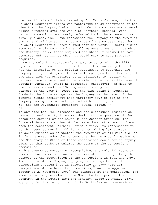the certificate of claims issued by Sir Harry Johnson, this the Colonial Secretary argued was tantamount to an acceptance of the view that the Company had acquired under the concessions mineral rights extending over the whole of Northern Rhodesia, with certain exceptions previously referred to in the agreement, as finally signed. The Crown recognised the Company as the owner of the mineral rights acquired by virtue of the concessions. The Colon.al Secretary further argued that the words 'Mineral rights acquired' in clause (g) of the 1923 agreement meant rights which the Company had de facto acquired and which it claimed to have acquired and not rights which it could show to have properly acquired.

On the Colonial Secretary's arguments concerning the 1923 agreement, one could still submit that it is unlikely that it was the intention ot the British government to recognise the Company's rights despite· the actual legal position. Further, if the intention was otherwise, it is difficult to justify why different words were used for a similar situation in the case of Southern Rhodesia, where no reference, whatsoever was made to the concessions and the 1923 agreement simply read: Subject to the laws in force for the time being in Southern Rhodesia the Crown recognises the Company as the owner of the mineral rights throughout that territory save so far as the Company has by its own acts parted with such rights. $58$ 58. See the Devonshire agreement, supra, clause (h) 51

In any case the 1923 agreement and the subsequent legislation passed to enforce it, in no way deal with the question of the areas not covered by the Lewanika and Johnson treaties. The Colonial Secretary's view of the issue does not appear to have been the consistent Colonial Office's view. Its representative at the negotiations in 1933 for the new mining law stated: If doubt existed as to whether the ownership of all minerals had in fact, passed under the concessions then mere confirmation by the Secretary of State of these concessions could not in anyway clear up that doubt or enlarge the terms of the concessions themselves.

In his arguments concerning recognition, the Colonial Secretary seems to have made one fundamental mistake in interpreting the purpose of the recognition of the concessions in 1901 and 1894. The letters of the Company applying for recognition of the concessions entered into in Barotseland in 1900 were for recognition of the Lewanika concessions,  $59$  and the approval letter of 23 November, 1901<sup>60</sup> was directed at the concession. The same situation prevailed in the North-Eastern part of the country, in the letter from the Company, dated 11 April, 1894, applying for the recognition of its North-Eastern concessions.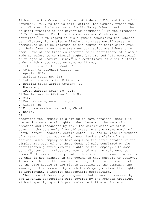Although in the Company's letter of 9 June, 1910, and that of 30 November, 1920, to the Colonial Office, the Company treats the certificates of claims issued by Sir Harry Johnson and not the original treaties as the governing documents,  $61$  in the agreement of 24 November, 1924 it is the concessions which were confirmed.<sup>62</sup> With regard to his argument concerning the Johnson certificates, it is also unlikely that these certificates in themselves could be regarded as the source of title since even on their face value there are many contradictions inherent in them. Some of the treaties referred to in certificate of claim A made no reference to mineral rights but granted 'all commercial privileges of whatever kind,  $63$  but certificate of claim A itself, under which these treaties were confirmed, 59 Letter from British South Africa

. Company to Colonial Office, 11 April, 1894, African South No. 948

60 Letter from Colonial Office to

- . British South Africa Company, 30 November, 1901, African South No. 948.
- 61 See letters in African South No. . 948.
- 62 Devonshire agreement, supra.
- . Clause (g)
- 63 E.g, concession granted by Chief
- . Ntara.

52

described the Company as claiming to have obtained inter alia the exclusive mineral rights under these and the remaining treaties and recognised by it.  $64$  The certificates of claim covering the Company's freehold areas in the extreme north of North-Eastern Rhodesia, certificates E,F, and K, made no mention of mineral rights, but merely recognised the claim of the African Lakes Company to have acquired the three estates in fee simple. But each of the three deeds of sale confirmed by the certificates granted mineral rights to the Company.<sup>65</sup> In some certificates only tribes are mentioned with no reference to areas.<sup>66</sup> It seems unlikely that such certificates can be a source of what is not granted in the documents they purport to approve. To assume this is the case is to accept that in the construction of the true nature of the rights acquired by the Company, the meaning of the document by which the Company claimed the rights is irrelevant, a legally unacceptable proposition.

The Colonial Secretary's argument that areas not covered by the Lewanika concessions were covered by the Johnson treaties, without specifying which particular certificate of claim,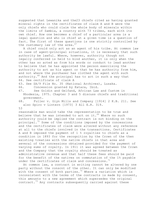suggested that Lewanika and the23 chiefs cited as having granted mineral rights in the certificates of claim A and B were the only chiefs who could claim the whole body of minerals within the limits of Zambia, a country with 73 tribes, each with its own chief. How one becomes a chief of a particular area is a legal question and who is chief at a given time is a question of fact. The first of these questions is one strictly controlled by the customary law of the area. $67$ 

A chief could only act as an agent of his tribe. At common law in case of agent-principal situations, it is necessary that such authority be lawful. Where, however, authority though not legally conferred is held to bind another, it is only when the other has so acted as from his words or conduct to lead another to believe that he has appointed the person exercising the authority to act as his agent or that he has authority from him, and not where the purchaser has clothed the agent with such authority.<sup>68</sup> And the principal has to act in such a way that 64. See certificate of claim A

63. See ZA/9 File No. 35 (National Archives), Lusaka.

66. Concession granted by Katara, Ibid.

67. See Goldin and Gelfand, African Law and Custom in Rhodesia, 1975. Chapter 3 and 5 discuss chiefs and traditional government.

68. Fuller v. Giyn Mills and Company [1914] 2 K.B. 211. See also Spiro v Lintern [1973] 3 All E.R. 319.

53

reasonable man would take the representation to be true and believe that he was intended to act on it.<sup>69</sup> Where no such authority could be implied the contract is not binding on the principal.<sup>70</sup> Some of the conditions imposed by the concessions and the certificates of claim were altered without any reference at all to the chiefs involved in the transactions. Certificates A and B imposed the payment of 1 % royalties to chiefs as a condition in 1893 for the recognition by the Crown of the then existing treaties with the native chiefs in that area and several of the concessions obtained provided for the payment of varying sums of royalty. In 1911 it was agreed between the Crown and the Company that the royalty should be treated as administrative revenue and that half these fees should be paid for the benefit of the natives on commutation of the 1% payable under the certificates of claim and concessions. $71$ 

At common law, a contract in writing cannot be altered by one party without the conscnt of the other. It can only be modified with the consent of both parties.<sup>72</sup> Where a variation which is inconsistent with the terms of the contracts is made by consent, this amounts to a new agreement which supersedes the original contract.<sup>73</sup> Any contracts subsequently carried against these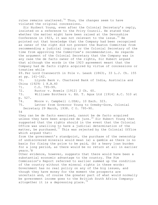rules remains unaltered.<sup>74</sup> Thus, the changes seem to have violated the original concessions.

Sir Hurbert Young, even after the Colonial Secretary's reply, insisted on a reference to the Privy Council. He stated that whether the matter might have been raised at the Devonshire Conference in 1923, it was not relevant to the issue.<sup>75</sup> He pointed out that knowledge that the Company had been recognised as owner of the right did not prevent the Buxton Committee from recommending a judicial inquiry or the Colonial Secretary of the time from approving the Committee's recommendation. As regards the argument of the Colonial Secretary that the Company was in any case the de facto owner of the rights, Sir Hubert argued that although the words in the 1923 agreement meant that the Company had de facto rights acquired by virtue of concessions or treaties while 69. Per Lord Cransworth in Pole v. Leask (1863), 33 L.J. Ch. 155 at pp. 161—162. 70. Llyods Bank v. Chartered Bank of India, Australia and China (1929) 1 K.B.40 71. C.O. 795-99. 72. Ruotor v. Bowels [1912] 2 Ch. 60. 73. Williams Brothers v. Ed. T. Agux Ltd [1914] A.C. 510 at p. 527. 74. Moore v. Campbell (.USA), 10 Exch. 323. 75. Letter from Governor Young to Ormsby-Gore, Colonial Secretary 29 March, 1938. C O. 795-90. 54 they can be de facto exercised, cannot be de facto acquired unless they have been acquired de jure.<sup>16</sup> Sir Hubert Young then suggested that the rights should in the event that the Colonial Office was unwilling to have a judicial determination of the matter, be purchased.<sup>77</sup> This was rejected by the Colonial Office which argued that: from the government's standpoint, the purchase of the ownership of undiscovered minerals would mean (a) a gamble as there is no basis for fixing the price to be paid, (b) a heavy loan burden for a long period, as there would be no return at all in earlier years.<sup>7</sup>® Other evidence, however, suggests that there would have been a substantial economic advantage to the country. The Pim Commission's Report referred to earlier summed up the condition of the country without the mineral rights in these words: Government has no real policy on any of the big issues, and though they have money for the moment the prospects are uncertain and, of course the greater part of what would normally be government income goes to the British South Africa Company; altogether it is a depressing place.<sup>79</sup>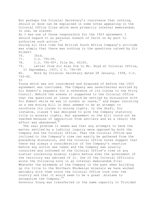But perhaps the Colonial Secretary's insistence that nothing, should uc done can be explained in some notes appearing in the Colonial Office files which were primarily internal memorandum. In one, he stated: As I was one of those responsible for the 1923 agreement I should regard it as personal breach of faith on my part to authorise such action. 80 During all this time the British South Africa Company's attitude was simply that there was nothing in the questions raised by Sir Hilbert 76. Ibid. 77. C.O. 795-99. 78. C.O. 795-95\*. File No. 45105. 79. Letter from Sir Alan Pim to Mr. Boyd at Colonial Office, II September, 1937, C O. 795-99 80. Note by Colonial Secretary dated 28 January, 1938, C.O. 793-90. 55 Young which was not considered and disposed of before the 1923 agreement was concluded. The Company was nevertheless worried by Sir Hubert's requests for a reference of its claims to the Privy Council. Behind the scenes it suggested to the Colonial Office that the questions at issue should be settled by discussion with Sir Hubert while he was in London on leave,  $81$  and began insisting on a new mining bill in what seemed to be an attempt to reinforce its claims to mining rights. In the draft, for

instance, clause 5 was designed to give the Company statutory title to mineral rights. But agreement on the bill could not be reached because of opposition from settlers and as a result the effort was abandoned. 82

The real problem it seems was that any attempts to have the matter settled by a judicial inquiry were opposed by both the Company and the Colonial Office. Th»t the Colonial Office was inclined to the Company's view can easily be gathered from the preceding discussion, and the Colonial office notes suggest that there was always a consideration of the Company's reaction before any action was taken and the Company was usually consulted and informed of the Colonial Office's view on any niatter concerning mineral rights before even the government of the territory was advised of it. One of the Colonial Officials wrote the following note in an internal memorandum file: Whatever the misdeeds of the Company in the past when building up its title to the Northern Rhodesian minerals we have worked amicably with them since the Colonial Office took over the country and that it would seem to be a great .mistake to antagonise the Company. 83

Governor Young was transferred in the same capacity to Trinidad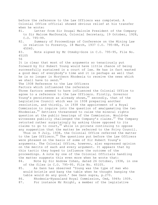before the reference to the Law Officers was completed. A Colonial Office official showed obvious relief at his transfer when he wrote: 81. Letter from Sir Dougal Malcolm President of the Company to Sir Malcom MacDonald, Colonial Secretary, 19 October, 1928, C.O. 795-99. 82. Summary of Proceedings of Conference on the Mining Law in relation to Forestry, 18 March, 1937 C.O. 795-88, File 45040. 83. Note signed by Mr Otmsby-Gore in C.O. 795-95, File No. 45105 56 It is clear that most of the arguments so tenaciously put forward by Sir Hubert Young would have little chance of being successfully sustained in a court of law. He has in fact wasted a good deal of everybody's time and it is perhaps as well that he is no longer in Northern Rhodesia to receive the news which we shall have to send.  $84$ The 1938 Reference to the Law Officers Factors which influenced the reference Three factors seemed to have influenced the Colonial Office to agree to a reference to the Law Officers. Firstly, Governor Young's persistence as already shown,  $85$  secondly, that of the Legislative Council which was in 1938 preparing another resolution, and thirdly, in 1938 the appointment of a Royal Commission to inquire into the question of amalgamating the two Rhodesias.<sup>86</sup> Settlers threatened to raise the mineral rights question at the public hearings of the Commission. Would-be witnesses publicly challenged the Company's claims. 87 The Company retorted rather surprisingly by asking those opposed to its claims to go to court,  $88$  while in private continuing to oppose any suggestion that the matter be referred to the Privy Council. Thus on 9 July, 1938, the Colonial Office referred the matter to the Law Officers.<sup>89</sup> The questions put before the Law Officers were phrased on the basis of some of Sir Hubert Young's arguments. The Colonial Office, however, also expressed opinion on the merits of each and every argument. It appears that by this tactic they hoped to influence the outcome of the proceedings. A note by one of the Colonial Officials handling the matter suggests this even more when he wrote that: 84. Note by Sir Andrew Cohen, dated 26 October, 1938, in one of the files in C.O. 795-95. File No. 45105.

85. As Gann has observed 'Young was the type of man who would bristle and bang the table when he thought banging the table would do any good.' See Gann supra, p.270.

86. Rhodesia-Nyasaland Royal Commission, Cmd, 5949; 1939. 87. For instance Mr Knight, a member of the legislative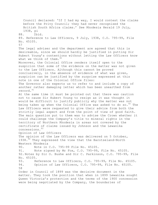Council declared: 'If I had my way, I would contest the claims before the Privy Council; they had never recognised the British South Africa claims.' See Rhodesia Herald 19 July, 1938, pi 88. Ibid. 89. Reference to Law Officers, 9 July, 1938, C.O. 795-99, File No. 45105. 57 The legal adviser and the department are agreed that this is desireable, since we should hardly be justified in putting Sir Hubert Young's contentions without letting the Law Officers know what we think of them.  $90$ Moreover, the Colonial Office renders itself open to the suspicion that some of the evidence on the matter was not given to the Law Officers. Although this cannot be proved conclusively, in the absence of evidence of what was given, suspicion can be justified by the surprise expressed at this note in one of the Colonial Office files: The Governor also expects us to refer to and include a copy of another rather damaging letter which has been unearthed from record.<sup>91</sup> At the same time it must be pointed out that there was caution not to cause Sir Hubert Young to resign as it was thought it would be difficult to justify publicly why the matter was not being taken up when the Colonial Office was asked to do so.  $92$  The Law Officers were requested to give their advice from both the strictly legal aspect and from the point of view of good faith. The main question put to them was to advise the Crown whether it could challenge the Company's title to mineral rights in the territory of Northern Rhodesia in areas not covered by the certificate of claims issued by Johnson and the Lewanika concessions.<sup>93</sup> Opinion of Law Officers The opinion of the Law Officers was delivered on 5 October, 1938.<sup>94</sup> They expressed the view that the Barotseland-North Western Rhodesia 90. Note in C.O. 795-99 File No. 45105. 91. Note signed by Mr Fox, C.O. 795-99, File No. 45105. 92. Notes by Sir O. Bushe and Sir C. Parkinson, C.O. 795-99, File No. 45105. 93. Reference to Law Officers, C.O. 795-99, File No. 45105. 94. Opinion of Law Officers, C.O. 795-99, File No. 45105. 58 Order in Council of 1899 was the decisive document in the matter. They took the position that when in 1899 Lewanika sought Queen Victoria's protection and the terms of the 1900 concession were being negotiated by the Company, the boundaries of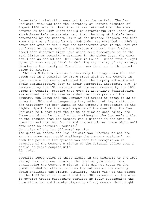Lewanika's jurisdiction were not known for certain. The Law Officers' view was that the Secretary of State's dispatch of August 1904 made it clear that it was intended that the area covered by the 1899 Order should be coterminous with lands over which Lewanika's suzerainty ran, that the King of Italy's Award determined by the western limit of the Barotse Kingdom, and that when the area embraced by the 1899 Order was extended in 1905 to cover the area of the river the transferred area in the west was confirmed as being part of the Barotse Kingdom. They further added that whatever might have since been discovered as to the real limits of Lewanika's dominion in the olden days, the Crown could not go behind the 1899 Order in Council which from a legal point of view was as final in defining the limits of the Barotse Kingdom as the treaty of Versailles was final as to the boundaries it altered.

The Law Officers dismissed summarily the suggestion that the Crown was in a position to prove fraud against the Company in that certain documents indicated that the Company subordinated their administrative duty to their commercial interests, e.g. in recommending the 1905 extension of the area covered by the 1899 Order in Council, stating that even if Lewanika's jurisdiction was assumed never to have extended over some parts of the country, the Crown and the Company had agreed to treat it as so doing in 1900; and subsequently they added that legislation in the territory had been based on the Company's possession of the rights. Apart from the legal aspects of the question, the Law Officers felt that from the point of view of good faith, the Crown could not be justified in challenging the Company's title, on the grounds that the Company was a pioneer in the area in question and that but for it and its activities there might well have been no Northern Rhodesia. <sup>95</sup>

Criticism of the Law Officers' opinion

The question before the Law Officers was 'whether or not the British government could challenge the Company position', as such the point in the opinion was that the recognition in practice of the Company's rights by the Colonial Office over a period of years coupled with 95. Ibid.

59

specific recognition of these rights in the preamble to the 1912 Mining Proclamation, debarred the British government from challenging the Company's rights. This did not touch on the question whether others, such as the natives of the country, could challenge the claims. Similarly, their view of the effect of the 1899 Order in Council and the 1905 extension of the area it covered treats successive statutes as fully superseding the true situation and thereby disposing of any doubts which might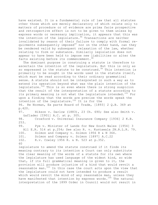have existed. It is a fundamental rule of law that all statutes other those which are merely declaratory of which relate only to matters of procedure or of evidence are prima facie prospective and retrospective effect is not to be given to them unless by express words or necessary implication, it appears that this was the intention of the legislature.  $96$  Transactions are neither invalidated by reason of their failure to comply with formal requirments subsequently imposed $97$  nor on the other hand, can they be rendered valid by subsequent relaxation of the law, whether relating to form or substance. Similarly legislation does not appear to have been held to impose new liabilities or alter the facts existing before its commencement. 98

The dominant purpose in construing a statute is therefore to ascertain the intention of the legislature. But this is only as so expressed in the statute to be construed.<sup>99</sup> This intention is primarily to be sought in the words used in the statute itself, which must be read according to their ordinary grammatical sense. A statute should not be interpreted in such a way as to extend its operation beyond what was the plain intention of the legislature. $100$  This is so even where there is strong suspicion that the result of the interpretation of a statute according to its primary meaning is not what the legislature intended.<sup>101</sup> For upon a finding that the words are precise the words speak the intention of the legislature.<sup>102</sup> It is for the 96. Re Norman, Ex parte Board of Trade, [1893] 2 Q.B. 369 at p.420. 97. Hikson v. Darlow (1883), 23 Ch. 690; See also Smith v. üaflader [Ί901] A.C. at p. 305. 98. Croxford v. Universal Insurance Company [1936] 2 K.B. 253. 99. Pye v. Minister of Lands for New South Wales [1954] 3 All E.R. 514 at p.254; See also R. v. Kuntawala 2N.R.L.R. 79. 100. Solmon and Company v. Solmon 1956 R & N 364. 101. Solmon and Company v. Solmon [1897] A.C.22 102. R.v. Cowley 1956 R. & N. 523 at p.352.  $60$ legislature to amend the statute construed if it finds its meaning contrary to its intention a Court can only substitute

the clear meaning of the words of a statute for its own where the legislature has used language of the widest kind, so wide that, if its full grammatical meaning is given to it, the provision will produce injustice of a kind that would revolt a reasonable man.  $103$  In this case the court acts upon the view that the legislature could not have intended to produce a result which would revolt the mind of any reasonable man, unless they have manifested that intention by express words.<sup>104</sup> The natural interpretation of the 1899 Order in Council would not result in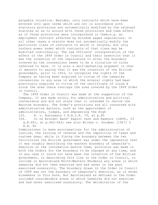palpable injustice. Besides, only contracts which have been entered into upon terms which are not in accordance with statutory provisions are automatically modified by the relevant statutes so as to accord with those provisions and take effect as if those provisions were incorporated in them,e.g. an employment contract affected by minimum wages regulations. In all other cases a statute does not automatically modify the particular class of contracts to which it relates, but only confers power under which contracts of that class may be modified individually. The Law Officers' interpretation of the effect of the 1899 Order in Council and their assertion that it was the intention of the legislature to alter the boundary covered by the concessions seems to be a violation of rules referred to here. It is also a self-defeating argument in that it amounts to saying that it was the intention of the British government, prior to 1923, to recognise the rights of the Company as having been acquired in virtue of the Lewanika concessions in any area in which the mineral rights had been previously acquired in virtue of the certificate of claim A since the area there overlaps the area covered by the 1899 Order in Council.

The 1899 Order in Council was made at the suggestion of the Company. It was made solely for administrative and political convenience and did not state that it intended to revive the Barotse boundary. The Order's provisions are all concerned with administrative matters, such as the appointment of administrators, judges, and empowering the High 103. R. v. Kuntawala 2 N.R.L.R. 79, at p.80 104. In re Brockel Bank\* Export Dunn and Raeburn (1889), 23

Q.B.461, at p.462-463; see also Wilkes v. Goodman [1927] 2 K.B. 86

Commissioner to make proclamations for the administration of justice, the raising of revenue and the imposition of taxes and customs dues, while in fixing the boundary between the two territories the British government was under the impression that it was roughly describing the eastern boundary of Lewanika's dominion on the information before them, provision was made in both the Orders for the boundary to be changed at any time, and in any case it could not have been the intention of the British government, in describing this line in the Order in Council, to include in Barotseland North-Western Rhodesia any areas in which Lewanika did not then exercise and had never in the past exercised suzerainty. The boundary drawn in the Order in Council of 1899 was not the boundary of Lewanika's dominion, as is shown elsewhere in this book. But Barotseland as defined in the Order included considerable areas in which Lewanika did not exercise and had never exercised suzerainty. The delimitation of the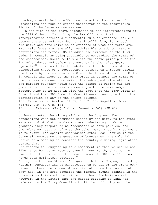boundary clearly had no effect on the actual boundaries of Barotseland and thus no effect whatsoever on the geographical limits of the Lewanika concessions.

In addition to the above objections to the interpretations of the 1899 Order in Council by the Law Officers, their interpretation offends a fundamental rule of evidence. While a document stands and provided it is intelligible, it is both exclusive and conclusive as to evidence of what its terms are. Extrinsic facts are generally inadmissible to add to, vary or contradicts its terms. 105 To admit the evidence of the 1899 Order in Council as being available to contradict the terms of the concessions, would be to violate the above principle of the law of evidence and defeat the very evils the rules guard against,  $106$  as it would be to substitute for the terms of the concessions those of a subsequent enactment on a matter already dealt with by the concessions. Since the terms of the 1899 Order in Council and those of the 1905 Order in Council and terms of the concessions cannot co-exist, the subsequent alteration of the Barotse boundary would have the effect of wiping out the provisions in the concessions dealing with the same subject matter. Also to be kept in view the fact that the 1899 Order in Council and the 1905 Order in Council were drawn up without the participation of any of the chiefs alleged 105. Henderson v. Aurlher 11907] 1 K.B. 10; Angell v. Duke (1875), L.R. 10 Q.B. 174 106. T/iomson (Pvt) Ltd, v. Bennet (1962) KSN 689. 62 to have granted the mining rights to the Company. The concessions were not documents handed by one party to the other as a record of what the Company was undertaking to do or granted. They purport to be 'documents of both parties, and therefore no question of what the other party thought they meant is relevant. The opinion contradicts other legal advice in the Colonial records on the question of boundaries. The Colonial Office at a meeting to consider the country's mining legislation stated that: Our reasons for suggesting this amendment is that we should not like it to be put on record, even in your mouth, that we are aware that the extent of the concessions of 1900 and 1909 has never been definitely settled.<sup>107</sup> As regards the Law Officers' argument that the Company opened up Northern Rhodesia and as mandatories on behalf of the Crown continued to bear the burden of administration on the basis that they had, in the area acquired the mineral rights granted in the concessions this could be said of Southern Rhodesia as well. However, in the latter case the matter relating to land was

referred to the Privy Council with little difficulty and the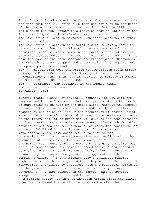Privy Council found against the Company. What this amounts to is the fact that the Law Officers in fact did not examine the basis of the claims to mineral rights by deciding that the 1899 legislation put the Company in a position that it was not by the instruments by which it claimed those rights. The Law Officers' opinion compared with other opinions in other British Colonies The Law Officer's opinion on mineral rights in Zambia seems to be contrary to other Law Officers' opinions in some of the countries in Africa where Britain had jurisdiction and similar situations arose notably in Botswana, South Africa and Ghana. To take the case of the then Bechuanaland Protectorate (Botswana), the British government appointed a Commission<sup>108</sup> to inquire into a report upon alleged land and 107. Letter from Colonial Office to the British South Africa Company C.O. 795-90. See also Summary of Proceedings of Conference on the Mining Law in Relation to Foresty 18 March, 1937, C.O. 795-88, File No. 4500. 108. Commission was appointed by the Bechuanaland Protectorate Proclamation, 10 January, 1893. 63 mineral grants claimed by several Europeans. The Law Officers recommended to the Commission that: (a) grants of any kind made or purporting to be made by the chief alone, without the express consent of the tribe or council, were not valid; (b) titles granted by one chief to land in the occupation of another chief were not as a general rule valid without the express concurrence of the later, and (c) no grant was valid which had been obtained by fraudulent or otherwise improper means or for which Valuable considerations had not been given, or of which the condition had not been fulfilled.<sup>109</sup> In this way several claims were invalidated by the commission set up to examine the concessions.<sup>110</sup> In one case a concession was invalidated on the grounds that the consideration was inadequate,  $111$  while in another on the ground that the extent of the ground claimed was far in excess of what the chief intended to lease and included several tribes ruled by different chiefs,  $112$  both grounds were advanced by Sir Hubert Young and other opponents of the Company's claims.<sup>113</sup> The Commission also invalidated mineral rights claims on the sole ground that they were in the nature of monopolies, and likely to interfere with the practical workings, of the general or financial administration of any future government,  $114$  a fact alleged in the Zambian case by several independent commissions referred to earlier. $^{115}$ 

A similar policy was invoked in South Africa after the British government annexed the territories and obliterated the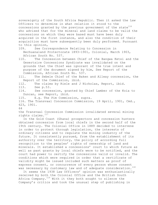sovereignty of the South Africa Republic. Then it asked the Law Officers to determine in what relation it stood to the concessions granted by the previous government of the state $^{116}$ who advised that for the mineral and land claims to be valid the concessions on which they were based must have been duly acquired in the first instance, and also the condition of their acquisition must have subsequently been duly performed. Pursuant to this opinion,

109. See Correspondence Relating to Concession in Bechuanaland Protectorate 1893-1901, Colonial, March 1903, African South No. 537.

110. The Concession between Chief of the Bangwa Ketsi and the Gesertsire Concessions Syndicate was invalidated on the grounds that the Chief was ignorant of the true intent and purpose of the document signed by him, See Report of the Commission, African South No. 537.

111. The Sebele Chief of the Baken and Allway concession, the Report of the Commission, ibid.

112. The claims by Riele and J Nicholas, Report, ibid.

113. See p.53.

114. See concession, granted by Chief Lamber of the Koia to Duncan, see Report, ibid.

115. E.g. The Pim Commission, supra.

116. The Transvaal Concession Commission, 19 April, 1901, Cmd., 623, 1901.

64

the Transvaal Concession Commission invalidated several mining rights claims. $117$ 

In the Gold Coast (Ghana) prospectors and concession hunters obtained concession from local chiefs in the second half of the 19th century. The Colonial Office in 1889 decided to intervene in order to protect through legislation, the interests of ordinary citizens and to regulate the mining industry of the future. It consistently pursued, from the establishment of its authority over the territory, the policy of according full recognition to the peoples' rights of ownership of land and minerals. It established a concessions' court to which future as well as past grants by local chiefs were to be notified, and the court had power to certify the concessions valid or invalid. The conditions which were required in order that a certificate of validity might be issued included such matters as proof of express consent, or concurrence of every person whose consent was necessary by customary law and of adequate consideration.  $^{118}$ 

It seems the 1938 Law Officers' opinion was enthusiastically received by both the Colonial Office and the British South Africa Company. $^{119}$  With it they both sought to silence the Company's critics and took the unusual step of publishing in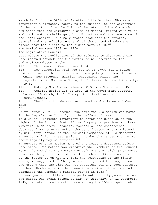March 1939, in the Official Gazette of the Northern Rhodesia government a dispatch, conveying the opinion, to the Government of the territory from the Colonial Secretary.<sup>120</sup> The dispatch explained that the Company's claims to mineral rights were valid and could not be challenged, but did not reveal the substance of the legal opinion. It simply stated that both the Attorney-General and the Solicitor-General of the United Kingdom are agreed that the claims to the rights were valid.<sup>121</sup> The Period Between 1938 and 1960 The Legislative Council Just before the publication of the referred to dispatch there were renewed demands for the matter to be referred to the Judicial Committee of the 117. The Dvnamite Concession, Ibid. 118. See Concession Ordinace No. 14 of 1900. For.a fuller discussion of the British Concession policy and legislation in Ghana, see Ilegbune, British Concessions Policy and legislation in Southern Ghana, Ph.D thesis, London University, 1975. 119. Note by Sir Andrew Cohen in C.O. 795-99, File No.45105. 120. General Notice 118 of 1939 in the Government Gazette, Lusaka, 10 March, 1939. The opinion itself was not communicated. 121. The Solicitor-General was named as Sir Terence O'Connor, ibid. 65 Privy Council. On 13 December the same year, a motion was moved in the Legislative Council, to that effect. It read: This Council requests government to refer the question of the rights of the British South Africa Company to precious and base minerals in Northern Rhodesia, founded on the concessions obtained from Lewanika and on the certificates of claim issued by Sir Harry Johnson to the Judicial Committee of His Majesty's Privy Council for investigation, in order that a decision as to their legality may be obtained. $^{122}$ In support of this motion many of the reasons discussed before were cited. The motion was withdrawn when members of the Council were informed that the matter was before the British government. However, the publication of the dispatch in 1938 was not the end of the matter as on May 17, 1941 the purchasing of the rights was again suggested. $123$  The government rejected the suggestion on the ground that the time was not opportune for any such venture. Southern Rhodesia, which had been in a similar situation, had purchased the Company's mineral rights in  $1933.^{124}$ 

Four years of little or no significant activity passed before the mattei was again raised by Sir Roy Welensky. On 11 December, 1945, he intro duced a motion concerning the 1939 dispatch which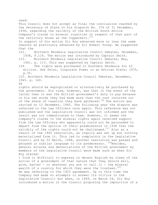read: This Council does not accept as final the conclusions reached by the Secretary of State in his Dispatch No. 374 of 31 December, 1938, regarding the validity of the British South Africa Company's claims to mineral royalties in respect of that part of the territory known as the Copperbelt.<sup>125</sup> In support of his motion Sir Roy advanced more or less the same reasons as previously advanced by Sir Hubert Young. He suggested that the 122. Northern Rhodesia Legislative Council Debates, December, 1938, P.116. The motion was introduced by Captain Smith. 123. Northern Rhodesia Legislative Council Debates, May, 1941. p. 113. This was suggested by Captain Smith. 124. The rights were purchased in Southern Rhodesia for £2 million. See Sklar, Corporate Power in an African State: 1975, p.35. 125. Northern Rhodesia Legislative Council Debates, December, 1945. p. 160. 66 rights should be expropriated or alternatively be purchased by the government. His view, however, was that in the event of the latter then it was the British government's duty to pay because in his own words they had made more than the cost incurred out of the share of taxation they have gathered.<sup>126</sup> The motion was carried on 12 December, 1945. The following year the dispute was referred to the Law Officers once again. This reference was not published and the Legislative Council was not informed and the result was not communicated to them. However, it seems the Company's claims to the mineral rights again received support from the Law Officers who apparently could not be persuaded to depart from the opinion of their predecessors in 1938 that the validity of the rights could not be challenged.<sup>127</sup> Also as a result of the 1945 resolution, an inquiry was set up but nothing materialised from it. This led to complaints in the Legislative Council and by 22 March, 1948, another resolution was passed and phrased in similar language to its predecessor.  $^{128}$ Besides, general attacks and denunciations of the British government by members of the Legislative Council were made such as when Sir Roy stated: 1 find it difficult to express in decent English my views of the action of a government of that nature that they should sell, give, batter  $-$  or whatever you are to call it  $-$  the mineral wealth of a country for which they were the trustees.  $^{129}$ He was referring to the 1923 agreement. Up to this time the Company had made no attempts to answer its critics in the Legislative Council; but when, in 1949, on March 24, Sir Roy introduced a motion in the Council proposing the imposition of a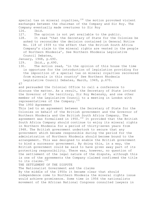special tax on mineral royalties, $^{130}$  the motion provoked violent exchanges between the chairman of the Company and Sir Roy. The Company eventually made overtures to Sir Roy

126. Ibid.

127. The opinion is not yet available to the public.

128. It read 'that the Secretary of State for the Colonies be asked to reconsider the decision contained in General Notice No. 118 of 1939 to the effect that the British South Africa Company's claim to the mineral rights are vested in the people of Northern Rhodesia', See Northern Rhodesia Legislative Council Debates,

January, 1948, p.690.

129. Ibid., p.690.

130. The motion read, 'in the opinion of this house the time is opportune for the introduction of legislation providing for the imposition of a special tax on mineral royalties recovered from minerals in this country' See Northern Rhodesia Legislative Council Debates, March, 1949, p.670.

67

and persuaded the Colonial Office to call a conference to discuss the matter. As a result, the Secretary of State invited the Governor of the territory, Sir Roy Welensky, and one other member of the Legislative Council to a meeting in London with representatives of the Company.<sup>131</sup>

The 1950 Agreement

This led to an agreement between the Secretary of State for the Colonies on behalf of the British government and the Governor of Northern Rhodesia and the British South Africa Company. The agreement was formalised in 1950.<sup>132</sup> It provided that the British South Africa Company should continue to enjoy its mineral rights in Northern Rhodesia for a period of thirty-seven years from 1948. The British government undertook to secure that any government which became responsible during the period for the administration of Northern Rhodesia should become bound to the arrangement. This was designed to enable the British government to bind a successor government. By doing this, in a way, the British government could be said to have given away part of its protecting responsibility. There was, however, no question of the settlement of the legal nature of the dispute, although this is one of the agreements the Company claimed confirmed the title to its claims.<sup>133</sup>

THE SETTLEMENT OF THE DISPUTE

The Nationalist Government and the claims By the middle of the 1950s it became clear that should independence come to Northern Rhodesia the mineral rights issue would achieve prominence. Some time in 1956 the nationalists movement of the African National Congress consulted lawyers in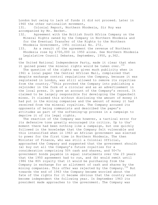London but owing to lack of funds it did not proceed. Later in 1960 the other nationalist movement,

131. Colonial Report, Northern Rhodesia, Sir Roy was accompanied by Mr. Becket.

- 132. Agreement with the British South Africa Company on the Mineral Rights owned by the Company in Northern Rhodesia and for the Eventual Transfer of the Rights to the Northern Rhodesia Government, 1951 colonial No. 272.
- 133. As a result of the agreement the revenue of Northern Rhodesia rose by £700,000 in 1950 alone. See Northern Rhodesia Legislative Council Debates, September, 1950, p.362. 68

the United National Independence Party, made it clear that when it gained power the mineral rights would be taken over.  $^{134}$ 

The question of the rights was given much publicity when in 1961 a local paper the Central African Mail, complained that despite exchange control regulations the Company, because it was registered in London, was still allowed to remove its royalties from the country.<sup>35</sup>This provoked the Company into publishing a rejoinder in the form of a circular and as an advertisement in the local press. It gave an account of the Company's record. It claimed to be largely responsible for developing the Copperbelt mines. It claimed this without disclosing the amount of money it had put in the mining companies and the amount of money it had received from the mineral royalties. The Company accused its opponents of being communists and described the paper's attitudes as part of the softening-up process in a campaign to deprive it of its legal rights.

The reaction of the Company was however, a tactical error for its defensive tone greatly encouraged its critics. Up to tha<sup>^</sup> moment there had been nothing like a campaign, but one quickly followed in the knowledge that the Company felt vulnerable and this intensified when in 1963 an African government was elected to power for the first time in Northern Rhodesia. The then Minister of Finance, who was still a Colonial Official, approached the Company and suggested that the government should: (a) buy out all the Company's future royalties for a consideration comprising 50% cash and shares, and 50<7o government bonds payable in equal instalments over the 23 years that the 1950 agreement had to run, and (b) would remit until 1986 the 80% royalty that it would be purchasing from the Company in exchange for an allotment of cash and shares by the mining companies. This offer was rejected by the Company.  $^{136}$  But towards the end of 1963 the Company became worried about the fate of the rights for it became obvious that the country would become independent the following year. In September 1963 its president made approaches to the government. The Company was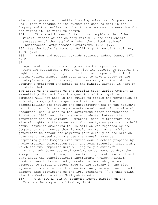also under pressure to settle from Anglo-American Corporation Ltd., partly because of its twenty per cent holding in the Company and the realisation that to win maximum compensation for the rights it was vital to secure

134. It stated in one of its policy pamphlets that 'the mineral riches of the country remain... the inalienable possession of the people' — IVhen the United National Independence Party becomes Government, 1962, p.7.

135. See the Author's Account, Halil High Price of Principles, 1969, p.78.

136. Faber and Potter, Towards Economic Independence, 1971 p.12.

69

an agreement before the country obtained independence.

From the government's point of view its efforts to recover the rights were encouraged by a United Nations report.<sup>137</sup> In 1963 a United Nations mission had been asked to make a study of the country's economy. In its report it was very critical of the Country's continued ownership of the mineral rights. It went on to state that:

The issue of the rights of the British South Africa Company is essentially distinct from the question of its royalties, Zambians will not need in the future to obtain the permission of a foreign company to prospect on their own soil. The responsibility for shaping the exploratory work in the nation's territory, and for ensuing adequate development of its mineral resources, should pass to the government after independence.  $138$ In October 1963, negotiations were conducted between the government and the Company. A proposal that it transfers the mineral rights to the government for twenty-two years and a half annual payments amounting to £35 million was rejected by the Company on the grounds that it could not rely on an African government to honour the payments particularly as the British government refused to guarantee the annual payments. Surprisingly the Company even turned down a scheme proposed by Anglo-American Corporation Ltd., and Roan Selection Trust Ltd., which the two Companies were willing to quarantee.  $^{139}$ 

At the 1964 Constitutional Conference convened to draw the independence constitution, nationalist representative realised that under the constitutional instruments whereby Northern Rhodesia was to become independent, the British government proposed to fulfil a pledge made to the Company in the 1950 agreement to ensure that the new Zambian government was bound to observe thfe provisions of the 1950 agreement. $140$  At this point also the Central African Mail published a

137. U.N./E.C.A./F.A.O. Economic Survey Mission on the Economic Development of Zambia, 1964.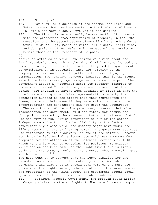138. Ibid., p.48.

139. For a fuller discussion of the scheme, see Faber and Potter, supra. Both authors worked in the Ministry of Finance in Zambia and were closely involved in the dispute.

140. The first clause eventually became section 18 concerned with the protection from deprivation of property in the 1964 constitution. The second became clause 17 of the Independence Order in Council jpy means of which 'all rights, liabilities, and obligations' of Her Majesty in respect of the territory became those of the President of Zaipbia.

70

series of articles in which revelations were made about the frail foundations upon which the mineral rights were founded and these had a significant effect in that they led the government to commission an investigation into the validity of the Company's claims and hence to jettison the idea of paying compensation. The Company, however, insisted that if the rights were to be taken over, proper compensation should be paid. The government issued a whitepaper after its research referred to above was finished. $141$  In it the government argued that the claims were invalid as having been obtained by fraud in that the chiefs were acting under false representations made by the concession hunters to the effect that they represented the Queen, and also that, even if they were valid, on their true interpretation the concessions did not cover the Copperbelt.

The main thrust of the white paper was, however, that after independence the government would not ratify nor assume the obligations created by the agreement. Rather it believed that it was the duty of the British government to extinguish before independence and without further liability to the Zambian government any claims which the Company might have under the 1950 agreement or any earlier agreement. The government attitude was reinforced by its discovery, in one of the colonial records accidentally left behind, a loose note which was a memorandum prepared for the attention of the Colonial Secretary in 1948 which went a long way to conceding its position. It stated: ...if action had been taken at the right time there is little doubt that the Company would not have established mineral rights in these areas... $^{142}$ 

The note went on to suggest that the responsibility for the situation as it existed rested entirely on the British government and that thus it should bear part of the purchase price when the rights were purchased. At about the same time as the production of the white paper, the government sought legal opinion from a British firm in London which advised

141. Northern Rhodesia Government, The British South Africa Company claims to Mineral Rights in Northern Rhodesia, supra,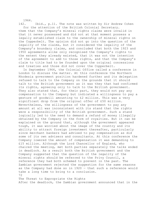1964.

142. Ibid., p.11. The note was written by Sir Andrew Cohen for the attention of the British Colonial Secretary. them that the Company's mineral rights claims were invalid in that it never possessed and did not at that moment possess a legally established claim to the ownership of mineral rights on the Copperbelt. The opinion did not go into the question of the legality of the claims, but it considered the legality of the Company's boundary claims, and concluded that both the 1923 and 1950 agreements alike only recognised the Company's rights to the extent they already existed, that it was not the intention of the agreement to add to those rights, and that the Company's claim to title had to be founded upon the original concessions and treaties and those did not cover the Copperbelt.

In September 1964, the Colonial Office called a conference in London to discuss the matter. At this conference the Northern Rhodesia government position hardened further and its delegation refused to talk to the Company on the grounds that it should talk to the British government as it was they that had confirmed its rights, agreeing only to talk to the British government. They also stated that, for their part, they would not pay any compensation to the Company but indicated a willingness to pay a gesture of goodwill amounting to £2 million. This was a very significant drop from the original offer of £50 million. Nevertheless, the willingness of the government to pay any amount at all was inconsistent with its stand that the rights were a responsibility of the British government. Such a stand logically led to the need to demand a refund of money illegally obtained by the Company in the form of royalties. But it can be explained on the ground that, although the government appeared tough, it was worried about the image of the country and its ability to attract foreign investment thereafter, particularly since merchant bankers had advised to pay compensation as did some of its own advisers and consultants. At this conference the Company lowered the amount of compensation it was demanding to £15 million. Although the Lord Chancellor of England, who chaired the meeting, met both parties separately the talks ended in deadlock. As a result both the British government and the Company suggested that the question of the legality of the mineral rights should be referred to the Privy Council, a reference they had both schemed to prevent in the past. The Zambian government rejected the suggestion for the same reasons as the Company had done so in  $1920 -$  that such a reference would take a long time to bring to a conclusion. 72 The Threat to Expropriate the Rights

After the deadlock, the Zambian government announced that in the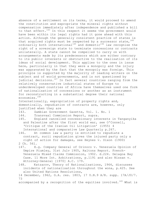absence of a settlement on its terms, it would proceed to amend the constitution and expropriate the mineral rights without compensation immediately after independence and published a bill to that effect.<sup>143</sup> In this respect it seems the government would have been within its legal rights had it gone ahead with this action. Although the generally consistent practice of states is that acquired rights must be respected by a successor state,  $144$ ordinarily both international<sup>145</sup> and domestic<sup>146</sup> law recognise the right of a sovereign state to terminate concessions or contracts unilaterally. A state cannot be compelled to carry on with arrangements made by its predecessors which are either contrary to its public interests or obstructive to the realisation of its ideas of social development. This applies to the ones in issue here, particularly in that they were a monopoly and the injury was aggravated by the fact that the monopoly was foreign. This principle is supported by the majority of leading writers on the subject and of world governments, and is not questioned by judicial decisions.<sup>147</sup> In fact several countries ranging from the relatively conservative industrial states of Europe to underdeveloped countries of Africa have themselves used one form of nationalisation of concessions or another as an instrument for reconstructing in a substantial degree their national economies.<sup>148</sup>

Internationally, expropriation of property rights and, domestically, repudiation of contracts are, however, only justified when they are

143. Zambian Government Gazette, Vol. 1. No. 1

144. Transvaal Commission Report, supra.

145. England cancelled concessionary interests in Tanganyika and Palestine after the first world war, see O'Connell, 'Critique of the Iranian Oil Litigation' (1955) 4 InternationaI and comparative Law Quarterly p.267.

146. At common law a party is entitled to repudiate a contract, sucii repudiation gives the injured party only a right of action for damages, see Heynes v. Dixon (1900) 2 Ch. 561.

147. E.g. Company General of Orinoco v. Venezuela Opinion of Umpire Piumley, 31st Julv 1905, Raltons Report. French-Venezuela Mixed Claims Commission, 1902. d.224. Delagoa Bay Case. 11 More Int. Arbitrations, p.1191 and also Nissan v. Attorney-General [1970] A.C. 179.

148. Katzarov, Theory of Nationalisations, 1964, discusses incidents of nationalisation throughout the wona, p.425. See also United Nations Resolutions,

14 December, 1962, G.A. res. 1803, 17 U.N.9 A/R. supp. 17A/J0/7. 73

accompanied by a recognition of the equities involved.<sup>149</sup> What is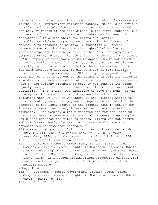protected is the value of the property right which Is assessable in the uiOial improvement valuation manner. But it is an obvious corollary of the rule that the rights in question must be valid not only by reason of the acquisition in the first instance, but by reason of their conditions having subsequently been duly performed.<sup>150</sup> In a case where the rights are invalid, cancellation without compensation appears in the absence of special circumstances to be legally justifiable. Special circumstances would arise where the rights' holder has for instance expended the money, as in such a case non-payment of compensation would amount to the unjust enrichment of the state.

The Company in this case, it would appear, would not be owed any compensation. Apart from the fact that the Company did not directly invest in mining and that it had been reimbursed for its administrative deficit, it gained a sum of £135 million before tax in the period up to 1964 in royalty payments.<sup>151</sup> It took much of this money out of the country. In 1964 its value of investments in Zambia showed that the value of local investments held by the Company amounted to only 10 per cent of its gross royalty receipts, and to less than one-fifth of its investments portfolio.<sup>152</sup> The Company was unwilling to give the money to the country as it thought this would weaken its title, as it indicated when in 1936 it was asked by the Colonial Office to consider making an annual payment on equitable grounds for the benefits of the local people on the grounds that in return for its vast mineral resources, it was making purely nominal payments.<sup>153</sup> The Company's reply rejected the request, stating that if it were to make ex-gratia annual payments, many people would conclude that its title to mineral rights was not secure and that consequently the gesture proposed would have the opposite result from that intended.<sup>154</sup>

149 Norwegian Shipowners Claim. 1 Rep Int. Arbitration Awards 309, (1948); Lena Gold Fields Lid., v. U.S.S.R. Award 3

September, 1930; and also Heyman v Darwins [19421 A.C. 356. 150. Transvaal Commission Report, supra, p.l 17.

151. Northern Rhodesia Government, British South Africa Company claims to Mineral Rights in Northern Rhodesia, (White paper) 1964. Anglo-American Corporation which held some shares in the British South Africa Company made similar distinction, its chairman in a speech distinguished productive capital from non-productive capital, Chairman's Remarks, Annual stock holders meeting,

- 152. Northern Rhodesia Government, British South Africa Company claims to Mineral Rights in Northern Rhodesia, (White paper), supra, p. 15.
- 153. C.O. 795-99.

<sup>7</sup> May, 1964.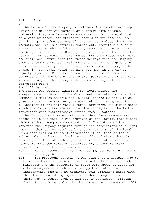154. Ibid. 74

The failure by the Company to reinvest its royalty earnings within the country was particularly unfortunate because ordinarily they are imposed as compensation for the exploitation of a wasting asset,.and therefore should be utilised for the building up of other sources of revenue, to replace the mining industry when it is eventually worked out. Therefore the only persons it seems who could merit any compensation were those who had bought shares in the Company in the genuine belief that the royalty payments were validly founded but even these would have had their due return from the excessive royalties the Company drew and their subsequent reinvestment. It may be argued that this is not strictly correct since someone who had bought the shares in, say 1962, would not have got much in the way of royalty payments. But then he would still benefit from the subsequent reinvestment of the royalty payments and in any case it can be argued that along with shares one buys all the associated risks.

The 1964 Agreement

The matter was settled finally a few hours before the independence of  $Zambia.$ <sup>155</sup> The Commonweath Secretary offered the Company £4 million contributed in equal shares by the British government and the Zambian government which it accepted. And on 14 December of the same year a formal agreement was signed under which the Company transferred the mineral rights to the Zambian government with retrospective effect from 24 October, 1964.

The Company has however maintained that the agreement was forced on it and that it was deprived of its legally held mining rights without adequate compensation.<sup>156</sup> The nature of the interest the Company acquired through its concessions is a legal question that can be resolved by a consideration of the legal rules that applied to the transactions at the time of their making. Where subsequent legislation affected them, then the true legal effect of such legislation can be interpreted by generally accepted rules of construction, a task we shall concentrate on in the following chapter.

155. For an account of the final stage, see Hall, High Price of Principles, pp.69-92.

156. Its President stated, '1 was told that a decision had to be reached within the next eleven minutes because the Zambian ministers and the Secretary of State were about to leave for other engagements which would occupy them until the independence ceremony at midnight. Your President faced with the alternative of expropriation without compensation felt there was no course open to him but to acquiesce,' British South Africa Company Circular to Shareholders, December, 1964.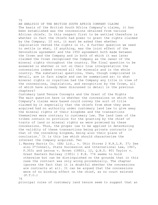AN ANALYSIS OF THE BRITISH SOUTH AFRICA COMPANY CLAIMS The basis of the British South Africa Company's claims, it has been established was the concessions obtained from various African chiefs. In this respect first to be settled therefore is whether in fact the chiefs had power to grant the rights claimed by the Company. If not, it must be asked then whether legislation vested the rights in it. A further question we need to settle is what, if anything, was the joint effect of the Devonshire agreement and the 1950 agreement both made between the Crown and the Company and in both of which it was later claimed the Crown recognised the Company as the owner of the mineral rights throughout the country. The final question to be answered is whether or not on their true interpretation the concessions indeed covered all the minerals and in the whole country. The substantial questions, then, though complicated in detail, are in fact simple and can be summarized as: to what mineral rights or royalties had the Company any title in view of the concessions, legislation, and recognition by the Crown, all of which have already been discussed in detail in the previous chapters?

Customary Land Tenure Concepts and the Grant of the Rights The main question here is whether the concessions on which the Company's claims were based could convey the sort of title claimed by it especially that the chiefs from whom they were acquired had no authority under customary land law to give away the mineral rights of their kingdoms and the transactions themselves were contrary to customary law. The land laws of the tribes contain no provision for the granting by the chief of tracts of land or mineral rights as were promised by these concessions. Thus, the proper law to be applied in determining the validity of these transactions being private contracts is that of the conceding kingdom, being also their place of conclusion. $1$  It is this law which should characterise the interest the Company acquired. Two

1. Massey Harris Co. (SA) Lid., v. Ohio Stores 2 N.R.L.R. 37; See also O'Connell, State Succession and International Law, 1967, P.303; and Leroux v. Brown (1882), 12, Q.B.D. 801 Taylor v. Great Eastern Railway [1901) 1 K.B. 774 seems to hold otherwise but can be distinguished on the grounds that in this case the contract was only wrong procedurally. The chapter ignores the fact that it is doubtful whether the concessions are contracts at all. It can be argued that the concessions were of no binding effect on the chief, as no court existed  $(P.T.O.)$ 

76

principal rules of customary land tenure seem to suggest that an

## 75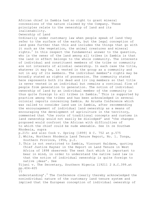African chief in Zambia had no right to grant mineral concessions of the nature claimed by the Company. These principles relate to the ownership of land and its inalienability.

Ownership of Land

Ordinarily under customary law when people speak of land they refer to the surface of the earth, but the legal conception of land goes further than this and includes the things that go with it such as the vegetation, the animal creatures and mineral rights.<sup>2</sup> In this respect the fundamental answer to the question, who is the owner of the land among all tribes in Zambia is that the land in effect belongs to the whole community. The interests of individual and constituent members of the tribe or community are not interests of allodial ownership. In each case the title, whatever it may be, is vested in the group as a community and not in any of its members. The individual member's rights may be broadly stated as rights of possession. The community stated here represents both its dead and liv ing members so that title is never vested in an individual but remains a continual flow of people from generation to generation. The notion of individual ownership of land by an individual member of the community is thus quite foreign to all tribes in Zambia.<sup>3</sup> This is supported by practice among the tribes and has been acknowledged in several colonial reports concerning Zambia. An Arusha Conference which was called to consider land use in Zambia, after recommending the encouragement of individual land ownership as a means of encouraging the development of agriculture in the territory, commented that 'the roots of traditional concepts and customs in land ownership would not easily be dislodged' and 'the changes proposed would confront the African with difficulties of to which the chief could be nude «menable. See In re South«m Rhodesia, supra

p.215: and also Cook v. Spring [1899] A C. 752 at p.575

- 2. White, Northern Rhodesia Land Tenure Report, No. 1. Tonga, Southern Province, 1956, p.2.
- 3. This is not restricted to Zambia, Viscount Haldane, quoting Chief Justice Rayner in the Report on Land Tenure in West Africa of 1898 observed: The next fact which is important to bear in mind, in order to understand the native land law is that the notion of individual ownership is quite foreign to native ¡deas'. See

Tijani v. The Secretary, Southern Nigeria 119211 2 A.C.399.at pp.404-405

77

understanding'.<sup>4</sup> The Conference clearly thereby acknowledged the nonindividual nature of the customary land tenure system and implied that the European conception of individual ownership of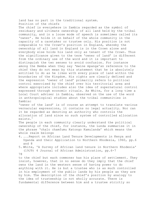land has no part in the traditional system. Position of the chiefs The chief is everywhere in Zambia regarded as the symbol of residuary and ultimate ownership of all land held by the tribal community, and in a loose mode of speech is sometimes called its 'owner'. He holds it on behalf of the whole community in the capacity of a caretaker or trustee only. His position is not comparable to the Crown's position in England, whereby the ownership of all land in England is in the Crown alone and everybody else holds his land only as tenant of the Crown. Thus the significance given to the term 'owner of land' is different from the ordinary use of the word and it is important to distinguish the two senses to avoid confusion. For instance among the Bemba when they say 'mwine mpanga'xn reference to the chief they do not mean by this statement that he is absolutely entitled to do as he likes with every piece of land within the boundaries of the Kingdom. His rights are clearly defined and the expression 'owner of land' primarily refers to political control exercised by the chief over his territorial area and where appropriate includes also the idea of supernatural control expressed through economic rituals. As White, for a long time a Local Court adviser in Zambia, observed on the use of the word in anthropological studies about the tribal communities in Zambia: 'owner of the land' is of course an attempt to translate various vernacular expressions, it contains no legal actuality. Nor can it be regarded as denoting an authority who controls the allocation of land since no such system of controlled allocation exists.<sup>5</sup> The people in each community clearly understand the political ownership of the chief, for instance, the Lunda summarise it in the phrase 'chalo chamfumu Katongo Kamulanda' which means the whole realm belongs 4. ...Report on African Land Tenure Developments in Kenya and Uganda and their Application to Northern Rhodesia, 1960, pp.6

- and 8
- 5. White, 'A Survey of African land tenure in Northern Rhodesia' (19J9) 4 Journal of African Administration, pp.6-7
- 78

to the chief but each commoner has his place of settlement. They insist, however, that in no sense do they imply that the chief owns the land in the western sense of having power to do anything with it. He is but a trustee who is as much controlled in his employment of the public lands by his people as they are by him. The description of the chief's position by analogy to the idea of trusteeship is not wholly accurate. There is fundamental difference between him and a trustee strictly so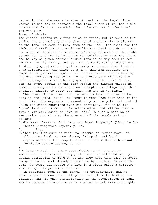called in that whereas a trustee of land had the legal title vested in him and is therefore the legal owner of it, the title to communal land is vested in the tribe and not in the chief individually.

Power of chiefs

The chiefs' rights vary from tribe to tribe, but in none of the tribes has a chief any right that would entitle him to dispose of the land. In some tribes, such as the Lozi, the chief has the right to distribute previously unallocated land to subjects who are short of land and to newcomers.  $6$  Every subject has the right to ask for land for building and for cultivation from the chief and he may be given certain arable land as he may need it for himself and his family, and so long as he is making use of his land he enjoys absolute legal security of tenure. Once land is thus allocated by the chief to a man, that man acquires the right to be protected against all encroachment on this land by any one, including the chief and he passes this right to his heir and anyone to whom he may give or lend the land. No one, can, however, settle on the land within the kingdom unless he becomes a subject to the chief and accepts the obligations this entails, failure to carry out which was and is punished.<sup>7</sup>

The power of the chief with respect to land in other tribes such as the Bemba, Ngoni, or Lunda is much less than that of the Lozi chief. The emphasis is essentially on the political control which the chief exercises over his territory. The chief may 'give' land but in fact it is acknowledged that all he does is give a man permission to live on land.  $8$  In such a case he is exercising control over the movement of his people and not allocat

- 6. Gluckman 'Essay on Lozi land and Royal Property' (1943) 10 The Rhodes Livingstone Papers, p. 14.
- 7. Ibid.
- 8. This led Cunnisson to refer to Kazembe as having power of allocating land. See Cunnisson, 'Kingship and local organisation on the Luapula River' (1950) S Rhodes Livingstone Institute Communication, p. 12.
- 79

ing land as such. In every case whether a village or an individual is concerned, they pick their own site and merely obtain permission to move on to it. They must take care to avoid trespassing on land already being used by another. As with the Lozi, however, all people who live in a given chief's territory must accept his political control.

In societies such as the Tonga, who traditionally had no chiefs, the headman of a village did not allocate land to his village, and his only participation in the acquisition of land was to provide information as to whether or not existing rights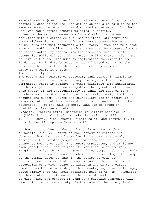were already enjoyed by an individual on a piece of land which another wishes to acquire. The situation could be said to be the same as among the other tribes discussed above except for the Lozi who had a strong central political authority.

Anyhow the main consequence of the distinction between societies with a strong centralised political structure and those without it is that the former have a conception of a tribal area and unit occupying a territory.<sup>9</sup> Hence the rule that a person seeking to live in such an area must be accepted by the political authority controlling the area, and must himself accept its political control in order to live there. This right to live in the area included by implication the right to use land, but the land to be used is not allocated to him by the chief in the sense that the chief cannot deny an individual empty land where it exists.

Inalienability of Land

The second main feature of customary land tenure in Zambia is that land is inalienable and always belongs to the tribe or community. There is perhaps no other principle more fundamental to the indigenous land tenure systems throughout Zambia than this theory of the inalienability of land. The idea of land purchase as understood in Europe is entirely foreign to African thought and custom. Chiefs and councillors are on record as being emphatic that land sales did not occur and would not be tolerated.<sup>10</sup> Not one sale of empty land can be found in traditional Zambian society.

9. White, 'Terminological confusion in African Land Tenure' (1958) 3 Journal of African Administration, p. 125.

10. Conroy, 'The General Principles of Land Tenure' (1946) 14 Rhodes Livingstone Papers, p.95.

80

There is abundant evidence of the observance of this principle. The 1964 Report on the Economy of Barotseland observed that the idea of a market in land was absolutely foreign to the Barotse people. $11$  Land among the Lozi people cannot be bought or sold, the report emphasises, and it is not even possible to leise or rent it. Yet this is in the very kingdom in which the British South Africa Company obtained their most important concessions. .Richards, in a sociological· study of the Bemba, observed that in the course of ordinary conversation no Bemba lists among his assets his possession^ occupation of a given tract of land. In answer to a direct question as to the ownership of his country any chief will reply quite simply that the whole territory belongs to him.<sup>12</sup> Richards further states in reference to the sale of land that: as elsewhere, the concept of land as a saleable commodity will revolutionise native society. In the case of the chief, land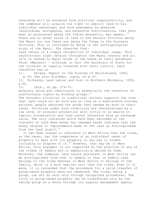ownership will be servered from political responsibility, and the commoner will acquire the right to exploit land to his individual advantage, and such phenomena as absentee landlordism, mortgaging, and excessive fractionation, that have been so pronounced among the Indian peasantry, may appear.<sup>13</sup> There are no known sales of land in the Eastern Province among the Ngoni nor are there any among the Tonga in the Southern Province. This is confirmed by Helen in her anthropological study of the Ngoni. She observed that:

Land tenure is a simple recognition of individual usage. This usufructuary right obtains throughout the Ngoni country and all la^d is vested to Ngoni minds in the hands of their Paramount Chief (Mpezeni) — although in fact the Secretary of State for the Colonies is legally invested with their control. Land therefore has no

11. Selwyn, Report on the Economy of Barotseland, 1964, p.30; See also Gluckman, supra, at p.33.

12. Richards, Land Labour and Diet in Northern Rhodesia, 1939, p.42.

13. Ibid., at pp. 274-75.

monetary value and inheritance is essentially the retention of usufructuary rights by kinship groups. $14$ 

The economic situation in traditional society supports the view that land could not be sold and as long as a subsistence economy existed, people obtained the goods they needed by work on their lands. Societies under such conditions are characterised by a low level of economic production with little or no wealth or capital accumulation and land cannot therefore have an exchange value. The only instances which have been recorded of the transfer of land when money has changed hands indicate that the money relates to improvements made on the land as distinguished from the land itself.<sup>15</sup>

It has been argued in reference to West Africa that the tribe, as the owner, has the competence of an individual owner of property to deal with its property in any way it wishes including to dispose of it.<sup>16</sup> However, that may be in West Africa, this argument is not supported by the practice of any of the tribes of Zambia and is emphatically denied by them. Moreover, the communal land tenure prevalent in West Africa can be distinguished from that in Zambia in that in Zambia land belongs to the tribe whereas in West Africa it belongs to the family, which is a much smaller unit than the tribe. Even if it were, it is contended that the procedure for a valid transfer of group-owned property were not observed. The tribe, being a group, can act as such only through recognised procedures. The title to group-owned property can be transferred only by the owning group as a whole through its regular management agency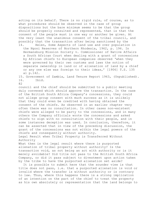acting on its behalf. There is no rigid rule, of course, as to what procedures should be observed in the case of group dispositions but the bare minimum seems to be that the group should be properly consulted and represented, that is that the consent of the people must in one way or another be given. At the very least the unanimous consent of the tribal council, and possibly that the transaction after being sanctioned by the 14. Helen, Some Aspects of land use and over population in

the Ngoni Reserves of Northern Rhodesia, 1962, p. 196. In Hermansburg Mission Society v. Commissioner of Native Affairs a South African Court when dealing with a grant of concessions by African chiefs to European companies observed 'when they were governed by their own customs and laws the notion of separate ownership in land or of alienation of land by a chief or any one else was foreign to their ideas,' [1906] T.S. 135 al p.142.

15. Government of Zambia, Land Tenure Report 1963, (Unpublished). 16. Ibid.

82

council and the chief should be submitted to a public meeting duly convened which should approve the transaction. In the case of the British South Africa Company's concessions, they could not allege group consent with much success as it is unlikely that they could even be credited with having obtained the consent of the chiefs. As observed in an earlier chapter very often there was no consultation. In other cases non-existent chiefs were alleged to be party to the concessions, and in many others the Company officials wrote the concessions and asked chiefs to sign with no consultation with their people, and in some instances deception was used. In conclusion, therefore, it can be asserted that in view of the preceding discussion, the grant of the concessions was not within the legal powers of the chiefs and consequently without authority.

Legal Result when Tribal Property is Transferred Without Authority

What then is the legal result where there is purported alienation of tribal property without authority? Is the transaction void, as not being an act with authority or is it merely avoidable? Did title not pass to the British South Africa Company, or did it pass subject to divestment upon action taken by the tribe to have the purported alienation set aside?

It is possible to submit here that the sounder view is that title does not pass, i.e. that a purported alienation is void or invalid where the transfer is without authority or is contrary to law. Thus, where this happens there is a strong implication of an intention on the part of the chief to treat the property as his own absolutely or representation that the land belongs to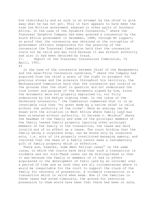him individually and as such is an attempt by the chief to give away what he has not got. This in fact appears to have been the view the British government adopted in other parts of Southern Africa. In the case of the Dynamite Concession,  $17$  where the Transvaal Dynamite Company had been granted a concession by the South Africa government in December, 1888, through Mr Lippert, on proof that the concession was obtained on the corruption of government officers responsible for the granting of the concession the Transvaal Commission held that the concession could not be valid and was void because it was without authority and also it had been obtained by fraud. 17. Report of lhe Transvaal Concessions Commission, 19 April, 1901. 83

In the case of the concession between Chief of the Bangwaketsi and the Gase-Tsire Concession syndicate,  $18$  where the Company had acquired from the chief a grant of the right to prospect for precious stones and the minerals throughout his territory, the Bechuanaland Commission held that the concession was invalid on the grounds that the chief in question did not understand the true intent and purpose of the documents signed by him, since the documents were not properly explained to, nor fully understood by him before signing them. In the issue of the Secheland concession,  $19$  the Commission commented that it is an invariable rule that 'no grant made by a native chief is valid without the authority of the tribe'. Here an analogy can be drawn with the situation in West Africa where family land has been alienated without authority. In Owiredu v. Morshie<sup>20</sup> where the headman of the family and some of the principal members of the family leased family property ignoring other principal members of the family in the transaction, the lease was held invalid and of no effect as a lease. The court holding that the family being a corporate body, can be bound only by corporate acts, i.e. acts of its properly constituted managing agency, and insisted that the head of a family cannot make a testamentary gift of family property which is effective.

There are, however, some West African cases $^{21}$  on the same issue, in which the courts have held that such a transaction is voidable and not void.These cases can be distinguished in that it was because the family or members of it had in effect acquiesced in the development of their land by an outsider over a period of time and as such they are all circumstances where it would be inequitable for the court to support the claim of the family for recovery of possession. A voidable transaction is a transaction which is valid when made. Now if the families in these cases had acted timeously, the ground for restoring possession to them would have been that there had been no sale,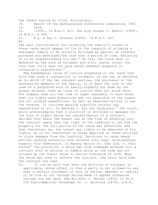the vendor having no title. Accordingly, 18. Report of the Bechuanaland Concessions Commission, 1901 19. Ibid. 20. (1952), 14 W.A.C. All. See also Honger v. Bassil (1954), 14 W.A.C. A 569. 21. E.g. A bey v. Oilennu (1954), 14 W.A.C. 567. 84 the real justification for rejecting the family's claims in these cases would appear to lie in the inequity of allowing a negligent family to be unjustly enriched as against an innocent purchase who developed the land over a period of time, believing it to be unquestionably his own.<sup>22</sup> So that the claim here is defeated by the rule of estoppel and still leaves intact the rule that title does not pass where communal property is irregularly transferred.<sup>23</sup>

The fundamental issue of justice presented in the cases that hold that such a transaction is voidable, is one way of deciding as to which of the two innocent parties, the purchaser or the unconsulted members of the family, is to bear the loss in the case of a purported sale of family property not made by the proper persons. Such an issue of justice does not arise here. The Company knew all the time or ought reasonbly to have known that its rights were precarious and its ownership of the rights did not involve expenditure. In fact as observed earlier it was the reverse. It involved gaining royalties without any expenditure at all. In Naested v. Kia Ora Syndicate,  $24$  the court, while acknowledging that a plaintiff is entitled to damages for the loss of rights being the subject-matter of a contract, decided that where the tenant was at the time of entering into the contract aware that the right of the landlord to let him the property for the full period of the lease was defective, and that therefore, he, the tenant was liable to be deprived of his rights, he is not thereafter on being deprived of these entitled to claim damages from the landlord. Decisions in cases where natives lacking authority have entered into legal relationships support this submission. In Massey Harris Co. (SA) Ltd. v. Ohio Stores<sup>25</sup> the plaintiff, a white man from Zimbabwe entered into a contract with an African in Zambia which at the time was not allowed by the Credit Sales to Native Ordinance of 1936. When the white man sued to enforce the contract, the court held that the contract was unen

22. It can be said that here the doctrine of estoppel is applicable, whose effect is that a party is not allowed to say that a certain statement of fact is untrue, whether in reality it is true or not through Having made it appear otherwise through his own deed. See Willmont v. Berber (1850) 15 Ch.D. 105 Anglo-American Telegraph Co. v. Spurting (1879), Q.B.D.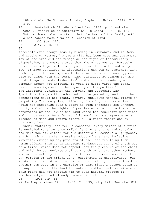188 and also Re Sugden's Trusts, Sugden v. Walker {1917] I Ch. 510. 23. Bentsi—Enchill, Ghana Land Law. 1964, p.44 and also OUenu, Principles of Customary Law in Ghana, 1962, p. 126. Both authors take the stand that the head of the family acting alone cannot make a valid alienation of land. 24. 1935 S.R. 117. 25. 2 N.R.L.R. 37. 85 forceable even though legally binding in Zimbabwe. And in Komo and Leboho v. Holmes,  $2^6$  where a will had been made and customary law of the area did not recognise the right of testamentary disposition, the court stated that where natives deliberately entered into legal relationships inconsistent with customary law, or made contracts or dispositions unknown to customary law, such legal relationships would be invalid. Here an analogy can also be drawn with the common law. Contracts at common law are void if against established law<sup>27</sup> and a contract made by a company though not unlawful is void if ultra vires the legal restrictions imposed on the capacity of the parties.<sup>28</sup> The Interests Claimed by the Company and Customary Law Apart from the position advanced in the preceding section, the concessions could not grant, severe, exclusive mineral rights in perpetuity Customary law, differing from English common law, would not recognise such a grant as such interests are unknown to it, and since the rights of parties under a contract must be determined by the law of the land where the resultant conditions and rights are to be enforced,  $29$  it would at most operate as a licence to mine and remove minerals  $-$  a right recognised by customary law. Under customary land tenure concepts, every member of a tribe

is entitled to enter upon tribal land at any time and to take and make use of, either for his domestic or commercial purposes, anything which is the natural product of the land including minerals, excepting any products of the land resulting from human effort. This is an inherent fundamental right of a subject of a tribe, which does not depend upon the pleasure of the chief and which he can enforce against the chief or any other members who are unlawfully depriving him thereof. He can excercise it on any portion of the tribal land, cultivated or uncultivated, but it does not extend over land which has lawfully been enclosed bv another subject. In the exercise of that right a person could go on any portion of the land to hunt, or collect salt or minerals. This right did not entitle him to such natural produce if another subject had already reduced it into his 26. 1935 S.R. 86 27. Re Trepca Mines Lid.. [1963] Ch. 199, al p.221. See also Wild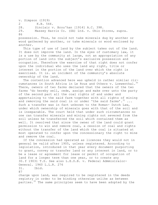```
v. Simpson (1919)
2 K.B. 544.
28. Sinclair v. Brou^han [19141 A.C. 398.
29. Massey Harris Co. (SA) Ltd. v. Ohio Stores, supra.
86
```
possession. Thus, he could not take minerals dug by another or wood gathered by another, or take minerals or wood enclosed by another.

This type of use of land by the subject takes out of the land. It does not improve the land. In the eyes of customary law, it is a use by the community at large, not an appropriation of any portion of land into the subject's exclusive possession and occupation. Therefore the exercise of that right does not confer upon the individual who uses the land any right, title or interest in the portion of the land over which the right is exercised. It is. an incident of the community's absolute ownership of the land.

The contention advanced here was upheld in rather similar circumstances in South Africa in Le Roux and Others  $v$ . Loewenthal.<sup>30</sup> There, owners of two farms declared that the owners of the two farms 'do hereby sell, cede, assign and make over unto the party of the second part all the coal rights of and under and appertaining to the said farm together with all rights of mining and removing the said coal in or under 'the said farms'.<sup>31</sup> ... Such a transfer was in fact unknown to the Roman- Dutch Law, under which ownership of minerals goes with that of the soil and is inseparable. The court held that under such circumstances no one can transfer minerals and mining rights not severed from the soil unless he transferred the soil which contained them as well. It resolved that since the owner of the land could grant permission to win and remove coal, a cession of coal and rights without the transfer of the land which the coal is situated at most operated to confer upon the concessionary the right to mine and remove the coal.

If the concession had operated as licences they would not in general be valid after 1905, unless registered. According to legislation, introduced in that year every document purporting to grant, convey or transfer land or any interest in land, or to be a lease or agreement for lease or permit of occupation of land for a longer term than one year, or to create any 30. f 19031 T.S. See also L.E.D.B. v. Federal Admmislralor-General. 1960 L.L.R. 276 31. Ibid.

87

charge upon land, was required to be registered in the deeds registry in order to be binding otherwise unlike as between parties.<sup>32</sup> The same principles seem to have been adopted by the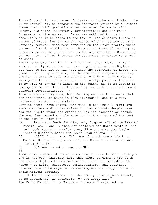Privy Council in land cases. In Oyekan and others  $v$ . Adele,  $33$  the Privy Council had to construe the interests granted by a British Crown grant which granted the residence of the Oba to King Docemo, his heirs, executors, administrators and assignees forever at a time no man in Lagos was entitled to own it absolutely as it belonged to the family. The decision turned on an act of state, but during the course of this judgement, Lord Denning, however, made some comments on the Crown grants, which because of their similarity to the British South Africa Company concessions are very pertinent to the argument here. Commenting on the nature of the interest the documents purported to convey, he said:

Those words are familiar in English law, they would fit well into a society which had the same legal structure as England; but they do not fit at all well into the structure of Lagos. The grant is drawn up according to the English conception where by one man is able to have the entire ownership of land himself, with power to sell it to another absolutely, power to transfer it by will to anyone he likes on his death, or, if he leaves it undisposed on his death, it passed by law to his heir and now to personal representatives.'·\*

After acknowledging this, Lord Denning went on to observe that the inhabitants of Lagos in 1870 approached land in a very different fashion, and stated:

Many of these Crown grants were made in the English form; and much misunderstanding has arisen on that account. People have claimed rights under the grants in English fashions as though thereby they gained a title superior to the rights of the rest of the family under the

- 32. Lands and Deeds Registry Act, Chapter 287 of the Laws of Zambia, ss. 4 and 6. This Act replaced the North-Western Land and Deeds Registry Proclamation, 1910 and also the North-Eastern Rhodesia Lands and Deeds Regulations, 1905
- 33. (1957] 2 All. E.R. 785. See also Sakanvawo Oshodi v. Moriamo Dakota [1930] A.C. 667, and Sunmonu v. Disu Raphael [1927] A.C. 881.

34. Oj'ekdna v. Adele supra p.789. 88 local law, several of these cases have reached their l ordships,

and it has been uniformly held that these government grants do not convey English titles or English rights of ownership. The words "his heirs, executors, administrators, and assignees forever" are to be rejected as meaningless and inapplicable in their African setting.

... It leaves the interests of the family or occupiers intact, to be determined, as therefore, by the local law.  $35$ The Privy Council in re Southern Rhodesia,  $3^6$  rejected the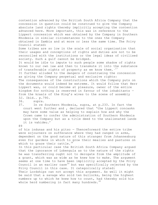contention advanced by the British South Africa Company that the concession in question could be construed to give the Company absolute land rights thereby implicitly accepting the contention advanced here. More important, this was in reference to the Lippert concession which was obtained by the Company in Southern Rhodesia in similar circumstances to the ones the Company obtained in Zambia and at more or less the same time. The Privy Council stated: Some tribes are so low in the scale of social organisation that their usages and conceptions of rights and duties are not to be reconciled with the institutions or the legal ideas of civilised society. Such a gulf cannot be bridged. It would be idle to impute to such people some shadow of rights

known to our own law and then to transmute it into the substance of transferable rights of property as we know them.  $\cdot^{17}$ It further alluded to the dangers of construeing the concession

as giving the Company perpetual and exclusive rights:

The consequences of the constructions which the Company puts on the documents would indeed be extreme. It would follow that Herr Lippert was, or could become at pleasure, owner of the entire kingdom for nothing is reserved in favour of the inhabitants  $$ from the kraals of the King's wives to the scene of assembly 3J. Ibid.. p.790.

36. supra.

37. In re Southern Rhodesia, supra, at p.233. In fact the court went further and , declared that 'the Lippert concaskn may have some value as helping to explain how and why the Crown came to confer the administration of Southern Rhodesia upon the Company but as a title deed to the unalienated lands it is vahideu.'

## 89

of his indunas and his pitso — Thenceforward the entire tribe were sojourners on sufferance where they had ranged in arms, dependent on the good nature of this stranger from Johannesburg even for gardens in which to grow their mealies and pastures on which to graze their cattle.<sup>38</sup>

In this particular case the British South Africa Company argued that the ignorance of Lobengula as to the nature of the rights he was transferring ought not to derogate from the amplitude of a grant, which was as wide as he knew how to make. The argument seems at one time to have been implicitly accepted by the Privy Council in an earlier case<sup>39</sup> but was specifically rejected by the Privy Council in this case. It categorically stated: Their Lordships can not accept this argument. As well it might be said that a savage who sold ten bullocks, being the highest numbers up to which he knew how to count, had thereby sold his whole herd numbering in fact many hundreds.  $40$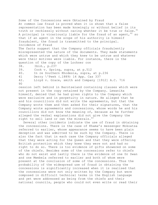Some of the Concessions were Obtained by Fraud At common law fraud is proved when it is shown that a false representation has been made knowingly or without belief in its truth or recklessly without caring whether it be true or false.<sup>41</sup> A principal is vicariously liable for the fraud of an agent,  $42$  so that if an agent in the scope of his authority is himself fraudulent, the fraud is transmitted to the principal. Incidence of Fraud The facts suggest that the Company officials fraudulently misrepresented the nature of the documents. They made statements which were untrue and which they knew to be untrue and whatever were their motives were liable. For instance, there is the question of the copy of the Lochner con 38. Ibid., p.237 39. Cook v. Spring, supra, at p.512 40. In re Southern Rhodesia, supra, at p.236 41 Derry \^Peek (.1889) 14 App. Cas 337 42. Lloyd v. Grace, smith and Company [1912] A.C. 716 90

cession left behind in Barotseland containing clauses which were not present in the copy retained by the Company. Lewanika himself, denied that he had given rights to the Company which were exclusive and in perpetuity in nature. He alleged that he and his councillors did not write the agreements, but that the Company wrote them and then asked for their signatures, that the Company wrote agreements and concessions, whose words he and his councillors did not know the meaning of, because as he further alleged the verbal explanations did not give the Company the right to sell land or own the minerals.  $43$ 

Several other incidents indicate the use of fraud in obtaining the concessions. There is the case of Khama's messenger Mokoatsa referred to earlier, whose appearance seems to have been plain deception and was admitted to be such by the Company. There is also the fact that in each case the Company officials alleged that they were acting for the Queen and that they were offering British protection which they knew they were not and had no right to do so. There is too evidence of gifts showered on some of the chiefs. Besides some of the concessions refer to chiefs who do not exist and lastly there is the evidence of one Dr Swan and one Mwebela referred to earlier and both of whom were present at the conclusion of some of the concessions. Thus the probability of the widespread use of fraud in obtaining the concessions is significantly increased when it is realised that the concessions were not only written by the Company but were composed in difficult technical terms in the English language and yet were addressed as being from the chiefs and their national councils, people who could not even write or read their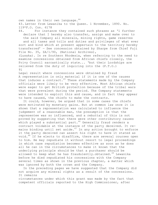own names in their own language. 44 43. Letter from Lewanika to the Queen. 1 November, 1890. No. 119\*F.O. Con. 6178 44. For instance they contained such phrases as '1 further declare that I hereby also transfer, assign and make over to the said Company all minerals, mining rights, game reserves and all taxes and tolls and duties and privileges of what ever sort and kind which at present appertain to the territory hereby transferred' — See concession obtained by Sharpe from Chief Fuji File No. 35, ZA/1/90, (National Archives), (Lusaka). In re Southern Rhodesia, when referring to the need to examine concessions obtained from African chiefs closely, the Privy Council sarcastically state... 'but their Lordships are relieved from the duty of inquiring into the (P.T.O.) 91

Legal result where concessions were obtained by fraud A representation is only material if it is one of the causes that induces a contract. $45$  These statements made by the Company officials were likely to be very effective. Most African chiefs were eager to get British protection because of the tribal wars that were prevalent during the period. The Company statements were intended to exploit this and cause, and in fact they appear to have caused, the chiefs to make the contracts.

It could, however, be argued that in some cases the chiefs were motivated by monetary gains. But at common law once it is shown that a representation was calculated to influence the judgement of a reasonable man, the presumption is that the representee was so influenced, and a rebuttal of this is not proved by suggesting that there were other contributory causes which played a substantial part. $46$  Generally fraud renders a contract voidable at the instance of the party deceived. It remains binding until set aside. $47$  In any action brought to enforce it the party deceived can assert his right to have it stated as void.<sup>48</sup> If he elects to disaffirm, there are several courses open to him. He may repudiate it without resort to legal proceedings in which case repudiation becomes effective as soon as he does all he can in the circumstances to make it known that the underlying principle should be that a purchaser should be allowed to keep what he has fraudulently.obtained. $49$  Lewanika before he died repudiated his concessions with the Company several times as shown in the previous chapter, a matter which was ignored by both the crown and the Company.

In the preceding pages we have suggested that the Company did not acquire any mineral rights as a result of the concessions. It remains

circumstances under which this grant was made by the fact that competent officials reported to the High Commissioner, after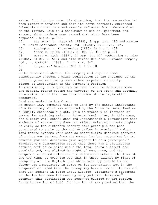making full inquiry under his direction, that the concession had been properly obtained and that its terms correctly expressed Lobengula's intentions and exactly reflected his understanding of the matter. This is a testimony to his enlightenment and acumen, which perhaps goes beyond what might have been supposed'. Supra, p.236. 45. See Smith v. Chadwick (1884), 9 App. Cas. 187 and Paxman v. Union Assurance Society Ltd. (1923), 29 L.T.R. 424. 46. Edgington v. Fitzmaurice (1885) 29 Ch. D. 459 47. Ansom v. Smith (1881), 41 Ch. D. 348 at p.371 48. Derry v. Peek (1889), 14 App. Cas 337 Newbigging v. Adam (1886), 34 Ch. D. 582; and also Carand Universal Finance Company Ltd., v. Cadwell| [1963], 2 All E.R. 547. 49. Harper v.' Webster 1956 R. & N. 10. 92 to be determined whether the Company did acquire them subsequently through a grant legislation at the instance of the British government or by some other competent authority. Effect of Legislation on the Company's Position In considering this question, we need first to determine when the mineral rights became the property of the Crown and secondly an examination of the true construction of the legislation concerned. Land was vested in the Crown At common law, communal title to land by the native inhabitants of a territory which was acquired by the Crown is recognised as a legally enforceable right. This is probably an instance of common law applying existing international rules, in this case, the already well established and unquestionable proposition that a change of sovereignty does not affect existing private rights. As early as the sixteenth century this principle had been considered to apply to the Indian tribes in America.<sup>50</sup> Indian land tenure systems were seen as constituting distinct patterns of rights not derived from the common law but recognised by it. Several judicial decisions give support to this principle.<sup>51</sup> Blackstone's Commentaries state that there was a distinction between settled colonies where the land, being a desert and uncultivated, was claimed by right of occupancy, and the conquered or ceded colonies. The difference between the laws of the two kinds of colonies was that in those claimed by right of occupancy all the English laws which were applicable to the Colony are immediately in force on its foundation, but in the conquered or ceded kind the colony may have a law of its own and that law remains in force until altered. Blackstone's statement of the law has been followed by many judicial decisions<sup>52</sup> although this distinction was somewhat blurred by the Foreign Jurisdiction Act of 1890. In this Act it was provided that the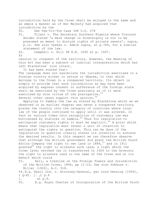jurisdiction held by the Crown shall be enjoyed in the same and as ample a manner as if Her Majesty had acquired that jurisdiction by the

50. See Tee-Tit-Ton Case 348 U.S. 278

51. Tijani v. The Secretary Southern Nigeria where Viscount Halden stated 'a mere change in Sovereignty is not to be presumed as meant to disturb rights of private owners', supra, p.12. See also Oyekan v. Adele supra, at p.789, for a similar statement of the law.

52. Campbell v. Hill 98 E.R. 1045 at p. 1047. 93

cession or conquest of the territory. However, the meaning of this Act has been a subject of judicial interpretation which has left Blackstone<sup>-</sup> rule intact.

It has been stated that:

The language does not assimilate the jurisdiction exercised in a foreign country either in nature or degree, to that which belongs to the Crown in a conquered territory. Its object is simply to provide that such jurisdiction as may have been acquired by express consent or sufferance of the foreign state shall be exercised by the Crown precisely as if it were exercised by sole virtue of the prerogative. $53$ Several other cases support this opinion.<sup>54</sup>

Applying to Zambia the law as stated by Blackstone which as we observed in an earlier chapter was never a conquered territory places the country into the category of countries where local law of the people continued to apply until it was altered. In fact at various times this recognition of customary law was buttressed by statutes in Zambia.<sup>55</sup> Thus for legislation to extinguish customary rights it must be explicit.<sup>56</sup> A point which means that legislation must reveal a unit of intention to extinguish the rights in question. This can be done if the legislation in question clearly states its intention to achieve the desired results. In this respect we can therefore observe that although the British government did grant the British South Africa Company the right to own land in  $1889,$ <sup>57</sup> and in 1911 granted<sup>58</sup> the right to alienate such land, a right which the Crown later revoked (as it transferred in 1924 to the Governor the right to alienate land in the name of the Crown and on its behalf which could

53. Hall, a treatise on the Foreign Powers and Jurisdiction of the British Crown, 1894, pp 11-12; See also Sobhuza v. Miller [1926], A.C. 518.

54. E.g. Nyali Ltd. v. Attorney-General, per Lord Denning [1956], 1 Q-E). ]. at p.9

1. at p.9.

55. E.g. Royal Charter of Incorporation of the British South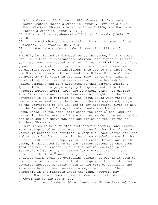Africa Company, 29 October, 1889, Clause 14; Barotseland North-Western Rhodesia Order in Council, 1899 Article 9; North-Eastern Rhodesia Order in Council 1900, and Northern Rhodesia Order in Council, 1911. 56. Colder v. Attorney-General of British Columbia (1969), 7 D.L.R. 59. 57. Royal Charter incorporating the British South Africa Company, 29 October, 1889, s.3. 58. Northern Rhodesia Order in Council, 1911, s.40. 94 lawfully be granted or disposed of by the Crown,  $59$ ) it was not until 1928 that it extinguished African land rights.<sup>60</sup> In that year machinery was needed by which African land rights over land granted or available for grant to non-Africans for economic development could be extinguished. This led to the passing of the Northern Rhodesia (Crown Lands and Native Reserves) Order in Council. By this Order in Council, land (other than land in Barotseland, the freehold areas vested in the British South Africa Company, and land alienated by that Company before 1 April, 1924, or in perpetuity by the government of Northern Rhodesia between April, 1924 and 22 March, 1928) was divided into Crown lands and Native Reserves. All rights of the British Sovereign in or in relation to the Crown lands were vested in and made exercisable by the Governor who was empowered, subject to the provisions of any law and of any directions given to him by the Secretary of State, to make grents and disposition of Crown lands. In the same legislation the rest of the land was vested in the Secretary of State and set aside in perpetuity for the sole and exclusive use and occupation of the Natives of Northern Rhodesia.

Here it could be submitted that after customary land rights were extinguished by this Order in Council, the minerals were vested in persons and entities in whom the Order vested the land and as detailed by it, i.e. in the three freehold areas in the British South Africa Company, in unalienated Crown land in the Crown, in alienated lands to the various persons to whom such land had been alienated, and in the Native Reserves in the Secretary of State. As at common law minerals are part and parcel of the land,  $61$  and consequently the owner of land is entitled prima facie to everything beneath or within it down to the centre of the earth. If land is acquired, the estate thus acquired includes minerals which at the time of acquiring the interests had not been severed in right or in fact. The ownership in the minerals under the land, however, may 59. Northern Rhodesia Order in Council, 1924, s2; for Governors powers see s. 14.

60. Northern Rhodesia (Crown Lands and Native Reserve) Order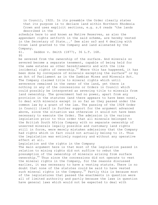in Council, 192S. In its preamble the Order clearly states that its purpose is to declare land within Northern Rhodesia Crown and uses explicit sections, e.g. s.6 reads 'the lands described in the schedule here to and known as Native Reserves, as also the appendant rights setforth in the said scheme, are hereby vested in the Secretary of State...' See also ss3 and 4 dealing with Crown land granted to the Company and land alienated by the Company. 61. Seddon v. Smith (1877), 36 L.T. 168. 95 be severed from the ownership of the surface. And minerals so severed become a separate tenement, capable of being held for the same estates as other hereditaments and with the like incidental rights of ownership.<sup>62</sup> Where this has happened, it has been done by conveyance of minerals excepting the surface<sup>63</sup> or by an Act of Parliament as in the Zambian Mines and Minerals Act. The Company claimed title to mineral rights which until severence remained in the owner of the land, yet there is nothing in any of the concessions or Orders in Council which could possibly be interpreted as severing title to minerals from land ownership. The government had no power, apart from any provision in the statutes (and there appears to have been none), to deal with minerals except in so far as they passed under the common law by a grant of the law. The passing of the 1928 Order in Council itself is further support for the argument advanced above, since the situation was otherwise it would not have been necessary to execute the Order. The admission in the various legislation prior to this order that all minerals belonged to the British South Africa Company with no separate ownership of unserved minerals legally possible and customary land rights still in force, were merely mistaken admissions that the Company had rights which in fact could not actually belong to it. Thus the legislation was entirely nugatory and without any operative effect at all. Legislation and the rights in the Company The main argument here is that most of the legislation passed in relation to mining rights did not suffice to rebut the presumption of the ownership of minerals arising from surface ownership.<sup>64</sup> Thus since the concessions did not operate to vest the mineral rights in the Company, for the reasons discussed earlier, it was necessary to have a vesting statute. There is no doubt that none of the statutes could be said to have vested such mineral rights in the Company. $^{65}$  Partly this is because most of the legislatures that passed the enactments in question were all of limited authority and partly because the laws in question have general laws which would not be expected to deal with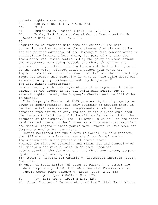```
private rights whose terms
62. Cox v. Clue (1884), 5 C.B. 533.
63. Ibid.
64. Humphries v. Broaden (1850), 12 O.B. 739.
65. Howley Park Coal and Cannel Co. v. London and North 
  Western Rail Co [1913], A.C. 11.
```
96

required to be examined with some strictness.<sup>66</sup> The same contention applies to any of their clauses that claimed to be for the private advantage of the Company.<sup>67</sup> This consideration is particularly important here where, for part of the time the legislature was itself controlled by the party in whose favour the enactments were being passed, and where throughout the period, all legislation relating to minerals had to be approved by the same party, without doubt a person with power to, legislate could do so for his own benefit,  $68$  but the courts today might not follow this reasoning as what is here being dealt with is essentially a privilege and not anything else. $69$ The 1912 Mining Proclamation

Before dealing with this legislation, it is important to refer briefly to two Orders in Council which made references to mineral rights, namely the Company's Charter and the 1911 Order in Council.

T he Company's Charter of 1889 gave no rights of property or power of administration, but only capacity to acquire them. It recited certain concessions or agreements which had been obtained from native chiefs, and one of its clauses empowered the Company to hold their full benefit so far as valid for the purposes of the Company.<sup>70</sup> The 1911 Order in Council on the other hand granted powers to the Company as a government to grant land and mineral rights.<sup>71</sup> These powers were revoked in 1924 when the Company ceased to be government. $72$ 

Having mentioned the two orders in Council in this respect, the 1912 Mining Proclamation was the first formal mining legislation and in its preamble it stated that: Whereas the right of searching and mining for and disposing of all minerals and mineral oils in Northern Rhodesia notwithstanding the dominion or right which any person, company syndicate or partnership may

66. Attorney-General for Ontario v. Reciprocal Insurers (1924), A.C. 337.

67 Union of South Africa (Minister of Railway) v. simmer and Jack Proprietary (1918) A.C. 603; See also Commissioner of Public Works (Cape Colony) v. Logan [1903] A.C. 335

68. Philip v. Eyre (1869), 5 Q-B. 225.

69. R.v. Lord Crewe [1910] 2 K.3. 628.

70. Royal Charter of Incorporation of the British South Africa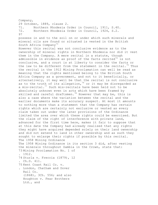Company, 29 October, 1889, clause 2. 71. Northern Rhodesia Order in Council, 1911, S.40. 72. Northern Rhodesia Order in Council, 1924, S.2. 97 possess in and to the soil on or under which such minerals and mineral oils are found or situated is vested in the British South Africa Company<sup>73</sup> However this recital was not conclusive evidence as to the ownership of mineral rights in Northern Rhodesia nor did it vest them in the Company. A mere recital in a statute, though admissible in evidence as proof of the facts recited<sup>74</sup> is not conclusive, and a court is at liberty to consider the facts or the law to be different from the statement in the recital.<sup>75</sup> Thus the recital in the 1912 Mining Proclamation can well be read as meaning that the rights mentioned belong to the British South Africa Company as a government, and not to it beneficially, or alternatively, it may well be that the recital is not conclusive as to the truth of its allegation,  $7^6$  or it may be disregarded as a mis-recital.<sup>77</sup> Such mis-recitals have been held not to be absolutely unknown even in acts which have been framed by skilled and careful draftsmen.<sup>78</sup> However that may be, this is also a case where the variation between the recital and the earlier documents make its accuracy suspect. At most it amounts to nothing more than a statement that the Company has certain rights which are certainly not exclusive or vested as every claim taken out under the later provisions of the Ordinance limited the area over which these rights could be exercised. But the claim of the right of interference with private land, advanced for the first time here, makes it fair to suppose that at this date the Company had already realised that any rights they might have acquired depended solely on their land ownership and did not extend to land in other ownership and as such they sought to enlarge their rights if possible by this recital. The 1958 Mining Ordinance The 1958 Mining Ordinance in its section 3 did, after vesting the minerals throughout Zambia in the Crown, state that: 73 Mining Proclamation No. 1 of . 1912. 74 Sturla v. Freccia (1879), 12 . Ch.D. 411. 75 Kent Coast Rail Co. v. . London, Chatham and Dover Rail Co. (1868), 3Ch. 556; and also Houghton v. Fear Brothers Ltd., and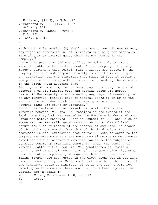```
Willsher, [1913), 2 K.B. 342.
76
Merttens v. Hill [1901] 1 Ch. 
.
842 at p.852.
77
Headland v. Caster [1905] 1 
.
K.B. 231.
78
Ibid., p.231.
.
```
98

Nothing in this section (a) shall operate to vest in Her Majesty any right of ownership in, of searching or mining for minerals, mineral oils or natural gases which is now vested in the Company.<sup>79</sup>

Again this provision did not suffice as being able to grant mineral rights to the British South Africa Company. It merely makes a statement that certain mining rights are vested in the Company but does not purport actually to vest them, or to give any foundation for the statement thus made. In fact it offers a sharp contrast in construction to section 3 vesting the minerals in the Crown which declares that:

All rights of ownership in, of searching and mining for and of disposing of all mineral oils and natural gases are hereby vested in Her Majesty notwithstanding any right of ownership or to any minerals, mineral oils or natural gases or in or to the soil on the or under which such minerals, mineral oils, or natural gases are found or situated.<sup>80</sup>

Until this legislation was passed the legal title to the minerals between 1928 and 1958 remained in the owners of the land where they had been vested by the Northern Rhodesia (Crown Lands and Native Reserves) Order in Council of 1928 and which as shown earlier was valid under common law principles of land tenure and also by reason of the absence of any legal severance of the title to minerals from that of the land before them. The statement in the legislation that certain rights belonged to the Company was erroneous as there were none since the Company never owned the land as unsevered minerals cannot be the subject of separate ownership from land ownership. Thus, the vesting of mineral rights in the Crown in 1958 constitutes in itself a positive and practical recognition of i he contention discussed here in that it implicitly recognised that until that lime mining rights were not vested in the Crown alone but in all land owners. Consequently the Crown could not have been the source of the Company's title to minerals, since if the righ s were not owned by surface owners there would not have been any need for vesting the minerals in

79. Mining Ordinance, 1958, s.3 (2). 80. Ibid.

99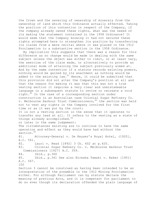the Crown and the severing of ownership of minerals from the ownership of land which this Ordinance actually effected. Taking the position of ihis contention in respect of the Company, if the company already owned these rights, what was the neeed of its making the statement contained in the 1958 Ordinance? It would seem that the Company knowing it had not secured these rights attempted here to strengthen its position by transferring its claims from a mere recital where it was placed in the 1912 Proclamation to a substantive section in the 1958 Ordinance.

By implication this suggests that there was a reason for this difference as no change would be made in dealing with the same subject unless the object was either to limit, or at least vary, the exercise of the claim made, or alternatively to provide an additional mode of attaining the subject previously aimed at. And by the same contention if a statute records existing powers, nothing would be gained by its enactment as nothing would be added to the existing law. $81$  Hence, it could be submitted that this provision did not alter the Company's position at all and that the reason for making it was that this was not a true vesting section it requires a very clear and unmistakeable language in a subsequent statute to revive or recreate a void right.<sup>82</sup> In the case of a corresponding section under construction in an Australian case Colonial Sugar Refinery Co. v. Melbourne Harbour Trust Commissioners, 83 the section was held not to vest any rights in the Company involved for the first time or as it was put by the court:

It is not a vesting section in the sense that it operates to transfer any lead at all. It refers to the vesting as a state of things already accomplished.  $84$ 

or later in the same judgement:

The circumstances existing are to continue to have the same operation and effect as they would have had without the section. 85

81. Attorney-General v. De Keyser's Royal Hotel, (1920], A.C. 561.

82. Lauri v. Read [1892] 3 Ch. 402 at p.420.

83. Colonial Sugar Reßnery Co. v. Melbourne Harbour Trust Commissioners [1927] A.C. 359.

84. Ibid., p.360

85. Ibid., p.361 See also Nireaha Tamaki v. Baker [1901] A.C. 567.

100

Section 3 cannot be construed as having been intended to be an interpretation of the preamble in the 1912 Mining Proclamation either. For although Parliament can by statute declare the meaning of previous Acts, and it is competent for parliament to do so even though its declaration offended the plain language of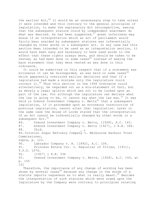the earlier Act,  $86$  it would be an unnecessary step to take unless it were intended and this contrary to the general principles of legislation, to make the explanatory Act retrospective, seeing that the subsequent statute could by independent enactment do what was desired. As has been suggested,  $8^7$  great unfairness may ensue if an interpretation which an act of parliament would fairly bear unaided by subsequent statutes was inferentially changed by other words in a subsequent act. In any case had this section been intended to be used as an intepretation section, it would have been easy and necessary to have used words to the effect that these rights always were, and should be taken to be vested, as had been done in some cases $88$  instead of making the bare statement that they were vested as was done in this ordinance.

It could be submitted in this respect that if a statement was erroneous it can be disregarded, as was held in some cases  $89$ which apparently overruled earlier decisions and that if a legislature had made a mistake only the legislature could correct it.<sup>90</sup> Thus this section in the 1958 Ordinance could alternatively, be regarded not as a mis-statement of fact, but as merely a legal opinion which was not to be looked upon as part of the law. For although the legislature can declare what the law is going to be, it cannot say what the law was.  $91$  It was held in Ormond Investment Company  $v$ . Betts<sup>92</sup> that a subsequent legislation, if it proceeded upon an erroneous construction of previous legislation, cannot alter that legislation. Later in the same case the House of Lords stated that the interpretation of an Act cannot be inferentially changed by other words in a subsequent Act. 93

86. Ormond Investment Company v. Betts, [19281, A.C. 143. 87. Armond Investment Company v. Betts [1927], 2 K.B. 346. 88. Ibid. 89. Colonial Sugar Refinery Company v. Melbourne Harbour Trust Commissioner,

supra, p. 123.

90. Labrador Company v. R. [18921, A.C. 104. 91. Princess Estate Cor. v. Registrar of Titles, [1911], T.P.D. 1076. 92. [1927] i K.B. 334 93. Ormond Investment Company v. Betts, [1928], A.C. 143, at p. 155

101

Therefore, the importance of any change of wording has been shown by several cases<sup>94</sup> because any change in the words of a statute imports vagueness as to what is really meant.  $95$  Besides the interpretation of such statutes which were urged upon the legislature by the Company were contrary to principles relating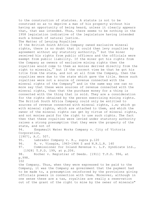to the construction of statutes. A statute is not to be construed so as to deprive a man of his property without his having an opportunity of being heard, unless it clearly appears that, that was intended. Thus, there seems to be nothing in the 1958 legislation indicative of the legislature having intended such a breach of natural justice.

The Matter of Levying Royalties

If the British South Africa Company owned exclusive mineral rights, there is no doubt that it could then levy royalties by agreement without any statutory authority,  $96$  but the miner received his rights from public officers and the officials were exempt from public liability. If the miner got his rights from the Company as owners of exclusive mining rights then the royalties would come to them as monies derived directly from the right to minerals,  $97$  but if the correct view be that he got his title from the state, and not at all from the Company, then the royalties were due to the state which gave the title. Hence such royalties were not a source of revenue connected with the mineral rights of the Company<sup>98</sup> and in the same way one can no more say that these were sources of revenue connected with the mineral rights, than that the purchase money for a thing is connected with the thing that is sold. They are a consideration for the rights obtained by the person exercising mining rights. The British South Africa Company could only be entitled to sources of revenue connected with mineral rights, i.e; which go with mineral rights, which are attached to them, and which the owner of the mineral rights can get by virtue of mineral rights, and not monies paid for the right to use such rights. The fact then that these royalties were levied under statutory authority raises a strong presumption that they were the property of the state, and not of

94. Esqumault Water Works Company v. City of Victoria Corporation,

[1907], A.C. 507.

95. Labrador Company v. R., supra p.120

96. R. v. Visagie, 1963-1964 Z and N.R.L.R. 140

97. Commissioner for Inland Revenue v. L.P. Syndicate Ltd., [1928] T.P.D. 199, at p.206.

98. Rocher v. Registrar of Deeds. [1911] T.P.D. 996, at p.998.

102

the Company. Thus, when they were expressed to be paid to the Company, it was the Company as government that the payment had to be made to, a presumption reinforced by the provisions giving officials powers in connection with them. Moreover, although in one sense these are a tax, royalties are really a reservation out of the grant of the right to mine by the owner of minerals"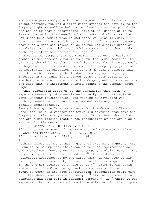and so are presumably due to the government. If this contention is not correct, the legislation which granted the royalty to the Company might as well be held to be obnoxious on the ground that the one thing that a subordinate legislature, cannot do is to levy a charge for the benefit of a private individual as that would not be a taxing measure and hence would be illegal. $^{100}$  In practice such a case would not arise although it seems however, that such a case did indeed arise in the legislative grant of royalties to the British South Africa Company, and that no doubt such legislation was therefore illegal.<sup>101</sup>

Also as the Company claimed mineral rights on the basis of grants it was necessary for it to prove the legal basis of its claim to the right to charge royalties. A royalty interest could perhaps have been created in favour of the Company by grant or by reservation or exception just like a mineral interest. This could have been done by the landowner conveying a royalty interest in the land. But a graver doubt exists still as to whether the minerals were due to the Company and this arose from the fact that no instrument existed granting the Company these rights.

This discussion leads us to the conclusion that with no separate ownership of minerals and royalty, all this legislation gave, whether in connection with vesting or royalties was nothing beneficial and was therefore entirely nugatory and legally unenforceable.

Recognition by the Crown as a basis for the Company's Claims Here, the issue is whether the Crown did anything that gave the Company a title to any mineral rights. It has been shown that the Crown had made no grant since recognition by the Crown as a source of title means

99. Chappelle v. R. [1904], A.C. 135.

100. Union of South Africa (Minister of Railways) v. Simmer and Jack Proprietary, [1918], A.C. 603.

101. Mchlary v. R. [1912], A.D. 199. 103

nothing unless it means that a grant of exclusive rights by the Crown is to be implied. There can be no such implications as there are known foundations for the Company's claims namely, the concessions. In re Southern Rhodesia<sup>102</sup> it was stated that 'erroneous acquiescence by the first party in the view of his own rights and asserted by the second neither extinguished title in the one nor created it in the other. $'^{103}$  Later it was again stated that 'the Crown recognised the concession for what it might be worth on its true construction, recognition could give no title where none existed already.'<sup>104</sup> Similar statements in substance had been said in Labrador Company v. R.<sup>105</sup> where it was expressed that for a recognition to be effectual for the purpose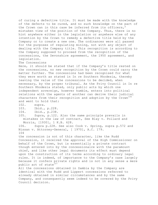of curing a defective title. It must be made with the knowledge of the defects to be cured, and no such knowledge on the part of the Crown can in this case be inferred from its officers,' mistaken view of the position of the Company. Thus, there is no hint anywhere either in the legislation or anywhere else of any intention by the Crown to remedy a defective title held by the Company or to create a new one. The ordinances were all passed for the purposes of regulating mining, not with any object of dealing with the Company title. This recognition is according to the Company supposed to proceed from the recognition of the concessions, the Devonshire agreement, the 1950 agreement, and legislation. The Concessions Here, it should be stated that if the Company's title rested on the concessions, no new recognition by the Crown could carry the matter further. The concessions had been recognised for what they were worth as stated in In re Southern Rhodesia, thereby leaving the value of the concessions to be decided, when necessary, by the proper tribunal. As the Privy Council in In re Southern Rhodesia stated, only public acts by which one independent sovereign, however humble, enters into political relations with the agents of another can derive their judicial characters from their recognition and adoption by the  $Crown<sup>106</sup>$ and went to hold that: 102. supra. 103. Ibid., p.228. 104. Ibid., p.238. 105. Supra, p.122. Also the same principle prevails in mistakes in the law of contract, See Blay v. Pollard and Morris, [1930], 1 K.B. 628. 106. Supra p.228. See also Cook v. Spring, supra p.572 and Nissan v. Attorney-General, [ 1970], A.C. 179. 104 the concession is not of this character, like the Rudd Concession, it received the approval of the High Commissioner on behalf of the Crown, but is essentially a private contract though entered into by the concessionaire with the paramount chief, and like other legal documents its effect must depend upon the construction of its terms according to ordinary legal rules. It is indeed, of importance to the Company's case largely because it confers private rights and is not in any sense a mere public act of state<sup>107</sup> All the concessions obtained in Zambia by the Company are identical with the Rudd and Lippert concessions referred to already obtained in similar circumstances and by the same Company, and consequently seem indeed to be covered by the Privy Council decision.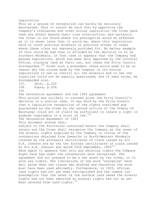Legislation This as a ground of recognition can hardly be seriously maintained. Thus it cannot be said that by approving the Company's ordinances and other mining legislation the Crown gave them any effect beyond their true construction: and certainly the Crown is not bound where its prerogative would be affected as it is shown later that it would be, where this legislation held to touch precious minerals or precious stones in cases where these v/ere not expressly provided for. No better example of this could be had than is af<sup>f</sup>orded by the decision in In re Southern Rhodesia. In that case it appears that the Company had passed regulations, which had been duly approved by the Colonial Office, claiming land as their own, but these the Privy Council disregarded.<sup>108</sup> Given such a precedent there would seem to be no reason why the claims made by the Company in its mining regulations to own or control all the minerals and to own the royalties could not be equally questioned, and if need arose, be disregarded also. 107. Ibid., p.229 108. Supra, p.226. 105 The Devonshire agreement and the 1950 agreement This ground was unlikely to succeed given the Privy Council's decision in a similar case. It was held by the Privy Council that a legislative recognition of the rights confirmed and guaranteed by the Crown by the second article of the Treaty of Waintangi could not of itself be sufficient to create a right in anybody cognisable in a court of  $law.^{109}$ The Devonshire Agreement of 1923 This document stated that: Subject to the Provisions contained herein the Company shall retain and the Crown shall recognise the Company as the owner of the mineral rights acquired by the Company in virtue of the concessions obtained from Lewanika in North-Western Rhodesia covered by the aforesaid certificates of claim issued by Sir H.H. Johnson and by the two further certificates of claim issued by Sir H.H. Johnson and dated 25th September, 1893<sup>110</sup> Here again it appears that only any existing rights the Company might have had under the concessions were recognised. The agreement did not pretend to be a new grant by the Crown, or to give any rights. The limitations of the word 'recognise' were well known when the clause was drafted and therefore the word must have been used advisedly. Furthermore, in 1923, African land rights had not yet been extinguished and the common law presumption that the owner of the surface land owned the mineral rights had not been rebutted as mineral rights had not as yet been severed from land rights.<sup>111</sup>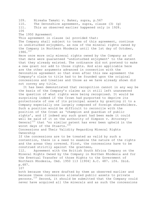109. Nireaha Tamaki v. Baker, supra, p.567 110. The Devonshire agreement, supra, clause (3) (g) 111. This as observed earlier happened only in 1928. 106 The 1950 Agreement This agreement in clause (a) provided that: The Company shall subject to terms of this agreement, continue in undisturbed enjoyment, as now of the mineral rights owned by the Company in Northern Rhodesia until the 1st day of October, 1986.<sup>112</sup> Here once more only mineral rights owned by the Company as of that date were guaranteed 'undisturbed enjoyment' to the extent that they already existed. The ordinance did not pretend to make a new grant nor add to those rights. And also applicable here are the other arguments advanced in connection with the Devonshire agreement so that even after this new agreement the Company's claim to title had to be founded upon the original concessions and treaties and those as we have already shown did not convey any title. It has been demonstrated that recognition cannot in any way be the basis of the Company's claims as it still left unanswered the question of what rights were being recognised. It would be surprising indeed if the Crown had purported to deprive its protectorate of one of its principal assets by granting it to a Company especially one largely composed of foreign shareholders. Such a position would be difficult to reconcile with the position of the Crown as 'champion and guardian of public rights', and if indeed any such grant had been made it could well be said of it on the authority of Simpson v. Attorney-General $1^{113}$  that 'no similar patent has ever been upheld in the worst days of the Stuarts.  $^{114}$ Concessions and Their Validity Regarding Mineral Rights Ownership If the concessions are to be treated as valid by such a contention, there is a need to examine the nature of the rights and the areas they covered. First, the concessions have to be construed strictly against the grantees, 112. Agreement with the British South Africa Company on the Mineral Rights Owned by the Company in Northen Rhodesia and for the Eventual Transfer of those Rights to the Government of Northern Rhodesia, Cmd. 1950 113 11904] A.C. 487. if4. Ibid. p.487. 107 both because they were drafted by them as observed earlier and because these concessions alienated public assets to private persons.<sup>115</sup> Second, it should be submitted that the Company could never have acquired all the minerals and as such the concessions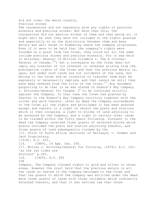did not cover the whole country. Precious stones The concessions did not expressly give any rights of precious minerals and precious stones. But more than this, the concessions did not mention either of them and that being so, it might well be that they were not included in the rights granted and especially so as the distinction between them and base metals was well known in Kimberley where the company originated. Even if it were to be held that the company's rights were founded on a grant from the Crown, they could not all the same include precious stones and precious minerals. For it was held in Attorney- General of British Columbia v. The A ttorney-General of Canada.<sup>116</sup>1 hat a conveyance by the Crown does not imply any transfer of its interest in revenues arising from the prerogative rights of the Crown and that the precious metals in, upon, and under such lands are not incidents of the land, but belong to the Crown and an intention to transfer them must be expressly or necessarily implied, and that cannot be until they have been severed from the title of the Crown. $117$  Any document purporting to do that is as was stated in Hudson's Bay Company  $\overline{v}$ . Attorney-General for Canada<sup>1</sup> J<sup>8</sup> to be construed strictly against the Company. In that case the Crown had granted by Charter to the Hudson's Bay Company territory together with the silver and gold therein. Later by deed the Company surrendered to the Crown all the rights and privileges it has been granted except and subject to a right to retain the posts and stations which it then occupied, a right to blocks of land adjoining to be selected by the Company, and a right to certain other lands to be claimed within the fifty years following. Pursuant to the deed the Company received Crown grants of selected blocks which grants included the posts and station adjoining thereto, and Crown grants of land subsequently claimed by the 113. Union of South Africa (minister of Railways) v. Simmer and Jack Proprietary, [1918), A.C. 603. 116. [1889], 14 App. Cas. 295. 117. Wolley v. Attorney-General fur Victoria, [1876), A.C. 163. 'as the iwo tides are distinct' p.202. 118. [1929), A.C. 285 108 Company. The Company claimed rights to gold and silver in those ateas. However the court held that the precious metals in all the lands so vested in the Company belonged to the Crown and

that the grants to which the Company was entitled under the deed were crown grants of lands with those incidents which ordinarily attached thereto, and that it was settled law that those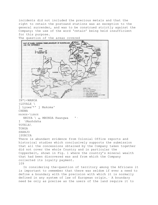incidents did not included the precious metals and that the right to retain the postsand stations was an exception to the general surrender, and was to be construed strictly against the Company; the use of the word 'retain' being held insufficient for this purpose.



The question of the areas covered

```
IN*)<WANOA
jLUVALE \
j Lyuwa<sup>></sup>*' j Makoma^
CHEWA
KAONDE-\LLENJENKOYA \setminus Mb MBUNDA Kwangwa
I \Mashdsha
TOTElA\
TONGA
SHANJO
```
# **[SUBIYA**

There is abundant evidence from Colonial Office reports and historical studies which conclusively supports the submission that all the concessions obtained by the Company taken together did not cover the whole Country and in particular the Copperbelt, shown in Fig. 1 where the country's mineral wealth that had been discovered was and from which the Company collected its loyalty payment. 109

In considering the-question of territory among the Africans it is important to remember that there was seldom if ever a need to define a boundary with the precision with which it is normally defined in any system of law of European origin.· A boundary need be only as precise as the users of the land require it to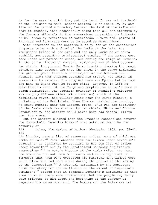be for the uses to which they put the land. It was not the habit of the Africans to mark, either notionally or actually, by any line on the ground a boundary between the land of one tribe and that of another. This necessarily means that all the attempts by the Company officials in the concessions purporting to indicate tribal areas by references to watersheds, rivers and, points of latitude and longitude must be rejected as meaningless.

With reference to the Copperbelt only, one of the concessions purports to be with a chief of the Lamba or the Lala, the indigenous tribes of the area and the only Lamba chief being Mushili. But according to historical studies,  $119$  the Lambas were once under one paramount chief, but during the reign of Nkunine, in the early nineteenth century, Lambaland was divided between two chiefs, the present Zambia-Zaire frontier forming the rough dividing line between the two. The chief in the Congo Lambaland had greater power than his counterpart on the Zambian side. Mushili, from whom Thomson obtained his treaty, was fourth in succession to Nkunine. His original name was Mputo, but he took the name of Nkana when he became chief. However, in 1885 he submitted to Msiri of the Congo and adopted the latter's name as token submission. The Southern boundary of Mushili's chiefdom was roughly fifteen miles (24 kilometres) south of the Kafulafuta river, his village being near the river Miengwe, a tributary of the Kafulafuta. When Thomson visited the country, he found Mushili near the Katanga river. This was the territory pf the Swaka which was divided by two chiefs, Nkote and Chitime. Consequently, the Company could never have had mineral rights over the areas.

But the Company claimed that the Lewanika concessions covered the Copperbelt. Lewanika himself when asked to describe the boundary of

119. Dolce, The Lambas of Nothern Rhodesia. 1931, pp. 33-42. 110

his kingdom, gave a list of seventeen tribes, none of which was Lamba or Lala.<sup>120</sup> Their absence from the tribes under Lewanika's suzerainty is confirmed by Coillard in his own list of tribes under Lewanika<sup>121</sup> and by the Barotseland Boundary Arbitration proceedings.<sup>122</sup> In Doke's history of the Lamba tribe, the Lozi and Lewanika are not even mentioned, and it is important to remember that when Doke collected his material many Lambas were still alive who had been alive during the period of the making of the Concessions. $123$  A Colonial memorandum by the Assistant Chief Secretary for Native Affairs on the extent of Lewanika's dominions<sup>124</sup> stated that it regarded Lewanika's dominions as that area in which there were indications that the people regularly paid tributes to him about the beginning of the century or regarded him as an overlord. The Lambas and the Lalas are not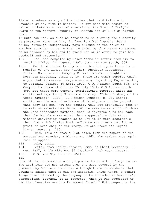listed anywhere as any of the tribes that paid tribute to Lewanika at any time in history. In any case with regard to taking tribute as a test of suzerainty, the King of Italy's Award on the Western Boundary of Barotseland of 1905 cautioned that:

Tribute can not, as such be considered as proving the authority as paramount ruler of him, in fact it often happens that a tribe, although independent, pays tribute to the chief of another stronger tribe, either in order by this means to escape being harassed by him and to avoid war or in order to gain his goodwill and protection<sup>125</sup>

120. See list compiled by Major Adams in letter from him to Foreign Office, 24 August, 1897. C.O. African South, 552.

121. Coillard listed twenty one tribes but again there is no mention of the Lamba. See Northern Rhodesia Government, British South Africa Company Claims to Mineral rights in Northern Rhodesia, supra p. 15. There are other reports which argue that it covered large areas e.g. Report by Major Harding to Colonial Office, 30 April 1902, C.O. African South 695, and Corydon to Colonial Office, 25 July 1901, C.O Africa South 659. But these were Company commissioned reports. Whitt has criticised reports by Gibbons & Harding, 'Ethno History of the Upper Zambezi' (1962), 11 African Studies, p. 23. Mainga, criticises the use of evidence of foreigners on the grounds that they did not know the country well but ironically goes on to rely on selected evidence, of the same worse still of those who were interested parties, that is favourable to her case that the boundary was wider than suggested in this study without convincing reasons as to why it is more acceptable than that which limits Lozi influence and treats raiding as proof of owne ship of territory. Buiozi under the Luyana Kings, supra, p. 165.

122. Ibid. This is from a list taken from the papers of the Barotseland Boundary Arbitration, 1963. The Lambas once again fail to appear.

123. Doke, supra.

124. Letter from Native Affairs Comm, to Chief Secretary, 15 Oct. 1S27, ZA1/9 File No. 35 (National Archives), Lusaka. 125. C.O. 795-99, File No. 45015.

None of the concessions also purported to be with a Tonga ruler. The Lozi rule did not extend over the area covered by the present day Southern Province, although there is evidence that Lewanika raided them as did the Matebele. Chief Monze, a senior Tonga Chief claimed by the Company to be included in Lewanika's concessions, laughed, it is reported, when it was suggested to him that Lewanika was his Paramount Chief.<sup>126</sup> With regard to the

Ill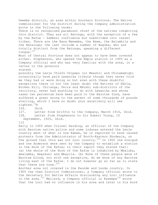Gwembe district, an area within Southern Province. The Native commissioner for the district during the Company administration wrote in the following terms: There is no recognised paramount chief of the natives inhabiting this district. They are all Batonga, with the exception of a few by the Kafue — Zambezi confluence but subdivided into lesser tribes. There are the Bana Mweemba, the Bawe, the Balumbila and the Nanainga; the last include a number of Bagoba, who are totally distinct from the Batonga, speaking a different tongue.<sup>127</sup> Most of Central Province does not appear to have been covered either. Stephenson, who opened the Ndpla station in 1905 as a Company official and who was very familiar with the area, in a letter to the governor stated: possibly the Lenje Chiefs Chipepo (or Mwashi) and Chinamamighi occasionally have paid Lewanika tribute though they never told me they had or were doing so but even with these doubtful exceptions there is not the least doubt the Natives of Ndola, Broken Hill, Chilanga, Feira and Mkushi sub-districts of the territory, never had anything to do with Lewanika and whose taxes ten percentum have been paid to the Barotse fund, have suffered a great wrong to the extent of some thousands of pounds sterling, which I have no doubt your excellency will see righted.<sup>12</sup>® 126. Ibid. 127. Letter from Griffin to the Company, March 1914, Ibid. 128. Letter from Stephenson to Sir Hubert Young, 10 September, 1925, Ibid. 112 Early in 1905 when Colonel Harding, an official of the Company with Barotse native police and some indunas entered the Lenje country west of what is now Kabwe, he is reported to have caused protests from the Administrator of North-Eastern Rhodesia, on the ground that this was not Lozi country.<sup>129</sup> In 1900 one Gielgud and one Anderson were sent by the Company to establish a station in the Hook of the Kafue; in their report they stated that: (a) the whole of the Hook of the Kafue is inhabited by Mbaluba, Amalamba, Amankuni and Mbayila. (b) None of these people were of Barotse blood, nor with one exception, do we know of any Barotse living east of the Kafue. I do not however go so far as to state that there are none. $^{130}$ Another area not covered is the Kaonde and Lunda country. In 1905 the then District Commissioner, a Company official wrote to the Secretary for Native Affairs disclaiming any Lozi influence in the area. $^{131}$  Mellard, a Company official in Kasempa<sup>132</sup> wrote that the Lozi had no influence in his area and later in his book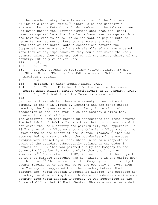on the Kaonde country there is no mention of the Lozi ever ruling this part of Zambia.<sup>133</sup> There is on the contrary a statement by one Mutendi, a Lunda headman on the Kabompo river who swore before the District Commissioner that the Lunda: never recognised Lewanika. The Lunda have never recognised him and have no wish to do so. We do not want to pay tribute to Lewanika, we pay our tribute to the Boma every year.  $134$ Thus none of the North-Eastern concessions covered the Copperbelt nor were any of the chiefs alleged to have entered into them of any importance. $135$  They could not cover the whole country unless they were granted by all the native chiefs of the country. But only 24 chiefs were 129. Ibid 130. C.O. 795-90 131. Letter, Copeman to Secretary Native Affairs, 25 May, 1905, C.O. 795-99, File No. 45015; also in 1N/1/9, (National Archives), Lusaka. 132. Ibid. 133. Mellard, In Witch Bound Africa, 1923. 134. C.O. 795—99, File No. 45015. The Lunda elder swore before Bruce Miller, Native Commissioner on 20 January, 1916. 135. E.g. Chitimukulu of the Bemba is missed out. 113 parties to them, whilst there are seventy three tribes in Zambia, as shown in Figure 1. Lewanika and the other chiefs named by the Company were never in fact, in territorial possession of the land over which the Company claimed they granted it mineral rights. The Company's knowledge Regarding concessions and areas covered The British South Africa Company knew that its concessions did not cover the whole country and particularly the Copperbelt. In 1817 the Foreign Office sent to the Colonial Office a report by Major Adams on the extent of the Barotse Kingdom.<sup>136</sup> This was accompanied by a map on which the boundaries of the Barotse Kindgom were marked by a line, which in certain respects fell short of the boundary subsequently defined in the Order in Council of 1899. This was pointed out by the Company to the Colonial Office but it made no claim that the line was inaccurate<sup>137</sup> And earlier in 1902, its own officials had reported to it that Barotse influence was non-existent in the entire Hook of the Kafue. $138$  The awareness of the Company is confirmed by the events leading up to the change of the boundary in 1905. Then the Company had suggested that the boundary between North-Eastern and· North-Western Rhodesia be altered. The proposed new boundary involved adding to North-Western Rhodesia, considerable country from North-Eastern Rhodesia. It was recognised at the Colonial Office that if North-Western Rhodesia was so extended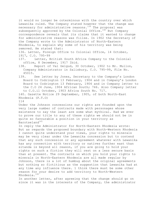it would no longer be coterminous with the country over which Lewanika ruled. The Company stated however that the change was necessary for administrative reasons. $139$  The proposal was subsequently approved by the Colonial Office. $140$  But Company correspondence reveals that its claims that it wanted to change for administrative reasons was fiilse. In 1902 the Secretary of the Company wrote to the Administrator of North-Eastern Rhodesia, to explain why some of his territory was being removed. He stated that:

136. Letter, Foreign Office to Colonial Office, 14 October, 1917, C.O. 795-99

137. Letter, British South Africa Company to the Colonial office, 8 December, 1917 Ibid.

138. Report of Val Gelgud, 30 October, 1902 to Mr. Mullon, Company Administrator in Salisbury, C.O. 795-99, File No. 45015.

139. See letter by Jones, Secretary to the Company's London Board to Codrington 13 February, 1904 and in Company's London Board to Codrington 13 February, 1904 and in Company letter to the C.O 24 June, 1904 African South; 746. Also Company letter to C.O.il October, 1903 Africa South No. 717.

140. Gazette Notice 29 September, 1905, of both North-East Rhodesia (P.T.O)

114

Under the Johnson concessions our rights are founded upon the very large number of contracts made with personages whose existence to say the least are some what mythical. Had we ever to prove our title to any of these rights we should not be in quite so favourable a position in your territory as Barotseland<sup>141</sup>

In reply the Administrator for North-Eastern Rhodesia wrote: But as regards the proposed boundary with North-Western Rhodesia I cannot quite understand your views, your rights to minerals may be very clear under the Lewanika concession but to contend that any such concession or any agreement whatever with Lewanika has any connection with territory or natives further east than sitanda is beyond all reason, if you are going to hold your rights on such a fiction they will rest on a less secure basis than at present. The contracts on which you hold your rights to minerals in North-Eastern Rhodesia are all made regular by Johnson, there is a lot of humbug about the original agreements but nothing so fictitious as the suggestion that Lewanika had at any time any influence there. 1 think there must be some other reason for your desire to add territory to North-Western Rhodesia. $142$ 

In another letter, after agreeing that the change should go on since it was in the interests of the Company, the administrator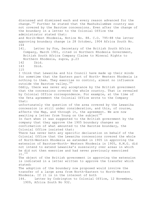discussed and dismissed each and every reason advanced for the change.<sup>143</sup> Further he stated that the Mashukulumbwe country was not covered by the Barotse concessions. Even after the change of the boundary in a letter to the Colonial Office the administrator stated that: and Norih-West Rhodesia, Notice No. 88. C.O. 795-88 the letter approving boundary change is 28 October, 1904 Africa South No. 164 141. Letter by Fox, Secretary of the British South Africa Company, March 1901, cited in Northern Rhodesia Government, British South Africa Company Claims to Mineral Rights to Northern Rhodesia, supra, p.23 142 Ibid. 143 Ibid. 115 I think that Lewanika and his Council have made up their minds for sometime that the Eastern part of North- Western Rhodesia is nothing to them. They exercise no control, almost no influence outside the Barotse valley.<sup>144</sup> Oddly, there was never any acceptance by the British government that the concessions covered the whole country. That is revealed by Colonial Office correspondence. For example, at the time of the Yeta agreement the Colonial Office wrote to the Company that: unfortunately the question of the area covered by the Lewanika concession is still under consideration, and this, of course, affects the Map, and through it, the agreement. We are now awaiting a letter from Young on the subject $145$ In fact when it was suggested to the British government by the company that they approve the 1905 boundary changes as confirmation of what amounted to the Barotse boundary, the Colonial Office insisted that: There has never betn any specific declaration on behalf of the Colonial Office that the Lewanika concessions covered the whole of North-Western Rhodesia as extended in 1905 in approving the extension of Barotse-North- Western Rhodesia in 1905, H.M.G. did not intend to extend Lewanika's suzerainty over areas in which he did not then exercise and had never previously exercised it. $146$ The object of the British government in approving the extension is indicated in a letter written to approve the transfer which stated: The adoption of the boundary now proposed would involve the transfer of a large area from North-Eastern to North-Western Rhodesia. If it is in the interest of both 144. Letter by Codrington to Colonial Office, 12 November, 1909, Africa South No 932.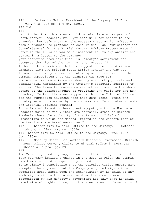145. Letter by Malcom President of the Company, 23 June, 1937, C.O. 795-88 Filj No. 45050. 146 Ibid. 116 territories that this area should be administered as part of North-Western Rhodesia, Mr. Lyttleton will not object to the transfer, but before taking the necessary action for effecting such a transfer he proposes to consult the High Commissioner and Consul-General for the British Central African Protectorate.<sup>147</sup> Later in the 1930s it was more insistent in its explanation and stated in a letter to the Company: your deduction from this that His Majesty's government had accepted the view of the Company is erroneous. $^{14}$ \* It has to be remembered that the suggestion for the division emanated from the British South Africa Company and was put forward ostensibly on administrative grounds, and in fact the Company appreciated that the transfer was made for administrative convenience as shown by a strictly private and confidential memorandum by the Company's secretary referred to earlier. The Lewanika concession was not mentioned in the whole course of the correspondence as providing any basis for the new boundary. In fact there was support within the Colonial Office for the submission advanced here that some areas within the country were not covered by the concessions. In an internal note one Colonial Official stated: It is impossible not to have great sympathy with the Northern Rhodesia point of view. There are certainly areas of Northen Rhodesia where the authority of the Paramount Chief of Barotseland on which the mineral rights in the Western part of the territory are based never ran.  $^{149}$ 147. Letter from Colonial Office to the Company, 20 October. 1904, C.O. 79MS. PBe No. 45050. 148. Letter from Colonial Office to the Company, June, 1937, C.O. 795-M 149. Note by Cohen, See Northern Rhodesia Government, British South Africa Company Claims to Mineral fUfhts in Northern Rhodesia, supra, pp. 29-30 117 The Crown rejected any suggestion that their recognition of the 1905 boundary implied a change in the area in which the Company owned minerals and categorically stated: It is simply inconceivable that the Colonial Office should have accepted the argument that the Company acquired rights in a specified area, based upon the renunciation by Lewanika of any such rights within that area, involved the simultaneous recognition by His Majesty's government not only that Lewanika owned mineral rights throughout the area (even in those parts of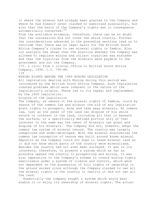it where the mineral had already been granted to the Company and where he had himself never claimed or exercised suzerainty), but also that the basis of the Company's rights was in consequence automatically converted.<sup>150</sup> From the available evidence, therefore, there can be no doubt that the concessions did not cover the whole country. Further the considerations advanced in the preceding sections lead us to conclude that there was no legal basis for the British South Africa Company's claims to own mineral rights in Zambia. Also our analysis has shown that the practice whereby the Company was allowed to regulate mining and collect royalties was mistaken and that the royalties from the minerals were payable to the government and not the Company. 1\*0. I cltci from C olonial Office to British South Africa Company, 1938. C.O. 795-88. 118 MINING RIGHTS BEFORE THE 1969 MINING LEGISLATION All legislation dealing with Mining during this period was introduced by the British South Africa Company. Such legislation created problems which were inherent in the nature of the legislation's origins. These led to its repeal and replacement by the 1969 legislation. Origins of the Legislation The Company, as owners ot the mineral rights of Zambia, could by reason of the common law and without the aid of any legislation grant rights to prospect, mine and take away minerals. At common law, just as the owner of the land can dispose of his whole estate or interest in the land, including all that is beneath the surface, or a specifically defined portion only of that interest in the same way the owner of minerals can grant and dispose of his minerals.<sup>1</sup> The Company did not, however, adopt the common law system of mineral tenure. The country was largely unexplored and under-developed. With few mineral discoveries the common law conception of tenure was built around known mineral deposits as the Company could not hope to lease mineral land as it did not know which parts of the country were mineralised. Besides the country had not even been surveyed. It was in its interests, therefore, to promote a system which as far as possible opened the country to prospecting and mining. It was also imperative to the Company's scheme to create mining rights exercisable under a system of licence and control, which were not dependent on the possession of full rights of ownership in the ground worked since although the Company claimed to own all the mineral rights in the country in reality it did not own all the land.

Essentially the Company sought a system which would best enable it to enjoy its ownership of mineral rights. The actual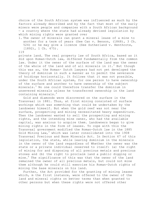choice of the South African system was influenced as much by the factors already described and by the fact that most of the early miners were people and companies with a South African background — a country where the state had already devised legislation by which mining rights were granted over

1. The owner of minerals can grant a mineral lease of a mine to another for a term of years (See Can v. Benson, (1868), 3 Ch. 524) or he may give a licence (See Sutherland v. Henthcote, [1892), 1 Ch. 475).

# 119

private land. The real property law of South Africa, based as it did upon Roman-Dutch law, differed fundamentally from the common law. Under it the owner of the surface of the land was the owner of the whole of the land and of all minerals in it.<sup>2</sup> But though this was so, the Roman- Dutch lawyers had not yet developed the theory of dominium in such a manner as to permit the severance of holdings horizontally. It follows that it was not possible, under the South African system, for one person to have ownership of the surface and another to have ownership of the subject minerals.<sup>3</sup> No one could therefore transfer the dominium in unsevered minerals unless he transferred ownership in the land containing minerals.<sup>4</sup>

Gold and diamonds were discovered on the surface in the Transvaal in 1881. Thus, at first mining consisted of surface workings which was something that could be undertaken by the landowner himself. But when the gold reef was not near the surface, prospecting and mining necessitated heavy expenditure. Then the landowner wanted to sell the prospecting and mining rights, and the intending mine owner, who had the available capital, was anxious to acquire them. Landowners began to give mining rights in the form of leases. To cope with this the Transvaal government modified the Roman-Dutch law in the 1885 Gold Mining Law,  $3$  which was later consolidated into the 1908 Transvaal Precious and Base Minerals Act. In Section 67 of this legislation, the state, while leaving dominium in the minerals in the owner of the land regardless of Whether the owner was the state or a private individual reserved to itself: (a) the right of mining for and disposing of all precious metals and precious stones and (b) the right to proclaim land a public digging or mine.<sup>6</sup> The significance of this was that the owner of the land remained the owner of all precious metals, but could not mine them although he could still exercise his Roman-Dutch rights of mining the base minerals on his land.

Further, the Act provided for the granting of mining leases which, m the first instance, were offered to the owner of the land and mineral rights on better terms than when granted to other persons but when these rights were not offered other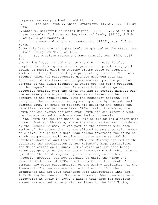compensation was provided in addition to 2. Rich and Bhyat v. Union Government, [1912], A.D. 719 at p.734. 3. Neebe v. Registrar of Mining Rights. [1902], T.S. 65 at p.85 per Wessels, J. Rocher v. Registrar of Deeds, [1911], T.P.D. at p.315 per Masson, J. 4. Le Roux and others v. Loewenthal, [1905], T.S. 742 at p.745 5. By this law, minipg rights could be granted by the state. See Gold Mining Law No. 8 of 1885. 6. See Precious Stones and Base Minerals Act. 1908, s.67. 120 the mining lease. In addition to the mining lease it also adopted the claim system and the practice of proclaiming gold fields or public diggings whereby claims could be pegged by members of the public holding a prospecting licence. The claim licence which was subsequently granted depended upon the fulfilment of its terms, and in particular, upon the punctual payment of the claim licences or where ore was being produced, of the digger's licence fee. As a result the state gained effective control over the miner who had to fortify himself with the necessary state permits, licences or leases and had to conform to the regulations, give the necessary notices, and carry out the various duties imposed upon him by the gold and diamond laws, in order to protect his holdings and escape the penalties imposed by these laws. Effectively, therefore, the South African system achieved over South African minerals what the Company wanted to achieve over Zambian minerals.

The South African influence in Zambian mining legislation came through Southern Rhodesia, where the claim system was introduced by the Pioneer Column. It was part of the contract with each member of the column that he was allowed to peg a certain number of claims. Though there were regulations governing the terms on which prospectors could acquire rights as early as 1890 in Southern Rhodesia<sup>7</sup> and later in 1891, the Company applied to the territory the Proclamation by Her Majesty's High Commissioner for South Africa on 10 June, 1891,<sup>8</sup> which brought into being rules designed to be the temporary framework within which mining operated. The first regular system of mining in Southern Rhodesia, however, was not established until the Mines and Minerals Ordinance of 1895, drafted by the British South Africa Company and based substantially on the mining legislation of the Transvaal. The law was amended in 1898 and in 1903 the amendments and the 1895 Ordinance were incorporated into the 1905 Mining Ordinance of Southern Rhodesia. When diamonds were discovered at Gwelo in 1906, a Mining Ordinance for precious stones was enacted on very similar lines to the 1903 Mining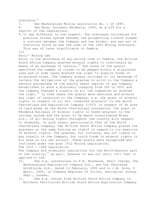Ordinance.<sup>9</sup>

7. See Mashonaland Mining Legislation No. 1 of 1890. 8. See Hone, Southern Rhodesia, 1909, at p.239 for a reprint of the regulations.

- 9. It was different in one respect. The Ordinance introduced for precious stones system whereby the prospecting licence formed a contract between the Company and the holder, and was not of statutory force as was the case in the 1903 Mining Ordinance. This was of later significance in Zambia.
- 121

Fari;' Mining Law

Prior to the existence of any mining code in Zambia, the British South Africa Company granted mineral rights to individuals by means of an exchange of letters. $10$  The terms of the grants specified the number of claims to be pegged within a stipulated area and in some cases granted the right to acquire farms of stipulated sizes. The Company always included in its exchange of letters the obligations of the grantee to allot to the Company a certain percentage of the equity share capital of any Company established to work a discovery (ranging from 30% to 50%) and the Company charged a royalty on all the companies so granted the right. $11$  In some cases the grants were absolute and without any right of reversion to the Company, e.g. the grant of mineral rights in respect of all but 'reserved minerals' to the North Charterland and Exploration Company (1937) in respect of an area of land known as the North Charterland Concession, the grant to Rhodesia Railways of mineral rights in farms adjacent to the railway system and the grant to De Beers Consolidated Mines Ltd., of all mining rights throughout the country with respect to diamonds. In such cases, particularly that of the North Charterland Company, the British South Africa Company placed the grantees on the same footing as itself in regard to its exercise of mineral rights. The grantee, for instance, was not liable to pay royalty to the Company, but could trade in mineral rights in his area on his own account. These grants were recognised and continued under the post 1912 Mining Legislation.

The 1912 — 1969 Legislation

The Company did formulate regulations for the North-Eastern part of the country,  $13$  as well. However it was not until 1911 that it applied to the

10. See e.g. concessions to F.R. Burnharm, Pearl Ingram, the Bechuanaland Exploration Company Ltd., and the Chartered Goldfields Ltd., dated 13 February, 1895 and to J.W. Dore, 9 April, 1895, in Company Register of Titles, Geological Survey Dept., Lusaka.

11. See e.g. letter from British South Africa Company to Northern Territories British South Africa Exploration Company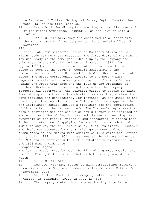in Register of Titles, Geological Survey Dept., Lusaka. See note 8(a) on the file, page 55.

- 12. See s.5 of the Mining Proclamation, supra. Also see s.6 of the Mining Ordinance, Chapter 91 of the Laws of Zambia, 1965 ed.
- 13. See C.O. 417-506, they are contained in a letter from the British South Africa Company to the Colonial Office, 5 November, 1906.

## 122

British High Commissioner's Office of Southern Africa for a mining code for Northern Rhodesia. The first draft of the mining law was ready in the same year, drawn up by the Company and submitted to the Colonial Office on 9 January, 1911, for approval.<sup>14</sup> The idea it seems was that the law should come into force as soon as the Order in Council amalgamating the administrations of North-East and North-West Rhodesia came into force. The draft corresponded closely to the North- East regulations referred to already and the 1906 Precious Stones Mining and Trade Ordinance and the 1903 Mining Ordinance of Southern Rhodesia. In discussing the drafts, the Company rejected all attempts by the colonial office to secure benefits from mining activities to the chiefs from whom they claimed to have obtained the concessions. For instance, at one stage of the drafting of the legislation, the Colonial Office suggested that the legislation should include a provision for the commutation of 1% royalty to the native chiefs. The Company's reply was that such a provision was not one which could properly be included in a mining law.<sup>15</sup> Meanwhile, it inserted clauses entrenching its ownership of the mineral rights,  $16$  and categorically stated that it had no intention of applying for a mining law which would limit in any way the full exercise by it of its mineral rights.<sup>17</sup> The draft was accepted by the British government and was promulgated as the Mining Proclamation of 1912 which took effect on 1, July,  $1912.^{18}$  In 1934 it was renamed the Mining Ordinance of 1934 and it survived with little substantive amendments in the 1958 Mining Ordinance.

Prospecting Rights

The law as established by both the 1912 Mining Proclamation and the 1958 Mining Ordinance was that with the exception of the North

14. See C.O. 417-506

15. See C.O. 417-424, letter of High Commissioner reporting on his visit to Southern Rhodesia to the Colonial Office, 5 November, 1906.

16. Se· British South Africa Company letter to Colonial Office, 15 February, 1911, in C.O. 417-506.

17. The company stated this very explicitly in a letter to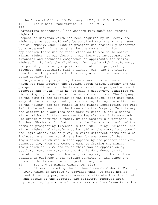the Colonial Office, 15 February, 1911, in C.O. 417-506 18. See Mining Proclamation No. 1 of 1912. 123 Charterland concession,  $19$  the Western Province<sup>20</sup> and special rights in respect of diamonds which had been acquired by De Beers, the right to prospect could only be acquired from the British South Africa Company. Such right to prospect was ordinarily conferred by a prospecting licence given by the Company. In its application there was no restriction as to who could obtain mining rights nor was there any machinery to investigate the financial and technical competence of applicants for mining rights. $21$  This left the field open for people with little money and possibly no mining experience to take out prospecting licences and eventually mining rights, with the inevitable result that they could withold mining ground from those who could develop it.

In general, a prospecting licence was no more than a contract which was made between the British South Africa Company and the prospector. It set out the terms on which the prospector could prospect and which, when he had made a discovery, conferred on him mining rights on certain terms and conditions. The Company, at the time of the drafting of the legislation, took care that many of the more important provisions regulating the activities of the holder were not stated in the mining legislation but were left to be written into the licence by the Company. In this way the Company thus acquired machinery by which it could control mining without further recourse to legislation. This approach was probably inspired directly by the Company's experience in Southern Rhodesia. In that country the Company had included the terms of prospecting licences in the 1903 Mining Ordinance, and mining rights had therefore to be held on the terms laid down in the legislation. The only way in which different terms could be included in a grant would have been by amendment of that legislation, which was in fact opposed by the pioneer settlers. Consequently, when the Company came to framing the mining legislation in 1912, and found there was no opposition by settlers, care was taken to avoid this dependence on the statute. In consequence, however, mining right holders often carried on business under varying conditions, and since the terms of the licences were subject to negotia

19. See s.6 of Mining Ordinance, 1958

20. It was covered by the Northen Rhodesia Order in Council, 1924, which in article 41 provided that 'it shall not be lawful for any purpose whatsoever to alienate from the Chief and people of the Barotse, the territory reserved from prospecting by virtue of the concessions from Lewanika to the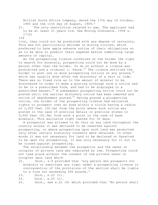British South Africa Company, dated the 17th day of October, 1900 and the 11th day of August, 1909.'

21. The only restriction related to age. The applicant had to be at least 21 years old. See Mining Ordinance. 1958 s. 17(2)

124

tion, they could not be predicted with any degree of certainty. This was not particularly welcome in mining circles, which preferred to have ample advance notice of their obligations so as to be able to predict their expense before committing large amounts of capital.

As the prospecting licence conferred on the holder the right to search for minerals, prospecting could not be done by a person other than the holder. To do so without a licence was prohibited and a criminal c. fence.<sup>22</sup> The licence entitled the holder to post one or more prospecting noticcs on any ground,  $23$ which was usually done after the discovery of a vein or lode. There was no fixed rule as to the amount of mineral to be discovered in order to make a posting although such a notice had to be in a prescribed form, and had to be displayed in a prescribed manner.<sup>24</sup> A subsequent prospecting notice could not be posted until the earlier discovery notice had been removed and notice of abandonment posted.<sup>25</sup> Having posted a prospecting notice, the holder of the prospecting licence had exclusive rights to prospect over an area within a circle having a radius of 1,000 feet (30.5m) from the point where such notice was posted in the case of precious metals or precious stones or 3,000 feet (91.5m) form such a point in the case of base minerals. This exclusive right lasted for 30 days.

A prospector was allowed to do this on any land throughout the country unless it was declared to be reserved against prospecting, or where prospecting upon such land was permitted only after certain statutory consents were obtained. In other words it was not necessary for land to be declared or Gazetted to be open for prospecting. It was only necessary for it not to be closed against prospecting.

The relationship between the prospector and the owner or occupier of private land was regulated by law. Prospecting could not take place without the consent of the private owner or occupier upon land which

- 22. Ibid., s.9 provided that 'any person who prospects for minerals or exercises any righl under a prospecting licence in contravention of the provisions of the section shall be liable to a fine not exceeding 200 pounds.'
- 23. Ibid., s.22 (1).
- 24. Ibid.. s.25 (I).
- 25. Ibid., see s.22 (4) which provided that 'No person shall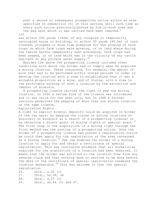post a second or subsequent prospecting notice within an area specified in subseciion (5) of this section until such lime as every such notice previously/posted by him|in|such area and the peg upon which it was carried have been removed.'

## 125

was within 200 yards (182m) of any occupied or temporarily unoccupied house or building, or within 50 yards (45.5m) of land cleared, ploughed or bona fide prepared for the growing of farm crops on which farm crops were growing, or on land where during the twelve months immediately next preceding, farm crops had been reaped, or on land which was in the vicinity of any cattle dip-tank or any private water supply.<sup>26</sup>

Besides the above the prospecting licence included other conditions with which the holder had to comply when he acquired a mining location. These concerned, for example, the amount of work that had to be performed within stated periods in order to develop the location with a view to establishing that it was a workable proposition as a mine, and of course, with a view to the profitable working of such a location by the extraction and removal of minerals.

A prospecting licence carried the right to peg one mining location. In 1936 a review form of the licence was introduced and it was valid for one year only, but in 1948 a further revision permitted the pegging of more than one mining location on the same licence.

Exploitation Rights

A right to exploit mineral deposits could be acquired in either of the two ways: by pegging the claims or mining locations on discovery of minerals as a result of a prospecting licence; or by obtaining a direct grant of mining rights or special grant.<sup>27</sup> The first step in the acquisition of a mining right through the first method was the posting of a prospecting notice. Once the holder of a prospecting licence had posted a registration notice he could then apply for the registration of the area concerned as a mining location.<sup>28</sup> The law enabled the holder of a mining location to apply for and obtain a certificate of special registration. This was conclusive evidence that all formalities required for the acquisition of a location had been observed. It means that the holder was entitled to the location free from any adverse claim and that nothing done or omitted to be done before the date of the certificate of special registration rendered the location defeasible.<sup>29</sup> This was welcome in that the special registration

| 26.           | Ibid., $s.20(1)$                        |
|---------------|-----------------------------------------|
| 27.           | Ibid., ss.38, 46                        |
| $\sim$ $\sim$ | $-1$ $-1$ $-1$ $-1$ $-1$ $-1$ $-1$ $-1$ |

28. Ibid., s.25 (I)

29. Ibid., ss.44 (1) and 47.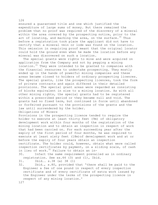ensured a guaranteed title and one which justified the expenditure of large sums of money. But there remained the problem that no proof was required of the discovery of a mineral within the area covered by the prospecting notice, prior to the act of locating, and marking the area, on the surface.<sup>30</sup> Thus before a registration took place the applicant did not have to certify that a mineral vein or lode was found on the location. This omission in requiring proof meant that the original locator could hold the ground even when he made the location before any mineral was discovered on such a location.

The special grants were rights to mine and were acquired on application from the Company and not by pegging a mining location. $31$  They were intended to be granted to companies with the financial resources to undertake prospecting. They mostly ended up in the hands of powerful mining companies and these areas became closed to holders of ordinary prospecting licences. The special grants, like the prospecting licences, took the form of private contracts and again differed in their detailed provisions. The special grant areas were regarded as consisting of blocks equivalent in size to a mining location. As with all other mining rights, the special grants had to be registered within a prescribed period or they became null and void. The grants had no fixed term, but continued in force until abandoned or forfeited pursuant to the provisions of the grants and the law until surrendered by the holder.

### Obligations of Miners

Provisions in the prospecting licence tended to require the holder to execute at least thirty feet (9m) of obligatory development work within four months of the registration of the mining location and to obtain an inspection in respect of work that had been carried on. For each succeeding year after the expiry of the first period of four months, he was required to execute at least sixty feet (18m)of development work and at or before the expiry of four years obtain an inspection certificate. The holder could, however, obtain what were called inspection certificates by payment, on a sliding scale, of cash in lieu of work.<sup>32</sup> Failure to obtain an in-

30. Infact the same requirement prevailed as in ordinary registration. See ss.44 (3) and (1), Ibid.

31. Ibid.. s.38 (a) 38 (1)

32. Ibid., s.80, provided that 'there shall be paid to the Engineer a fee of one pound in respect of every inspection certificate and of every certificate of extra work issued by the Engineer under the terms of the prospecting licence in respect of any mining location.' 127

### 126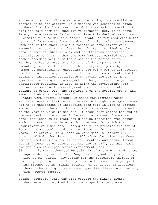an inspection certificate rendered the mining location liable to forfeiture to the Company. This measure was designed to cause holders of mining locations to exploit them and not merely sit back and hold them for speculative purposes, but, as is shown later, these measures failed to achieve this desired objective.

Similarly, a holder of a special grant was required within the period of four months from the date of registration, to execute upon one of the subdivisions a footage of development work amounting in total to not less than thirty multiplied by the total number of subdivisions, and to obtain an inspection certificate confirming that the work had been carried out. For each succeeding year from the close of the period of four months, he had to execute a footage of development work amounting in total to not less than sixty multiplied by the number of subdivisions, excluding those being worked for profit, and to obtain an inspection certificate. He too was entitled to obtain an inspection certificate by paying the sum of money specified in the grant in respect of the particular inspection certificate required, in lieu of doing the development work. Failure to observe the development provisions constituted failure to comply with the provisions of the special grant, and made it liable to forfeiture.  $33$ 

There were several defects in these requirements which militated against their effectiveness. Although development work had to be undertaken or inspection fees paid in lieu to protect a mining right, the work did not have to be done until the end of the year in which it was due. If begun just before the end of the year and continued until the required amount of work was done, the location or grant could not be forfeited even though such work was not completed within the year for which the requirement work was done. Consequently, in practice the act of locating alone could hold a mining location for practically two years. For example, if a location were made in January 1976, this would hold the claim until 1977 after the holder had done the required work for the first four months, and annual labour for 1977 need not be done until the end of 1977, so that nearly two years could elapse before development work

33. This was authorised by s.64 (1) of the Mining Ordinance, supra, which provided that 'any special grant or prospecting licence may contain provisions for the forfeiture thereof or of any rights granted thereby and, in the case of a prospecting licence of any mining location or other rights acquired there under in toy circumstances specified there in and at any time however remote.'

128

became necessary. This was also because the mining-rights holders were not required to follow a specific programme in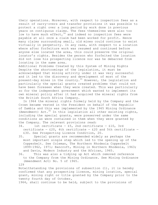their operations. Moreover, with respect to inspection fees as a result of carry-overs and transfer provisions it was possible to protect a right over a long period by work done in previous years on contiguous claims. The fees themselves were also too low to have much effect,  $34$  and indeed no inspection fees were payable at all once a claim had been worked for profit. Hence many claims surrounding small, old mines could continue to exist virtually in perpetuity. In any case, with respect to a location where after forfeiture work was resumed and continued before anyone else located the area, this could preserve the original locator's rights. Besides the person who forfeited the location did not lose his prospecting licence nor was he debarred from locating in the same area.

Additional Problems Created by this System of Mining Rights Despite the shortcomings of the legislation, it must be acknowledged that mining activity under it was very successful and it led to the discovery and development of most of the present-day mines in the country.<sup>35</sup> However, the legislation and particularly the special grants created problems that could not have been foreseen when they were created. This was particularly so for the independent government which wanted to implement its own mineral policy after it had acquired the mineral rights from the British South Africa Company.

In 1964 the mineral rights formely held by the Company and the Crown became vested in the President on behalf of the Republic of Zambia and this was implemented by the 1965 Mining Ordinance (Amendment) Act. $36$  In this legislation all other existing rights, including the special grants, were preserved under the same conditions as were contained in them when they were granted by the Company. The relevant provisions read:

- 34. 1st certificate  $-$  £5, 2nd certificate  $-$  £10, 3rd certificate  $-$  £20, 4th certificate  $-$  £20 and 5th certificate  $-$ £30. See Prospecting Licence Condition, 20.
- 35. Special grants are recommended widely as perhaps the most important single step which led to the opening up of the Copperbelt. See Coleman, The Northern Rhodesia Copperbelt 1899-1962, 1971; Bancroft, Mining in Northern Rhodesia, 1963; and Davis, Modern Industry and the African, 1965.
- 36. This was also a tidying up Act which removed reference to the Company from the Mining Ordinance. See Mining Ordinance (Amendment Act) No. 5 of 1965.

129

Notwithstanding the provisions of subsection (1), it is hereby confirmed that any prospecting licence, mining location, special grant, mining right or title granted by the Company prior to the twenty fourth day of October,

1964, shall continue to be held, subject to the provisions of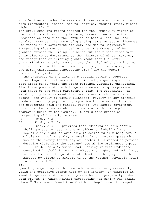¿his Ordinance, under the same conditions as are contained in such prospecting licence, mining location, special grant, mining right or title.<sup>37</sup>

The privileges and rights secured for the Company by virtue of the conditions in such rights were, however, vested in the President on behalf of the Republic of Zambia, and included royalty payments. The power of granting new prospecting licences was vested in a government officer, the Mining Engineer.  $38$ Prospecting Licences continued as under the Company  $to^1$  be granted outside the Mining Ordinance but their conditions were th,is time to be determined by the Minister of Mines. However, the recognition of existing grants meant that the North Charterland Exploration Company and the Chief of the Lozi tribe continued to have the exclusive right to grant mining rights in the North Charterland concessions area<sup>39</sup> and the Western Province<sup>40</sup> respectively.

The existence of the Litunga's special powers undoubtedly caused legal difficulties which inhibited prospecting and in fact after sixty years the areas remained virtually unexplored. Also these powers of the Litunga were enormous by comparison with those of the other paramount chiefs. The recognition of existing rights also meant that over areas which the mineral rights were wholly or partly alienated, royalty on any minerals produced was only payable in proportion to the extent to which the government held the mineral rights. The Zambia government thus inherited a system which it operated within a legal framework built by the Company. It could make grants of prospecting rights only in areas

- 37. Ibid., s.3 (2)
- 38. Ibid., s.7 (1).
- 39. Ibid., s.3 (3) provided that 'Nothing in this section shall operate to vest in the President on behalf of the Republic any right of ownership in searching or mining for, or of disposing of minerals, mineral oils or natural gases which was on the twenty-fourth day of October 1964 vested in persons deriving title from the Company' see Mining Ordinance, supra.
- 40. Ibid, See s.4, which read 'Nothing in this Ordinance contained in shall in any way effect the rights and privileges secured to the Litunga of Barotseland and the people of the Barotse by virtue of article 41 of the Northern Rhodesia Order in Council, 1924.'

## 130

open to prospecting as this excluded areas already covered by valid and operative grants made by the Company. In practice it meant large areas of the country were held in perpetuity under such grants, in which neither prospecting nor mining was taking place.<sup>41</sup> Government found itself with no legal power to compel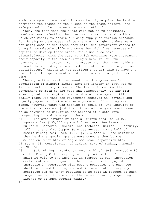such development, nor could it compulsorily acquire the land or terminate the grants as the rights of the grant-holders were safeguarded in the independence constitution.<sup>42</sup>

Thus, the fact that the areas were not being adequately developed was defeating the government's main mineral policy which was mainly to obtain a rising supply of foreign exchange for development purposes. Since the mining-right holders were not using some of the areas they held, the government wanted to bring in completely different companies with fresh sources of capital to develop those areas. There was also some dissatisfaction with the rate at which companies were increasing their capacity in the then existing mines. In 1968 the government, in an attempt to put pressure on the grant holders to work their holdings, increased the rates for the inspection certificates,  $43$  though it was realised that for this to have any real effect the government would have to wait for quite some time.

These practical realities meant that the government's acquisition of mineral rights from the Company in 1964 was of little practical significance. The law in force tied the government so much to the past and consequently was far from ensuring national aspirations in mineral development. All it really meant was that the government received tax revenue and royalty payments if minerals were produced. If nothing was mined, however, there was nothing it could do. The inequity of the situation was not just that it denied the government power to do anything to galvanise the holders of rights into prospecting in and developing their

- 41. The area covered by special grants totalled 75,000 square miles (195,000 square kilometres). See Research Bulletin, Economic Financial and Technical Series, 7 February, 1970 p.l, and also Copper Services Bureau, Copperbell of Zambia Mining Year Book, 1966, p.6. Almost all the companies that held the special grants were owned either by Roan Selection Trust Ltd. or Anglo-American Corporation Ltd. 42. See s. 18, Constitution of Zambia, Laws of Zambia, Appendix 3, 1965 ed.
- 43. S.2, Mining (Amendment) Act, No.52 of 1968, amended s.80 of the Mining Ordinance, supra and provided that '...there shall be paid to the Engineer in respect of such inspection certificate, a fee equal to three times the fee payable therefore in accordance with second schedule, and such fee shall be in addition to, and not in substitution for, any specified sum of money required to be paid in respect of such inspection certificate under the terms of such prospecting licence or of such special grant.' 131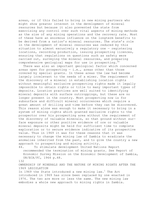areas, or if this failed to bring in new mining partners who might show greater interest in the development of mineral resources but because it also prevented the state from exercising any control over such vital aspects of mining methods as the size of any mining operations and the recovery rate. Most of these have an enormous influence on the longterm benefits to be derived from a nation's mineral resources. The state's role in the development of mineral resources was reduced by this situation to almost excusively a regulatory one — registering locations, recording production, issuing prospecting licences, ensuring that regulations on questions such as safety were carried out, surveying the mineral resources, and preparing comprehensive geological maps for use in prospecting.<sup>44</sup>

There was also an important geological factor which concerned areas open for prospecting  $-$  i.e., areas other than those covered by special grants. In these areas the law had become largely irrelevant to the needs of a miner. The requirement of the discovery of a mineral in establishing location rights without meaningful exclusive prospecting rights made it legally impossible to obtain rights or title to many important types of deposits. Location practices are well suited to identifying mineral deposits with surface outcroppings, but these are no longer present in the country. Most prospecting now is for subsurface and difficult mineral occurrences which require a great amount of drilling and time before they can be discovered. This reason alone was enough to make it necessary to bring in a system of mining rights which granted exclusive rights to the prospector over his prospecting area without the requirement of the discovery of valuable minerals, so that ground without surface exposure or other positive evidence of ore or valuable mineral deposits might be held for sufficient time to complete exploration or to secure evidence indicative of its prospective value. Thus in 1969 it was for these reasons that it was necessary to change the mining law of Zambia to eradicate the anomalies inherited from the past, and to give the country a new approach to prospecting and mining activity.

44. To stimulate development United Nations Report recommended the termination of mining grants. See Report of Economic Survey Mission on the Economic Development of Zambia, UN/ECA/FC, 1964 p.48.

### 132

OWNERSHIP OF MINERALS AND THE NATURE OF MINING RIGHTS AFTER THE 1969 LEGISLATION

In 1969 the State introduced a new mining law.<sup>1</sup> The Act introduced in 1969 has since been replaced by one enacted in 1976. The two are more or less the same. The new mining law embodies a whole new approach to mining rights in Zambia.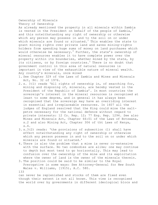Ownership of Minerals Theory of Ownership

As already mentioned the property in all minerals within Zambia is vested in the President on behalf of the people of Zambia,<sup>2</sup> and this notwithstanding any right of ownership or otherwise which any person may possess in and to the soil on or under which minerals are found or situated.<sup>3</sup> This enables the state to grant mining rights over private land and saves mining-rights holders from spending huge sums of money on land purchases which would otherwise be necessary.<sup>4</sup> Further, the state's ownership of mineral resources enables it to have complete power over the property within its boundaries, whether mined by the state, by its citizens, or by foreign countries.<sup>5</sup> There is no doubt that government control in this area of natural resources is important in view of the exhaustible nature of mineral wealth. Any country's minerals, once mined

- 1. See Chapter 329 of the Laws of Zambia and Mines and Minerals Act, No. 32 of 1976.
- 2. s. 3(1) reads 'All rights of ownership in, of searching for, mining and disposing of, minerals, are hereby vested in the President of the Republic of Zambia'. In most countries the sovereign's interest in the mineral resources is recognised at least to some degree, and in general it has always been recognised that the sovereign may have an overriding interest in essential and irreplaceable resources. In 1607 all the judges of England resolved that the King could mine the saltpetre necessary for the national defence without regard to private interests: 12 Co. Rep. 12; 77 Eng. Rep. 1294. See also Mines and Minerals Act, Chapter 66:01 of the Laws of Botswana, s.2 and also Mining Act, Chapter 306 of tht Laws of Kenya, s.4.
- 3. s.3(2) reads: 'the provisions of subsection (1) shall have effect notwithstanding any right of ownership or otherwise which any person possess in and to the soil on or under which minerals are found or situated.'
- 4. There is also the problem that a mine is never co-extensive with the surface. No two orebodies are alike; one may continue to depth but most tend to go horizontally. This may lead to confusion over the ownership of the mine and its exploitation where the owner of land is the owner of the minerals therein.
- 3. The position could be said to be similar to the Royal Prerogative in some ways: See Attorney-General for New South Wales v. Williams, [1915), A.C. 580.

133

can never be replenished and stocks of them are fixed even though their extent is not all known. This view is recognised the world over by governments in different ideological blocs and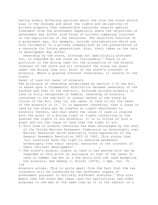having widely differing opinions about the role the state should play in the economy and about the rights and obligations of private property that exhaustible resources require special treatment from the government especially where the objectives of government may differ from those of private companies involved in the exploitation of the resources. The objective function of a government may, for example, include considerations which are only incidental to a private company,such as the preservation of a resource for future generations. Also, their ideas on the rate of development may differ.

Ownership by the state, although not specifically provided for, is regarded by the state as inalienable.  $6$  There is no provision in the mining laws for the alienation of the mineral interest of the state and all interests the state can grant under the mining laws fall short of the state's interest in minerals. Where a granted interest terminates, it reverts to the state.

Owner of land not owner of minerals The principle of ownership established by section 3 of the Act, is based upon a fundamental distinction between ownership of the surface and that of the sub-soil. Although private property in land is fully recognised in Zambia, ownership of minerals contained in the sub-soil is always vested in the state by virtue of the Act, that is, the owner of land is not the owner of the minerals in it.<sup>7</sup> It is apparent therefore, that a lease of land by the state per se creates no rights whatsoever to minerals therein, and that where the lease of land is coupled with the grant of a mining right or rights conferring on the grantee the rights to win minerals, it is in virtue of such a grant and not the lease of land that the right to win

- 6. This view of mineral resources has been encouraged by the work of the United Nations Permanent Commission on Sovereignty over Natural Resources which eventually found expression in the General Assembly Resolution 1803 of 1962. This states that 'all countries have the right to exercise permanent sovereignty over their natural resources in the interest of their national development'.
- 7. The state's mineral rights in land it has parted with can be regarded on this point as analogous to that of the owner of land in commAn law who at a fee parts with the land excepting the minerals. See Ramsay v. Blaier (1876), 1 App. Cas. 70. 134

minerals arises. This is quite apart from the fact that the two interests will be conferred by two different organs of government pursuant to entirely different statutes.<sup>8</sup> This also means that the state may lease land for agricultural and other purposes to one man at the same time as it is the subject of a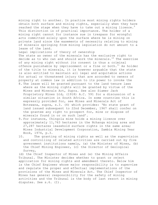mining right to another. In practice most mining rights holders obtain both surface and mining rights, especially when they have reached the stage when they have to take out a mining licence.<sup>9</sup> This distinction is of practical importance. The holder of a mining right cannot for instance sue in trespass for wrongful acts committed solely upon the surface where he is mining on private land since the easements of necessity relating to mining of minerals springing from mining legislation do not amount to a lease of the land.

Legal implications of theory of ownership

The state as owner of the minerals has the exclusive right to decide as to who can and should work the minerals.<sup>10</sup> The exercise of any mining right without its consent is thus a criminal offence punishable by imprisonment or a fine or both. $^{11}$  As holder of the title to minerals, it is however arguable that the state is also entitled to maintain all legal and acquitable actions for actual or threatened injury that are accorded to owners of property at common law in addition to its power to invoke the

- 8. The lease will be granted pursuant to the land tenure laws where as the mining rights will be granted by virtue of the Mines and Minerals Act, Supra. See also Siamer Jack Proprietory Mines Ltd, (1918) A.C. 591 for a discussion of a similar situation in South Africa. In some countries this is expressly provided for, see Mines and Minerals Act of Botswana, supra, s.3. (4) which provides: 'No state grant of land issued subsequent to 22nd December, 1967 shall confer on the grantee any right to prospect for, mine or dispose of minerals found in or on such land'.
- 9. For instance, Chingola mine holds a mining licence over approximately 11,763 hectares in the Nchanga mining area and 27,287 hectares leasehold surface rights in the same area; Mines Industrial Development Corporation, Zambia Mining Year Book, 1974, p.3.
- 10. The granting of mining rights as well as the supervision and controlling of related activities are carried out by five government institutions namely, (a) the Minister of Mines, (b) the Chief Mining Engineer, (c) the Director of Geological Survey,

(d) the Chief Inspector of Mines and (e) the Mining Affairs Tribunal. The Minister decides whether to grant or reject application for mining rights and amendment thereto. Below him is the Chief Engineer whose major responsibility is to supervise and regulate the proper and effectual implementations of the provisions of the Mines and Minerals Act. The Chief Inspector of Mines has general responsibility for the safety of mining activities and the Tribunal is the body of last resort in mining disputes. See s.6. (I).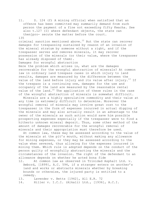11. S. 124 (f) A mining official when satisfied that an offence has been committed may summarily demand from such person the payment of a fine not exceeding fifty Kwacha. See also t.127 (I) where defendant objects, the state can thenjpro- secute the matter before the court.

135

criminal sanction mentioned above.<sup>12</sup> But the state can recover damages for trespassing sustained by reason of an invasion of the mineral stratum by someone without a right, and if the trespasser serves and removes minerals, it may recover possession of the minerals (or their value, where the trespasser has already disposed of them).

Damages for wrongful abstraction

Here the problem which arises is, what are the damages recoverable for the wrongful abstraction of minerals? At common law in ordinary land trespass cases in which injury to land results, damages are measured by the difference between the value of the land before injury and its value after injury.<sup>13</sup> If the trespass is a continuing one, damages for the use and occupancy of the land are measured by the reasonable rental value of the land.<sup>14</sup> The application of these rules in the case of the wrongful abstraction of minerals is somewhat difficult.

Minerals are a highly speculative commodity and their value at any time is extremely difficult to determine. Moreover the wrongful removal of minerals may involve great cost to the trespasser in the form of expenses incurred in actual digging of the minerals and may also actually result in an advantage to the owner of the minerals as such action would save him possible prospecting expenses especially if the trespasser were to find a hitherto unknown mineral deposit. Thus, some other method of the amount of damages recoverable for the wrongful removal of minerals and their appropriation must therefore be used.

At common law, these may be assessed according to the value of the minerals at the pit's mouth, without making any allowance for mining expenses, or they may be assessed according to the value when severed, thus allowing for the expenses incurred in mining them. Which rule is adopted depends on the conduct of the person guilty of wrongfully abstracting the minerals and the circumstances of the invasion. The right of the defendant to an allowance depends on whether he acted bona fide

12. At common law as observed in Trinidad Asphalt Ltd. v. Ambord, [1899], A.C. 594, if a stranger enters on another's land and works or abstracts minerals whether by breaking bounds or otherwise, the injured party is entitled to a remedy.

13. Lavender v. Betts [1942], All E.R. 72

14. Hiller v. I.C.I. (Alkali) Ltd., [1936], A.C.I.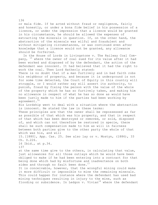or mala fide. If he acted without fraud or negligence, fairly and honestly, or under a bona fide belief in his possession of a licence, or under the impression that a licence would be granted in his circumstance, he should be allowed the expenses of extracting the minerals in question. If, on the other hand, the abstraction of the minerals was wilful and fraudulent and without mitigating circumstances, or was continued even after knowledge that a licence would not be granted, any allowance should be forfeited.

In the House of Lords in Livingstone v. The Railway Coal Company,  $15$  where the owner of coal sued for its value after it had been worked and disposed of by the defendant, the action of the defendant was innocent. It had believed that it had the right to work the coal. Then Lord Hatherly stated: There is no doubt that if a man furtively and in bad faith robs his neighbour of property, and because it is underground is not for some time detected, the Court of Equity in this country will struggle, or I would rather say will assert its authority, to punish, fraud by fixing the person with the value of the whole of the property which he has so furtively taken, and making him no allowance in respect of what he has so done as would have been justly made to him if the parties had been working by agreement.<sup>16</sup> His Lordship went to deal with a situation where the abstraction is innocent. He stated the law in these terms: These principles are that the owner shall be repossessed as far as possible of that which was his property, and that in respect of that which has been destroyed or removed, or sold, disposed of, and which can not therefore be restored in specie, there shall be such compensation made to him as will in fairness between both parties give to the other party the whole of that which was his, and will 15. [1880], App. Cas. 25. See also lay or v. Mostyn, (1886), 33 Ch. D.226. 16 Ibid., at p.34. 137 at the same time give to the others, in calculating that value, just allowances for all those outlays which he would have been obliged to make if he had been entering into a contract for that being done which had by misfortune and inadvertence on both sides and through no fault been done. $^{17}$ 

It is conceivable, however, that the wrongful mining could make it more difficult or impossible to mine the remaining minerals. This could happen for instance where the defendant has used bad mining techniques resulting in injury to the mine, such as flooding or subsidence. In Ledgon  $v$ . Vivian<sup>18</sup> where the defendant

136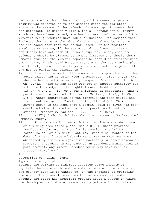had mined coal without the authority of the owner, a general inquiry was directed as to the damages which the plaintiff sustained by reason of the defendant's workings. It seems that the defendant was directly liable for all consequential injury which may have been caused, whether by reason of the rest of the minerals being rendered unworkable or useless. The damages then included the value of the minerals that could not be mined or the increased cost required to work them. But the position should be otherwise, if the state could not have got them or could only have got them at ruinous expense. In any case the defendant should be allowed to remove fixtures and should their removal endanger the mineral deposits he should be credited with their value, which would be consistent with the basic principle that the objective should always be to compensate the plaintiff and not to punish the defendants. $19$ 

17. Ibid. See also for the measure of damages if a miner has acted fairly and honestly Wood v. Morewood, (1841) 3 Q.B. 440, when he has acted inadvertently Ledgon v. Vivian, (1871), 6. Ch. D.742, where he has acted without an express authority but with the knowledge of the rightful owner (Ashton v. Stock, (1877), 6 Ch. D. 719) or under a mistake or expectation that a permit would be granted (Trotter v. Maclean, (1879), 13 Ch. D.574) where abstraction of the minerals has been wilful and fraudulent (Morgan v. Powell, (1842), 11 L.J.Q.B. 263) or having begun in the hope that a permit would be given has been continued after knowledge that such permit would not be granted (Trotter v. Maclean, (1879), 13 Ch. D.574).

18. (1871) 6 Ch. D. 742 See also Livingstone v. Railway Coal Company, supra.

19. This is also in line with the practice where abandonment of a mining area takes place. See s.87 (1) which provides 'subject to the provisions of this section, the holder or former holder of a mining right may, within six months of the date of a certificate of abandonment, remove from any area abandoned by him buildings, fixed machinery or other moveable property, including in the case of an abandoned mining area or part thereof, any mineral product which may have been extracted therefrom.'

138

Categories of Mining Rights

Types of mining rights created

Because the working of minerals requires large amounts of capital, the state would not be able to mine all the minerals in the country even if it wanted to. In the interest of promoting the use of the mineral resources to the maximum desirable extent, the state has therefore brought about a system in which the development of mineral resources by private individuals and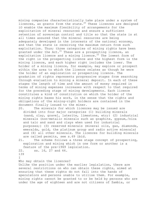mining companies characteristically take place under a system of licences, as grants from the state.<sup>20</sup> These licences are designed iO enable the maximum flexibility of arrangements for the exploitation of mineral resources and ensure a sufficient retention of sovereign control and title so that the state is at all times assured that the mineral resources are being adequately developed in the interests of the national economy, and that the state is receiving the maximum return from such exploitation. Thus; three categories of mining rights have been granted under the Act.<sup>21</sup> These are a prospecting licence, an exploitation licence and a mining licence.<sup>22</sup> The lowest form of the right is the prospecting licence and the highest form is the mining licence, and each higher right includes the lower. The holder of a mining licence, for example, may explore or prospect within the area to which the licence relates as though he were the holder of an exploration or prospecting licence. The gradation of rights represents progressive stages from searching through evaluation to mining a mineral deposit. In each of these stages the length of time and the amount of money required in terms of mining expenses increases with respect to that required for the preceding stage of mining developments. Each licence constituies a kind of constitution on which the holder of the mining rights bases his work, in the sense that the rights and obligations of the mining-right holders are contained in the document finally issued to the miner.

- 20. The minerals for which licences may be issued are divided into four major categories (1) building minerals (sand, clay, gravel, laterite, limestone, etc;) (2) industrial minerals (non-metalic minerals such as graphite, gypsum,/nica and talc and sand and clays when used for industrial purposes;) (3) reserved minerals (mineral oils, gas, diamonds, emeralds, gold, the platinum group and radio active minerals) and (4) all other minerals. The licences for building minerals are called permits, see s.69 ibid.
- 21. The scheme follows a three stage concept of prospecting, exploration and mining which in one form or another is a feature of the pre-1969 legislation.

```
22. ss. 16, 27 and 44.
```
139  $\top$ 

Who may obtain the licences?

Unlike the position under the earlier legislation, there are several restrictions on who can obtain these rights, aimed at ensuring that these rights do not fall into the hands of speculators and persons unable to utilise them. For example, mining rights cannot be granted to or be held by persons who are under the age of eighteen and are not citizens of Zambia, or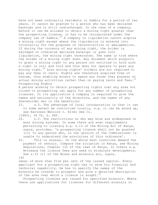have not been ordinarily residents in Zambia for a period of two years. It cannot be granted to a person who has been declared bankrupt and is still undischarged. In the case of a company, before it can be allowed to obtain a mining right greater than the prospecting licence, it has to be incorporated under the company law of Zambia. $^{23}$  A company in liquidation cannot acquire a mining right except where the liquidation is entered into voluntarily for the purposes of reconstruction or amalgamation. If during the currency of any mining right, the holder is adjudged or otherwise declared bankrupt or goes into liquidation, the mining right terminates. The same is true where the holder of a mining right dies. Any document which purports to grant a mining right to any person not entitled to hold such a right is null and void and thus does not operate to pass any mining right.<sup>24</sup> Also mining rights' holders are not required to pay any fees or rents. Rights are therefore acquired free of charge, thus enabling miners to spend any funds they possess on actual mining activities rather than on paying rents and fees. $^{25}$ Prospecting Rights

A person wishing to obtain prospecting rights over any area not closed to prospecting can apply for any number of prospecting licences. In its application a company is required to give the names and nationality of the directors, and the names of any shareholder who is the beneficial

23. s.5. The advantage of local incorporation is that it can to some extent be controlled locally, e.g. it can be wound up, see Baroness Wenlock v. River Dee Co.

(1885), 36 Ch. D. 685.

- 24. s.5. The restrictions on who may mine are widespread in most mining systems. In some there are even requirements pertaining to literacy e.g. s.13 of the Mining Act of Kenya, supra, provides, 'a prospecting licence shall not be granted (ii) to any person who, in the opinion of the Commissioner is unable to understand the provisions of this ordinance'.
- 25. This is unusual. On the whole most countries demand the payment of rentals. Compare the situation in Kenya, see Mining Regulations, Chapter 132 of the laws of Kenya. In others e.g. Botswana the licence fees are used to stimulate developments. See s.33 (1) of the Mines and minerals act, supra.

140

owner of more than five per cent of the issued capital. Every applicant for a prospecting right has to show his financial and technical capability. He has to specify the names of the minerals he intends to prospect and give a detailed description of the area over which a licence is sought. $2^6$ 

Prospecting licences are issued for specified minerals. Where there are applications for licences for different minerals in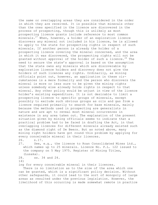the same or overlapping areas they are considered in the order in which they are received. It is possible that minerals other than the ones specified in the licence are discovered in the process of prospecting, though this is unlikely as most prospecting licence grants include reference to most common minerals.<sup>27</sup> When, however, a holder of an exploration licence discovers any mineral not included in his licence, he is allowed to apply to the state for prospecting rights in respect of such minerals. If another person is already the holder of a prospecting licence covering the mineral concerned, and the area in which it was discovered, the prospecting rights will not be granted without approval of the holder of such a licence.<sup>28</sup> The need to secure the state's approval is based on the assumption that the state owns any minerals which are discoverable by exploration licence holders and discovery does not give the holders of such licences any rights. Ordinarily, as mining officials point out, however, an application in these circumstances is a mere formality and the person who discovers the mineral is more or less sure to be given the mining rights unless somebody else already holds rights in respect to that mineral. Any other policy would be unjust in view of the licence holder's existing expenditure. It is not desirable to limit a prospecting licence to specific groups of minerals, except possibly to exclude such obvious groups as oils and gas from a licence required primarily to search for base minerals, mainly because the methods used in prospecting are generalists in nature and are apt to reveal most mineral occurrences in existence in any area taken out. The explanation of the present situation given by mining officials seems to indicate that a practical problem had to be faced in drafting the Act, in that overlapping licences for different minerals already existed such as the diamond right of De Beers. But as noted above, many mining right holders have got round this problem by applying for every conceivable mineral in their licences.

26. s.17.

27. See, e.g., the licence to Roan Consolidated Mines Ltd., which names up to 25 minerals. Licence No. P.L. 122 issued to the company on 5 May 1975. Register of Mining Titles, (Lusaka).

28. ss. 34 and 24.

#### 141

ing for every conceivable mineral in their licences.

There is no limitation as to the size of the area which one can be granted, which is a significant policy decision. Without other safeguards, it could lead to the sort of monopoly of large areas as resulted under the previous legislation. However, the likelihood of this occurring is made somewhat remote in practice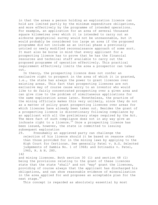in that the areas a person holding an exploration licence can hold are limited partly by the minimum expenditure obligations, and more effectively by the programme of intended operations. For example, an application for an area of several thousand square kilometres over which it is intended to carry out an airborne geophysical survey would not be unreasonable, but it would probably be considered too large an area if the proposed programme did not include as an initial phase a previously untried or newly modified reconnaissance approach of some sort. It must also be borne in mind that every applicant for a prospecting licence has to prove that he has the financial resources and technical staff available to carry out the proposed programme of operation effectively. This practical requirement effectively limits the area a prospector can take out.

In theory, the prospecting licence does not confer an exclusive right to prospect in the area of which it is granted, i.e., the state has always the power to grant licences over existing areas. This fact that prospecting licences are not exclusive may of course cause worry to an investor who would like to do fairly concentrated prospecting over a given area and can give rise to the problem of simultaneous applications for the same exploration areas later. Nonetheless, the practice of the mining officials makes this very unlikely, since they do not as a matter of policy grant prospecting licences over areas for which licences have already been taken out. Besides the grant of a prospecting licence is discretionary following compliance by an applicant with all the preliminary steps required by the Act. The mere fact of such compliance does not in any way give an inchoate right to a licence.<sup>29</sup> Once a prospecting licence has been issued, however, the state is committed to issuing subsequent exploration

29. Presumably an aggrieved party can challenge the rejection of his licence should it be based on reason» other than those provided for in the mining laws by applying to the High Court for Certioran. See generally Patel v. A.G. Selected judgements of Zambia No. 1 of 1968; and Sotinadis v. Patel, 1960, R. A N. 280.

### 142

and mining licences. Both section 30 (1) and section 48 (1) being the provisions relating to the grant of these licences state that the state 'shall' and not 'may' grant the licences, providing of course always that the applicant has discharged his obligations, and can show reasonable evidence of mineralisation in the area applied for and proposes an acceptable plan for the next stage. 30

This concept is regarded as absolutely essential by most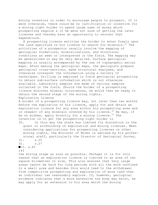mining investors in order to encourage people to prospect. If it were otherwise, there could be no justification or incentive for a mining right holder to spend large sums of money which prospecting require s if he were not sure of getting the later licences and thereby have an opportunity to recover that expenditure.

A prospecting licence entitles the holder to enter freely upon the land specified in his licence to search for minerals.  $31$  The activities of a prospector usually involve the mapping of geological formations, mineralisations, and structural conditions as seen or interpreted in the field. The mapping may be generalised or may be very detailed. Surface geological mapping is usually accompanied by the use of topographic aerial maps. After making the geological maps, the geologists prepare geological cross-sections, make structural analyses, and otherwise interpret the information using a variety of techniques. Drilling is employed in field geological prospecting to obtain sub-surface information which is not otherwise available. Laboratory samples are made of various samples collected in the field. Should the holder of a prospecting licence discover mineral occurrences, he would then be ready to obtain the second stage of the mining rights. Exploration Licence

A holder of a prospecting licence may, not later than two months before the expiration of his licence, apply for and obtain an exploration licence for any area within his prospecting area and in respect of any minerals covered by his licence.<sup>32</sup> He may, if he so wishes, apply directly for a mining licence.<sup>33</sup> The intention is to get the prospecting right holder to

30. In this way the state has limited its discretion in the grant or withholding of exploration and mining licences. When considering applications for prospecting licences or other mining rights, the Minister of Mines is advised by his professional staff, particularly the Director of Geological Survey.

31. s.25 32. s.27

 $\blacktriangleright$ 3. s.45

143

the mining stage as soon as possible. Perhaps it is for this reason that an exploration licence is limited to an area of ten square kilometres in size. This also ensures that very large areas cannot be held for long periods with all the work confined to a small area and besides this would lead to the withdrawal from competitive prospecting and exploration of more land than an individual can reasonably explore. If, however, geological evidence indicates that a more extensive ore body may exist, he may apply for an extension to his area which the mining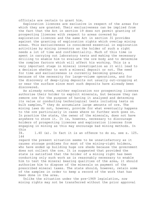officials are certain to grant him.

Exploration licences are exclusive in respect of the areas for which they are granted. Their exclusiveness can be implied from the fact that the Act in section 19 does not permit granting of prospecting licences with respect to areas covered by exploration licences and the same Act in section 31 provides against the granting of exploration rights which overlap mining areas. This exclusiveness is considered essential in exploration activities by mining investors as the holder of such a right needs a lot of time and confidentiality. Much of this time is spent in carrying out laboratory tests and making the necessary drilling to enable him to evaluate the ore body and to determine the complex factors which will affect his working. This is a very important stage in mineral investigation as it will lead to a decision whether to work a mineral deposit or not. The need for time and exclusiveness is currently becoming greater, because of the necessity for large-volume operations, and for the discovery of deep-lying deposits not usually out-cropping at or near the surface since most such deposits have already been discovered.

As already noted, neither exploration nor prospecting licences authorise their holder to exploit minerals, but because they can remove ore for the purpose of having it analysed and determing its value or conducting technological tests including tests on bulk samples, <sup>34</sup> they do accumulate large amounts of ore. The mining laws do not, however, provide for what eventually happens to the ore particularly in cases where no further work goes on. In practice the state, the owner of the minerals, does not have anywhere to store it. It is, however, necessary to discourage holders of prospecting licences and exploration licences from engaging in mining as this may encourage bad mining methods. In this

34. 1.40 (a). In fact it is an offence to do so, see s. 125. 144

regard the present situation seems to be unsatisfactory as it causes storage problems for most of the mining-right holders, who have ended up building huge ore sheds because the government does not collect the ore. It is suggested that provided the state is satisfied that the holder of a mining right has been conducting only such work as is reasonably necessary to enable him to test the mineral bearing qualities of the area, it should authorise him to dispose of the minerals on payment of the prescribed mineral taxes. The state should, however, retain some of the samples in order to keep a record of the work that has been done in the area.

Unlike the situation under the pre-1969 legislation, now mining rights may not be transferred without the prior approval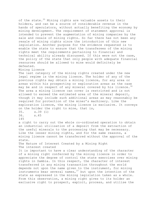of the state.<sup>35</sup> Mining rights are valuable assets to their holders, and can be a source of considerable revenue in the hands of speculators, without actually benefiting the economy by mining development. The requirement of statement approval is intended to prevent the augmentation of mining companies by the sale and resale of mining rights. So far there has not been any resale of mining rights since the introduction of this new legislation. Another purpose for the evidence requested is to enable the state to ensure that the transferees of the mining rights meet the requirements pertaining to financial and technical ability already discussed. If this were not the case, the policy of the state that only people with adequate financial resources should be allowed to mine would definitely be defeated. Mining Licence The last category of the mining rights created under the new legal regime is the mining licence. The holder of any of the previous rights may obtain a mining licence, for any area or areas within his prospecting or exploration areas as the case may be and in respect of any mineral covered by his licence.  $3^{6}$ The area a mining licence can cover is restricted and is not allowed to exceed the estimated area of the mineral deposit, though it may include such additional areas as may reasonably be required for protection of the miner's machinery. Like the exploration licence, the mining licence is exclusive. It conveys on the holder the right to mine, that is, 35. s.39 (1) 36. s.45 145 a right to carry out the whole co-ordinated operation to obtain an industrial utilisation of a deposit from the extraction of the useful minerals to the processing that may be necessary. Like the lesser mining rights, and for the same reasons, a mining licence cannot be transferred without the approval of the state. The Nature of Interest Created by a Mining Right The interest created It is important to have a clear understanding of the character of a mining right conferred by the mining licence in order to appreciate the degree of control the state exercises over mining rights in Zambia. In this respect, the character of interest transferred in any mining transaction throughout the world depends not upon the name given to the instrument, for mining instruments bear several names,  $37$  but upon the intention of the state as expressed in the mining legislation taken as a whole. From this observation, a mining right gives to its holder an exclusive right to prospect, exploit, process, and utilise the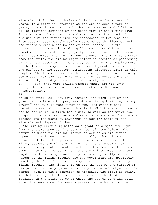minerals within the boundaries of his licence for a term of years. This right is renewable at the end of such a term of years, on condition that the holder has observed and fulfilled all obligations demanded by the state through the mining laws. It is apparent from practice and statute that the grant of exclusive mining rights includes possession of two separate interests or estates: the surface covered by the licence, and the minerals within the bounds of that licence. But the possessory interests in a mining licence do not fall within the standard classification of property interests under the common law. Thus between the mining-right holders and all persons other than the state, the mining-right holder is treated as possessing all the attributes of a free title, so long as the requirements of the law with respect to continued development are satisfied and subject to the statutory limitations discussed later in this chapter. The lands embraced within a mining licence are usually segregated from the public lands and are not susceptible to intrusion by third parties under mining rights en

37. e.g. they were called permits under the pre-1969 legislation and are called leases under the Botswana legislation.

#### 146

tries or otherwise. They are, however, intruded upon by the government officers for purposes of exercising their regulatory powers<sup>38</sup> and by a private owner of the land where mining operations are taking place on his land. With the mining licence the holder of it is given the right, as well as the privilege, to go upon mineralised lands and sever minerals specified in the licence and the power by severence to acquire title to the minerals and dispose of them.

The mining right originates as a grant of a specific right from the state upon compliance with certain conditions. The tenure on which the mining licence holder holds his rights depends entirely on the statute. Generally, there is no consensus between the government and a mining licence holder. First, because the right of mining for and disposal of all minerals is by statute vested in the state. Second, the terms under which the licence is held and their interpretation, the rights and their scope, and obligations reciprocally of the holder of the mining licence and the government are absolutely fixed by the Act. Third, with respect of the land covered by his mining licence, the miner only enjoys the use of the surface of his ground for the purposes subsidiary to the main object of his tenure which is the extraction of minerals. The title is split, in that the legal title to both minerals and the land is retained in the state as owner while the use of land and title after the severence of minerals passes to the holder of the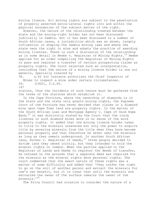mining licence. All mining rights are subject to the penetration of properly asserted extra-lateral rights into and within the physical boundaries of the subject matter of the right.

However, the nature of the relationship created between the state and the mining-right holder has not been discussed judicially in Zambia. But it has been discussed in a number of South African cases, a jurisdiction which was as shown, largely influential in shaping the Zambia mining laws and where the state owns the right to mine and adopts the practice of awarding mining licences. There is such a discussion of the relationship as in some detail in Neebe v. Registrar of Mining Rights.  $39$  Neebe applied for an order compelling the Registrar of Mining Rights to pass and register a transfer of certain prospecting claims as property rights. The Court rejected such an interpretation, concluding that the nature of a mining licence holder is one sui generis, specially created by

38. s.62 for instance authorises the Chief Inspector of Mines to inspect a mine under certain circumstances.

39. (1902), T.S.65.

147

statute, thus the incidents of such tenure must be gathered from the terms of the statutes which establish it.

In the Cape Province, where the ownership of diamonds is in the state and the state only grants mining rights, the Supreme Court of the Province has never decided that claims in a diamond mine upon Cape Town land are property rights. In the matter of the South African Loan and Mortgage Agency v. Cape of Good Hope Bank, $40$  it was distinctly stated by the Court that the claim licences in such diamond mines were in no sense of the word property rights. It added that the mining licence holder takes no title to the minerals unsevered but only the power to acquire title by severing minerals from the title when they have become personal property and that therefore he never owns the minerals as long as they remain underground. In another South African case, Rocher v. Registrar of Deeds,  $41$  three people decided to divide land they owned jointly, but they intended to hold the mineral rights in common. When the parties applied to the Registrar of Lands and Deeds to register the deeds of transfer, he refused on the grounds that a separate deed was required for the minerals as the mineral rights were personal rights. The court commented that the exact nature of these rights was a matter of some difficulty and added that 'they confer the right to go on the soil of another person and extract the minerals for one's own benefit, but it is clear that until the minerals are extracted the owner of the surface remains the owner of the minerals.'<sup>42</sup>

The Privy Council had occasion to consider the nature of a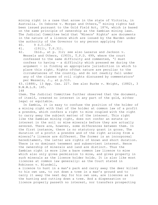mining right in a case that arose in the state of Victoria, in Australia. In Osborne v. Morgan and Others,  $43$  mining rights had been issued pursuant to the Gold Field Act, 1874, which is based on the same principle of ownership as the Zambian mining laws. The Judicial Committee held that 'Miners' Rights' are documents in the nature of a licence which are issued by the Warden under the authority of the Governor to any person applying for

- 40. 9 S.C.182.
- 41. (1911), T.P.311.

42. Ibid., at p. 312; see also Lazarus and Jackson v. Wessels and Others, (1903), T.P.D. 499, where the court confessed to the same difficulty and commented, 'I must confess to having  $-$  a difficulty which pressed me during the argument — in finding an appropriate jurisdiction in which to place this right. Rights ofthat nature are peculiar to the circumstances of the country, and do not readily fall under any of the classes of rcil rights discussed by commentators' per Wessels, J., at p.510.

43. (1888), 13 App. Cas. 227. See also Burke v. Wright, (1882), 3 N.W.W.L.R. 145.

148

them. The Judicial Committee further observed that the document, of itself, created no interest in any part of the gold, either legal or equitable.

In Zambia, it is easy to confuse the position of the holder of a mining right with that of the holder at common law of a profit a prendre, which confers a right to mine coupled with the right to carry away the subject matter of the interest. This right like the Zambian mining right, does not confer an estate or interest in the soil or mine minerals before they are actually severed. There are, however, some differences between them. In the first instance, there is no statutory grant in gross. The duration of a profit a prendre and of the right arising from a mineral's licence are different. The former is an incorporeal hereditament, the latter are rights of known and short duration. There is no dominant tenement and subservient interest. Hence the ownership of minerals and land are distinct. Thus the Zambian right is more like a bare common law licence to mine which also only gives permission to mine, and gives property in such minerals as the licence holder holds. It is also like most licences at common law generally: as the Court stated in Robinson v. Blundell,

a licence to hunt in a man's park and carry away the deer killed to his own use, to cut down a tree in a man's ground and to carry it away the next day for his own use, are licences as to the hunting and cutting down a tree. And a dispensation or licence properly passeth no interest, nor transfers prospecting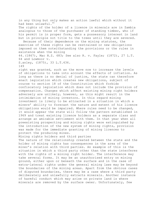in any thing but only makes an action lawful which without it had been unlawful.<sup>44</sup> The rights of the holder of a licence in minerals are in Zambia analogous to those of the purchaser of standing timber, who if his permit is in proper form, gets a possessory interest in land but in principle not title to the trees until they are severed.

Because of their dependence on the mining statutes, the exercise of these rights can be restrained or new obligations imposed on them notwithstanding the provisions or the rules in existence when the mining

44. (1867), Mac N.Z. 683; See also R. v. Fayle; (1872), 27 L.T. 64 and Lowmoor v.

S.anley, (1875), 33 L.T.436. 149

right was granted, such as the move now to increase the levels of obligations to take into account the effects of inflation. As long as there is no denial of justice, the state can therefore enact legislation which creates new obligations, subject of course to section 18 of the Constitution which forbids confiscatory legislation which does not include the provision of compensation. Changes which affect existing mining right holders adversely are unlikely, however, as this might result in the intimidation of mining investors. In this regard mining investment is likely to be attracted in a situation in which a miners' ability to forecast the nature and extent of his licence obligations would be impaired. Where rules need to be changed, it would appear the state will follow the pattern established in 1969 and treat existing licence holders as a separate class and arrange an amicable settlement with them. In that year when all preexisting prospecting and mining rights were extinguished by the introduction of the new system of mining rights, provision was made for the immediate granting of mining licences to protect the producing mines.

Mining rights holders and third parties The nature of the relationship created between the state and the holder of mining rights has consequences in the area of the miner's relation with third parties. An example of this is the situation in which a third party other than the state interferes with the rights of a mining right holder. The interference may take several forms. It may be an unauthorised entry on mining ground, either upon or beneath the surface and in the case of extra-lateral rights under the general mining laws may be beyond the boundaries of the mining areas. Apart from the obvious cases of disputed boundaries, there may be a case where a third party deliberately and unlawfully extracts minerals. Another instance of harmful conduct which may arise on private land is where minerals are removed by the surface owner. Unfortunately, few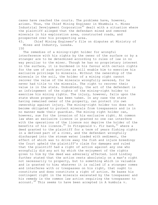cases have reached the courts. The problems have, however, arisen. Thus, the Chief Mining Engineer in Nkumbula v. Mines Industrial Development Corporation<sup>45</sup> dealt with a situation where the plaintiff alleged that the defendant mined and removed minerals in his exploration area, constructed roads, and prospected over his prospecting area.

43. Chief Mining Engineer's file on disputes at Ministry of Mines and Industry, Lusaka.

150

The remedies of a mining-right holder for wrongful interference with his rights by the owner of the surface or by a stranger are to be determined according to rules of law in no way peculiar to the miner. Though he has no proprietary interest in the surface, it is burdened in his favour with certain rights for the use of such portions as will enable him to exercise his exclusive privilege to minerals. Without the ownership of the minerals in the soil, the holder of a mining right cannot recover the value of the minerals wrongfully severed, for he never had title to the minerals. The right to recover their value is in the state. Undoubtedly, the act of the defendant is an infringement of the rights of the mining-right holder to exercise his mining rights. The injury, however, falls upon the state whose property has been taken. In any case the state having remained owner of the property, can protect its own ownership against injury. The mining-right holder too does not become obligated to protect minerals from trespassers and is in no manner made their guardian. The mining right holder can, however, sue for the invasion of his exclusive right. At common law when an exclusive licence is granted no one can interfere with the operations of the licence nor deprive the holder of the benefits of his licence.<sup>46</sup> In Fitzgerald v. Fir bank,<sup>41</sup> where a deed granted to the plaintiff for a term of years fishing rights in a defined part of a river, and the defendant wrongfully discharged into the stream water loaded with sediment, the effect of which was to drive away the fish and injure breeding; the Court upheld the plaintiff's claim for damages and ruled that the plaintiff had a right of action against any one who wrongfully did any act by which the enjoyment of the rights given to him by the deed was adversely affected. Lord Lindley further stated that the action rests absolutely on a man's right not necessarily to property, but to something which is valuable and is granted to him; whatever it is called if a stranger comes and interferes with or trespasses on his right, that ought to constitute and does constitute a right of action. He bases his contingent right in the minerals excavated by the trespasser and his remedy is the common law action requiring the trespasser to account. $48$ <sup>This</sup> seems to have been accepted in A kumbula v.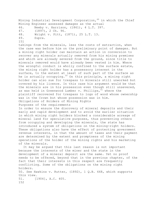```
Mining Industrial Development Corporation, 49 in which the Chief
Mining Engineer assessed damages as the actual
46. Newby v. Harrison, (1861), 4 L.T. 397.
47. (1897), 2 Ch. 96.
48. Wright v. Pitt, (1871), 25 L.T. 13.
49. Supra.
151
```
takings from the minerals, less the costs of extraction, when the case was before him on the preliminary point of damages. But a mining right holder can maintain an action in conversion to recover any minerals actually removed from his mining premises and which are already severed from the ground, since title to minerals removed would have already been vested in him. Where the wrongful conduct is wholly confined to the surface estate, the mining right holder has a possessory interest in the surface, to the extent at least of such part of the surface as he is actually occupying.<sup>50</sup> On this principle, a mining right holder can also sue for trespass to minerals still unworked but covered by his licence. In this case his argument would be that the minerals are in his possession even though still unsevered, as was held in Greenwood Lumber v. Phillips,  $51$  where the plaintiff recovered for trespass to logs of wood whose ownership was in the Crown but whose possession was in him. Obligations of Holders of Mining Rights Purposes of the requirements

In order to ensure the discovery of mineral deposits and their early and rapid development and to avoid the earlier situation in which mining right holders blocked a considerable acreage of mineral land for speculative purposes, thus preventing others from occupying and developing the minerals, the state has introduced a system of obligations on the mining-right holders. These obligations also have the effect of protecting government revenue interests, in that the amount of taxes and their payment are determined by the extent and promptness of the mining operations of the holder of the mining rights and his marketing of the minerals.

It may be argued that this last reason is not important because the interests of the miner and the state in the development of a mineral deposit are the same. Yet no proof needs to be offered, beyond that in the previous chapter, of the fact that their interests in this respect are frequently conflicting. Some of the obligations on the mining right holders. 50. See Hawkins v. Rutter, (1892), 1 Q.B. 668, which supports this view. 51. [1904], A.C. 405. 152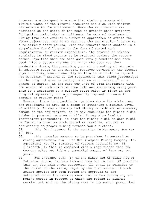however, are designed to ensure that mining proceeds with minimum waste of the mineral resources and also with minimum disturbance to the environment. Here the requirements are justified on the basis of the need to protect state property. Obligations calculated to influence the rate of development Mining laws have evolved a number of approaches to attain the above objectives. One is to restrict the exploration licence to a relatively short period, with few renewals while another is a stipulation for diligence in the form of stated work requirements, or minimum expenditure. The payment of advance royalties in fixed amounts to be credited against the state's earned royalties when the mine goes into production has been used. Also a system whereby any miner who does not show production during the preceding year of a quantity of minerals in adequate ratio to the mineral reserves covered by the licence pays a surtax, doubled annually as long as he fails to exploit his minerals.<sup>52</sup> Another is the requirement that fixed percentages of the original area be relinquished on each renewal,  $53$  or a charge of surtax, at the rate per unit of area increasing with the number of such units of area held and increasing every year. This is a reference to a sliding scale which is fixed in the original agreement, not a subsequently imposed increase in rentals or royalty rates.<sup>54</sup>

However, there is a particular problem where the state uses the withdrawal of area as a means of attaining a minimum level of activity. It may encourage bad mining methods and unnecessary damage to the environment, as it may encourage the mining right holder to prospect or mine quickly. It may also lead to inefficient prospecting, in that the mining-right holders might be forced to cover as much ground as possible, and not as efficiently as proper mining methods would dictate. 52. This for instance is the position in Paraguay, See Law 16; 066.

- 53. This practice appears to be prevalent in Australian mining agreements, e.g. Iron Ore (Dampier Mining Company Ltd. Agreement) No. 78, Statutes of Western Australia No. 18, Elizabeth II. This is combined with a requirement that the Company makes available a specified amount of iron ore per year.
- 54. For instance s.33 (1) of the Mines and Minerals Act of Botswana, Supra, imposes licence fees but in s.33 (2) provides that any fee paid under subsection (1) shall be refunded to the holder of the mining right by the Commissioner if such holder applies for such refund and approves to the satisfaction of the Commissioner that he has during any six months period in respect of which the refund is claimed carried out work on the mining area in the amount prescribed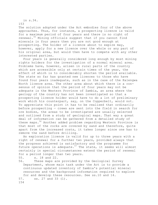in s.34.

153

The solution adopted under the Act embodies four of the above approaches. Thus, for instance, a prospecting licence is valid for a maximum period of four years and there is no right of renewal. $55$  Mining officials suggest that if you cannot find minerals in four years then you are not good enough at prospecting. The holder of a licence about to expire may, however, apply for a new licence over the whole or any part of his original area, but would then have to compete with any other interested parties.

Four years is generally considered long enough by most mining rights holders for the investigation of a normal mineral area. Problems have, however, arisen in rural parts of the country which are accessible only at certain times of the year, the effect of which is to considerably shorten the period available. The state so far has granted new licences to those who have found four years inadequate, such as in the case of the Kalengwa North licence area. The other area about which there is a consensus of opinion that the period of four years may not be adequate is the Western Province of Zambia, an area where the geology of the country has not been investigated so that a prospecting licence holder would have to do a lot of preliminary work which his counterpart, say, on the Copperbelt, would not. To appreciate this point it has to be realised that ordinarily before prospecting — crews are sent into the field in search for ore bodies, the areas to be investigated are usually selected and outlined from a study of geological maps. That way a great deal of information can be gathered from a detailed study of these maps.<sup>56</sup> Another added problem regarding Western Province is that most of the rocks are covered by sand and therefore, quite apart from the increased costs, it takes longer since one has to remove the sand before drilling.

An exploration licence is valid for up to three years with a right of renewal for a further two years, provided always that the progress achieved is satisfactory and the programme for future operations is adequate.<sup>57</sup> The state, it seems will almost certainly in special circumstances extend the period of renewal for a period longer than two years.

55. s. 18 and 22.

56. These maps are provided by the Geological Survey Department, whose main task under the Act is to provide a continuous updated inventory of Zambia's potential mineral resources and the background information required to explore for and develop these resources. See ss.10 and 14.

57. ss. 27 and 33 (1). 154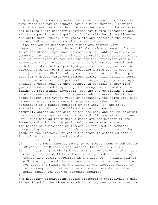A mining licence is granted for a maximum period of twentyfive years and may be renewed for a similar period, <sup>58</sup> provided that the miner can show that ore reserves remain to be exploited and submits a satisfactory programme for future operations and minimum expenditure obligations. So far all the mining licences are still under twenty-five years old and therefore the state has not had occasion to consider their renewal.

The periods of which mining rights are gtanted vary tremendously throughout the world<sup>59</sup> although the length of time is of the utmost importance to most mining-right holders. To be economically justifiable a mineral deposit's prospective profits must be sufficient to pay back the capital investment within a reasonable time, in addition to the normal rewards associated with the risk, and this partly depends on how long one will be allowed to mine. Opening and developing a mine is, at best, a costly business. Shaft sinking costs something like K1,000 per foot for a modest three-compartment shaft, while drilling costs run to the order of K200 per foot. Consequently, any mine layout entails a great deal of expenditure. In general, twenty-five years is considered long enough to recoup one's investment in mining by most mining investors. Opening and developing a mine takes an average of about five years, which leaves the mining right holder with twenty years of operation. The state will also renew a mining licence once it expires, as under on his operations in a manner required by the Act.<sup>60</sup> In the final analysis, in practice the life of a mining licence will naturally depend on the size of the ore-body and on its physical characteristics such as its quality and will normally continue until such time as the mimerals which are the subject of the licence and which can be profitably mined are exhausted. The holder of a prospecting licence is required to commence prospecting operations within three months of the date of the issue of the licence. But where the state is satisfied that an initial period is required to make

58. s.Sl (1)

59. The most generous seems to be Sierra Leone which grants 99 years. See Minerals Regulations, Chapter 196, s.31.

60. s.Sl (1) reads 'Subject to the provisions of this Act a mining licence shall be valid for the period, not exceeding twenty five years, specified in the licence'. A fixed term of a Mining right would be bad business for the mining investor. For about the middle of the right if the investor wanted to raise money for investment, he would not be able to issue bonds easily for lack of adequate security.

155

(he necessary preparations before prospecting operations, a date is specified in the licence which in no way can be more than six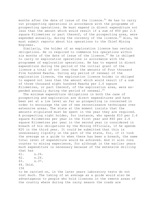months after the date of issue of the licence.  $61$  He has to carry out prospecting operations in accordance with the programme of prospecting operations. He must expend in direct expenditure not less than the amount which would result if a sum of K50 per 2.6 square Kilometres or part thereof, of the prospecting area, were expended annually, during the currency of the licence.<sup>62</sup> Also, he must submit reports about his operations to the Chief Mining Engineer.

Similarly, the holder of an exploration licence has certain obligations. He is required to commence his operations within six months of the date of issue of the licence.<sup>63</sup> He is obliged to carry on exploration operations in accordance with the programme of exploration operations. He has to expend in direct expenditure during the period of the initial grant of the licence a total of not less than the amounts of Four thousand Five hundred Kwacha. During any period of renewal of the exploration licence, the exploration licence holder is obliged to expend not less than the amount which would result if a sum of three thousand eight hundred Kwacha per 2.6 sqaure Kilometres, or part thereof, of the exploration area, were expended annually during the period of renewal.  $64$ 

The minimum expenditure obligations in both the case of prospecting and exploration are direct expenditures and have been set at a low level as far as prospecting is concerned in order to encourage the use of new reconnissance techniques over extensive areas. The state at the moment insists that the amounts stipulated must be spent in the year they are required. A prospecting right holder, for instance, who spends K10 per 2.6 square Kilometres per year in the first year and K60 per 2.6 square Kilometres per year in the second year is considered in breach of his obligations by the Mining Officials, if he spends K20 in the third year. It could be submitted that this is unnecessary rigidity on the part of the state, for, if it took the average as a guide to when there has been a breach, the same total level of expenditure would be achieved. And it also runs counter to mining experience, for although in the earlier years much expenditure is necessary because of the extensive drilling that has

61. s.26. 62. s.26. 63. s.37. 64. Ibid. 156

to be carried on, in the later years laboratory tests do not cost much. The taking of an average as a guide would also be advantageous to people who hold licences in the remote areas of the country where during the rainy season the roads are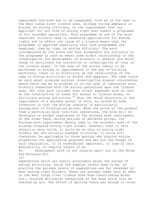impassable and work has to be suspended, such as is the case in the West Lunga river licence area. Already strong emphasis is placed, by mining officials, on the requirement that any applicant for any form of mining right must submit a programme of his intended operations. This programme is one of the more important criteria used in assessing applications for mining rights and in effect the issue of a licence means that the programme is approved especially that such programmes are examined, item by item, by mining officials. The work contemplated by the state and thus acceptable for inclusion in the programme is such as bears some direct relationship to the investigation and development of minerals in general and which tends to facilitate the extraction or investigation of ores in the licence areas. In the case of the actual labour to be performed in mining or improvements in the way of hoisting machinery, there is no difficulty as the relationship of the same to mining activities is direct and apparent. The same could be said about airborne surveys investigating mineral occurrences where there can be no problem or in the case of laboratory work directly connected with the mining operations upon the licence area. But such work includes less direct expenses such as that on the construction of roads for access to licence areas, to facilitate mining activities. $65$  Thus the chief objection to the requirement of a minimum amount of work, as raised by some investors is that the mining industry is particularly susceptible to fluctuating prices. When the price of the product from a particular mine justifies operations, the mine will be developed or worked regardless of the minimum work requirement. On the other hand, during periods of deflated prices, the minimum work requirement merely adds to the economic woes of the already troubled mining right holder. However, even if this objection were valid, it would be so only to mining right holders who are actually engaged in mining. It would not, therefore, be applicable to those persons who acquire mining properties for speculative purposes and who are the target of this legislation. It is nonetheless important, in view of this possibility, to require levels of ex

65. Development work is not clearly spelt out in the Mines and Minerals Act.

157

expenditure which are easily attainable given the nature of mining activities, which the Zambian levels seem to be. In practice the minimum levels of expenditure are far exceeded by most mining right holders. There are extreme cases such as when in the West Lunga river licence area Roan Consolidated Mines Ltd., mounted helicopter operations as the area could only be reached by air. The effort of getting there was enough to cover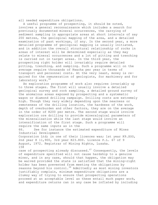all needed expenditure obligations.

A useful programme of prospecting, it should be noted, involves a general reconnaissance which includes a search for previously documented mineral occurrences, the carrying of sediment sampling in appropriate areas at short intervals of say 200 metres, the geological mapping of the area, and a detailed examination of past workings, if any. In the second year, a more detailed programme of geological mapping is usually initiated, and in addition the overall structural relationship of rocks in areas of interest will be determined especially as they may relate to mineral occurrences and a lot of pitting and trenching is carried out in target areas. In the third year, the prospecting right holder will invariably require detailed pitting, trenching, and sampling. Such a programme will on the average require thousands of Kwacha per year in terms of transport and personnel costs. At the very least, money is required for the remuneration of geologists, for machinery and for laboratory work.<sup>66</sup>

An exploration programme of work also requires invariably up to three stages. The first will usually involve a detailed geological survey and rock sampling, a detailed ground survey of the anomalous areas exposed by prospecting and a systematic wagon or diamond drilling campaign. Drilling costs are extremely high. Though they vary widely depending upon the nearness or remoteness of the drilling location, the hardness of the work, depth of overburden and other factors, they are on the average in the order of K200 per metre. The second stage would involve exploration ore drilling to provide mineralogical parameters of the mineralisation while the last stage would involve an intensification of the first stage. Such a programme will require the same inputs as in the 66. See for instance the estimated expenditure of Mines Industrial Development Corporation Ltd; in one of their licences was; 1st year K9.SOO, 2nd year K 11,900, 3rd year K23.800. Licence P.L. 67 of 9 August, 1972. Registrar of Mining Rights, Lusaka. 158 case of prospecting already discussed.<sup>67</sup> Consequently, the levels of expenditure specified will not cause hardship to a genuine miner, and in any case, should that happen, the obligation may be waived provided the state is satisfied that the mining-right holder has been prevented from meeting the obligations by reasons beyond his control.<sup>68</sup> Admittedly as most mining investors justifiably complain, minimum expenditure obligations are a clumsy way of trying to ensure that prospecting operations proceed at an acceptable level as these entail much paper work, and expenditure returns can in any case be inflated by including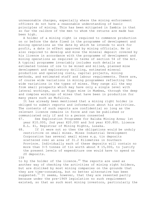unreasonable charges, especially where the mining enforcement officers do not have a reasonable understanding of basic principles of mining. This has been mitigated in Zambia in that so far the calibre of the men to whom the returns are made has been high.

A holder of a mining right is required to commence production on or before the date fixed in the programme of development and mining operations as the date by which he intends to work for profit, a date in effect approved by mining officials. He is also required to develop and mine the mineral deposit covered by his licence in accordance with the programme of development and mining operations as required in terms of section 54 of the Act. A typical programme invariably includes such details as estimated tonnes of ore to be mined and milled, planned mine development and exploratory drilling, estimated mineral production and operating costs, capital projects, mining methods, and estimated staff and labour requirements. There are, of course wide variations in mining programmes reflecting the wide variations in the types of mines. They range all the way from small prospects which may have only a single level with lateral workings, such as Hippo mine in Mumbwa, through the deep and complex workings of mines that have been in production for many years such as Mufulira.

It has already been mentioned that a mining right holder is obliged to submit reports and information about his activities. The contents of such reports are confidential so long as the relevant licence remains in force and can be published or communicated only if and to a person consented

67. See Exploration Programme for Baluba Mining Area; 1st year K10.000, 2nd year K20.000 and 3rd year K30.800. Licence E.L. 41, Registrar of Mining Rights, Lusaka.

68. If it were not so then the obligations would be unduly restrictive on small mines. Mines Industrial Development Corporation has several small mines e.g. tin deposits scattered over an area of 31.2 Kilometres in Southern Province. Individually each of these deposits will contain no more than 3-5 tonnes of tin worth about K 15,000, to justify the present levels of expenditure one would have to spend on 20 deposits.

#### 159

to by the holder of the licence. $69$  The reports are used as another way of checking the activities of mining right holders, but are disliked by most mining companies on the grounds that they are time-consuming, but no better alternative has been suggested.<sup>70</sup> It seems, however, that they are resented partly because under the pre-1969 legislation no such requirement existed, so that as such most mining investors, particularly the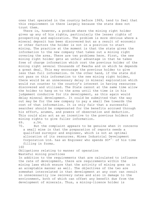ones that operated in the country before 1969, tend to feel that this requirement is there largely because the state does not trust them.

There is, however, a problem where the mining right holder gives up any of his rights, particularly the lesser rights of prospecting and exploration. The problem is more obvious where a mineral deposit has been discovered but as a result of economic or other factors the holder is not in a position to start mining. The practice at the moment is that the state gives the information to the new company that takes out a mining right covering the area. There are two problems here. First, the new mining right holder gets an unfair advantage in that he takes free of charge information which cost the previous holder of the mining right several thousands of Kwacha and on which he depends a great deal. This may encourage the previous holder to give less than full information. On the other hand, if the state did not pass on this information to the new mining right holder, there would be an unnecessary delay in mineral exploration which would run counter to the country's interest in having resources discovered and utilised. The State cannot at the same time allow the holder to hang on to the area until the time is in his judgement conducive for its development, as this again would delay mineral development. It could be submitted that the way out may be for the new company to pay a small fee towards the cost of that information. It is only fair that a successful searcher should be compensated for the benefits accrued through his effort, acumen, and powers of observation and deduction. This could also act as an incentive to the previous holders of mining rights to give fuller information. 69. s.54.

70. But the complaint appears to be genuine when it concerns a small mine in that the preparation of reports needs a qualified surveyor and engineer, which is not an optimal allocation of its resources. Mines Industrial Development Corporation Ltd. has an Engineer who spends  $SO^{\star 7}$  of his time filling in forms.

160

Obligations relating to manner of operation Wasteful mining practices

In addition to the requirements that are calculated to influence the rate of development, there are requirements within the mining laws which ensure that the activity of mining goes on in an acceptable manner as well. The objectives of the two are somewhat interrelated in that development at any cost can result in unnecessarily low recovery rates and also in damage to the environment, both of which can offset any benefit due from the development of minerals. Thus, a mining-licence holder is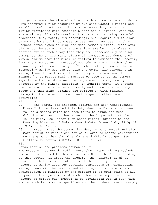obliged to work the mineral subject to his licence in accordance with accepted mining standards by avoiding wasteful mining and metallurgical practices.<sup>71</sup> It is an express duty to conduct mining operations with reasonable care and diligence. When the state mining officials consider that a miner is using wasteful practices, they notify him accordingly and require him to show cause why he should not cease to use such practices. In this respect three types of disputes most commonly arise. These are: claims by the state that the operations are being carelessly carried out in such a way that they are unnecessarily causing damage to the environment; claims of premature abandonment of mines; claims that the miner is failing to maximise the recovery from the mine by using outdated methods of mining rather than advanced production techniques.<sup>72</sup> Such an obligation on the miner respecting mining methods is like the common law convenant in mining lease to work minerals in a proper and workmanlike manner.<sup>73</sup> That proper mining methods be used is of the utmost importance to the state and the requirement is vigorously enforced by the mining officials. In benefit terms, it ensures that minerals are mined economically and at maximum recovery rates and that mine workings are carried on with minimum disruption to the en- viroment and danger to other human activities.

71. s. 55.

72. The state, for instance claimed the Roan Consolidated Mines Ltd. had breached this duty when the Company continued to use a method which had been found to cause too much dilution of ores in other mines on the Copperbelt, at the Baluba mine. See letter from Chief Mining Engineer to the Managing Director of Rokana Consolidated Mines Ltd., 19 April, 1974, File No. 17.

73. Except that the common law duty is contractual and also more strict as miners can not be allowed to escape performance on the ground that the minerals are difficult to get. See Clifford v. Watts, (1879), L.R. 5 C.P. 577.

## 161

Consolidation and problems common to it

The state's interest in making sure that proper mining methods are used is carried further in section 87 of the Act. According to this section if after the inquiry, the Minister of Mines considers that the best interests of the country or of the holders of mining licences covering contiguous or neighbouring mining areas will be best served with regard to the economic exploitation of minerals by the merging or co-ordination of all or part of the operations of such holders, he may direct the holders to effect such merger or co-ordination within such time and on such terms as he specifies and the holders have to comply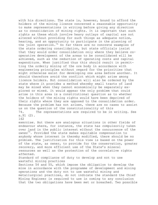with his directions. The state is, however, bound to afford the holders of the mining licence concerned a reasonable opportunity to make representations in writing before giving any direction as to consolidation of mining rights. It is important that such rights as these which involve heavy outlays of capital are not altered without providing for such things as adequate notice, hearing, and an opportunity to participate in the planning of the joint operation.<sup>74</sup> So far there are no concrete examples of the state ordering consolidation, but state officials insist that they would order consolidation only where they believe cooperative development of the areas to be consolidated will be achieved, such as the reduction of operating costs and capital expenditure. When justified thus this should result in permitting the orderly mining of the ore body in accordance with engineering principles without regard for the priorities that might otherwise exist for developing one area before another. It should therefore avoid the conflict which might arise among licence holders. But consolidation will also be ordered by the state where it provides a method whereby small tracts of land may be mined when they cannot economically be separately explored or mined. It would appear the only problem that could arise in this area is a constitutional question as to whether the holders of the mining rights would have been deprived of their rights where they are opposed to the consolidation order. Because the problem has not arisen, there are no cases to assist us on the question of the constitutionality of this 74. The representations are required to be in writing. See s.91 (2). 162 exercise. But there are analogous situations in other fields of endeavour where, for instance, the state has compulsorily taken over land in the public interest without the concurrence of the owner<sup>75</sup>. Provided the state makes equitable compensation to anybody whose interest is thereby modified, there should be no problem. The justification for this view is based on the power of the state, as owner, to provide for the conservation, greater recovery, and more efficient use of the State's mineral resources as well as the protection of the correlative rights affected.

Standard of compliance of duty to develop and not to use wasteful mining practices

Sections 54 and 55, which impose the obligation to develop the mine in accordance with the programme of development and mining operations and the duty not to use wasteful mining and metallurgical practices, do not indicate the standard the Chief Mining Engineer is required to use in coming to any conclusion that the two obligations have been met or breached. Two possible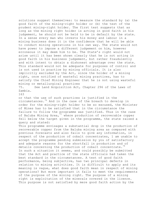solutions suggest themselves: to measure the standard by (a) the good faith of the mining-right holder or (b) the test of the prudent mining-right holder. The first test suggests that as long as the mining right holder is acting in good faith in his judgement, he should not be held to be in default by the state. In a sense every man who invests his money and labour in a mining business does it in the confidence that he will be able to conduct mining operations in his own way. The state would not have power to impose a different judgement on him, however erroneous it may deem him to be. The State's right would not arise until it has been shown clearly that he is not acting in good faith in his business judgement, but rather fraudulently and with intent to obtain a dishonest advantage over the state. This standard would not be adequate for purposes of control and is not used in practice by mining officials. It is also implicitly excluded by the Act, since the holder of a mining right, once notified of wasteful mining practices, has to satisfy the Chief Mining Engineer that he is not using wasteful mining or metallurgical practices

75. See Land Acquisition Act, Chapter 296 of the Laws of Zambia.

163

or that the use of such practices is justified in the circumstances.<sup>76</sup> And in the case of the breach to develop in order for the mining-right holder to be so excused, the Minister of Mines has to be satisfied that in the circumstance the failure to follow the programme was justified. Thus in the case of Baluba Mining Area,  $77$  where production of recoverable copper fell below the target given in the programme, the state raised a query and stated:

This programme envisages a substantial drop in the production of recoverable copper from the Baluba mining area as compared with previous forecasts and also fails to give any information, in respect of the production of cobalt concentrates, 1 am unable to accept the programme pending submission by you of satisfactory and adequate reasons for the shortfall in production and of details concerning the production of cobalt concentrate.<sup>78</sup> In such a situation it seems, and could possibly be submitted that the Act and practice of the state officials had taken the best standard in the circumstances. A test of good faith performance, being subjective, has two principal defects in relation to mining activities. It is difficult to apply and its meaning is vague, what does good faith mean in respect of mining operations? But more important it fails to meet the requirements of the purpose of the mining right. The purpose of a mining right is exploitation of the minerals covered in the licence. This purpose is not satisfied by mere good faith action by the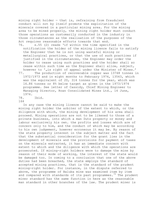mining right holder — that is, refraining from fraudulent conduct will not by itself promote the exploitation of the minerals covered in a particular mining area. For the mining area to be mined properly, the mining right holder must conduct those operations as customarily conducted in the industry in those circumstances as the realisation of the purposes of the Act requires reasonable efforts towards that end.

76. s.55 (2) reads 'if within the time specified in the notification the holder of the mining licence fails to satisfy the Engineer that he is not using wasteful mining or metallurgical practices, or that the use of such practices if justified in the circumstances, the Engineer may order the holder to cease using such practices and the holder shall so cease within such time as the Engineer shall allow, subject, however to '"is right of appeal under the Minister of Mines.' 77. The production of recoverable copper was 13748 tonnes in 1972/1973 and in eight months to February 1974, 13543, which was the equivalent of 20, 314 tonnes for the year, which was 16.86 tonnes or 8% below target as given in the 1973/1974 programme. See letter of Cassidy, Chief Mining Engineer to Managing Director, Roan Consolidated Mines Ltd., 14 June,

1974. 78. Ibid.

164

In any case the mining licence cannot be said to make the mining right holder the arbiter of the extent to which, or the diligence with which, the mining development of his area shall proceed. Mining operations are not to be likened to those of a private business, into which a man Duts property or money and labour exclusively his own. the profits and losses which are of concern only to him, and the conduct of which may be according to his own judgement, however erroneous it may be. By reason of the state property interest in the subject matter and the fact that the substantial consideration for the grant lies in the development of minerals and the provisions for payment of taxes on the minerals extracted, it has an immediate concern with extent to which and the diligence with which the operations are prosecuted. If mining-right holders were to damage the mine by reason of their mode of working, the interest of the state would be damaged too. In coming to a conclusion that one of the above duties had been breached, the state employs the standard of accepted mining practices, that is the standard of the prudent mining-right holder. For instance, in the dispute referred to above, the programme of Baluba mine was examined item by item and compared with standards of its past programmes.<sup>79</sup> The prudent miner standard has the same function in here as the reasonable man standard in other branches of the law. The prudent miner is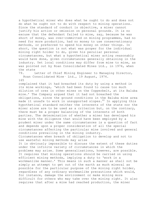a hypothetical miner who does what he ought to do and does not do what he ought not to do with respect to mining operations. Since the standard of conduct is objective, a miner cannot justify his action or omission on personal grounds. It is no excuse that the defendant failed to mine, say, because he was short of money, was over-committed on mining programmes, had no need for more production, had no money to use conservationary methods, or preferred to spend his money on other things. In short, the question is not what was proper for the individual mining right holder to do, given his peculiar personal circumstances, but what a hypothetical miner acting reasonably would have done, given circumstances generally obtaining in the industry. Yet local conditions may differ from mine to mine, as was pointed out by Roan Consolidated Mines Ltd., in 1974, when the state

79. Letter of Chief Mining Engineer to Managing Director, Roan Consolidated Mine· Ltd., 19 August, 1974. 165

complained that it had breached its duty by using a method in its mine workings, 'which had been found to cause too much dilution of ores in other mines on the Copperbelt, at its Baluba mine.' The Company argued that it had not breached the obligations, since the ground conditions in the Baluba mine area made it unsafe to work in unsupported slopes.  $80$  In applying this hypothetical standard neither the interests of the state nor the miner alone are to be used as a criterion but, on the contrary, there must be a proper balancing of the interests of both parties. The determination of whether a miner has developed his mine with the diligence that would have been employed by a prudent miner under the same circumstances is a question of fact and depends upon a proper consideration of all the special circumstances affecting the particular mine involved and general conditions prevailing in the mining industry.

Circumstances when breach of obligation to develop and not to use wasteful mining methods may arise

It is obviously impossible to discuss the extent of these duties under the infinite variety of circumstances in which the problems may arise. Some generalisations, however, are possible. It requires that mining operations should be carried on using efficient mining methods, implying a duty to 'work in a workmanlike manner.' This means in such a manner as shall not be simply an attempt to get out of the earth as much mineral as possible for the particular purpose of the mining right holder, regardless of any ordinary workmanlike precautions which would, for instance, damage the environment or make mining more difficult for others who may take over the mining right. It also requires that after a mine had reached production, the miner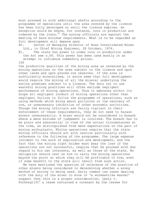must proceed to sink additional shafts according to the programme of operations until the area covered by the licence has been fully developed or until the licence expires. An exception would be where, for instance, cuts in production are ordered by the jtate. $81$  The mining officials are against the meeting of bare minimum requirements. What is to be regarded as full development will depend upon

80. Letter of Managing Director of Roan Consolidated Mines Ltd., to Chief Mining Engineer, 28 October, 1974.

81. The state has power to order cuts in production under the Act see s.56. This power has been used mostly in an attempt to influence commodity prices.

## 166

the productive qualities of the mining area as revealed by the mining operations on the area subject to the licence and upon other lands and upon proved ore reserves. If the area is sufficiently mineralised, it would seem that full development would require the mining of all the mineral underlying the entire premises subject to a licence. The duty not to use wasteful mining practices will often exclude negligent performance of mining operations. Thus it embraces within its scope all negligent conduct of mining operations other than negligent failure to follow the programme of operations, such as using methods which bring about pollution or low recovery of ore, or unnecessary inhibition of other economic activities. Though the mining officials are fairly vigilant in their enforcement of these requirements, they do not seem to harass miners unnecessarily. A miner would not be considered in breach where a mere mistake of judgement is involved. The breach has to be plain and substantial in view of the actual circumstances at the time, as distinguished from mere expectations on the part of mining enthusiasts. Mining operations require that the state mining officials should act with caution particularly with reference to the following of the programme. The large expense incident to the work of exploration and development, and the fact that the mining right holder must bear the loss if the operations are not successful, require that he proceed with due regard to his own interests, as well as those of the state. No obligation should rest on him to carry the mining operations beyond the point at which they will be profitable to him, even if some benefit to the state will result from such action.

We have mentioned the question of relevance of the practice of other miners being considered in determining whether a wrong method of mining is being used. Early common law cases dealing with the duty of the miner to mine in 'a workmanlike manner' suggest that this is a proper consideration. Lewis v. Fothergilft<sup>2</sup> a lease contained a covenant by the lessee for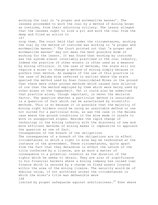working the coal in 'a proper and workmanlike manner'. The lessees proceeded to work the coal by a method of mining known as instroke, from their adjoining colliery. The lessor alleged that the lessees ought to sink a pit and work the coal from the deep and filed an action to 167

stop them. The court held that under the circumstances, working the coal by the method of instroke was working in 'a proper and workmanlike manner.' The Court pointed out that 'a proper and workmanlike manner' may not mean the best possible mode of working for the lessor. It was found that working by instroke was the system almost invariably practised in the coal industry. Indeed the practice of other miners is often used as a measure by mining officials. In the case of methods, the state will not require a miner to change a method of mining simply because it prefers that method. An example of the use of this practice is the case of Baluba mine referred to earlier where the state queried the method used by Roan Consolidated Mines on the ground that there were other proven methods which caused less dilution of ore than the method employed by them which were being used by other mines on the Copperbelt. Yet it could also be submitted that practice alone, though important, is never the decisive factor. The question whether a particular method is unsuitable is a question of fact which can be ascertained by scientific methods. This is so because it is possible that the majority of mining right holders could be using an unsuitable method or one not suited for a particular mine, as was the case in the Baluba case where the ground conditions in the mine made it unsafe to work in unsupported slopes. Besides the rapid change of technology in the mining industry with the discovery of new and more efficient methods of mining makes it imperative to approach the question as one of fact. Consequences of the breach of the obligations The consequences of a breach of the obligations are in effect circumstances in which a right to mine may be terminated at the instance of the government. These circumstances, quite apart from the fact that they determine in effect the nature of the title conferred by a licence, are as much a matter of

consequence to a potential investor as the duration of the rights which he seeks to obtain. They are also of significance to his financial backers where a mining company has raised loan finance which is secured by a charge on fixed assets located within the area of the mining licence. The security would be of dubious value, if not worthless unless the circumstances in which the miner's title was defeasible were 168

limited by proper safeguards against arbitrariness. 83 Even where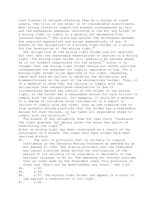loan finance is secured otherwise than by a charge on fixed assets, the title of the miner is of considerable significance. Most mining investors regard the present consequences as fair and the safeguards adequate. According to the Act any holder of a mining right is liable to a penalty not exceeding five thousand Kwacha. $84$  The state may recover the difference between the required expenditure and actual expenditure, if any. A breach of the obligations of a mining right holder is a ground for the termination of the mining right.  $85$ 

The obligations on the mining right holder are not absolute but rest upon the reasonable expectations of parties to a mining right. The mining-right holder will generally be excused where he is not himself responsible for the breach,  $86$  since it is thought that the mining right holder should not suffer punitive consequences for breaches not legally imputable to him. For a mining-right holder to be deprived of his right, therefore, there must both be failure to abide by the obligations and blameworthiness on the part of the mining-right holder. Thus, it is a defence to show that the failure to comply with the obligations that necessitated termination is due to circumstances beyond the control of the holder of the mining right, or the holder has a reasonable excuse for such failure to comply with the obligation. For example, it would be a defence to a charge of including false information in a report of failure to comply with any order, such as one ordering him to stop wasteful mining practices that the holder has a reasonable excuse for such failure, or has taken all reasonable steps to comply with the direction. 87

The breach of any obligation does not ipso facto 'terminate the right granted, but merely gives the state the option of terminating the right.  $88$ 

Sofar no mining right has been terminated as a result of the occurrence of a breach. The cases that have arisen have been resolved without

83. The sort of provision that is unlikely to inspire confidence is the Tanzania Mining Ordinance as amended by an Act passed in 1969. The statute provides that the President may cancel a mining lease during the continuation of the period of its validity if he considers it desirable in the national interest to do so. The amending Act further provides that an order made by the President under this provision is final and 'shall not be questionedin any court'. See s.65.

84. s.92.

85. s.94.

86. s.91. The mining right holder can appeal to a court of law against a termination of his right.

87. s.96.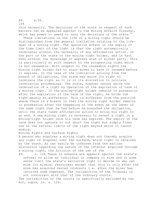88. s.93.

169

this necessity. The decisions of the state in respect of such matters can be appealed against to the Mining Affairs Tribunal, which has power to amend or vary the decisions of the state.  $89$ 

These limitations on the life of a mining right should be distinguished from the general limitation relating to the lifespan of a mining right. The operative effect of the expiry of the time limit of the light is that the right automatically terminates without the necessity of any affirmative actior. on the part of the state or the mining right holder, and in fact even without the knowledge or express wish of either party. This is particularly so with respect to the prospecting right which is not renewable. With respect to the renewable rights the mining right holder has to start moves to have it renewed before it expires. In the case of the limitation arising from the breach of obligations, the state may waive its right to terminate the right as it is in its discretion to initiate termination proceedings. The state, however cannot waive the termination of a right by operation of the expiration of term of a mining right. If the mining-right holder remains in possession after the expiration of the term of the right, he holds the right merely at sufferance. This is different from the position where there is a breach in that the mining right holder remains in possession after the happening of the event as the owner of the same right that he had before he breached the obligation, until the state takes affirmative action to bring his right to an end. A new mining right is necessary to revest a right in a mining-right holder once his term has expired. The expiry of the term does not operate to cut short the right but simply fixes one of the natural limits of the right beyond which it cannot endure.

## Mining Rights and Surface Rights

A person who acquires a mining right does not thereby acquire any right of disposal over the surface, which right is retained by the state. As can easily be inferred from the earlier discussion regarding the nature of the interest acquired through a mining right, the division of the use of the

89. s. 126 These in essence are appeals against the state's refusal to allow an individual or company to mine and in some sense limit the state's exclusive right to decide on who can mine its mineral resources; except thai this is only after the mine has acquired vested interests i.e. after the miner has incurred some expenses. The jurisdiction of the Tribunal is not concurrent with that of the ordinary courts.

The jurisdiction of the courts is specifically excluded by the Act, supra, in. s. 126.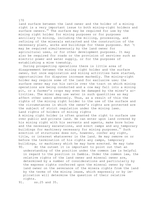land surface between the land owner and the holder of a mining right is a very important issue to both mining-right holders and surface owners.<sup>90</sup> The surface may be required for use by the mining right holder for mining purposes or for purposes ancillary to mining, including the milling, processing, and refining of the minerals extracted and the construction of the necessary plant, works and buildings for these purposes. But <sup>t</sup> may be required simultaneously by the land owner for agricultural uses, or for other development purposes. It may also be required for roads or the provision of services such as electric power and water supply, or for the purposes of establishing a mine township.

During prospecting operations there is little area of disagreement between the mining right holder and the surface owner, but once exploration and mining activities have started, opportunities for disputes increase markedly. The mining-right holder may require some of the land for exclusive use; the surface owner may run his cattle over the tract on which mining operations are being conducted and a cow may fall into a mining pit, or a farmer's crops may even be damaged by the miner's activities. The miner may use water in such quantities as may affect other users adversely. Thus, as a result of this the rights of the mining right holder to the use of the surface and the circumstances in which the owner's rights are protected are the subject of strict regulation under the mining laws. Land rights of holders of mining rights A mining right holder is often granted the right to surface use over public and private land. He can enter upon land covered by his mining right with his servants and agents, make bore holes and the necessary excavations, and erect camps and any temporary buildings for machinery necessary for mining purposes.<sup>91</sup> Such erection of structures does not, however, confer any right, title, or interest whatsoever in the land. He may remove on or before the termination of his rights any camps, temporary buildings, or machinery which he may have erected. He may take

90. At the outset it is important to point out that an understanding of the position under the common law is helpful in regard to the position in Zambia. Under the common law, the relative rights of the land owner and mineral owner are, determined by a number of considerations and particularly by the express rights conferred upon the mineral owner by the land owner on the severance of the minera rights from the land by the terms of the mining lease, which expressly or by implication will determine the question of their relative rights.

91. ss.25 and 35.

170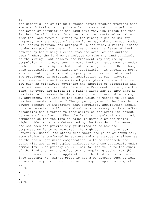# for domestic use or mining purposes forest produce provided that where such taking is on private land, compensation is paid to the owner or occupier of the land involved. The reason for this is that the right to surface use cannot be construed as taking from the land owner or giving to the mining right holder any property in the product of the soil. He may make or erect roads, air landing grounds, and bridges.  $92$  In addition, a mining licence holder may purchase the mining area or obtain a lease of land covered by his mining licence from the owner of the surface area.<sup>93</sup> Where the land owner refuses to make the land available to the mining right holder, the President may acquire by compulsion in his name such private land or rights over or under such land for use by the holder of a mining licence. Even though this acquisition is regulated by legislation, it should be borne in mind that acquisition of property is an administrative act. The President, in effecting an acquisition of such property, must observe the well-established principles of administrative law such as principles governing the exercise of discretion and the maintenance of records. Before the President can acquire the land, however, the holder of a mining right has to show that he has taken all reasonable steps to acquire on reasonable terms, by agreement, the land or the right which he wishes to use and has been unable to do so.<sup>94</sup> The proper purpose of the President's powers renders it imperative that compulsory acquisition should only be resorted to if it is absolutely necessary to do so after exhausting the alternative possibility of achieving its object by means of purchasing. When the land is compulsorily acquired, compensation for the land so taken is payable by the mining right holder at a rate determined by the President.  $95$  However, the Act does not provide any guidelines as to how the compensation is to be measured. The High Court in Attorney-General v. Bobat<sup>96</sup> has stated that where the power of compulsory acquisition is conferred by statute and the statute is silent as to the basis upon which compensation is to be assessed, the court will act on principles analogous to those applicable under common law. Such principles will be: (a) the value to the owner of the land and not the value to the acquiring authority; (b) restrictions as to user applicable to the land are to be taken into account; (c) market price is not a conclusive test of real value; (d) any increases in value consequent upon the completion of 92 Ibid. . 93 s.79. .

94 Ibid.

## 171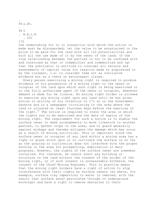```
.
95
s.80.
.
96
5 
.
N.R.L.R
  . 501
172
```
the undertaking for or in connection with which the action is made must be disregarded; (e) the value to be ascertained is the price to be paid for the land with all its potentialities and with all the use made of it by the owner of the land; (0 the true relationship between the parties is not to be confused with and construed as that of indemnifier and indemnified and (g) that the arbitrator is entitled to consider all returns and assessments of capital value for taxation made or acquiesced in by the claimant, i.e. to consider them not as conclusive evidence but as a check on extravagant claims.

Every person exercising a mining right is required to produce evidence of his possession of a mining right to the owner or occupier of the land upon which such right is being exercised or to the fully authorised agent of the owner or occupier, whenever demand is made for he licence. No mining right holder is allowed to exercise any mining right upon any land until he has given notice in writing of his intention to t'o so in the Government Gazette and in a newspaper circulating in the area where the land is situated at least fourteen days before the exercise of the right. $97$  The notice is required to state the area in which the rights are to be exercised and the date of expiry of the mining right. The requirement for such a notice is to enable the surface owner to make arrangements to move livestock to another pasture, to gather crops in the area, and to guard generally against mishaps and thereby mitigate the damage which may occur as a result of mining activities. This is important since the surface owner or occupier of any land within a mining area has a right to graze stock upon or to cultivate the surface in so far as the grazing or cultivation does not interfere with the proper working in the area for prospecting, exploration or main purposes. However, the rights of the surface owner are somewhat curtailed. For instance, he cannot erect any building or structure on the land without the consent of the holder of the mining right, or if such consent is unreasonably withheld, the consent of the Chief Mining Engineer. This in practice means that the mining right holders have a right of action to stop interference with their rights by surface owners (as where, for example, surface clay impervious to water is removed, with the result that surface water percolates through to underground workings) and have a right to remove obstacles to their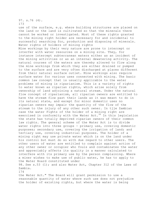#### 97. s.76 (4). 173

use of the surface, e.g. where building structures are placed on the land or the land is cultivated so that the minerals there cannot be worked or investigated. Most of these rights granted to the mining right holder are necessary for and incidental to successful searching for, production and disposing of minerals. Water rights of holders of mining rights Mine workings by their very nature are prone to intercept or interfer with water resources on a mining site. They, for instance intercept subterranean waters either as an incident of the mining activities or as an internal dewatering activity. The natural courses of the waters are thereby altered to flow along the mine workings from which they are either drained or pumped to the surface and are very often discharged at places different from their natural surface outlet. Mine workings also require surface water for various uses connected with mining. The basic common law concept that is usually applicable to the water problems of mining is riparianism. This is a variety of rights to water known as riparian rights, which arise solely from ownership of land adjoining a natural stream. Under the natural flow concept of riparianism, all riparian owners are entitled to have the stream flow past their lands as it was meant to do in its natural state, and except for minor domestic uses no riparian owners may impair the quantity of the flow of the stream to the injury of any other such owner. In tjje Zambian case the water Fights of the holder of a mining right are exercised in conformity with the Water Act. $98$  In this legislation the state has totally deprived riparian owners of their common law rights. The general scheme of the Water Act is to divide water rights into three groups — primary use, covering domestic purposes; secondary use, covering the irrigation of land; and tertiary use, covering industrial purposes. The holder of a mining right may use private water which is on the land under his control but must do so with due regard to other users. The other users of water are entitled to complain against action of any other owner or occupier who fouls and contaminates the water and appreciably affects its quality in a manner calculated to interfere with its primary use by the person complaining. Where a miner wishes to make use of public water, he has to apply to the Water Board constituted under 98. See s.53 (1); and also Water Act, Chapter 312 of the Laws of Zambia. 174

the Water Act." The Board will grant permission to use a reasonable quantity of water where such use does not prejudice the holder of existing rights, but where the water is being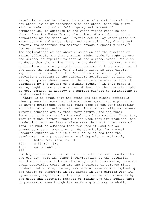beneficially used by others, by virtue of a statutory right or any other law or by agreement with the state, then the grant will be made only after full inquiry and payment of compensation. In addition to the water rights which he can obtain from the Water Board, the holder of a mining right is authorised by the Mines and Minerals Act to lay water pipes and water courses and ponds, dams, and reservoirs, lay drains and sewers, and construct and maintain sewage disposal plants.<sup>100</sup> Dominant interest

The implications of the above discussion and the practice of mining officials are that a mining right holder's right to use the surface is superior to that of the surface owner. There is no doubt that the mining right is the dominant interest. Mining officials grant mining rights irrespective of the present use of the land. The dominance of the mining right is also clearly implied on section 74 of the Act and is reinforced by the provisions relating to the compulsory acquisition of land for mining purposes where owner of the surface refuses to have it purchased by the holder of a mining right.<sup>101</sup> In this sense a mining right holder, as a matter of law, has the absolute right to use, damage, or destroy the surface subject to limitations to be discussed later.

There is no doubt that the state and its mining officials clearly seem to regard all mineral development and exploration as having preference over all other uses of the land including agricultural and residential uses. This is basically so because mineral deposits are by their very nature rare and their location is determined by the geology of the country. Thus, they must be mined wherever they lie and when they are produced, the production requires less surface area than most other uses of land. It must be admitted that few uses of land are as unaesthetic as an operating or abandoned site for mineral resource extraction but it must also be agreed that the development of a productive mineral deposit is ordinarily 99. Water Act, ibid, s. 14.

```
100. s.53 (1) (9).
101. ss. 79 and 80.
175
```
the highest economic use of the land with enormous benefits to the country. Here any other interpretation of the situation would restrain the holders of mining rights from mining whenever their activities would injure the interests of surface right holders. Futhermore, the express mineral reservation implied by the theory of ownership in all rights in land carries with it, by necessary implication, the right to remove such minerals by the usual and customary methods of mining and thus reduce them to possession even though the surface ground may be wholly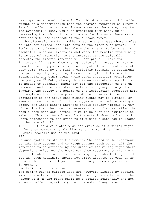destroyed as a result thereof. To hold otherwise would in effect amount to a determination that the state's ownership of minerals is of no effect in certain circumstances as the state, despite its ownership rights, would be precluded from enjoying or recovering that which it owned, where for instance there was a conflict with the interest of the surface owner.

The discussion so far implies that in every case where a clash of interest arises, the interests of the miner must prevail. It looks certain, however, that where the mineral to be mined is plentiful (such as limestone) and where the benefit from mining it is out of proportion to the interest it prejudicially affects, the miner's interest will not prevail. This for instance will happen when the agricultural interest is greater than that of any possible mineral output. This is contained at a very early stage by the mining officials refusing to recommend the granting of prospecting licences for plentiful minerals in residential and other areas where other industrial activities are going on.<sup>102</sup> But probably this is an area where legislation is needed to establish machinery for the protection of the environment and other industrial activities by way of a public inquiry. The policy and scheme of the legislation suggested here contemplates that in the pursuit of the conservation and protection of the above ends mining rights may be limited, or even at times denied. But it is suggested that before making an order, the Chief Mining Engineer should satisfy himself by way of inquiry that the order is necessary, and if so satisfied, he should then consider whether it would be just and equitable to make it. This can be achieved by the establishment of a board where objections to the granting of mining rights can be lodged by the general public.

102. If this were otherwise the exercise of a mining right for even common minerals like sand, it would paralyse any other economic use of the land.

176

No such system exists at the moment. The board could endeavour to take into account and to weigh against each other, all the interests to be affected by the grant of the mining right where objections exist and the board can then recommend to the mining officials whether or not such a mining right should be granted. But any such machinery should not allow disputes to drag on as this could lead to delays and unnecessary discouragement to investment.

### Limitation on Surface Use

The mining rights surface uses are however, limited by section 77 of the Act, which provides that the rights conferred on the holder of a mining right shall be exercised reasonably and not so as to affect injuriously the interests of any owner or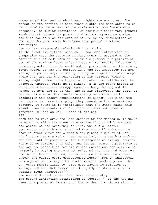occupier of the land on which such rights are exercised. The effect of the section is that these rights are considered to be restricted to those uses of the surface that are 'reasonably necessary' to mining operations. On their own these very general words do not convey the proper limitations imposed on a miner and this can only be achieved of course by the examination of the ways the same words have been interpreted in mining activities.

Use to bear reasonable relationship to mining In the first limitation, section 77 has been interpreted as suggesting that the state or surface owner is enabled by the section to intercede when in its or his judgement a particular use of the surface lacks a legitimate or reasonable relationship to mining activities. It would not be permissible for the mining right holder to use the surface land and its resources for nonmining purposes, say, to set up a shop or a golf-course, except where they are for the well-being of his workers. Where a mining-right holder cuts timber with intent to sell he will be stopped. Whereas, while he is mining, a mining right holder is entitled to erect and occupy houses although he may not let houses to some one other than one of his employees. The test, of course, is whether the use is necessary or incidental to production and though considerations of custom, usa^e and prudent operation come into play, they cannot be the determining factors. It seems it is justifiable that the state takes this stand. When it grants a mining right it does not grant an interest in land as well. Since it has not 177

seen fit to give away the land containing the minerals, it would be wrong to allow the miner to exercise rights which are part and parcel of the ownership of land. While his licence segregates and withdraws the land from the public domain, in that no other miner could obtain any mining right to it until his licence has expired or been cancelled, it gives him nothing but the right of possession for the purposes of mining. Whoever wants to go further than this, and for any reason appropriate to his own use other than for his mining operations can only do so properly by paying the purchase price of the land and becoming the owner thereof. Indeed, it is difficult to see under what theory the public could gratuitously bestow upon an individual or corporation the right to devote mineral lands any more than any other public lands to value uses having no relation to mining, and for what reason could anybody construe a miner's surface right otherwise? $103$ 

Use not to disturb other land users unreasonably The second limitation established by Section 77 of the Act has been interpreted as imposing on the holder of a mining right in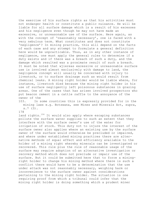the exercise of his surface rights as that his activities must not endanger health or constitute a public nuisance. He will be liable for all surface damage which is a result of his excesses and his negligence even though he may not have made an excessive, or unreasonable use of the surface. Here again, as with the concept of 'reasonably necessary', one is faced with a very nebulous term. What constitutes and does not constitute 'negligence'? In mining practice, this will depend on the facts of each case and any attempt to formulate a general definition here would be unpracticable. Thus, as in any other instance of negligence, one must apply the general rules to determine if a duty exists and if there was a breach of such a duty, and the damage which resulted was a proximate result of such a breach. It must be noted that wjiereas excessive or unreasonable surface use is involved almost exclusively with damage to land, the negligence concept will usually be concerned with injury to livestock, or to surface drainage such as would result from chemical leaks. A mining right holder would be liable where, for instance, livestock died because the mining right holder in his use of surface negligently left poisonous substances in grazing areas. One of the cases that has arisen involved prospectors who put beacon cement in a cattle raffle to the annoyance of the owner of the

103. In some countries this is expressly provided for in the mining laws e.g. Botswana, see Mines and Minerals Act, supra, s.7 (3).

178

land rights. $104$  It would also apply where escaping substances pollute the surface water supplies to such an extent that they interfere with the surface owner's use of the water for irrigation of stock. This duty not to injure the interest of the surface owner also applies where an existing use by the surface owner of the surface would otherwise be precluded or impaired, and where under established mining practices there are alternative methods of equal effect and efficiency available to the holder of a mining right whereby minerals can be investigated or recovered. This rule plus the rule of reasonable usage of the surface may require adoption of an alternative investigation or recovery method which does not preclude or impair use of the surface. But it could be submitted here that to force a miningright holder to change his mining method where there is such a conflict there would have to be a determination that the use under attack was not reasonably necessary, weighing harm or inconvenience to the surface owner against considerations pertaining to the mining right holder. The situation is one requiring proof from which a tribunal could infer that the mining right holder is doing something which a prudent miner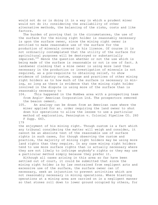would not do or is doing it in a way in which a prudent miner would not do it; considering the availability of other alternative methods, the balancing of the risks, costs and like factors.

The burden of proving that in the circumstances, the use of the surface for the mining right holder is reasonably necessary is upon the surface owner, since the mining right owner is entitled to make reasonable use of the surface for the production of minerals covered in his licence. Of course it is not ordinarily contemplated that the utility of the surface for agricultural purposes will be destroyed or substantially impaired.<sup>105</sup> Hence the question whether or not the use which is being made of the surface is reasonable or not is one of fact. A landowner claiming that a mine owner is using more land than necessary in the production or investigation of minerals is not required, as a pre-requisite to obtaining relief, to show evidence of industry custom, usage and practices of other mining right holders as to how much of the surface is necessary in mining, so long as there is evidence that the mining right holder involved in the dispute is using more of the surface than is reasonably necessary to

104. This happened in the Mumbwa area with a prospecting team from Anglo- American Corporation Ltd. The prospectors removed the beacon cement.

105. An analogy can be drawn from an American case where the miner applied for an. order requiring the land owner to shut down his operations to allow the lessee to use a particular method of exploration, Pennington v. Colonial Pipeline CO. 260 F Supp. 643.

179

the enjoyment of his mining right. Though oustom is a fact which any tribunal considering the matter will weigh and consider, it cannot be an absolute test of the reasonable use of surface rights in such cases, for though observing the custom and practice, the majority of mining right holders may be using more land rights than they require. In any case mining right holders tend to use more surface rights than is actually necessary where they are not likely to infringe anybody's rights or they may use a particular method simply because they prefer it.

Although all cases arising in this area so far have been settled out of court, it could be submitted that since the mining right holder is by law restrained from negligent acts and excessive use of the surface, the surface owner can if necessary, seek an injunction to prevent activities which are not reasonably necessary in mining operations. Where blasting operations at a mining area are carried on in a negligent manner so that stones roll down to lower ground occupied by others, for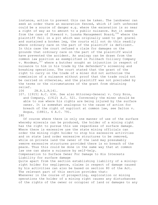instance, action to prevent this can be taken. The landowner can seek an order thave an excavation fenced, which if left unfenced could be a source of danger e.g. where the excavation is so near a right of way as to amount to a public nuisance. But it seems from the case of Steward v. Lusaka Management Board, 106 where the plaintiff fell in a pit which was originally used to get gravel and sustained a broken leg, the courts will not do this readily where ordinary care on the part of the plaintiff is deficient. In this case the court refused a claim for damages on the grounds that ordinary care on the part of the plaintiff would have prevented the accident. An analogy can be drawn from the common law position as exemplified in Pullbach Colliery Company v. Woodman,  $107$  where a butcher sought an injunction in respect of nuisance to him in his trade by the defendant's screening and breaking operations. The court stated that the grant of the right to carry on the trade of a miner did not authorise the commission of a nuisance without proof that the trade could not be carried on otherwise, and the plaintiff was not precluded by the terms or the circumstances of the grant from obtaining relief.

106 2N.R.L.R1141.

107. 11915] A.C. 634. See also Attorney-General v. Cory Bros, and Company, (1912) A.C. 521. Conversely the miner should be able to sue where his rights are being injured by the surface owner. It is somewhat analogous to the cause of action for breach of the right of supitort at common law, see Dalton v. Angus, (1881), 6 A.C. 791.

### 180

Of course where there is only one manner of use of the surface whereby minerals can be produced, the holder of a mining right has the right to pursue this use regardless of surface damage. Where there is excessive use the state mining officials can order the mining right holder to stop his excessive activities and on state land order excessive structures to be removed, while on private land the owner of the land may presumably remove excessive structures provided there is no breach of the peace. Thus this could be done in the same way that at common law one can abate a nuisance by self-help.

Compensation to Surface Owner For Damage to His Interests Liability for surface damage

Quite apart from the section establishing liability of a miningright holder for negligence, claims in respect of damage caused by his activities can also be based on section 80 of the Act. The relevant part of this section provides that: Whenever in the course of prospecting, exploration or mining operations the holder of a mining right causes any disturbances of the rights of the owner or occupier of land or damages to any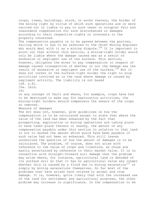crops, trees, buildings, stock, or works thereon, the holder of the mining right by virtue of which such operations are or were carried out is liable to pay to such owner or occupier fair and reasonable compensation for such disturbances or damages according to their respective rights or interests in the property concerned. The compensation payable is to be agreed between the parties, failing which it has to be referred to the Chief Mining Engineer who would deal with it as a mining dispute.<sup>108</sup> It is important to point out that without this section, a mining-right holder would only be liable where the damage caused was as a result of excessive or negligent use of the surface. This section, however, obligates the miner to pay compensation in respect of damage caused irrespective of whether or not the damage was the result of excessive or negligent use of the surface.<sup>109</sup> But it does not confer on the surface-right holder the right to stop activities involved as is the case where damage is caused by negligent activity. The liability is not based 108. s.81. 10». Ibid. 181 on any concept of fault and where, for example, crops have had to be destroyed to make way for exploration activities, the mining-right holders should compensate the owners of the crops so removed. Measure of damages The Act does not, however, give guidelines on how the compensation is to be calculated except to state that where the value of the land has been enhanced by the fact that prospecting, exploration or mining operations are taking place or have taken place thereon or nearby, the amount of any compensation payable under this section in relation to that land is not to exceed the amount which would have been payable if such value had not been so enhanced. This still leaves unresolved the question of how the amount of damages is to be calculated. The problem, of course, does not arise with reference to the value of crops and livestock, as those are easily ascertained by reference to their market value. It is in connection with straight-forward soil damage that the problem may arise where, for instance, agricultural land is denuded of its surface soil so that it has no agricultural value any longer whether this is caused by a flood due to mining excavation $110$  or simply by mining excavations themselves. So far most of the problems that have arisen have related to animal and crop damage. It is, however, quite likely that with the increased use of the land for settlement and agricultural purposes, the other problem may increase in significance. Is the compensation to be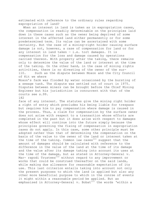estimated with reference to the ordinary rules regarding expropriation of land?

When an interest in land is taken as in expropriation cases, the compensation is readily determinable on the principles laid down in these cases such as the owner being deprived of some interest in the affected land either permanently or for some predetermined term. Its value can be ascertained with some certainty. But the case of a mining-right holder causing surface damage is not, however, a case of compensation for land or for any interest in land taken  $-$  i.e. tort damages. It is compensation for the loss and damage caused by operations carried thereon. With property after the taking, there remains only to determine the value of the land or interest at the time of the taking. On the other hand, in the case of mining rights activities, there is no divesting of the owner of the sur-110. Such as the dispute between Moxon and the City Council of Kit we where

Moxon's farm was flooded by water occasioned by the bursting of a sewage tank. The dispute was settled out of court in 1975. Disputes between miners can be brought before the Chief Mining Engineer but his jurisdiction is concurrent with that of the courts see s.99.

#### 182

face of any interest. The statutes give the mining right holder a right of entry which precludes his being liable for trespass but requires him to pay compensation where damage is caused in the process. Thus, a claim for compensation by the surface owner does not arise with respect to a transaction whose efforts are completed in the past but it does arise with respect to damages whose effect will continue into the future simply because the principles governing the fixing of compensation in expropriation cases do not apply. In this case, some other principle must be adopted rather than that of determining the compensation on the basis of the value to the owner of the land or interest taken at the time of the taking. Common law cases $^{111}$  suggest that the amount of damages should be calculated with reference to the difference in the value of the land at the time of its damage and the value after its damage taking into account its uses at the time of the damage, but as stated in Attorney-General v. Mar- rapodi Trustees $^{112}$  without regard to any improvement or works that could be construed thereafter on the said lands, while making due allowance for reasonable expectation of its use. This last criterion entails taking into account not only the present purposes to which the land is applied but also any other more beneficial purpose to which in the conrse of events it might within a reasonable period be applied. But as emphasised in Attorney-General v. Bobat<sup>lli</sup> the words 'within a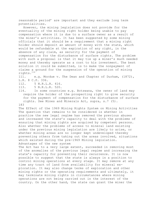reasonable period' are important and they exclude long term potentialities.

However, the mining legislation does not provide for the eventuality of the mining right holder being unable to pay compensation where it is due to a surface owner as a result of the miner's activities. It has been suggested by some mining officials that it should be a requirement that a mining right holder should deposit an amount of money with the state, which would be refundable at the expiration of any right, in the absence of any claim, as security for the payment of compensation for the disturbance of surface rights. The problem with such a proposal is that it may tie up a miner's much needed money and thereby operate as a cost to his investment. The best solution it could be submitted, is to make the nonpayment of claims a ground for the suspension of the operation of mining rights.<sup>114</sup>

111. e.g. Mordue v. The Dean and Chapter of Durham, (1872), L.R. 8 C.P. 336.

112. 5 N.R.L.R. 416.

113. 5 N.R.L.R. 520.

114. In some countries e.g. Botswana, the owner of land may require the holder of the prospecting right to give security for the payment of compensation for the disturbance of surface rights. See Mines and Minerals Act, supra, s.7 (5).

183

The Effect of the 1969 Mining Rights System on Mining Activities The question that remains to be considered is whether in practice the new legal regime has removed the previous abuses and increased the state's capacity to deal with the problems of ensuring that mining rights are acquired by competent persons. Also whether the problems of access to mineral land existing under the previous mining legislation are likely to arise, or whether mining areas are no longer kept undeveloped thereby preventing others from taking out the areas involved, situations which existed during the pre-1969 Mining legislation. Advantages of the new system

The Act has to a very large extent, succeeded in removing most of the anomalies of the previous legal regime and increasing the state's capacity for preventing their recurrence. It is now possible to suggest that the state is always in a position to control mining operations at every stage. It may remove at any time any tract of land from availability for mineral exploration. It may also change terms of exploration and other mining rights or the operating requirements and ultimately, it may terminate mining rights in circumstances where mining operations are not being carried out in the interest of the country. On the other hand, the state can grant the miner the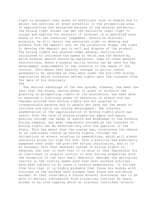right to prospect over areas of sufficient size to enable him to select the sections of great potential in the prospecting area. If explorations are warranted because of the mineral potential, the mining right holder can get the exclusive legal right to occupy and explore for minerals of interest in a specified area based on his own technical judgement. Should he discover minerals, he will obtain the exclusive right to develop and produce from the deposit and. at the production stage, the right to develop the deposit and to sell and dispose of the product. The mining rights are granted under general restrictions calculated to influence the speed at which and the method by which mineral wealth should be extracted. Some of these general restrictions, where a mineral policy exists can be used for key development requirements in the industry to the needs of the country. This means that healthy changes in policy cannot permanently be retarded as they were under the pre-1969 mining legislation which conferred vested rights upon the claimant from the date of his discovery. 184

The obvious advantage of the new system, however, has been the fact that the state, having power to grant or withhold the granting of prospecting rights at its discretion, has been able to exercise a judicious power of selection of miners and has thereby ensured that mining rights are not granted to irresponsible persons and to people who have not the means to initiate and carry out mining development. The constant augmentation of the capitalisation of mining rights which can result from the sale of mining properties again and again, passing through the hands of agents and middlemen to the working mining company, has been completely avoided as the transfer of mining rights can be affected only with the approval of the state. This has meant that the system has, eliminated the chance of an individual taking up mining rights, through the obligations on miners relating to expenditure, which will almost certainly prove too high for him. Such a position had eventually happened even under the pre-1969 mining legislation, and it is an economic fact that whatever system of mining rights is adopted, the cost is such that it is more or less impossible for an individual to acquire control of most mining properties with the exception of the very small deposits. Besides the geological reality in the country seems such that most surface outcrops have been subject to at least a cursory examination. It follows from this that it is highly probable that those ore bodies with outcrops on the surface have already been found and are being worked. So that invariably a future mineral discoverer has to be able to extract information from situations overlain by heavy burden or by rock capping which an ordinary individual without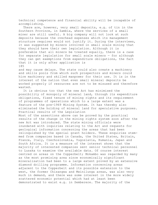technical competence and financial ability will be incapable of accomplishing.

There are, however, very small deposits, e.g. of tin in the Southern Province, in Zambia, where the services of a small miner are still useful. A big company will not look at such deposits because the overhead expenses which its management structure requires would not justify it. During the interviews, it was suggested by miners involved in small scale mining that they should have their own legislation. Although it is preferable that all miners be treated equally, there is a case for separate legislation for small scale miners — for although they can get exemptions from expenditure obligations, the fact that it is only after application is 185

and may cause delays. The state could also create a machinery and skills pools from which such prospectors and miners could hire machinery and skilled manpower for their use. It is in the interest of the nation that even small mineral deposits be worked properly if resources are not to be misused and therefore wasted.

It is obvious too that the new Act has minimised the possibility of monopoly of mineral land, through its expenditure obligations, fixed tenure of mining rights and its requirement of programmes of operations which to a large extent was a feature of the pre-1969 Mining System. It has thereby also eliminated the holding of mineral land for speculative purposes. Practical results of the Legislation Most of the assertions above can be proved by the practical results of the change in the mining rights system soon after the new Act was introduced. The state mining officials were inundated with inquiries relating to the Act and requests for geological information concerning the areas that had been relinquished by the special grant holders. These enquiries stemmed from companies based in Canada, the United States, Britain, France, Italy, Czechoslovakia, Yugoslavia, Rumania, Japan and South Africa. It is a measure of the interest shown that the majority of interested companies sent senior technical personnel to Lusaka to examine the available data. Of course interest centred on areas on the Copperbelt; Mokambo was regarded by many as the most promising area since economically significant mineralisation had been to a large extent proved by an extensive diamond drilling programme. Information concerning areas adjacent to the Copperbelt and its possible extension to the west, the former Chisangwa and Mwinilunga areas, was also very much in demand, and there was some interest in the more widely scattered economic potential which had at least been demonstrated to exist e.g. in Semberere. The majority of the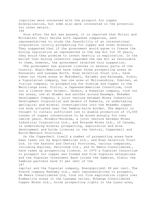inquiries were concerned with the prospcct for copper mineralisation, but some also were interested in the potential for other metals. 186

Soon after the Act was passed, it is reported that Mitsui and Mitsubishi Shaji Kaisha both Japanese companies, sent representatives to study the feasibility of an international corporation jointly prospecting for copper and other minerals. They suggested that if the government would agree to freeze the mining legislation as represented in the new Act for 30 years, they would then promise to invest heavily in exploration. In the belief that mining investors regarded the new Act as favourable to them, however, the government rejected this suggestion.

The government has granted licences in several parts of the country. Anglo-American have taken three prospecting areas at Kansanshi and Luangwa North. Roan Selection Trust Ltd., have taken out three areas at Mukimbefi, Kalumbi and Kalengwa. Sidco, a Yugoslavian company, has one area at Mulinanshina. Somiren, an Italian company, is prospecting for Uranium and Copper in the Mwinilunga area. Sinico, a Japanese-American Consortium, took out a licence near Solwezi. Geomin, a Rumanian company, took out two areas, one at Ntambu and another around Kasempa. Mokambo Development Company, a joint venture between Mines Industrial Development Corporation and Geomin of Rumania, is undertaking geological and mineral investigations into the Mokambo copper ore body situated near the Zambia-Zaire border. The deposit is thought to contain sufficient ore to enable production of 15,000 tonnes of copper concentrates to be mined annualy for over twelve years. Mindeco-Noranda, a joint venture between Mines Industrial Corporation Ltd., and Noranda Mines Ltd., of Canada, is undertaking mineral prospecting, exploration and mine development and holds licences in the Central, Copperbelt and North-Western Provinces.

On the Copperbelt itself a number of prospecting areas have been taken out by Anglo-American Ltd., and Roan Selection Trust Ltd. In the Eastern and Central Provinces, various companies, including Equitex, Petroleum Ltd., and Dc Beers Consolidated., have taken up prospecting licence. In 1970 a Yugoslav Consortium to prospect for copper was formed and five Yugoslav enterprises and the Yugoslav Investment Bank joined the Zambian, Sidco; the Zambian partners have 51 per cent of the 187

capital and the Yugoslav company, Energoprojekt 48 per cent. The French company Redimey Ltd., sent representatives to prospect, De Beers Consolidated Ltd, took out five exploration rights over Kimberlite areas in the Luangwa valley. Nchanga Consolidated Copper Mines Ltd., holds prospecting rights in the Luano area,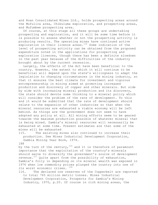and Roan Consolidated Mines Ltd., holds prospecting areas around the Mufulira area, Chibuluma exploration, and prospecting areas, and Mufumbwe prospecting area.

Of course, at this stage all these groups are undertaking prospecting and exploration, and it will be some time before it is possible to assess whether or not the prospecting activity is producing results. The operating mines have continued active exploration in their licence areas. $115$  Some indication of the level of prospecting activity can be obtained from the proposed expenditure noted in the applications for prospecting and exploration licences, though there has been a definite slowdown in the past year because of the difficulties of the industry brought about by the current recession.

Largely, the effects of the Act have been beneficial to the country. However, the extent to which it will continue to be beneficial will depend upon the state's willingness to adapt the legislation to changing circumstances in the mining industry, so that it ensures the best climate for investment and vigorous entrepreneurship in mining aimed at promoting increased production and discovery of copper and other minerals. But side by side with increasing mineral production and its discovery, the state should devote some thinking to a mineral policy which will consider the problem of the rate of development. To this end it would be submitted that the rate of development should relate to the expansion of other industries so that when the mineral resources are exhausted a viable economy will be left behind. As things are the government does not seem to have adopted any policy at all. All mining efforts seem to be geared towards the maximum production possible of whatever mineral that is being mined. Zambia's mineral resources will necessarily be exhausted at some time. Present estimates are that some of the mines will be exhausted

115. The existing mines also continued to increase their production. See Mines Industrial Development Corporation, Zambia Mining Year Book, 1974.

188

by the turn of the century,  $116$  and it is therefore of paramount importance that the exploitation of the country's minerals should serve to diversify the government's source of development revenue.<sup>117</sup> Quite apart from the possibility of exhaustion, Zambia's folly in depending on its mineral wealth was exposed in 1976 when low commodity prices plunged the country into one of its worst economic crises. 118

116. The declared ore reserves of the Copperbelt are reported to total 745 million metric tonnes. Mines Industrial Development Corporation, Prospects for Zambia's Mining Industry, 1970, p.20. Of course in rich mining areas, the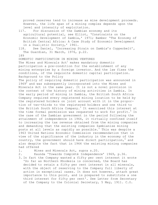proved reserves tend to increase as mine development proceeds. However, the life span of a mining complex depends upon the level and intensity of exploitation.

117. For discussion of the Zambian economy and its agricultural potential, see Elliot, 'Constraints on the Economic Development of Zambia,' 1971; Bamber 'The Economy of British Central Africa: A Case Study of Economic Development in a Dual¡stic Society,' 1961.

118. See Daniel, 'Increasing Strain on Zambia's Copperbelt', The Guardian, 31 March, 1976, p.22.

189

DOMESTIC PARTICIPATION IN MINING VENTURES The Mines and Minerals  $Act<sup>1</sup>$  makes mandatory domestic participation a pre-condition for the establishment of any mining enterprise by a foreign investor. And the law fixes the conditions, of the requisite domestic capital participation. Background to the Policy The policy of requiring domestic participation was announced in  $1969<sup>2</sup>$  and was subsequently incorporated into the Mines and Minerals Act in the same year. It is not a novel provision in the context of the history of mining activities in Zambia. In the early period of mining in Zambia, the British South Africa Company required every registered mining location to be held by the registered holders on joint account with it in the proportion of two-thirds to the registered holders and one third to the British South Africa Company.<sup>3</sup> It exercised this interest at the time formal permission was requested to work for profit.<sup>4</sup> In the case of the Zambian government in the period following the attainment of independence in 1964, it virtually confined itself to increasing the tax revenue obtained from the mining companies and demanding that the existing companies Zambianise mining posts at all levels as rapidly as possible.<sup>5</sup> This was despite a 1963 United Nations Economic Commission recommendation that in view of the significance of the industry in the economy of the country, the government should have direct participation,  $6$  and also despite the fact that in 1964 the existing mining companies had offered

- 1. Mines and Minerals Act, supra s.20.
- 

2. Kaunda 'Towards Complété Independence' 1969, p.36.

3. In fact the Company wanted a fifty per cent interest it wrote 'So far as Northern Rhodesia is concerned, the Board has decided to retain a fifty per cent interest in all minerals, with the object of reserving to the Company full liberty of action in exceptional cases. It does not however, attach great importance to this point, and is prepared to substitute a one third interest for fifty per cent'. See Letter from Secretary of the Company to the Colonial Secretary, 5 May, 1911. C.O.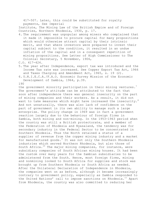417-507. Later, this could be substituted for royalty payments, See Imperial

Institute, The Mining Law of the British Empire and of Foreign Countries, Northern Rhodesia, 1930, p. 17.

4. The requirement was unpopular among miners who complained that it made it impossible to procure capital for many propositions which would otherwise attract capital by their intrinsic merit, and that where investors were prepared to invest their capital subject to the condition, it resulted in an undue inflation of the capital and in a consequent repetition of mining propositions. See Letter of High Commissioner to The Colonial Secretary, 5 November, 1906,

- 5. The year after Independence, export tax was introduced and the Income Tax rate was increased. See Copper Export Tax Act, 1966 and Taxes Charging and Amendment Act, 1965, s. 19 (2).
- 6. U.N.I.E.C.A./F.A.O. Economic Survey Mission of the Economic Development of Zambia, 1964, p.39.

190

the government minority participation in their mining ventures.<sup>7</sup> The government's attitude can be attributed to the fact that soon after independence there was general insecurity on the part of mining companies and their workers. As a result, it did not want to take measures which might have increased the insecurity.<sup>8</sup> And not unnaturally, there was also lack of confidence on the part of government in its own ability to manage such a large enterprise. The policy change in 1969 was in fact a government reaction largely due to the behaviour of foreign firms in Zambia, both mining and non-mining. In the 1953-1963 period when the country was still a British protectorate, and a member of the Federation of Rhodesia and Nyasaland, the tendency was for secondary industry in the Federal Sector to be concentrated in Southern Rhodesia. Thus the North retained a status of a supplier of revenue from the copper mining industry and a market for manufactured goods.  $9$  It was not only the Southern Rhodesia industries which served Northern Rhodesia, but also those of South Africa.<sup>10</sup> The major mining companies, for instance, were subsidiary companies of South African mining houses. It had been the custom over many years for the Zambian subsidiaries to be administered from the South. Hence, most foreign firms, mining and nonmining looked to South Africa for supplies and stock was brought up from Southern Rhodesia or South Africa as needed. After the Unilateral Declaration of Independence in Rhodesia, the companies went on as before, although it became increasingly contrary to government policy, especially as Zambia responded to the United Nations' call to impose sanctions on Rhodesia. $^{11}$  Apart from Rhodesia, the country was also committed to reducing her

C.O. 417-424.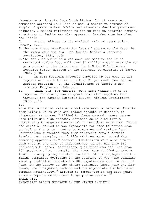dependence on imports from South Africa. But it seems many companies appeared unwilling to seek alternative sources of supply of goods in East Africa and elsewhere despite government requests. A marked reluctance to set up genuine separate company structures in Zambia was also apparent. Besides some branches had little

7. Prain, Address to the National Affairs Association, Lusaka, 1964.

- 8. The government attributed its lack of action to the fact that the mines were too big. See Kaunda, Zambia's Economic Revolution, 1968, p.50.
- 9. The scale on which this was done was massive and it is estimated Zambia lost well over 84 million Kwacha over the ten year period of the federation. See U.N.I.E.C.A./F.A.O., Economic Survey Mission on the Economic Development of Zambia, 1964, p.36.
- 10. In 1964 Southern Rhodesia supplied 39 per cent of all imports and South Africa a further 21 per cent. See Central African Research  $-4$ , The Significance of Zambia's New Economic Programme, 1965, p.l.
- 11. Ibid, p.2, for example, coke from Wankie had to be replaced for mining use at great cost with supplies from Germany, see Zambian Economic Survey, African Development, 1973, p.13.

### 191

more than a nominal existence and were used to ordering imports from Britain which were off-loaded enroute in Rhodesia to circumvent sanctions. $12$  Allied to these economic consequences were political side effects. Africans could find little opportunity to acquire managerial or technical expertise. During the colonial period it was impossible for them to obtain loan capital on the terms granted to Europeans and various legal restrictions prevented them from advancing beyond certain levels. .For example, until 1960 Africans were' barred from becoming apprentices.<sup>13</sup> Academic limitations were also severe such that at the time of independence, Zambia had only 960 Africans with school certificate qualifications and less than 100 graduates.<sup>14</sup> As a result, the mines were staffed at senior levels totally by expatriates. In 1969, of the employees of the mining companies operating in the country, 40,000 were Zambians (mostly unskilled) and about 7,000 expatriates were in skilled jobs. On the boards of the mining companies there were two Zambians, one indigenous Zambian and one expatriate who had taken Zambian nationality.<sup>15</sup> Efforts to Zambianise in the five years since independence had been largely unsuccessful.<sup>16</sup> TABLE VIII EXPATRIATE LABOUR STRENGTH IN THE MINING INDUSTRY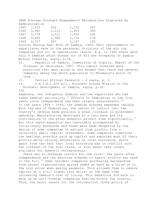YEAR Average Strength Engagements Résignations Displaced by Zambianisation

| 1965 | 7,035 | 902   | 1,131 | 247 |
|------|-------|-------|-------|-----|
| 1966 | 5,981 | 1,213 | 1,403 | 360 |
| 1967 | 5,378 | 1,011 | 1,058 | 292 |
| 1968 | 4,845 | 1,088 | 1,134 | 178 |
| 1969 | 4,727 | 947   | 1,127 | 100 |

Source: Mining Year Book of Zambia, 1969. Mosl replacements of expatriates were in the personnel divisions of the min ing companies and noi on operational levels. E.g. in 1965 there were only 9 Zambian shift bosses out of 823 See Prospects of Zambia Mining Industry, supra, p.18.

12. Republic of Zambia. Commission of Inquiry. Report of the Tribunal on Detainees, 1967. This report revealed many practices that were going on and showed that there was general sympathy among the white population to Rhodesia's point of view .

13. Central African Research — 4 supra, p. 2.

14. U.N.I.E.C.A/F.A.O., Economic Surrey Mission on the Economic Development of Zambia, supra, p.34.

192

Zambians, one indigenous Zambian and one expatriate who had taken Zambian nationality.<sup>15</sup> Efforts to Zambianise in the five years since independence had been largely unsuccessful.<sup>16</sup> In the years 1964 — 1969, the Zambian economy expanded rapidly. With the end of Federation, the return of control over the country's revenue made possible a great increase in government spending. Manufacturing developed at a fair pace and its contribution to the gross domestic product rose significantly.<sup>17</sup> But this rapid expansion was inevitably accompanied by inflationary pressures and these were made dangerous by the desire of some companies to extract high profits from a relatively small capital investment. Some companies committed the smallest possible paid up capital and exported most of their profits while relying extensively on local borrowing. Quite apart from the fact that local borrowing was in conflict with the interest of the host state, it also meant less credit available for domestic entrepreneurs.

There was no exchange control For the first<sup>^</sup> few years after independence and the absolute freedom to export profits was used to the full.<sup>18</sup> Some resident companies purchasing merchandise from oarent organisations abroad added as much as a third on to the cost price when making payments. This allowed them to remove capital at a still higher rate whilst at the same time increasing Zambia's cost of living. This behaviour did much to whip up an anti-foreign companies feeling within the country. Thus, the major reason for the introduction oÇthe policy of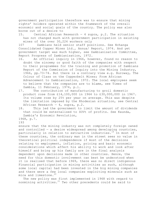government participation therefore was to ensure that mining rights' holders operated within the framework of the overall economic and social goals of the country. The policy was also borne out of a desire to

15. Central African Research — 4 supra, p.2. The situation has not changed much with government participation in existing mines of the over 30,224 workers only

107 Zambians held senior staff positions. See Nchanga Consolidated Copper Mines Ltd., Annua/ Report, 1974. And yet government target was much higher, see Zambianisation Committee, Report Progress of Zambianisation, 1972.

- 16. An official inquiry in 1966, however, found no reason to doubt the sincemy or good faith of the companies with respect to their programmes for the training and promotion of Zambians Report of the Commission of Inquiry into the Mining Industry, 1966, pp.73-74. But there is a contrary view e.g. Buroway, The Colour of Class on the Copperbelt Mines; From African Advancement to Zambianisation, 1972. The local employees seem to believe that the companies are to blame, see Times of Zambia, 11 February, 1974, p.l.
- 17. The contribution of manufacturing to groil domestic product rose from £14,100,000 in 1964 to £30,000,000 in 1967. Its volume rose by 25% per year on average. This was despite the limitation imposed by the Rhodesian situation, see Central African Research  $-4$ , supra, p.2.
- 18. This led the government to limit the amount of dividends that could be externalised to SOVt of profits. See Kaunda, Zambia's Economic Revolution,
- 1968, p.7.

# 193

ensure that the mining industry was not completely foreign owned and controlled  $-$  a desire widespread among developing countries, particularly in relation to extractive industries.<sup>19</sup> In most of these countries, the ordinary man in the street sees no value in theoretical political independence if most of the decisions relating to employment, inflation, pricing and basic economic considerations which affect his ability to work and look after himself and bring up his family are in the final analysis dependent upon decisions made in other countries. Hence, the need for this domestic involvement can best be understood when it is realised that before 1969, there was no direct indigenous Financial participation in mining activities as such, although some local capital had been invested in the big mining companies and there were a few local companies exploiting minerals such as mica and limestone.<sup>20</sup>

The new policy was first implemented in 1968 with regard to nonmining activities.<sup>21</sup> Two other precedents could be said to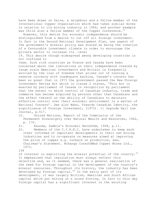have been drawn on Zaire, a neighbour and a fellow member of the International Copper Organisation which had taken similar moves in relation to its mining industry in 1966, and another example was Chile also a fellow member of the Copper Conference.<sup>22</sup>

However, this desire for economic independence should be distinguished from a desire to cut off all foreign investment. In fact in the Second National Development Plan, one aspect of the government's mineral policy was stated as being the creation of a favourable investment climate in order to encourage the private sector to increase its .level

19. This desire though widespread among developing countries is not confined to

them. Such rich countries as France and Canada have been concerned about the limitations on their independence created by large scale American investments and Britain is frequently worried by the loss of freedom that arises out of running a reserve currency with inadequate backing. Canada's concern has been so great that in 1973 the government passed the New Foreign Investment Review Act which in clause 2 states, 'This Act is enacted by parliament of Canada in recognition by parliament that the extent to which control of Canadian industry, trade and commerce has become acquired by persons other than Canadians and the effect thereof on the ability of Canadians to maintain effective control over their economic environment is a matter of National Concern'. See also Wahn, Towards Canadian Identity, the significance of Foreign Investment, (1973). 11 Osgoode Hall Low Journal, p.517.

10. United Nations, Report of the Commission of the Permanent Sovereignty over Natural Wealth and Resources, 1962, p. 170.

21. Kaunda, Zambia's Economic RevohUkm, 1968, p.11.

22. Members of the C.I.P.E.C. have undertaken to keep each other informed of important developments in their own mioiag industries and to co-operate on measures aimed at improving the price of copper e.g. cutback on production, see, Chairman's Statement. Nchanga ConsoUdMad Copper Mines Ltd., 1973.

194

of interest in exploiting the mineral potential of the country.<sup>23</sup> It emphasised that legislation must always reflect this objective and, as it seemed, there was a general realisation of the need for foreign capital in the development of the country's mineral resources. Throughout its history, the industry has been developed by foreign capital.<sup>24</sup> In the early part of its development, it was largely British, American and South African capital which put mining on a sound footing. In fact to this day foreign capital has a significant interest in the existing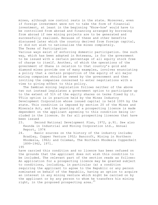mines, although now control rests in the state. Moreover, even if foreign investment were not to take the form of financial investment, at least in the beginning 'Know-how' would have to be controlled from abroad and financing arranged by borrowing from abroad if new mining projects are to be generated and successfully realised. Because of these and other benefits discussed later which the country derived from foreign capital, it did not wish to nationalise the mines completely. The Terms of Participation

Various ways exist of enforcing domestic participation. One such way, which has been adopted in Botswana, is for the government to be issued with a certain percentage of all equity stock free of charge to itself. Another, of which the operations of the government of Ghana in relation to that country's gold and diamond mines provide one of many examples, involves enunciating a policy that a certain proportion of the equity of all major mining companies should be owned by the government and then inviting the companies concerned to enter negotiations with a view to giving effect to this policy.

The Zambian mining legislation follows neither of the above two out instead legislates a government option to participate up to the extent of 51% of the equity shares on terms fixed by it. TTiis option is in practice held by the Mines Industry Development Corporation whose issued capital is held 100% by the state. This condition is imposed by section 20 of the Mines and Minerals Act, and the granting of a prospecting licence is made dependent on the applicant agreeing to this condition being included in the licence. So far all prospecting licences that have been issued

- 23. Second National Development Plan, 1972, p.91. Se« also K»unda in Industrial and Mining Corporation Ltd., Annual Report, 1974
- 24. Basic sources on the history of the industry include; Bradley, Copper Venture 1952; Bancroft, Mining in Northern Rhodesia, 1962; and Coleman, The Northern Rhodesia Copperbelt 1899-1962, 1971.
- 195

have carried this condition and no licence has been refused on the grounds that the applicant does not wish this condition to be included. The relevant part of the section reads as follows: An application for a prospecting licence may be granted subject to conditions, including, in particular (a) a condition requiring the applicant to agree to the Republic or any person nominated on behalf of the Republic, having an option to acquire an interest in any mining venture which might be carried on by the applicant or by any person to whom he transfers his mining right, in the proposed prospecting area.<sup>25</sup>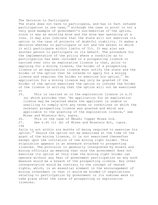### The Decision to Participate

The state does not have to participate, and has in fact refused participation in one case,  $2^{6}$  although the case in point is not a very good example of government's non-exercise of the option, since it was an existing mine and the mine was operating at a loss. It may also indicate that the state will not exercise its option in the case of projects of doubtful viability. It makes a decision whether to participate or not and the extent to which it will participate within limits of 51%. It may also ask another person to participate on its behalf. The procedure for the implementation of the policy where a condition as to participation has been included in a prospecting licence or carried over into an exploration licence is that, prior to applying for a mining licence, the holder of a prospecting licence or an exploration licence must notify the state and the holder of the option that he intends to apply for a mining licence and requires the holder to exercise his option.<sup>27</sup> An application for a mining licence may only be granted if the holder of the option exercises the option or informs the holder of the licence in writing that the option will not be exercised or

25. This is carried on in the exploration licence in s.31 (a) which provides that 'An application for an exploration licence may be rejected where the applicant is unable or unwilling to comply with any terms or conditions on which the relevant prospecting licence was granted and which are applicable to the granting of the exploration licence,' see Mines and Minerals Act, supra.

26. This is the case of Mkushi Copper Mines Ltd. 27. See s.46 (1) (b) of Mines and Minerals Act, {upra. 196

fails to act within six months of being required to exercise his option.<sup>28</sup> Should the option not be exercised at the time of the grant of the mining licence, it is not exercised thereafter except upon the invitation of the mining right holder. This stipulation appears in an annexure attached to prospecting licences. The provision is generally interpreted by miners and mining officials as meaning that once the government does not exercise its option at this time the mining right holder can operate without any fear of government participation as any such measure would be a breach of the prospecting licence. Any other interpretation would be contrary to the concept of vested rights, which, is an essential element in the encouragement of mining investment in that it would be eroded if negotiations relating to participation by government or its nominee were to take place after the issue of prospecting or exploration licences.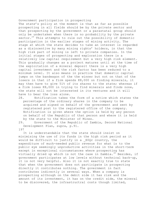## Government participation in prospecting

The state's policy at the moment is that as far as possible prospecting in all fields should be by the private sector and that prospecting by the government or a parastatal group should only be undertaken when there is no probability by the private sector.<sup>29</sup> This attempts to rule out the possibility of domestic participation in the earlier stages of mining activity. The stage at which the state decides to take an interest is regarded as a disincentive by many mining rights' holders, in that the high risk part of mining is left to private companies. In the initial stages of prospecting and exploration there is a relatively low capital requirement but a very high risk element. This gradually changes as a project matures until at the time of the exploitation of a mineral deposit there is a very high capital investment and the risk factor has been reduced to a minimum level. It also means in practice that domestic capital jumps on the bandwagon of the the winner but not on that of the losers in that if a firm spends K8,000 on finding minerals, it may then have to give 51% of its shares to the state; whereas if a firm loses K8,000 in trying to find minerals and finds none, the state will not be interested in its ventures and it will have to bear the loss alone.

28. Notification takes the form of a notice which states the percentage of the ordinary shares in the company to be acquired and signed on behalf of the government and sent by registered post to the registered office of the company. Notification is given where the option is held by any person on behalf of the Republic of that person and where it is held by the state to the Minister of Mines.

29. Government of the Republic of Zambia, Second National Development Plan, supra, p.91.

# 197

It is understandable that the state should insist on minimising the use of its funds in the high risk period as it would be difficult to justify in a E0Qr country, the expenditure of much-needed public revenue for what is to the public eye seemingly unproductive activities in the short-term except in exceptional circumstances where prospecting has virtually dried up which is not the case in Zambia.<sup>30</sup> Besides, if government participates at low levels without technical back-up, it is not very helpful. Also it is not exactly true to state that when the government does not participate in prospecting directly it contributes nothing. The government in fact contributes indirectly in several ways. When a company is prospecting although on the debit side it has risk and the amount of its investment, it has on the credit side, the mineral to be discovered, the infrastructral costs though limited,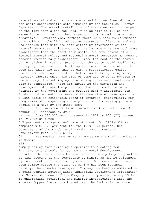general social and educational costs and it uses free of charge the basic geoscientific data compiled by the Geological Survey Department. The actual contribution of the government in respect of the last item alone can usually be as high as 10% of the expenditure incurred by the prospector in a normal prospecting programme. $31$  Nevertheless, perhaps there is a need to re-examine this policy in the light of better resource utilisation and the realisation that with the acquisition by government of the natural resources in its country, the long-term is now much more significant than the short-term goals. The development of a logical mineral policy and rational mineral resources management becomes increasingly significant. Since the cost of the shares can be either in cash or properties, the state could modify its policy by, for instance, building the infrastructure where it does not exist and use this to earn a proportionate equity share. One advantage would be that it would be spending money on non-risk factors which are also of some use to other spheres of the economy. The setting up of a mining investment fund should also be considered, whose aim should be the promotion and development of mineral exploration. The fund could be owned jointely by the government and private mining interests. Its funds could be lent to miners to finance mineral development on a loan basis at reasonable rates of interest, particularly for programmes of prospecting and exploration. Increasingly there should be a move by the state from 30. lor instance it is ex peeled that the production of copper will increase by 39.5 per cent from 645,300 metric tonnes in 1971 to 900,(XX) tonnes in 1976 which gives 6.K per cent average annual rate of growth for 1972-1976 as compared with 0.6 per cent for the 1969-1971 period. See Government of the Republic of Zambia, Second Motional Development Plan, 1972, p.91. 31. See Woakcs, Some Personal Notes on the Mining Industry in Zambia, 1972. 198 simply taking over existing properties to creating new instruments and tools for achieving mineral development. Indeed the state seems to have modified its policy in practice

to take account of the complaints by miners as may be evidenced by two recent participation agreements. Two new ventures have been formed before the stage of mining has been reached. Firstly, the Mokambo Development Company has been established as a joint venture between Mines Industrial Development Corporation and Geomin of Rumania.<sup>32</sup> The Company, incorporated in May 1974, is undertaking geological and mineral investigations into the Mokambo Copper Ore body situated near the Zambia-Zaire border.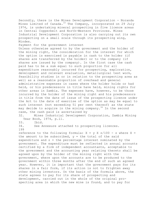Secondly, there is the Mines Development Corporation — Noranda Mines Limited of Canada.<sup>33</sup> The Company, incorporated on 29 July 1974, is undertaking mineral prospecting in five licence areas in Central Copperbelt and North-Western Provinces. Mines Industrial Development Corporation is also carrying out its own prospecting on a small scale through its prospecting wing, Mindex.

Payment for the government interest

Unless otherwise agreed to by the government and the holder of the mining right, the consideration for the interest for which the option is exercised is payable in cash to the holder (if shares are transferred by the holder) or to the company (if shares are issued by the company). In the first case the cash paid has to be a sum equal to such proportion for all expenditure reasonably incurred for prospecting, exploration, development and relevant evaluation, metallurgical test work, feasibility studies in or in relation to the prospecting area as well as a reasonable proportion of overhead and general administrative expenses in cases where the holder holds or had held, or his predecessors in title have held, mining rights for other areas in Zambia. The expenses have, however, to be those incurred by the holder of the mining right and his predecessors in title from the date of issue of the prospecting licence under the Act to the date of exercise of the option as may be equal to such interest (not exceeding 51 per cent thereof) as the state may decide to acquire in the mining company.<sup>34</sup> In the second case, the cash paid is ascertained by

32. Mines Industrial Development Corporation, Zambia Mining Year Book, 1974, p.ll.

33. Ibid.

34. See Annexure attached to prospecting licences. 199

reference to the following formula:  $X = y X Z/100 - z$  where  $X =$ the amount to be subscribed,  $y =$  the total of the said expenditure and z = the percentage interest nominated by the government. The expenditure must be reflected in annual accounts certified by a firm of independent accountants, acceptable to the government and the accounting year relating thereto shall be agreed upon by the holder of the mining right with the government, where upon the accounts are to be produced to the government within three months after the end of such an agreed year. However, it is important that the government pays for its shares in a fair form, if its action is not to frighten away other mining investors. On the basis of the formula above, the state agrees to pay for its share of prospecting and development, carried out in the whole of the original prospecting area in which the new mine is found, and to pay for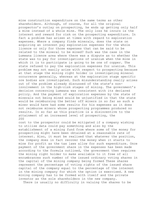mine construction expenditure on the same terms as other shareholders. Although, of course, for all the original prospector's outlay on prospecting, he ends up getting only half a mine instead of a whole mine. The only loss he incurs is the interest and reward for risk on the prospecting expenditure. In fact a problem has arisen at times with regard to exploration expenses. Where a company finds minerals, does the state on acquiring an interest pay exploration expenses for the whole licence or only for those expenses that can be said to be related to the mineral to be mined? Such was the case in the Lumwana licence area where there was a dispute as to whether the state was to pay for investigations of uranium when the mine in which it is to participate is going to be one of copper. The state refused to pay the exploration expenses for uranium. This problem may not easily arise with respect to prospecting because at that stage the mining right holder is investigating mineral occurrence generally, whereas at the exploration stage specific ore bodies are investigated. Such misunderstanding really arises out of the problem already discussed of the state's noninvolvement in the high-risk stages of mining. The government's decision concerning Lumwana was consistent with its declared policy. And the payment of exploration expenses by the state of minerals not being mined would be unjustified in that the state would be reimbursing the better off miners in so far as such a miner would have had some results for his expenses as it does not reimburse miners whose prospecting programmes produced no results. In so far as this practice is a disincentive to the attainment of an increased level of prospecting, the 200

cost to the prospector could be mitigated if a company wishing to utilise data could pay something and also by the establishment of a mining fund from where some of the money for prospecting might have been obtained at a reasonable rate of interest. Also, it must be realised that whatever the position, the company does in fact recover the money when it starts to mine for profit as the tax laws allow for such expenditure. Once payment of the government share in the expenses has been made according to the formula outlined, the government then requires the mining right holder to make available to it free of all encumbrances such number of the issued ordinary voting shares in the capital of the mining company being formed These shares represent the percentage of voting rights of the issued share capital of the company equal to the percentage of the interest in the mining company for which the option is exercised. A new mining company has to be formed with itself and the private investor as the sole shareholders in the new company.

There is usually no difficulty in valuing the shares to be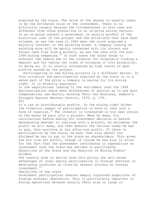acquired by the state. The value of the shares is usually taken to be the estimated value of the investment. There is no difficulty largely because the circumstances in this case are different from those prevailing in an on-going mining venture. In an on-going concern a government is usually mindful of the historical cost of the project and the write-offs that have been allowed, as was the case in 1969 when the state acquired a majority interest in the existing mines. A company running an existing mine will be mainly concerned with its current and future cash flow from a project, as was the case with the pre-1969 mining companies.  $35 \overline{1}$  In such cases the state tends to discount the reward due to the investor for originally finding a deposit and for taking the risks of bringing it into production. In doing so, it is usually influenced by high levels of past profits earned by the project.

Participating in new mining projects is a different matter. In this situation the participation required by the state is in a sense part of the price a company is paying for its mining right. It is directly analogous

In the negotiations leading to the settlement over the 1969 Nationalisation there were differences of opinion as to how much compensation; see Martin, Minding Their Own Business, Zambia's Struggle Against Western Control, 1972, p. 176. 201

to a tax on distributable profits. To the mining right holder the financial aspect of participation is more or less just a form of taxation.<sup>36</sup> The investor is interested in his next return on the money he puts into a project. When he does, his calculations before making his investment decision or before determining whether to continue with a project, he estimates the profit he will make, and then deducts the various taxes he has to pay, thus arriving at his after-tax profit. If there is participation by the state, he must then also deduct the dividend he has to pay to the state as shareholders. This gives him his true net profit, though of course he has also to allow for the fact that the government contributes to expenditure on investment once the state has decided to participate. Objectives of the State and the Reaction of Mining Rights' Holders

The country aims to derive from this policy the well-known advantages of local equity participation in foreign ventures in developing countries as cited by several writers on foreign investment.<sup>37</sup>

Obejelives of the state

Government participation reduces deeply ingrained suspicions of foreign economic domination. This is particularly important in mining operations because usually their size is large in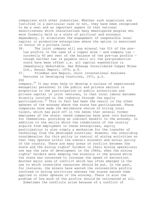comparison with other industries. Whether such suspicions are justified in a particular case or not, they have been recognised to be a real and an important aspect of that national sensitiveness which characterises many emancipated peoples who were formerly held in a state of political and economic dependency. It stimulates the engagement of responsible local capital in productive enterprises where the option is exercised in favour of a private local

36. The joint company will pay mineral tax 51% of the pretax profits in the case of a copper mine  $-$  and company tax  $$ currently 45 per cent of the balance of the pre-tax profits  $$ though neither tax is payable until all the pre-production costs have been offset i.e. all capital expenditure is immediately deductable. See Nchanga Consolidated Copper Mines Ltd., Annual Report, 1974, p.9.

37. Friedman and Beguin, Joint international Business Ventures in Developing Countries, 1971, p.2. 202

company.<sup>38</sup> It may even help to develop a nucleus of experienced managerial personnel in the public and private sectors in proportion to the participation of public authorities and private capital in joint ventures, in that local labour becomes directly involved in the industry through the equity participation.<sup>39</sup> This in fact has been the result in the other spheres of the economy where the state has participated. These companies have made the deliberate choice of hiring local talent, which has paid off in the sense that several former employees of the state- owned companies have gone into business for themselves, providing an indirect benefit to the economy. In addition to the skills which the inhabitants of the country acquire from employment in these enterprises, equity participation is also simply a mechanism for the transfer of technology from the developed countries. However, the overriding consideration for this policy is control of mining activities so that they operate within the overall economic and social policy of the country. There are many areas of conflict between the state and the mining rights' holders in their mining operations; one was the rate of development in the 1960s, when the mining rights' holders were keeping the minerals in the ground while the state was concerned to increase the speed of extraction. Another major area of conflict which has often emerged is the use to which investible resources should be put. In the past, for instance, the miners have wanted the reinvestible profits confined to mining activities whereas the states wanted them applied to other spheres of the economy. There is also the problem of how much of the profits should be reinvested at all.

Sometimes the conflicts arise because of a conflict of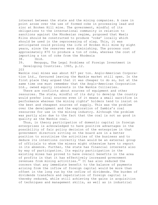interest between the state and the mining companies. A case in point arose over the use of formed coke in processing lead and zinc at Broken Hill mine. The government, mindful of its obligations to the international community in relation to sanctions against the Rhodesian regime, proposed that Waelz Kilns should be constructed to produce 'coke' locally which should be used in the reprocessing of slag. This, it was anticipated could prolong the life of Broken Hill mine by eight years, since the reserves were diminishing. The process cost approximately K70 to produce a ton of coke, whereas the cost of importing a ton of coke from the Rhodesia 38. Ibid.

39. Nwogugu, The Legal Problems of Foreign Investment in Developing Countries. 1965, p.12.

203

Wankie coal mines was about K27 per ton. Anglo-American Corporation Ltd., favoured leaving the Wankie market still open. In the first place they argued that it was cheaper to do so, but at the same time one must remember that the Anglo-American Corporation Ltd., owned equity interests in the Wankie Collieries.

There are conflicts about sources of equipment and other resources. The state, mindful of its duty to develop the country would prefer local sources even if it means a small sacrifice in performance whereas the mining rights' holders tend to insist on the best and cheapest sources of supply. This was the problem over the development and the exploration of Zambia's coal resources for use in the mining industry. Although the problem was partly also due to the fact that the coal is not as good in quality as the Wankie coal.

Thus, in theory participation of domestic capital in foreign enterprises is acknowledged to have positive advantages in the possibility of fair policy decision of the enterprise in that government directors sitting on the board are in a better position to scrutinise the activities of the business and to deduce its intentions correctly than would be an external group of officials to whom the miners might otherwise have to report in its absence. Further, the state has financial interests also by way of participation. Its equity participation in the existing mines has proved to have overall benefits in the area of profits in that it has effectively increased government revenues from mining activities.<sup>40</sup> It has also reduced the concern that any immediate benefit to the balance of payments arising from the inflow of foreign capital would be more than offset in the long run by the onflow of dividends. The burden of dividends transfers and repatriation of foreign capital is thereby reduced, while still achieving the gains in acquisition of techniques and management skills, as well as in industrial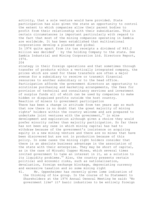activity, that a sole venture would have provided. State participation has also given the state an opportunity to control the extent to which companies allow their parent bodies to profit from their relationship with their subsidiaries. This in certain circumstances is important particularly with regard to the fact that most of the mining companies operating in Zambia are worldwide. It has been established that multinational corporations develop a planned and global In 1974 quite apart from its tax receipts a dividend of K43.2 million was decided<sup>1</sup> · by the holding Company to the state. See Zambia Industrial and Mining Corporation Ltd. Directors Report, 1974. 204 strategy in their foreign operations and that sometimes through transfer of products within a vertically integrated company, the prices which are used for these transfers are often a major avenue for a subsidiary to receive or transmit financial resources to another subsidiary or to the head office. Participation affords the government directors an opportunity to scrutinise purchasing and marketing arrangements, the fees for provision of technical and consultancy services and investment of surplus funds all of which can be used by companies to make hidden or disguised profits outside the host country. Reaction of miners to government participation There has been a change in attitude from ten years ago so much that now there is no doubt that the great majority of mining rights' holders within the country welcome and are prepared to undertake joint ventures with the government,  $41$  in mine development and exploration although given a choice they would prefer minority rather than majority participation. So far there has not been any case in which mining capital has had to withdraw because of the government's insistence on acquiring equity in a new mining venture and there are no mines that have been discovered but are not in production because of this policy. In some cases the mining right holders consider that there is an absolute business advantage in the association of the state with their enterprise. They may be short of capital, as in the case of Mjcushi Copper Mines, which several times invited government to take an interest in it, as a solution to its liquidity problems.<sup>42</sup> Also, the country presents certain political and economic risks, such as nationalisation, devaluation, foreign exchange blockage, depreciating currency and excessive taxation and so some mining right 41. Mr. Oppenheimer has recently given lome indication of

the thinking of hi« group. In the course of hu Statement to Shareholders at the 1974 Annual Oeneral Meeting he said: 'No government like\* it\* basic industries to be entirely foreign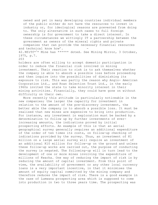owned and yet in many developing countries individual members of the public either do not have the resources to invest in industry or, for ideological reasons are prevented from doing to. The only alternative in such cases to full foreign ownership is for government to take a direct interest. In these circumstances we wittingly IT a partnership between the government as owners of the mineral rights and private companies that can provide the necessary financial resources

and technical know how'. 42. MfrTf\*<sup>1\*</sup> Mine has \*\*\*\*\*\* doted. See Mining Mirror, 3 October,

# 1975, p.7.

### 203

holders are often willing to accept domestic participation in order to reduce the financial risk involved in mining investment. Their reaction to risk is to ask themselves whether the company is able to absorb a possible loss before proceeding and then inquire into the possibilities of diminishing its exposure to risk. This was partly the reason why Anglo- American Corporation Ltd., and Roan Selection Trust Ltd., in the early 1960s invited the state to take minority interest in their mining activities. Financially, they could have gone on without difficulty on their own.

More recently this attitude is particularly noticeable in the new companies; the larger the capacity for investment in relation to the amount of the pre-discovery investment, the better able the company is to absorb a possible loss. It must be realised that new mines are expensive to bring into production. For instance, any investment in exploration must be backed by a determination to follow up by further investments of everincreasing amounts, the indications proved by initial prospecting efforts. An example of this is that an aerial geographical survey generally requires an additional expenditure of the order of ten times its costs, on follow-up checking of indications provided by the survey. Thus, an investment of K1 million on a large aerial survey will require an investment of an additional K10 million for follow-up on the ground and unless these follow-up works are carried out, the purpose of conducting the survey is negated. The following-up will in turn lead to the development of one or more mines involving the expenditure of millions of Kwacha. One way of reducing the impact of risk is by reducing the amount of capital investment. From this point of view, the availability of government or any other local currency loans is a very important incentive, in that it minimises the amount of equity capital committed by the mining company and therefore reduces the impact of risk. There is a good example in the case of Lumwana prospecting area which is supposed to come into production in two to three years time. The prospecting was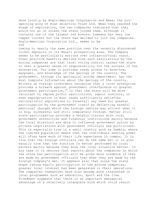done jointly by Anglo-American Corporation and Amax, the prospecting wing of Roan Selection Trust Ltd. When they reached the stage of exploration, the two companies indicated that they would not go on unless the state joined them. Although it contains one of the largest ore bodies, Lumwana has very low copper content but the state has decided to join the companies. Anglo-American Corporation Ltd., seems to be 206

coming to nearly the same position over the recently discovered nickel deposits in its Munali prospecting area. The Company seems to be particularly worried over infrastructural costs. Other positive benefits derived from such associations by the mining companies are that local voting control causes the state to feel a greater sense of responsibility for the success of the enterprise. For some it provides ready access to know-how, manpower, and knowledge of the geology of the country. The government, through its geological survey department, has the most complete information about the geology of the country. Writers on foreign investment recognise that a joint enterprise provides a bulwark against government interference or greater government participation,  $43$  in that the state will be more reluctant to impose profit restrictions, import controls, or even expropriation in most cases sufficiently satisfies nationalistic aspirations to forestall any need for greater participation by the government itself by deflecting harmful emotional charges which the foreign venture may attract when it is big, successful and still completely foreign. Better still state participation provides a helpful liaison with local government authorities and financial institutions mainly because the local directors are able to influence government action by private negotiations with government officials and politicians. This is especially true in a small country such as Zambia, where the limited population means that the individuals sharing power will often have much of their life experience in common. It is true that the foreign officials can do the same but it is also equally true that the function is better performed by local patners mainly because they know the local situation better. In any case it is obvious that reports about the companies in which the state has participation will be given more credence if they are made by government officials than when they are made by the foreign company's men. It appears also that since the state began taking equity participation in the mining companies, greater local interest has been generated in their operations. The companies themselves have also become more interested in local programmes such as education, sport and the like. Friedmann suggests that there is an important managerial advantage of a relatively intangible kind which could result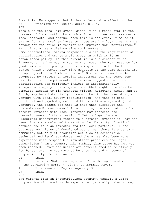from this. He suggests that it has a favourable effect on the 43. Friedmann and Reguin, supra, p.385. 207 morale of the local employees, since it is a major step in the process of localisation by which a foreign investment assumes a local character and status. When this is achieved, it makes it easier for the local employee to integrate his loyalties, with a consequent reduction in tension and improved work performance. $44$ Participation as a disincentive to investment Some international mining companies dislike the requirement of participation and try to avoid areas in which it is an established policy. To this extent it is a disincentive to investment. It has been cited as the reason why for instance low grade minerals of porphyries are being mined in the United States while exceptionally fine deposits of the same mineral are being neglected in Chile and Peru. $45$  Several reasons have been suggested by writers on foreign investment for the companies' dislike of such requirements. Friedmann suggests that local participation can seriously inhibit an internationally integrated company in its operations. What might otherwise be complete freedom to fix transfer prices, marketing areas, and so forth, may be substantially circumscribed in the case of a joint venture with local equity participation. And that to some, political and psychological conditions militate against joint ventures. The reason for this is that when difficult and unstable conditions prevail in a country, the association of a foreign investor with local interest may increase the precariousness of the situation.<sup>46</sup> Yet perhaps the most widespread discouraging factor to a foreign investor is what has been widely acknowledged to exist — the disparity of outlook between the foreign investor and the local partners. In the business activities of developed countries, there is a certain community not only of tradition but also of scientific, technical and legal standards, and there has also been more experience with responsible investment practices and legal supervision. $47$  In a country like Zambia, this stage has not yet been reached. Power and wealth are concentrated in relatively few hands, and are not matched by a corresponding sense of responsibility. For instance, 44. Ibid. 45. Carman, 'Notes on Impediment! to Mining Investment! in the Developing World,\* (1975), 14 Bagmnda Paper. 46. Friedmann and Begum, supra, p.388. 47. Ibid. 208 the partner from an industrialised country, usually a large corporation with world-wide experience, generally takes a long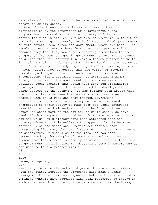term view of profits, placing the development of the enterprise before quick dividends.

Some of the investors, it is stated, resent direct participation by the government or a government-owned corporation in a capital importing country.  $48$  This is particularly so in American mining circles where it is felt that there is something inherently unsuitable about mixed governmentprivate enterprises, since the government 'wears two hats'  $-$  as regulator and partner. Others fear government partnerships because they feel they would be subjecting themselves to the dangers of frequent changes in government policy. But it cannot be denied that in a country like Zambia the only alternative to initial participation by government is no local participation at all. There simply is nobody big enough to form a mining concern.

Some writers have suggested that the policy of requiring domestic participation in foreign ventures is somewhat inconsistent with a declared policy of attracting maximum foreign investment. The government option, when exercised, utilises local capital that could have financed alternative development and thus would have enhanced the development of other sectors of the economy.<sup>49</sup> It has further been arqued that the inconsistency between the two sets of motives stands out sharply when it is realised that through government participation outside investors may be forced to divest themselves of their equity to make room for local interests, resulting in true disinvestment, with the foreign investor repar- triating part of the capital he would otherwise have used. If this happened it would be unfortunate because this is capital which would already have been attracted into the country. However, it is unlikely to happen in Zambia because section 20 of the Mines and Minerals Act ensures that prospecting licences, the very first mining rights, are granted to discovered. It must also be realised, as has been demonstrated by the example of Lumwana and Mokambo licence areas, that the reverse is equally possible — that is that lack of government participation may discourage some investors who do not want to take a greater risk in 48. 49. Ibid. Nwogugu, supra, p. 13. 209 searching for minerals and would prefer to share their risks with the state. Besides the arguments also make a basic assumption that all mining companies that start or wish to start a mining venture have adequate financial resources to engage in

such a venture. Mining being an expensive and risky business,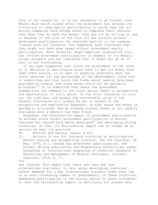this is not always so. It is not necessary to go further than Mkushi Mine which closed after the government had refused its invitation to take equity participation to prove that not all mining companies have enough money to complete their venture. Even when they do have the money, they may not be willing to use it because of the size of the risk its use entails without government participation. As observed earlier in the Lumwana licence area for instance, the companies have indicated that they might not have gone ahead without government equity participation. More recently, Anglo-American Corporation Ltd., has invited government participation in respect of its Munali nickel prospect and has indicated that it might not go on if this is not forthcoming.

It has been suggested that since the government in the event of it deciding to participate would have to get its money from some other source, it is open to question precisely what the state receives for the percentage of the development costs that it subscribes and that since the funds would readily have been provided by others, the state money would not be optimally allocated. $50$  It is submitted that where the government indemnifies the company to the total amount spent on prospecting and exploration, it still gains. In the first instance, it cuts out the risk part and anyway the recoverable value of the mineral discovered will always be far in excess of the prospecting and exploration expenses. In that sense the money is optimally allocated. And as already stated, money is not readily available once a deposit has been found.

Nowadays, the disincentive impact of government participation is minimal since direct government participation in mining ventures has spread both among developed<sup>51</sup> and developing mining countries, so that its disincentive impact can no longer be as serious as when its practice

30. Bostock and Harvey, supra, p.203.

51. Britain is now for instance insisting on participation before issuing any prospecting licences. See the Guardian, 28 May, 1976, p.l. Canada has government participation, see Drolet, Mining Legislation and Responsible Authorities, paper presented at International Symposium of technical Research in Mineralogy and Management of Mineral Patrimony. Orleans-Lasource, 197S, p. 11.

#### 210

was limited. This means that there are less and less alternatives available. In fact among developing countries recent demands for a new international economic order have led to an ever increasing number of governments, in these countries, demanding participation in the mining sector of their economies. In fact the disincentive impact is definitely not placed very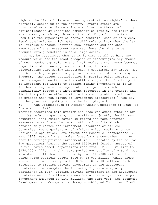high on the list of disincentives by most mining rights' holders currently operating in the country. Several others are considered as more discouraging — such as the threat of outright nationalisation at undefined compensation levels, the political environment, which may threaten the validity of contracts or result in the imposition of onerous controls, cost of services, legal complexities which make it difficult to know what the law is, foreign exchange restrictions, taxation and the sheer magnitude of the investment required where the mine to be brought into production is on a large scale.

It may be questioned whether it is wise at all to have any measure which has the least prospect of discouraging any amount of much needed capital. In the final analysis the answer becomes a question of balancing two evils. Thus, the cost of discouraging some mining investment, a government may argue, may not be too high a price to pay for the control of the mining industry, the direct participation in profits which results, and the consequent reaction in the outflow of profits. Similarly it is important for Zambia to attract mining investment as it is for her to regulate the repatriation of profits which considerably reduce the investment resources in the country and limit its positive effects within the country which could well be greater than the amount of investment discouraged.<sup>52</sup> The key to the government policy should be fair play with

52. The Organisation of African Unity Conference of Head] of State at iti 1973

meeting recognised this problem and resolved among other things to: (a) defend vigorously, continually and jointly the African countries' inalienable sovereign rights and take concrete measures to recúlate the repatriation of profits which considerably reduce the investment resources of African Countries, see Organisation of African Unity, Declaration on African Co-operation. Development and Economic Independence. 28 May, 1973. Part of the problem faced by the countries in playing host to foreign private investment is illustrated by the following quotation: 'During the period 1950-1968 foreign assets of United States based Corporations rose from S121.000 million to \$174,000 million. In that same period net outflow of U.S. direct investment fefl short of income by over \$15,000 million. In other words overseas assets race by 53,000 million while there was a net flow of money to the U.S. of \$15,000 million. With reference to British private investment in the developing countries, for example, the following Figura are equally pertinent: In 1967, British private investment in the developing countries was £60 million whereas Britain earnings from the pml investment amounted to £140 million, the same year' See Economic Development and Co-operation Among Non-Aligned Countries, Draft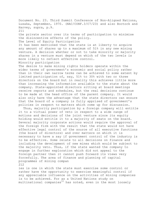Document No. 23. Third Summit Conference of Non-Aligned Nations, Lusaka, September, 1970. (NAC/CONF.3/C7/23) and also Boctock and Harvey, supra, p.9. 211 the private sector over its terms of participation to minimise the disincentive effects of the policy. The Level of Equity Participation It has been mentioned that the state is at liberty to acquire any amount of shares up to a maximum of 51% in any new mining venture. A decision whether or not to take minority or majority shares in a venture must depend on which of the two levels is more likely to reflect effective control. Minority participation The desire to make mining rights holders operate within the wider terms of government's economic and social policy rather than in their own narrow terms can be achieved to some extent by limited participation of, say, 51% to 30% with two or three directors on the board but in reality this achieves little more than increasing the information available to the state about the company. State-appointed directors sitting at board meetings receive reports and schedules, but the real decisions continue to be made at the head office of the parent company. It would also only have the advantage that the state directors can ensure

that the board of a company is fully apprised of government's policies in respect to matters which come up for discussion. Thus, majority participation by a foreign company will entitle it to a virtual power of veto in respect to a wide range of motions and decisions of the joint venture since its equity holding would entitle it to a majority of seats on the board. Several majority corporate actions would require the approval of the foreign firm with the result that the state would not have effective legal control of the source of all executive functions (the board of directors) and over matters on which it is necessary to have a say if government control of the industry is to be effective. Some relate to all decisions on finance and including the development of new mines which would be subject to the majority veto. Thus, if the state wanted the company to engage in further exploration which did not appeal to the foreign partner then it cannot push forward its views very forcefully. The area of finance and planning of capital programmes of mining compan

212

ies is one in which the state must exercise some control or rather have the opportunity to exercise meaningful control if any appreciable influence on the activities of mining companies is to be achieved. For as a United Nations study on multinational companies<sup>53</sup> has noted, even in the most loosely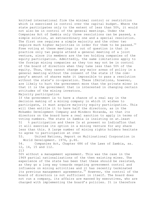knitted international firm the minimal control or restriction which is exercised is control over the capital budget. Where the state participates only to the extent of less than 50%, it would not also be in control of the general meetings. Under the Companies Act of Zambia only three resolutions can be passed, a simple solution, an extraordinary one and a special resolution. The first one requires a simple majority and the other two require much higher majorities in order for them to be passed. $54$ Free voting at these meetings is out of question in that in practice only two people attend a general meeting of a joint venture, since its members are the two holding companies of the equity participation. Admittedly, the same limitations apply to the foreign mining companies as they too may not be in control of the board of directors when they take less than 50% of the equity. Thus, they cannot change any major areas of policy in a general meeting without the consent of the state if the company's amount of shares make it impossible to pass a resolution without the state's co-operation. These lfmitations, however, are likely to hurt the government more than the private miner in that it is the government that is interested in changing certain attitudes of the mining investors.

Majority participation

If the government is to have a chance of a real say in the decision making of a mining company in which it wishes to participate, it must acquire majority equity participation. This will then entitle it to have half the directors, as in the Mokambo Development Company and Mindeco Noranda, so that its directors on the board have a real sanction to apply in terms of voting numbers. The state in Zambia is insisting on at.least 51 % participation and there Is at present no îndïcaTîon that it will exercise its option in a mining venture for any share less than this. A large number of mining rights holders hesitate to agree to participation at over

53. United Nations, Report on Multinational Corporation in World Development. 1976, p.46.

54. Companies Act, Chapter 686 of the Laws of Zambia, ss. 12, 14, 15 and 112.

213

50% without a management agreement. This was the case in the 1969 partial nationalisations of the then existing mines. The experience of the state has been that these should be resisted, as they go a long way towards negating government control and influence on mining activities and it has recently terminated its previous management agreements.<sup>55</sup> However, the control of the board of directors is not sufficient in itself. The board does not run a company, its affairs are manned by executives, who are charged with implementing the board's policies. It is therefore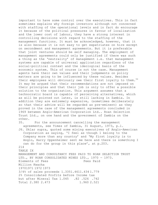important to have some control over the executives. This in fact sometimes explains why foreign investors although not concerned with staffing of the operational levels and in fact do encourage it because of the political pressures in favour of localisation and the lower cost of labour, they have a strong interest in controlling decisions with regard to the staffing of the management functions. It must be acknowledged, however, that it is also because it is not easy to get expatriates on hire except on secondment and management agreements. But it is preferable that joint ventures should be self managing. The employment of management agreements could only be justified if there was such a thing as the 'neutrality' of management i.e. that management systems are capable of universal application regardless of the social-political context and the ideological basis of the economic system. This of course is not the case. Management agents have their own values and their judgements on policy matters are going to be influenced by these values. Besides their employees will obviously owe their first loyalty to them.<sup>56</sup> It may be argued that their recommendations are not imposed on their principles and that their job is only to offer a possible solution to the organisation. This argument assumes that a technocratic board is capable of perceiving alternatives, which as will be pointed out later, is still lacking in Zambia. In addition they are extremely expensive, (sometimes deliberately so that their advice will be regarded as pre-eminent) as they proved in the case of the management agreements concluded in 1969 between Anglo-American Corporation Ltd.. Roan Selection Trust Ltd., on one hand and the government of Zambia on the other. 35. For the announcement cancelling the management agreements, see Times of Zambia, 31 August, 1973, p.l. J6. Sklar supra, quoted some mining executives of Anglo-American Corporation as saying, 'I feel as though 1 belong to the Company more than any country' and 'My first loyalty is to Anglo, Harry Oppenheimer sent me here and there is something I can do for the group in this place', at p.203. 214 TABLE IX MANAGEMENT AND CONSULTANCY FEES PAID TO ROAN SELECTION TRUST LTD., BY ROAN CONSOLIDATED MINES LTD., 1970 — 1973. Elements of Fees Fees Paid Million Kwacha 19701971 1972 1973 3/4% of sales proceeds 1.3351.4611.434 1.779

2% Consolidated Profits before Income tax

but after Mineral Tax 1.045 .82 .526 .742 Total 2.380 2.473 1.960 2.521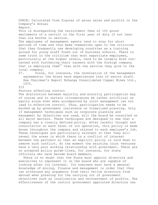OURCE: Calculated from figures of gross sales and profits in the Company's Annual Report. This is disregarding the recruitment fees of 15% gross emoluments of a recruit in the first year of duty if not less than six months in service. The employees of management agents tend to stay for short periods of time and thus make themselves open to the criticism that they frequently use developing countries as a training ground for young staff fresh out of business schools. There is some truth in the criticism that most expatriate employees, particularly at the higher levels, tend to be largely more concerned with furthering their careers with the foreign company that is employing them<sup>57</sup> than with the service they give to the local company. 57. Since, for instance, the termination of the management agreements; the mines have experienced loss of senior staff. See Chairman's Report Nchanga Consolidated Copper Mines Ltd., 1975. 215 Factors affecting control The distinction between majority and minority participation may of course and in certain circumstances be rather artificial as equity alone even when accompanied by joint management can not lead to effective control. Thus, participation needs to be backed up by government insistence on formalised planning. Only if management techniques such as corporate planning and managment by objectives are used, will the board be consulted on all major matters. These techniques are designed to see that a company has a clearly defined policy. After careful thought and consultation on each facet of its operation, this policy is made known throughout the company and related to each employee's job. These techniques are particularly relevant in that they will reveal the areas in which there is a conflict of interest between the partners so that an explicit policy is laid down to remove such conflict. At the moment the existing joint ventures have a very poor working relationship with government. There are no accepted policy guide-lines, for instance, for state officials who have become board members.

There is no doubt that the State must appoint directors and executives to represent it on the board who are capable of looking after its interest. Its nominees must have a general knowledge of mining, finance and management in order that they can withstand any arguments from their fellow directors from abroad when pressing for the carrying out of government objectives such as localisation and reinvestment of profits. The effectiveness of the control government appointed directors can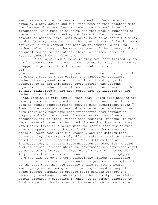exercise on a mining venture will depend on their being a capable, alert, astute and qualified team so that together with the foreign directors they can supervise the activities of management. Care must be taken to see that people appointed to these posts understand and sympathise with the government's objectives because some local people, because of their training, tend to be very sympathetic to the point of view of foreign companies.<sup>58</sup> In this respect the Zambian government is fairing rather badly. Owing to the relative youth of the country and the colonial neglect of education, there is no local stock of retired executives on which the

58. This is particularly so if they have been trained by one of the companies involved as such companies teach them how to approach problems from their own point of view.

216

government can draw to strengthen the technical knowledge of the government side of these boards. The paucity of available technical management is also a result of the disproportion established at the university level between the student population in technical faculties and other faculties, and this is also reinforced by the high percentage of failures in the technical faculties.

The problem is more complex than that. Board appointments are usually a contentious question, as political and other factors such as ethnic considerations seem to play significant roles. $59$ Even in the cases where reasonably able people have been given such positions, they have been transferred from company to company and also in and out of companies far too often and frequently for political rather than technical reasons. In this regard several cases can be cited of managing directors being moved three times in a year<sup>60</sup> with the result that few of them have the opportunity to become familar with their management tasks or conversant with the industry and its difficulties. Consequently, they are rarely able to make rational judgements based on time tested operations. Their difficulties are increased too, by regular reorganisation of companies. Another problem arises in cases where the government has appointed civil servants to the boards of directors of some mining companies.<sup>61</sup> In practice this is unwise, because civil servants simply do not have the time to do the work effectively without sacrificing efficiency in their real jobs, and this problem is exemplified by the fact that they are usually unable to attend board meetings by either being on tour or busy in another way. All these factors combine to produce board members without the necessary knowledge and ability. And the scarcity of available people produces a situation in which it is common practice to find one person who is a member to several boards, much more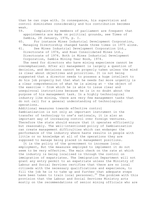than he can cope with. In consequence, his supervision and control diminishes considerably and his contribution becomes weak.

59. Complaints by members of parliament are frequent that appointments are made on political grounds, see Times of Zambia, 28 January, 1976, p. I.

- 60. For instance Mines Industrial Development Corporation, Managing Directorship changed hands three times in 1975 alone.
- 61. See Mines Industrial Development Corporation Ltd., Directorate of 1974, and Roan Consolidated Mines Ltd., Directorate of 1974. Both in Mines Industrial Development Corporation, Zambia Mining Year Book, 1974.

The need for directors who have mining experience cannot be overemphasised. After all management is largely a question of decision, and decisions cannot be properly taken unless the mind is clear about objectives and priorities. It is not being suggested that a director needs to possess a huge intellect to do his job properly but that what he needs far more urgently is a clear comprehension of what he is aiming  $at - the$  object of the exercise — from which he is able to issue clear and unequivocal instructions because he is in no doubt about the purpose of his management task. In a highly technological industry like mining, there are very few management tasks that do not call for a general understanding of technological operations.

Additional measures towards effective control Zambianisation is not only an important instrument in the transfer of technology to one's nationals, it is also an important way of increasing control over foreign ventures. Therefore the state should ensure that it operates efficiently but reasonably. The well-intentioned policy of Zambianisation can create management difficulties which can endanger the performance of the industry where haste results in people with little or no knowledge at all of the operations they are supposed to manage being placed in management positions.

It is the policy of the government to increase local employment, But the measures employed to implement it do not seem to be very effective. The main check on the rate at which the industry is being localised is through the control on immigration of expatriates. The Immigration Department will not grant any entry permit to an expatriate unless the Ministry of Labour and Social Services certifies that there are no local citizeds with the necessary qualifications and experience, to fill the job he is to take up and further that adequate steps have been taken to train local personnel.<sup>62</sup> The problem with this provision that the Labour and Social Services Ministry acts mostly on the recommendations of senior mining officials who are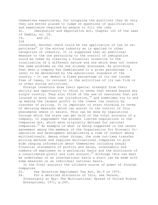```
themselves expatriates, for occupying the positions they do only 
they are better placed to judge on questions of qualifications 
and experience required by people to fill the jobs
62. Immigration and Deportation Act, Chapter 122 of the Laws 
of Zambia, ss. 18.
19, and 20.
218
```
concerned. Another check could be the application of tax on expatriates<sup>63</sup> in the mining industry as is applied to other categories of industry. It is suggested that an additional measure to the one pertaining to the control of immigration could be taken by creating a financial incentive to the localisation of a different nature and one which does not create the same problems as the one already discussed. By providing that when a company has Zambianised to a given percentage  $-$  a level to be determined by the educational standard of the  $country - it can deduct a fixed percentage of its net income$ free of taxes, to reinvest in the activities of its own firm or in other mining activities.

Foreign investors draw their special strength from their ability and opportunity to think in terms that extend beyond any single country. They also think of the use of resources that are located in more than one jurisdiction,  $64$  and sometimes try to end up making the largest profit in the lowest tax country by transfer of pricing. It is important to start thinking in terms of devising measures which can assist in the control of this phenomenon where it exists. This can be done by regulations through which the state can get hold of the total accounts of a company, to supplement the present limited regulations in the Companies Act, which were originally devised for national companies.<sup>65</sup> An example of what is being suggested is the recent agreement among the members of the Organisation for Economic Cooperation and Development establishing a code of conduct among multinationals. Among other things, the code out-laws transfer pricing methods and requires multinational companies to give wide ranging information about themselves including annual financial statements of profits and sales, investments and numbers of employees on a geological basis and the disclosure of a consolidated profit and loss account.<sup>66</sup> Although this can best be undertaken on an international basis a start can be made with some measures on an individual national basis.

In the final analysis the ultimate source of power of foreign companies

63. See Selective Employment Tax Act, No.9 of 1975. 64. For a detailed discussion of this, see Vernon,

Sovereignty at Bay: The Multinational Spread of United States Enterprises, 1971, p.265.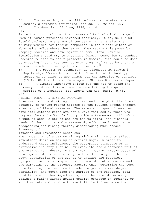65. Companies Act, supra. All information relates to a company's domestic activities, see ss, 29, 90 and 120. 66. The Guardian, 22 June, 1976, p. 14. 219 is in their control over the process of technological change.  $67$ Even if Zambia purchased advanced machinery, it may well find itself backward in a space of ten years. This is also the primary vehicle for foreign companies in their acquisition of abnormal profits where they exist. They retain this power by keeping research and development at home. Thus, Zambian legislation should try to encourage foreign companies to conduct research related to their projects in Zambia. This could be done by creating incentives such as exempting profits to be spent on research studies from any form of taxation. 68 67. The problem of technology is discussed at length in Kapalinsky, 'Accumulation and the Transfer of Technology; Issues of Conflict of Mechanisms for the Exercise of Control,' (1974), 80 Institute cf Development Studies Discussion Paper. 68. A limited incentive exists but one has to spend the money first as it is allowed in ascertaining the gains or profits of a business, see Income Tax Act, supra, s.43. 220 MINING RIGHTS AND MINERAL TAXATION Governments in most mining countries tend to exploit the fiscal capacity of mining-rights holders to the fullest extent through a variety of fiscal measures. The rates and types of measures have implications which are not always realised by those who propose them and often fail to provide a framework within which a just balance is struck between the political and financial needs of the country and a reasonably effective incentive in prospecting and mining thereby discouraging much needed investment.<sup>1</sup> Taxation and Investment Decisions The imposition of a tax on mining rights will tend to affect investment decision-making in several ways. In order to understand these influences, the cost-price structure of an extractive industry must be reviewed. The basic economic unit of the extractive industry is the mineral reserve. Pretax costs of development of a mine ore-body include discovery of the orebody, acquisition of the rights to extract the resource, equipment for the mining and extraction of that resource, and the marketing of the product. Factors which determine the cost of extracting the resource include the grade, size, shape, continuity, and depih from the surface of the resource, rock conditions and other impediments, and the rate of recovery. Besides a mining-rights holder usually competes in regional or world markets and is able to exert little influence on the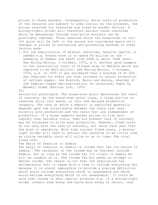prices in these markets. Consequently, while costs of production of the resource are subject to some control by the producer, the prices received for resources are fixed by market factors. A mining-rights holder will therefore extract those resources which he determines through cost-price analysis can be profitably removed. Those reserves below the break-even or cutoff point will be left in the ground and considered waste until changes in prices or extracting and processing methods or other factors make

1. For the exploitation of mineral resources, massive capital is needed e.g. Rokana mine is to spend K5 million on the edeeming of Number one shaft from 240M to about 350M level. See Mining Mirror, 3 October, 1975, p.3. Another good example is the construction costs of Otjhase mine in Namibia which are reported to be K423 million. See Mining Mirror, 3 October, 1975, p.4. In 1970 it was estimated that a minimum of K1.000 was required for every one tone increase in annual production of refined copper. See Bostock, Murry and Harvey, Anatomy of the Zambian Copper Nationalisation, an Occasional Paper by Maxwell Stamn (Africa) Ltd., 1970.

#### 221

extraction profitable. The break-even point determines the level of recovery. As the break-even point rises, a large portion of reserves falls into waste, or into the delayed production category. The rate at which a deposit is exploited generally depends upon the relationship between the costs that vary directly with production and the costs that are independent of production. If a miner expects market prices to rise more rapidly than variable costs, then his present rate of recovery may be increased to allow more production. However, fixed costs do not vary with the rate of recovery, but recur each year that the mine is operating. With high current fixed costs, a miningright holder will tend to extract the resource in as little time as rising variable costs will allow so as to lower the total fixed cost.

## The Basis of Taxation in Zambia

The basis of taxation in Zambia is income that has its source in  $Zambia.$ <sup>2</sup> The recipient of the income may be resident outside Zambia, but so long as the income has its origin in Zambia he will be taxable on it. The Income Tax Act makes no attempt to define income. The reason is not that the legislature has deliberately left it vague with a view to include everything but because it is almost impossible to provide a precise definition which would include everything which is assessable and which would exclude everything which is not assessable.<sup>3</sup> It could be said that income is what capital produces e.g. if a mining-right holder invests some money and earns more money in return, that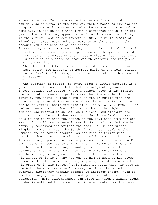money is income. In this example the income flows out of capital, as it were, in the same way that a man's salary has its origins in his work. Income can often be related to a period of time e.g. it can be said that a man's dividends are so much per year while capital may appear to be fixed in comparison. Thus, if the mining right holder invests K1,000, it would remain at K1,000 year after year and any increase of the amount in the account would be because of the income.

- 2. See s. 14, Income Tax Act, 1966, supra. The rationale for this test is that a country which produces wealth by... virtue of its natural resources or the... activities of its inhabitants is entitled to a share of that wealth wherever the recipient of it may live.
- 3. This lack of a definition is true of other countries as well. See, Spiro 'The Receipts or Accrual Basis of the South Africa Income Tax' (1973) 3 Comparative and International Law Journal of Southern Africa, p. 199.

222

The question of source, however, poses a little problem. As a general rule it has been held that the originating cause of income decides its source. Where a person holds mining rights, the originating cause of profits are the minerals let to the miner by the state. A good example of the principle that the originating cause of income determines its source is found in the South Africa income tax case of Millin v. C.I.R.<sup>4</sup> Mrs. Millin had written a book in South Africa. Although the right to publish was granted to an English publisher and although the contract with the publisher was concluded in England, it was held by the court that the source of the royalties from the book was in South Africa because it was in South Africa that she had actually conceived and written the book. Unlike the United Kingdom Income Tax Act, the South African Act resembles the Zambian one in having 'source' as the main criterion when deciding whether or not various types of income should be taxed. In each charge year, however, only income received is charged<sup>5</sup> and income is received by a miner when in money or in money's worth or in the form of any advantage, whether or not that advantage is capable of being turned into money or money's worth, it is paid or granted to him or it accrues to him or in his favour or it is in any way due to him or held to his order or on his behalf, or it is in any way disposed of according to his order or in his favour.  $6$  This makes it plain that, as used in the Act, the word 'received' is very far from its normal everyday dictionary meaning because it includes income which is due to a taxpayer but which has not yet come into his actual possession.<sup>7</sup> Here circumstances can arise in which a mining-right holder is entitled to income on a different date from that upon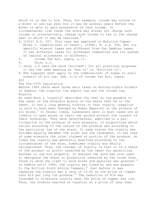which it is due to him. Thus, for example, income may accrue to a miner in one tax year but it may be several years before the miner is able to gain possession of that income. In circumstances like these the state may either not charge such income or alternatively, charge such income to tax in the charge year in which it may be realised.<sup>8</sup>

- 4. [1912] A.D. 207. This case was approved in Mufulira Copper Mines v. Commissioner of Taxes', (1958), R. & N. 336. But its specific mineral taxes are different from the Zambian taxes. It has different taxes for different commodites and its system of capital allowances is different.
- 5. Income Tax Act, supra, s.17.
- 6. Ibid, s.J.

7. Ibid, s.5 uses the word 'accrued'; for all practical purposes it has the same meaning as 'due to' or 'entitled to'.

- 8. The taxpayer must apply to the Commissioner of taxes to avail himself of his law. See. s.16 of Income Tax Act, supra.
- 223
- The Pre-1970 Legislation

Before 1969 there were three main taxes on mining-rights holders in Zambia: the royalty; the export tax and the income tax. Royalty

As used here a 'royalty' describes the rent or tax payable to the owner of the minerals purely on the basis that he is the owner. It has a long general history in that royalty (regalia) is said to have been charged by Roman Emperors on the produce of all mines. $9$  In feudal times, landowners were in most cases not at liberty to open mines on their own ground without the consent of their sovereign. They were nevertheless, admitted to a participation in the produce of such minerals, in proportions which varied according to the nature of the produce and according to the particular law of the state. In some states the royalty was divided equally between the ruler and the landowner, in the case of some minerals the ruler claimed no portion of the produce. At times the royalty was generally modified according to the circumstances of the mine, sometimes royalty was wholly relinguished. Thus, the concept of royalty is that it is a share of the product or profit reserved by the owner for permitting another to use his property. In England the word was also used to designate the share in production reserved by the Crown from those to whom the right to work mines and quarries was granted.<sup>10</sup> In Zambia until 1964, the royalty was fixed by and was payable to the British South Africa Company.<sup>11</sup> Just before it was repealed the royalty was a levy of 13.5% on the price of copper less K16 per long ton produce.<sup>12</sup> The reduction of K16 was intended to eliminate royalty when the price of copper was low. Thus, the formula exacted no taxation at a price of less than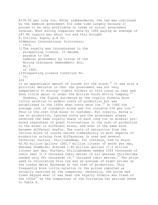```
K118.52 per long ton. After independence, the tax was continued 
by the Zambian government for some time largely because it 
proved to be very profitable in terms of actual government 
revenue. Most mining companies were by 1966 paying an average of 
£87.86 royalty per short ton and this brought
9. Collins, supra, p.A 22.
10
Webster International Dictionary, 
.
1973.
11
The royalty was incorporated in the 
.
prospecting licence. It became 
  payable to the
  Zambian government by virtue of the 
  Mining Ordinance (Amendment) Act, 
  No.5
  of 1965.
12
Prospecting Licence Condition No. 
.
14.
224
in an appreciable amount of income for the state.<sup>13</sup> It was also a
political decision in that the government was not very 
sympathetic to mining- rights holders on this issue as they had 
done little about it under the British South Africa Company.<sup>14</sup>
  However, the figure estimated by the royalty formula bore
```
little relation to modern costs of production but was established in the 1930s when costs were low.<sup>15</sup> In 1966 the average cost of transport alone was for instance £50 per ton.<sup>16</sup> This is the cost from miner to customer. But royalty, being a tax on production, ignored costs and the government always received the same royalty share of each long ton on mineral produced regardless of great fluctuations in the cost of production to the miner in different mines, and even in the same mine between different shafts. The costs of extraction from the various mines of course varied tremendously in most aspects of production arising from differences in ores and several technical factors. Chililabombwe, for instance, had to drain 62.82 million gallons (282.7 million litres) of water per day, whereas Chambishi drained 1.60 million gallons (7.2 million litres) per day. Further, Chililabombwe needed 1053 thousands of cubic feet 31.6 thousand cubic metres of air whereas Chilibuluma needed only 491 thousands  $14.7$  thousand cubic metres.<sup>17</sup> The price used in calculating this tax was an average of eight prices on the London Metal Exchange at the time of production. This frequently bore little relation to the prices reported as actually received by the companies. Generally, the price had risen beyond what it was when the royalty formula was fixed in the  $1930s^{18}$  as the comparison of the following two periods shows in Table X.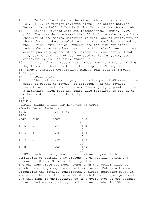13. In 1966 for instance the mines paid a total sum of £37,324,126 in royalty payments alone. See Copper Service Bureau, Copperbell of Zambia Mining Industry Year Book, 1966. 14. Kaunda, Towards Complete Independence, Zambia, 1969, p.35. The president remarked that 'I don't remember any of the chairmen of the mining companies in their annual statements to their share holders complaining that the royalties charged by the British South Africa Company were too high but after independence we have been hearing nothing else'. But this was denied publicly by one of the companies. Roan Section Trust Ltd, stated that it had been opposed to it for years, see Statement by the Chairman, August 22, 1969. 15. Imperial Institute Mineral Resources Department, Mining Royalties and Rents in the British Empire, 1936, p.35. 16. Mines Industrial Corporation, Mining Year Book of Zambia, 1974, p.35. 17. Ibid, p.26. 18. The problem was largely due to the post 1949 rise in the price of copper to levels not foreseen when the royalty formula was fixed before the war. The royalty payment affirmed a dimension which lost any reasonable relationship either to other costs or to profitability. 225 TABLE X AVERAGE YEARLY PRICES PER LONG TON OF COPPER (London Metal Exchange) 1965- 1968 1947-1950 Year Price Year Pric e 1965 £541 1947 £130 .6 1966 £411 1948 £134 .0 1967 £517 1949 £133 .0 1968 £611 1950 £179 .0

SOURCE: Zambia Mining Year Book, 1974 and Repon of the Commission of Permanent Sovereignty over natural wealth and Resources, United Nations, 1962, p. 165.

The exchange price was much higher than the actual price at which the mining companies made their sales. But as a tax on production the royalty constituted a direct operating cost. It increased the cost to the mines of each ton of copper produced and thus made it unprofitable to mine every type of ore because of such factors as quality, position, and grade. In 1963, for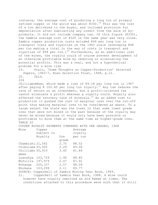instance, the average cost of producing a long ton of primary refined copper in the world was about  $K330.^{19}$  This was the cost of a ton delivered to the buyer, and included provision for depreciation after subtracting any credit from the sale of byproducts. It did not include company tax. Of this figure (K330), the Zambia average cost of K320 in the same year was very close. Zambia copper production costs mcluded K46 per long ton in transport costs and royalties on the 1963 scale (averaging K48 per ton making a total in the way of costs in transport and royalties of  $K94$  per ton.)<sup>20</sup> Furthermore, as an additional cost of the mines, the royalty could of course prevent development of an otherwise profitable mine by reducing or eliminating the potential profits. This was a real, and not a hypothetical problem for a mine like

19. Prain, 'Some Thoughts on Copper-Production' Selected Papers, 1963-7, Roan Selection Trust, 1968, p.21.

- 20. Ibid.
- 226

Chililabombwe, which made a loss of K9.18 per long ton in 1967 after paying K 102.60 per long ton royalty.<sup>21</sup> Any tax reduces the rate of return on an investment, but a profit-oriented tax cannot eliminate a profit whereas a royalty could. Royalty also affected the recovery rate of minerals.<sup>22</sup> As an added cost to production it pushed the cost of marginal ores over the cut-off point thus making marginal ores to be considered as waste. To a large extent the state was the loser in that some lower grade ores that were not mined in the past because of the royalty may never be mined because it would only have been possible or profitable to mine them at the same time as higher-grade ores. TABLE XI

COPPER ROYALTY PAYMENTS COMPARED WITH ORE GRADES, 1968

| Mine              | Copper                                               |       | Average |  |                |  |
|-------------------|------------------------------------------------------|-------|---------|--|----------------|--|
|                   | subject to                                           |       | royalty |  |                |  |
|                   | Royalty                                              | Ore   | per ton |  |                |  |
|                   |                                                      | grade |         |  |                |  |
| Chambishi 21,542  |                                                      | 2.70  | 88.52   |  |                |  |
| Chibuluma 25,505  |                                                      | 2.29  | 89.00   |  |                |  |
| Chililabo 55, 919 |                                                      | 3.40  | 81.84   |  |                |  |
| mbwe              |                                                      |       |         |  |                |  |
| Luanshya          | 103,729                                              | 1.90  | 88.85   |  |                |  |
| Mufulira          | 197,979                                              | 2.47  | 87.91   |  |                |  |
| Nchanga           | 225,337                                              | 2.57  | 88.09   |  |                |  |
| Rhokana           | 103,299                                              | 2.11  | 89.77   |  |                |  |
|                   | SOURCE: Copperbell of Zambia Mining Year Book, 1969. |       |         |  |                |  |
| 21                | Connorboll of Zambia Yoar Book, 1968                 |       |         |  | $\lambda$ mino |  |

Copperbell of Zambia Year Book, 1968. A mine could however have royalty remitted as did Kabwe at times. The conditions attached to this procedure were such that it still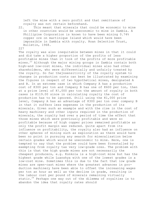left the mine with a zero profit and that remittance of royalty was not certain beforehand.

22. This meant that minerals that could be economic to mine in other countries would be uneconomic to mine in Zambia. A Phillipine Corporation is known to have been mining 0.74% copper ore on martinique Island which would have been impossible in Zambia with royalty. Roan Selection Trust, Bulletin, 1968.

# 227

The royalty was also inequitable between mines in that it could and did take a higher proportion of the profits of less profitable mines than it took of the profits of more profitable mines.<sup>23</sup> Although the major mining groups in Zambia contain both high-and low-cost mines, the individual mines also had other shareholders, who were differentially and unfairly treated by the royalty. So far thejnsensitivity of the royalty system to changes in production costs can best be illustrated by examining the figures in respect of two hypothetical mines, designated A and B. In an extreme case in which Company A has a production cost of K300 per ton and Company B has one of K600 per ton, then at a price level of K!,000 per ton the amount of royalty in both cases is K119.00 since in calculating royalty the cost of production has to be ignored. Still using the K1,000 price level, Company A has an advantage of K300 per ton over company B in that it suffers less expenses in the production of its minerals. Given such an example and with the rise in the cost of heavy machinery and other inputs required in the production of minerals, the royalty had over a period of time the effect that those mines which were previously profitable and were so profitable because of high copper prices remained profitable as only the profit margin was reduced. Quite apart from its influence on profitability, the royalty also had an influence on other spheres of mining such as exploration as there would have been no point in pursuing any search for mineralisation below certain grades which would be uneconomic to mine. Here, one is tempted to say that the problem could have been forestalled by exempting from royalty tax very low-grade ores. The problem with this is that the high grade mines are not necessarily the cheapest producers, e.g. Konkola is a high-cost mine but has the highest grade while Luanshya with one of the lowest grades is a low-cost mine. Sometimes this is due to the fact that low grade mines are open-cast mines where the greatest advances in production machinery have been able to offset the increasing wages per ton an hour as well as the decline in grade, resulting in the labour cost per pound of minerals remaining virtually static. $24$  Perhaps one way out of the dilemma of royalties is to abandon the idea that royalty rates should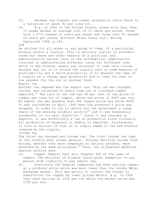23. Between the highest and lowest production costs there is a variation of about K3 per long ton.

24. E.g. in 1965 in the United States, mines with less than 1% grade showed an average cost of 17 cents per pound, those with l-2°7o showed 22 cents per pound and those over 2% showed 24 cents per pound, Northern Miner Press Ltd., Mining Explained 1968, p.191.

### 228

be uniform for all mines or any group of them, of a particular mineral within a country. This is entirely logical in economic terms but there are other reasons of a political and administrative nature, such as the arithmetical complication involved in administering different rates for different ores which is why mineral owners are reluctant to take this course. Another way out is to attach the royalty rate to some measure of profitability and a third possibility is to abandon the idea of a royalty as a charge upon production and to take the rest of the payment for the ore in another form. Export tax

Another tax imposed was the export tax. This tax was charged, levied, and collected on every long ton of finished copper exported.<sup>25</sup> The rate of the tax was 40 per cent of the price of copper per long ton of copper, above the price of K600 per ton. No export tax was payable when the copper price was below K600. It was introduced in April 1966 when the producer's price was dropped, in order to try to obtain for the government a large share of the ensuing windfall profits<sup>26</sup> and it was moderately successful in its main objective.<sup>27</sup> Since it was charged on exports, it was effectively a tax on production since virtually all production of minerals in Zambia is exported. Furthermore, it took no account of cost so it simply added to the bad effects created by the royalty.

Income Tax

The third tax charged was income tax. The first income tax laws in the country were rather general. Persons deriving income from mining, whether they were companies or natural persons, were governed by the same principles.<sup>28</sup> Thus, the allowances deducted against profits were

25. Copper (Export Tax) Act, Chapter 669 of the Laws of Zambia. The Minister of Finance could grant exemption to any person from liability to pay export tax.

26. Previously the Zambian Companies had been selling copper at a producer price which was much lower than the London Metal Exchange market. This was mainly to counter the threat to subsitution for copper by lower priced metals. E.g. in 1966 they were selling at £336 per ton while the market price was £700 per ton.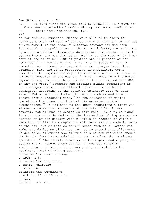See Sklar, supra, p.S3. 27. In 1968 alone the mines paid £65,185,585, in export tax alone see Copperbeil of Zambia Mining Year Book, 1969, p.34. 28. Income Tax Proclamation, 1921. 229

as for ordinary business. Miners were allowed to claim for reasonable wear and tear of any machinery arising out of its use or employment in the trade.<sup>29</sup> Although company tax was then introduced, its application to the mining industry was moderated by granting mining allowances. Just before the change in the tax system income tax was charged on profits at the rate of 37.5 per cent of the first K200.000 of profits and 45 percent of the remainder.<sup>30</sup> In computing profit for the purposes of tax, a deduction was allowed for expenditure on surveys, boreholes, trenches, pits and other prospecting or exploratory works undertaken to acquire the right to mine minerals or incurred on a mining location in the country.<sup>31</sup> Also allowed were incidental expenditures, provided their sum total did not exceed K200,000 in any one year.<sup>32</sup> Separate and distinct mining operations in non-contiguous mines were allowed deductions calculated separately according to the approved estimated life of each mine.<sup>33</sup> But miners could elect to deduct such expenditure on income from a producing mine.<sup>34</sup> At the cessation of mining operations the miner could deduct his undeemed capital expenditures.<sup>35</sup> In addition to the above deductions a miner was allowed a redemption allowance at the rate of 2%. It was however, not allowed to companies that were liable to be taxed in a country outside Zambia on the income from mining operations carried on by the company within Zambia in respect of which a deduction similar to a depletion allowance was not made in terms of the tax laws of that country.<sup>36</sup> Where such an allowance was made, the depletion allowance was not to exceed that allowance. No depletion allowance was allowed to a person where the amount due by the formula exceeded his income attributable to mining operations.<sup>37</sup> The effect, however, of the export and royalty tax system was to render these capital allowances somewhat ineffective and this position was partly reflected in the resultant level of mining activity. 29 Income Tax Proclamation, . 1926, s.5. 30 Income Tax Act, 1966, . supra, charging schedule. 31 Income Tax (Amendment)

. Act No. 26 of 1970, s.19 (1).

```
32 Ibid., s.2 (1).
```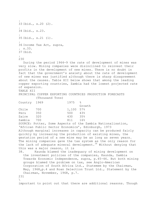```
.
33
Ibid., s.20 (2).
.
34
Ibid., s.23.
.
35
Ibid., s.21 (1).
.
36
Income Tax Act, supra, 
.
s.33.
37
Ibid.
.
```
230

During the period 1964-9 the rate of development of mines was very slow. Mining companies were disinclined to reinvest their profits in the development of new mines. There is no doubt in fact that the government's anxiety about the rate of development of new mines was justified although there is sharp disagreement about the causes. Table XII below shows that among the leading copper exporting countries, Zambia had the lowest projected rate of expansion. TABLE XII

PRINCIPAL COPPER EXPORTING COUNTRIES PRODUCTION FORECASTS (Thousand Tons)

| Country | 1969 | 1975  | °      |
|---------|------|-------|--------|
|         |      |       | Growth |
| Chile   | 700  | 1,100 | 57%    |
| Peru    | 350  | 500   | 4.3%   |
| Zaire   | 320  | 430   | 35%    |
| Zambia  | 700  | 811   | 16%    |

SOURCE: Potter, Some Aspects of the Zambia Nationalisation, 'African Public Sector Economics', Edinburgh, 1973 Although marginal increases in capacity can be produced fairly quickly by increasing the production of existing mines, the gestation period of a new mine may be as long as seven years. The mining companies gave the tax system as the only reason for the lack of adequate mineral development.<sup>38</sup> Without denying that this was a major reason, it is

38. Kaunda blamed the inadequacy of mining development on the investment policies of the companies, Kaunda, Zambia Towards Economic Independence, supra, p.45-46. But both mining groups blamed the problem on tax, see Anglo-American Corporation of South Africa Ltd., Statemem by the Chairman, May, 1968, p. 4 and Roan Selection Trust Ltd., Statement by the Chairman, November, 1968, p.7. 231  $\backslash$ 

important to point out that there are additional reasons. Though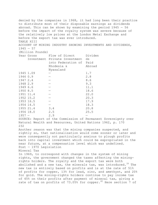denied by the companies in 1968, it had long been their practice to distribute most of their disposable earnings as dividends abroad. This can be shown by examining the period  $1945 - 56$ before the impact of the royalty system was severe because of the relatively low prices at the London Metal Exchange and before the export tax was ever introduced. TABLE XIII ACCOUNT OF MINING INDUSTRY SHOWING INVESTMENTS AND DIVIDENDS,  $1945 - 57$ (Million Pounds) Year Gross Investment Private Investment ds Flow of Direct into Federation of Paid Rhodesia & Nyasaland Dividen Abroad  $1945 \t1.09$  –  $1.7$  $19460.9 - 2.8$  $1947 \t2.4 - 8.6$  $1948$  2.9  $-$  9.3 1949 6.6 — 11.1 1950 8.5 — 18.6 1951 11.4 — 22.0 1952 15.2 — 20.3  $1953 \t16.5 - 17.9$ 1954 14.5 — 18.3 1955 21.4 3.4 20.8 1956 18.0 2.5 25.5  $1957 - 2.9$ SOURCE: Report of the Commission of Permanent Sovereignty over Natural Wealth and Resources, United Nations 1962, p. 170 232 Another reason was that the mining companies suspected, and rightly so, that nationalisation would come sooner or later and were consequently not particularly anxious to plough profits back into capital investment which could be expropriated in the near future, at a compensation level which was undefined. Post — 1970 Legislation Mineral Tax In 1969, to correspond with changes in the system of mining rights, the government changed the taxes affecting the miningrights holders. The royalty and the export tax were both abolished and a new tax, the minerals tax, was introduced.<sup>39</sup> The new tax is entirely based on profits and is at the rate of 51% of profits for copper, 13% for lead, zinc, and amethyst, and 20% for gold. The mining-rights holders continue to pay income tax of 45% on their profits after payment of mineral tax, giving a rate of tax on profits of 73.05% for copper.<sup>40</sup> Here section 7 of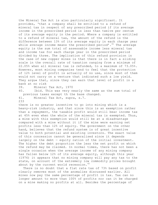the Mineral Tax Act is also particularly significant. It provides, 'that a company shall be entitled to a refund of mineral tax in respect of any prescribed period if its average income in the prescribed period is less than twelve per centum of its average equity in the period. Where a company is entitled to a refund of mineral tax, the amount of the refund is the difference between 13% of its average equity in each charge year while average income means the prescribed period'. $41$  The average equity is the sum total of assessable income less mineral tax and income tax for each charge year in the prescribed period divided by three. The implication of this refund provision in the case of new copper mines is that there is in fact a sliding scale in the overall rate of taxation ranging from a minimum of 22.05% when all mineral tax is refunded, to a maximum of 73.05%. However, most mining companies tend to feel that the protection of 12% level of profit is actually of no use, since most of them would not carry on a venture that indicated such a low yield. They argu« that, since they can earn that level of profit in a bank at no risk

39. Mineral Tax Act, 1970

40. Ibid. This was very nearly the same as the sum total of previous taxes except th the base changed.

41. Mineral Tax Act, supra, s.7. 233

there is no greater incentive to go into mining which is a heavy-risk industry, and that since this is an exemption rather than a repayment, the taxable profit would still bear income tax at 45% even when the whole of the mineral tax is exempted. Thus, a mine with this exemption would still be at a disadvantage compared with a mine without it if the mine were earning net profits less than 12% of equity. The government on the other hand, believes that the refund system is of great incentive value to both potential and existing investors. The exact value of this concession cannot be generalised since it depends largely on the debt — equity ration of the initial investment. The higher the debt proportion the less the net profit on which the refund may be claimed. In normal times, there has not been a single occasion when the average income of any mining company has fallen below 12% of its average equity, although this year (1976) it appears that no mining company will pay any tax to the state, on account of the extremely low commodity prices brought about by the current world recession.  $42$ 

There is no doubt that a flat rate tax of 73% based on profit clearly removes most of the anomalies discussed earlier. All mines now pay the same percentage of profit in tax. Tax can no longer amount to more than 100% of profits nor can it be charged on a mine making no profits at all. Besides the percentage of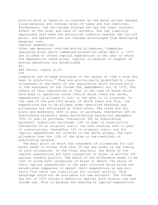profits paid in taxation is constant as the metal prices changes since marginal and average rates of taxes are now identical. Furthermore, the net-income related tax has the least economic effect on the level and rate of recovery. The tax liability approaches zero when the extractive industry reaches the cut-off point, and operators are not thereby discouraged from developing marginal ores.

```
Capital expenditure
```
Other new measures involved mining allowances. Companies operating mines which commenced production after April 1, 1975 are allowed to offset capital expenditure in the year in which the expenditure takes place. Capital allowances in respect of mining operations for established

42.

See Daniel, supra, p.21. 234

companies are allowed according to the length of time a mine has been in production.<sup>43</sup> They are provisionally permitted to claim allowances on the basis of the legislation which existed prior to the enactment of the Income Tax (Amendment) Act of 1970. The effect of this legislation is that in the case of mines which have been in operation since 1953,of which there are seven, expenditure is allowed in full in the year it is incurred. In the case of the pre-1953 mines, of which there are four, the expenditure has to be allowed under specified headings and allowances are calculated at fixed rates. The rates are for plant and machinery (40% in year of purchase, thereafter 20% on diminishing balance); heavy earth-moving mechanical equipment (50% in year of purchase, thereafter 30% on diminishing balance); industrial buildings (15% in year of construction thereafter 5% on original cost); low cost housing (20% in year of construction, thereafter 10% on original cost); and for capital expenditure not covered in the above groups, the rate allowable over the life of the mine is one-twentieth of diminishing balance.

The main point on which the treatment of allowances for old mines seems to differ from that of the new mines is the timing of such allowances. In the final analysis, the whole of the capital expenditure for both categories of mines is written off against taxable profits. The basis of the difference seems to be that to allow both categories of mines to deduct the whole of their capital expenditure in the year incurred would allow the established companies to deduct their expenditure on new projects from their tax liabilities for current profits. This advantage would not be available for new entrants. The Income Tax Act of 1970 allows a deduction against both mineral tax and income tax. This is because the meaning of capital expenditure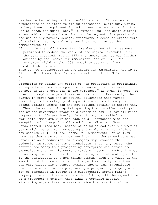has been extended beyond the pre-1970 concept. It now means expenditure in relation to mining operations, buildings, works, railway lines or equipment including any premium period for the use of these including land.<sup>44</sup> It further includes shaft sinking, money paid on the purchase of or on the payment of a premium for the use of any patent, design, trademark, process or expenditure of a similar nature, and expenses incurred prior to the commencement of

43. In the 1970 Income Tax (Amendment) Act all mines were permitted to deduct the whole of the capital expenditure in the year incurred. But in 1973 the Income Tax Act was further amended by the Income Tax (Amendment) Act of 1973. The amendment withdrew the 100% immediate deduction from established mines.

This is now incorporated in the Income Tax (Amendment) Act 1975. 44. See Income Tax (Amendment) Act No. 10 of 1975, s. 19 (a). 235

production or during any period of non-production on preliminary surveys, boreholes development or management, and interest payable on loans used for mining purposes.<sup>45</sup> However, it does not cover non-capital expenditures such as labour. Previously, the system in force was one of capital allowances that varied according to the category of expenditure and could only be offset against income tax and not against royalty or export tax.

Thus, the amount of capital spending that is effectively paid for by the government under this system is now 73% for all mines compared with 45% previously. In addition, tax relief is available immediately in the case of all companies with the exception of Nchanga Consolidated Copper Mines and Roan Consolidated Mines Ltd. Instead of being spread over a number of years with respect to prospecting and exploration activities, now section 21 (1) of the Income Tax (Amendment) Act of 1970 provides that a person or company incurring the expenditure may retain it as a deduction, or a company may renounce the deduction in favour of its shareholders. Thus, any person who contributes money to a prospecting enterprise can offset the expenditure against his current taxable income in Zambia instead of waiting for the chance to offset it against ultimate profits. If the contributor is a non-mining company then the value of the immediate deduction in terms of tax paid will only be 45% as he can only offset his expenses against income tax. Expenditure that is retained for tax purposes by a prospecting company also may be renounced in favour of a subsequently formed mining company of which it is a shareholder.  $46$  Thus, all the expenditure of a prospecting company that finds a workable deposit (including expenditure in areas outside the location of the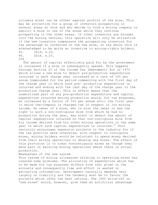ultimate mine) can be offset against profits of the mine. This may be attractive for a group of investors prospecting in several areas at once and who decide to form a mining company to exploit a mine in one of the areas while they continue prospecting in the other areas. If other investors are brought into the mining venture, this operation will only be attractive if the new investors compensate the prospecting investors for tax advantage so conferred on the new mine, on the whole this is acknowledged to be quite an incentive to mining-rights holders. 45. Ibid. s.22. 46. Ibid. s.23. 236

The amount of capital effectively paid for by the government is increased if a mine is subsequently opened. This happens through Section 22 of the Income Tax (Amendment) Act of 1975 which allows a new mine to deduct pre-production expenditure incurred in each charge year increased at a rate of 10% per annum compounded for the period commencing with the first day of the charge year in which such pre- production expenditure is incurred and ending with the last day of the charge year to the production charge year. This in effect means that the unamortised part of any pre-production expenditure and capital expenditure incurred during production would, for tax purposes, be increased by a factor of 10% per annum until the first year in which the-Company is charged tax in respect of its mining income. An owner of a mine, who is also the owner or has the right to work a non-contiguous mine from which he had no production during the year, may elect to deduct the amount of capital expenditure incurred on that non-contiguous mine from his income derived from his other mining operations in the same year in which such capital expenditure is incurred.<sup>47</sup> This certainly encourages expansion projects in the industry for if the tax position were otherwise, with respect to contiguous mines, mining holders would be reluctant to spend money derived from their mining operations to develop new mines. The effect of this provision is to treat noncontiguous mines as though they were part of existing mining operations where there is actual production.

# Weaknesses of the new system

This system of mining allowances relating to operating mines has created some problems. The allocation of expenditure which has to be made for tax purposes differs from that given in the accounts and consequently time and effort is wasted in extracting information. Development naturally depends very largely on viability and the tendency must be to favour the projects which offer the best returns. The 100% write-off on 'new mines' would, however, give them an artificial advantage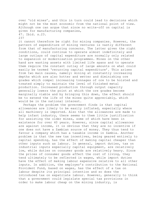```
over 'old mines', and this in turn could lead to decisions which 
might not be the most economic from the national point of view. 
Although one can argue that since no write-off on capital is 
given for manufacturing companies,
47. Ibid. s.23.
237
```
it cannot therefore be right for mining companies. However, the pattern of expenditure of mining ventures is vastly different from that of manufacturing concerns. The latter given the right conditions, could continue to operate almost indefinitely and large outlays of capital expenditure are normally only related to expansion or modernisation programmes. Mines on the other hand are wasting assets with limited life spans and to operate them require the constant outlay of large amounts on what could easily be termed 'recurring capital expenditure'. This arises from two main causes, namely: mining at constantly increasing depths which are also hotter and wetter and diminishing ore grades which compel increasing tonnages of ore to be hoisted and treated simply to maintain the level of finished metal production. Increased production through output capacity generally lowers the point at which the ore grades become marginally viable and by bringing this down, the effect should be to extend the life of the mines quite appreciably, which would be in the national interest.

Perhaps the problem the government finds is that capital allowances are likely to be easily inflated, especially where all machinery is imported. Also that the allowances are made to help infant industry, there seems to them little justification for assisting the older mines, some of which have been in existence for over 40 years. However, since capital allowances are against income, it is obvious that they are no incentive if one does not have a Zambian source of money. They thus tend to favour a company which has a taxable income in Zambia. Another problem is that the new tax incentives, being geared entirely to capital spending, has the effect of making capital cheaper than other inputs such as labour. In general, import duties, tax on industrial inputs especially capital equipment, are relatively low, while duties on consumer goods are relatively heavy. Since the prices of consumer goods affect the cost of living, they tend ultimately to be reflected in wages, while import duties have the effect of making labour expensive relative to all other inputs. In addition, the employer's contribution to the National Provident Fund, based on wages, has the effect of a tax on labour despite its principal intention and so does the introduced tax on expatriate labour. However, generally to think that a government could legislate special tax provisions in order to make labour cheap on the mining industry, is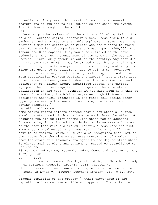unrealistic. The present high cost of labour is a general feature and it applies to all industries and other employment institutions throughout the world. 238

Another problem arises with the writing-off of capital in that this en- ; ourages capital-intensive mines. These drain foreign exchange, and also reduce available employment. Sometimes it can provide a way for companies to manipulate their costs to avoid tax. For example, if companies A and B each spent K200,000, A on labour and B on capital, they would be entitled to the same deductions. And yet A spends most of its money in the country whereas B invariably spends it out of the country. Why should A pay the same tax as B? It may be argued that this sort of argument encourages ineficiency, but as a counter argument very few mines are going to be different just to gain a tax advantage.

It can also be argued that mining technofogy does not allow much substitution between capital and labour,  $48$  but a great deal of evidence las been given to show that the relative cost and efficiency of African abour, expatriate labour, and capital equipment has caused significant :hanges in their relative utilisation in the past, <sup>49</sup> although it has also been hown that at times of relatively low African wages and high African abour efficiency technical processes in the mines fell behind other opper producers in the sense of not using the latest laboursaving echnology.<sup>50</sup>

depletion allowance

>ome mining-rights holders contend that a depletion allowance should be ntroduced. Such an allowance would have the effect of reducing the nining right income upon which tax is assessed. Conceptually, it is irgued that depletion is necessary in view of the fact that minerals are ex- laustible resources and that when they are exhausted, the investment in he mine will have next to no residual value.<sup>51</sup> It would be recognised that ) art of the income from the mine constitutes consumption of capital, ind that therefore an allowance, analogous to the depreciation which is Ulowed against plant and equipment, should be established to reflect the

18.Bostock and Harvey, Economic Independence and Zambian Copper, 1972, p. 142.

49. Ibid.

50. Baldwin, Economic Development and Export Growth: A Study of Northern Rhodesia, 1920-60, 1966, Chapter 4.

51. Reasons often advanced for depletion allowance can be found in Lynch v. Alsworth Stephens Company, 267, U.S., 364. 239

gradual depletion of the orebody.<sup>52</sup> Other proponents of the depletion allowance take a different approach. They cite the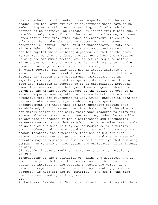risk attached to mining enterprises, especially in the early stages with the large outlays of investments which have to be made during exploration and prospecting, much of which is certain to be abortive, as reasons why income from mining should be effectively taxed, ihrough the depletion allowance, at lower rates than income from other types of endeavour. It could be submitted that under the Zambian system of mining tenure as described in Chapter 6 this would be unnecessary. First, the mining-right holder does not own the orebody and as such it is not his capital which is being depleted but that of the state. It may well be that the factors cited above have the effect of raising the minimum expected rate of return required before Finance can be raised or committed for a mining venture and about the average minimum expected rates required for investment in other sectors. But this does not in itself indicate any misallocation of investment funds, nor does it constitute, in itself, any reason why a government, particularly of an exporting country, should take special steps to lower the tax rate upon minerals as opposed to other enterprises. Moreover, even if it were decided that special encouragement should be given to the mining sector because of the desire to open up new mines the percentage depletion allowance is both a crude and expensive tool for government to use. Crude, because it does not differentiate between projects which require special encouragement and those that do not; expensive because once established, it will extend over the whole life of the mine, and not merely assist in the early years when measures to allow for a reasonably early return on investment may indeed be sensible. In any case in respect of their exploration and prospecting expenses one may argue that manufacturing enterprises are liable to go out of business if they do not modernise or diversify their product, and changing conditions may well induce them to change location. The expenditure that has to b<f put into research, market survey, product re-design and the purchase of patents, may be regarded as similar to the outlays that a mining company has to make on prospecting and exploration if it intends to stay 52. See for instance Faulkner 'Some Notes on Mine Taxation',  $(1939-40)$ , Transactions of the Institution of Mining and Metallurgy, p.21 where he argues that profits from mining must be considered partly as interest on the capital invested and partly as a return of capital, source in calculating operating profit no deduction is made for the raw material  $-$  the ore in the mine  $$ that has been used up in the process. 240 in business. Besides, in Zambia, an investor in mining will have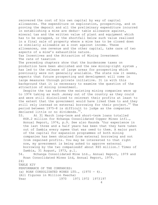recovered the cost of his own capital by way of capital allowances. The expenditure on exploration, prospecting, and on proving the deposit and all the preliminary expenditure incurred in establishing a mine are deduc- table allowance against, mineral tax and the written value of plant and equipment which has to be scrapped, or the shortfall below such value realised in a final sale of property where a mine has to be closed down is similarly allowable as a cost against income. These allowances, one revenue and the other capital, take care of two aspects of a mine's exhaustible nature. Tax Incentives and the Attraction of Mining Investment The rate of taxation

The preceding chapters show that the burdensome taxes on production have been abolished and the new mining-right system , has led to the release of large areas for prospecting which previously were not generally available. The state now it seems, expects that future prospecting and development will come in large measures through private initiative. It is with this background that it is necessary to examine the question of the attraction of mining investment.

Despite the tax reforms the existing mining companies were up to 1974 taking as much .money out of the country as they could and were still disinclined to reinvest their profits at least to the extent that the government would have liked them to and they still rely instead on external borrowing for their project.<sup>53</sup> The period between 1975—8 is difficult to judge as the companies declared little or no dividends.  $54$ .

- 53. At 31 March long-term and short-term loans totalled K68.2 million for Nchanga Consolidated Copper Mines Ltfl., Annual Report, 1974, p.9. See also Kaunda 'Our experience in the last three and a half years has been that they have taken out of Zambia every ngwee that was owed to them. A major part of the capital for expansion programmes of both mining companies has been obtained from external borrowing and not Irom regained profits. You may be interested to that right now, my government is being asked to approve external borrowing by the two companiesbf about K65 million.! Times of Zambia, 31 August, 1973, p.l.
- 54. Nchanga Consolidated Mine Ltd., Annual Report, 1979 and Roan Consolidated Mines Ltd, Annual Report, 1979.

241

TABLE XIV

PERFORMANCE OF THE COMPANIES:

- (a) ROAN CONSOLIDATED MINES LTD.,  $(1970 4)$ . (All figures in Million Kwacha)
- Year 1970 1971 1972 1973 197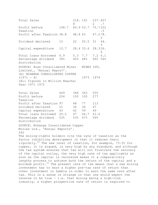Total Sales 8 218.191  $\mathcal{P}$ 237.407 .7 Profit before Taxation 108.7 84.9 53.7 75.7 222 .5 Profit after Taxation 38.8 48.8 43 47.278. 5 Dividend declared 15 22 20.5 31 44. 3 Capital expenditure 12.7 28.4 33.6 28.3 26. 6 Total loans borrowed 6.9 5.3 7.7 7.2 6.1 Percentage dividend distribution 39% 45% 48% 66% 56% SOURCE: Roan Consolidated Mines Limited., 'Annual Report'. (b) NCHANGA CONSOLIDATED COPPER MINES LTD.  $(1971 - 4)$ (All figures in Million Kwacha) Year 1971 1972 1973 1974 Total Sales 449 348 363 555 Profit before Taxation 204 100 100 277 Profit after Taxation 97 68 77 113 Dividend Declared 51 36 36 67 Capital expenditure 43 42 59 69 Total loans borrowed 25.2 47 64.7 41.6 Percentage dividend distribution 53% 53% 47% 59% SOURCE: Nchanga Consolidated Copper Minies Ltd., 'Annual Reports'. 242 The mining-rights holders cite the rate of taxation as the factor inhibiting development in that it reduces their liquidity.<sup>55</sup> The new level of taxation, for example, 73.5% for copper, it is argued, is very high by any standard, and although the tax system ensures that tax will not frustrate the recovery of the capital outlay, the very high rate of tax applicable as soon as the capital is recovered makes it a comparatively lengthy process to achieve both the return of the capital and a minimum profit.<sup>56</sup> The present rate of tax means that a new mining investment has to earn a higher pre-tax rate of return than other investment in Zambia in order to earn the same rate after tax. This in a sense is strange in that one would expect the reverse to be true  $-$  i.e. that mining being a high-risk industry, a higher prospective rate of return is required to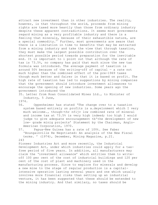attract new investment than in other industries. The reality, however, is that throughout the world, proceeds from mining rights are taxed more heavily than those from ordinary industry despite these apparent contradictions. It seems most governments regard mining as a very profitable industry and there is a feeling that minerals, because of their exhaustible nature, are a special commodity.<sup>57</sup> Further, most governments are aware that there is a limitation in time to benefits that may be extracted from a mining industry and take the view that through taxation, they must make the largest possible contribution over the shortest possible period towards preparation for the inevitable end. It is important to i point out that although the rate of tax is 73.5%, no company has paid that much since the new tax formula was introduced. The average payment of taxation is around 50% because of the writing-off of capital — a rate not much higher than the combined effect of the pre-1969 taxes though much better and fairer in that it is based on profit. The high rate of taxation has led to suggestions by mining companies that the government should introduce investment allowances to encourage the opening of new industries. Some years ago the government introduced the

35. Letter from Roan Consolidated Mines Ltd., to Minister of Industry, 5 June,

1974.

56. Oppenheimer has stated 'The change over to a taxation system based entirely on profits is a.deyelonment which I very much welcome., though-thr nfijv low combined rate of mineral and income tax at 73.5% is very high indeed; too high I would judge to give adequate encouragement tb'the development of new low- grade minig projects' Statement by the Chairman, Anglo-American Corporation, 1970.

57. Papua-New Guinea has a rate of 10Vt. See Faber 'Boungainville Re Negotiated: An analysis of the New Fiscal terms. ' (1974), December, Mining Magazine, p.2I.

### 243

Pioneer Industries Act and more recently, the Industrial Development Act, under which industries could apply for a taxfree period of five years. In addition, all manufacturers may claim the 'investment allowance' which entitles them to writeoff 100 per cent of the cost of industrial buildings and 120 per cent of the cost of plant and machinery used in the manufacturing process. Since to explore for minerals and develop a new mine to the stage of regular production is a capitalintensive operation lasting several years and one which usually involves more financial risks than setting up an industrial venture, it has been suggested that these should be extended to the mining industry. And that similary, no taxes should be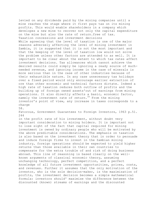levied on any dividends paid by the mining companies until a mine reaches the stage where it first pays tax on its mining profits. This would enable shareholders in a company which developes a new mine to recover not only the capital expenditure on the mine but also the rate of return.free of tax. Taxation concessions and investment decisions While agreeing that the level of taxation is one of the major reasons adversely affecting the level of mining investment in Zambia, it is suggested that it is not the most important and that the keeping of the level of taxation low would not solve the problem unless other factors are attended to as well. It is important to be clear about the extent to which tax rates affect investment decisions. Tax allowances which cannot achieve the desired results could simply be ignoring a ready source of muchneeded revenue, and ignoring income in the case of minerals is more serious than in the case of other industries because of their exhaustible nature. In any case unnecessary tax holidays over a fixed period would only encourage earlier extraction of ore than other economic and technical factors dictate. Indeed a high rate of taxation reduces both outflow of profits and the building up of foreign owned assets'out of earnings from mining operations. It also directly affects a basic, economic factor, namely the investment rate of return.  $58$  From the mining investor's point of view, any increase in taxes corresponds to a charge 58. Fatorous, Government Guarantees to Foreign Investors, 1963 p.51. 244 in the profit rate of his investment, without doubt very important consideration to mining holders. It is important not to lose sight of the fact that capital required for mining investment is owned by ordinary people who will be motivated by the above predictable considerations. The emphasis on taxation is also based on the investment theory that in order to persuade and induce foreign firms to invest in the Zambian mining industry, foreign operations should be expected to yield higher returns than those available in their own countries to compensate for the extra trouble of and risk of doing business abroad. This line of reasoning is based clearly on the wellknown arguments of classical economic theory, assuming unchanging technology, perfect competition, and a perfect knowledge of all future investment opportunities, prices, costs, and revenues. Further it assumes that the only motivation of the investor, who is the sole decision-maker, is the maximisation of profits, the investment decision becomes a simple mathematical formula: investors should' maximise the difference between the discounted (known) streams of earnings and the discounted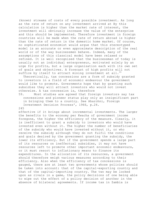(known) streams of costs of every possible investment. As long as the rate of return on any investment arrived at By this calculation is higher than the market rate of interest, the investment will obviously increase the value of the enterprise and this should be implemented. Therefore investment in foreign countries will be made when the rate of return abroad is higher than the rate of return in the domestic home market. Of course, no sophisticated economist would argue that this stereotyped model is an accurate or even approximate description of the real world or of the way businessmen behave. Indeed, many of the assumptions of this classical model have been relaxed or refined. It is well recognised that the businessman of today is usually not an individual enterpreneur, motivated solely by an urge for profits, but a large organisation each with its own set of goals and objectives. A forecast of high profits will not suffice by itself to attract mining investment at all.<sup>59</sup>

Theoretically, tax concessions are a form of subsidy granted to investors in a field of economic endeavour the government would like to promote. Governments hope that by granting such subsidies they will attract investors who would not invest otherwise. A tax concession is, therefore

59. Most studies are agreed that foreign investors say tax concessions and pioneer status play only an insignificant part in bringing them to a country. See Aharohni, Foreign Investment Decision Process', 1966, p.24.

245

effective if it brings about incremental investments. The larger the benefits to the economy per Kwacha of government income foregone, the higher the efficiency of the measure. Clearly, it is inefficient to grant a subsidy to investors who would have invested even without it. The higher the number of beneficiaries of the subsidy who would have invested without it, or who receive the subsidy although they do not fulfil the conditions and goals desired by the government granting the subsidy, the lower its efficiency. But if the government spends a large part of its resources on ineffectual subsidies, it may not have resources left to promote other important economic endeavours, or it must resort to inflationary means to finance its expenditures. In the allocation of its resources, a government should therefore weigh various measures according to their efficiency. Also when the efficiency of tax concessions is gauged, there are at least two governments whose policies should be taken into account: that of the capital-exporting country and that of the capital-importing country. The two may be looked upon as rivals in a game, the policy decisions of one being able to wipe out the effect of a policy decision of another in the absence of bilateral agreements. If income tax in Zambia is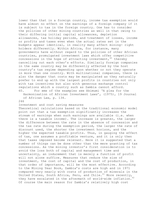lower than that in a foreign country, income tax exemption would have almost no effect on the earnings of a foreign company if it is subject to tax in the foreign country. One has to consider the policies of other mining countries as well in that owing to their differing initial capital allowances, depletion allowances, tax holiday periods, and treatment of losses, income or profits and taxes even when the actual rates set in the budgets appear identical, in reality many affect mining- right holders differently. Within Africa, for instance, many governments have without regard to the policies of other African countries, promulgated investment laws which offer competitive concessions in the hope of attracting investment,  $60$  thereby cancelling out each other's efforts. Similarly foreign companies in the same country may be differently affected by the host country's tax regime depending upon whether or not they operate in more than one country. With multinational companies, there is also the danger that costs may be manipulated as they naturally prefer to end up with the largest profits in countries not only with tax incentives but also with generous exchange control regulations which a country such as Zambia cannot afford. 60. For »me of the examples see Akimumi 'A plea for the Harmonisation of African Investment Laws', (1975), 19 Journal

#### 246

of African Law, p. 134.

Investment and cost saving measures Theoretical calculations based on the traditional economic model point out that a tax exemption significantly increases the stream of earnings when such earnings are available (i.e. when there is a taxable income). The increase is greater, the larger the difference between the rate in the absence of concession and the tax rate during the exemption period, the larger the rate of discount used, the shorter the investment horizon, and the higher the expected taxable profits. Thus, in gauging the effect of tax, one assumes a profitable venture, and it is only then that taxes imposed become relevant. Here it is suggested that a number of things can be done other than the mere granting of tax concessions. As the mining investor's first consideration is to avoid the loss both of capital and management time and uncertainty, an inducement that is merely a function of profit will not alone suffice. Measures that reduce the size of investment, the cost of capital and the cost of production, in that order of importance, will be the most effective. According to the Mining Year Book, Zambia's costs are high and in 1971 compared very nearly with costs of production of minerals in the United States, South Africa, Peru, and Chile.<sup>61</sup> More recently, they have escalated in the aftermath of world-wide inflation.  $62$ Of course the main reason for Zambia's relatively high cost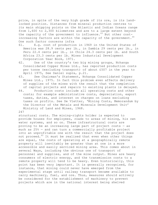price, in spite of the very high grade of its ore, is its landlocked position. Distances from mineral production centres to its main shipping points on the Atlantic and Indian Oceans range from 1,600 to 2,300 kilometres and are to a large extent beyond the capacity of the government to influence. $63$  But other costincreasing factors are within the capacity of the government.  $64$ One such factor concerns infra

- 61. E.g. cost of production in 1969 in the United States of America was 28.9 cents per lb., in Zambia 29 cents per lb., in Peru 22.4 cents per lb., in Chile 24.3 cents per lb. and South Africa 23.3 cents per lb. Mines Industrial Development Corporation Year Book, 1971.
- 62. One of the country's two big mining groups, Nchanga Consolidated Copper Mines Ltd., has reported production costs per tonne (excluding transport) of about £507 in the year to April 1975, See Daniel supra, p.21.
- 63. See Chairman's Statement, Nchanga Consolidated Copper Mines Ltd., 1975. In fact this problem even affects delivery of supplies of the mines with the result that the completion of capital projects and repairs to existing plants is delayed.
- 64. Production costs include all operating costs and other costs; for example administrative costs, depreciation, export taxes, duties, and interest on charges on loans excluding taxes on profits. See De Vletter, 'Mining Costs, Memorandum by the Director of the Metals and Minerals Development Unit' Ministry of Land and Mines, 1968.

247

structural costs. The mining-rights holder is expected to provide houses for employees, roads to areas of mining, his own water systems, and so on. These infrastructural costs are proving to be an increasing large part of project costs — as much as 25% — and can turn a commercially profitable project into an unprofitable one with the result that the project does not proceed.<sup>65</sup> It must be realised that even when other things are equal, the costs of operating at a geographically remote property will inevitably be greater than at one in a more accessible and easily serviced mining area. This comes about in several Ways, including the obvious one of transport of personnel and supplies, and of the mine output. Mines are heavy consumers of electric energy, and the transmission costs to a remote property will tend to be heavy. Even historically, this point has been very important. It is generally recognised, for instance, that mining could never have emerged from the experimental stage until railway transport became available to carry machinery, fuel, and ore. Thus, measures should actively be considered for the establishment of machinery to prevent projects which are in the national interest being shelved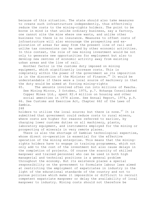because of this situation. The state should also take measures to create such infrastructure independently, thus effectively reduce the costs to the mining-rights holders. The point to be borne in mind is that unlike ordinary business, say a factory, one cannot site the mine where one wants, and unlike other business too there is no insurance. Measures to offset costs of infrastructure will also encourage the prospecting and exploration of areas far away from the present line of rail and unlike tax concessions can be used by other economic activities. In this context, the role of new mining investment would be not only to generate new opportunities for employment but also to develop new centres of economic activity away from existing urban areas and the line of rail.

Another factor is the customs duty imposed on mining equipment, which significantly increase costs. This is completely within the power of the government as its imposition is in the discretion of the Minister of Finance.<sup>66</sup> It would be understandable if there were a local source of machinery in that the duty would be aimed at forcing mining-rights

65. The amounts involved often run into millions of Kwacha. See Mining Mirror, 3 October, 1975, p.7. Nchanga Consolidated Copper Mines Ltd., spent K2.4 million on housing and other social amenities in 1974 alone. See Annual Report, 1974, p.9. 66. See Customs and Exercise Act, Chapter 662 of the Laws of Zambia.

248

holders to utilise the local source; but there is none.  $67$  It is submitted that government could reduce costs to rural miners, where costs are higher for reasons referred to earlier, by charging lower customs duties on all machinery, plants, laboratory equipment, and instruments employed for the mining or prospecting of minerals in very remote places.

There is also the shortage of Zambian technological expertise, whose direct co-operation is essential for the effective operation of the mining enterprise. This means that the miningrights holders have to engage in training programmes, which not only add to the cost of the investment but also cause delays in the completion of projects. Of course the scarcity of skilled manpower and trained personnel who can be used in both high managerial and technical positions is a general problem throughout the economy. But its existence places a special responsibility on the government to formulate labour laws aimed at restricting the employment of expatriates in industry in the light of the educational standards of the country and not to pursue policies which make it impossible or difficult to recruit competent expatriate manpower or delay the availability of local manpower to industry. Mining costs should not therefore be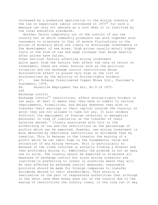increased by a premature application to the mining industry of the tax on expatriate labour introduced in 1975<sup>68</sup> for such a measure can only not operate as a cost when it is justified by the local education standards.

Another factor completely out of the control of any one country but on which commodity producers can work together with consumers to eliminate is that of severe fluctuations in the prices of minerals which are likely to discourage investments in the development of new mines. High prices usually entail higher costs in the form of tax and wage increase that weigh heavily after prices have fallen.

Other non-cost factors affecting mining investment Quite apart from the factors that affect the rate of return on investment, there are other factors such as the political situation and the exchange control restrictions whose disincentive effect is placed very high on the list of disincentives by the majority of mining-rights holders. 67. See Nchanga Consolidated Copper Mines Ltd., Chairman's Statement, 1975.

68. Selective Employment Tax Act, No.9 of 1975. 249

Exchange control

Exchange Control<sup>69</sup> restrictions. affect mining-rights holders in two ways. At best it means that they have to submit to various requirements, formalities, and delays whenever they wish to transfer their earnings or their capital outside the country; at worst they are not allowed to take out any. It also renders difficult the employment of foreign technical or managerial personnel in view of limitation on the transfer of their salaries abroad.<sup>70</sup> Closely associated with this is the withholding of tax and the restrictions on the percentage of profits which can be exported. However, new mining investment is more deterred by remittance restrictions on dividends than by taxation. This is because to the investor the earning of a profit which he can remit home is the fundamental value and attraction of any mining venture. This is particularly so because of the risks involved in actually finding a mineral and then profitably mining it. Admittedly the problem is not an easy one to solve. The country cannot be expected to eliminate all measures of exchange control but since mining investors are justified in preferring to invest in countries where they will be less affected by exchange control measures, reasonable provision should be made for foreign companies to transfer dividends abroad to their shareholders. This entails a realisation on the part of responsible authorities that although in the short term when money goes out of the country due to the easing of restrictions the country loses, in the long run it may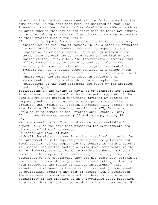benefit in that further investment will be forthcoming from the same source. At the same time measures designed to encourage investors to reinvest their profits should be considered such as allowing them to reinvest in the activities of their own company or in other mining activities, free of tax up to some percentage of their profits before tax with a

69. It is imposed by the Exchange Control Regu&tions Act, Chapter 593 of the Laws of Zambia. In law a state is competent to regulate its own monetary matters. Consequently, the imposition of exchange control is in no way unlawful? See Hyde, International Law as Interpreted and Applied by the United States, 1974, p.690. The International Monetary Fund allows member states to 'exercise such controls as \*fe necessary to regulate international capital movements' but members may not 'exercise these controls in a manner which will restrict payments for current transactions or which will unduly delay the transfer of funds in settlement of commitments....' The states which have accepted the obligations of the fund agreement are bound by its articles not to 'impose

restrictions on the making of payments or transfers for current international transactions' without the prior approval of the Fund except under certain conditions governed by special or temporary authority contained in other provisions of the articles, see Article VI, Section 3 Article VIII, Section 2(a) also Article VII. Section 3(b) and Article XIV, Section 2, Articles of Agreement of the International Monetary Fund. 70. See Fatouras, supra, p.35 and Nwogugu, supra, 19. 250

maximum annual limit. This could reduce money available for export while at the same time promoting the developments and discovery of mineral resources.

Political and legal climate

With all the risks inherent in mining, the final criterion for an investment climate depends primarily on the political and legal security of the region and the country in which a deposit is located. One of the factors slowing down investments in the mining industry is that the mining-rights holders, particularly those that have operated in the country for a long time, are suspicious of the government. They are not reasonably certain of the future in view of the government's conflicting statements with respect to the future of private investment.<sup>71</sup> This situation is worsened by the naive but frequent pronouncements by politicians equating any form of profit with exploitation. There is need to convince miners that there is little or no possibility of the creation of an unfavourable legal situation at a later date which will be harmful to their investments. With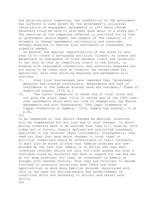the existing major companies, the credibility of the government has suffered to some extent by the government's unilateral cancellation of management agreements in 1973 which though necessary could be said to have been gone about in a wrong way.<sup>72</sup> The reaction of the companies affected is justified too in that no government should expect the respect of the industry if it attempts to change agreements unilaterally and overnight. Perhaps measures to restore such confidence in investment are urgently needed.

In general the special responsibility of the state in this area is to create a favourable political climate. To create and perpetuate an atmosphere of trust between itself and investors. It can only do this by committing itself to the future, to promise with reasonable credibility that arbitrary measures are not going to be taken once an investor has established his operations. Also that existing measures and agreements will continue

- 71. Even local businessmen have remarked that 'government measures had created uncertainty, despondence and lack of confidence in the Zambian economy here and overseas,' Times of Zambia,29 August, 1975, p.l.
- 72. The lawful redemption of Bonds and of local stock did not give the state legal title to revoke any of the 1969 takeover agreements which were not tied to redemption; see Master Agreements and also Ushewokunze, 'The Legal Framework of Copper Production in Zambia,' 1974, Zambia Law Journal, 75 at p.92.
- 251

to be respected or that should changes be desired, investors will be compensated for any loss due to such changes. In short, mining investors have to be assured that they will receive, both today and in future, legally defined and controlled treatment, specified in the relevant legal instruments. Consequently, they need not fear that many major changes in local legal or political conditions would be unfavourable to their interests. It must also be borne in mind that Zambian problems are compounded by the fact that Zambia is in Africa and that most investors consider Africa not only too risky anyway but also a continent ruled by dictators who have no regard for law and who do not keep promises. For them, an investment in Zambia is fraught with unknown factors. Thus they are reluctant to become involved in uncertain situations when there are other opportunities on much more familiar grounds. Associated with this is the need for skilled people and establishment of conditions which are necessary to attract and retain such skills. 252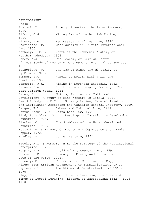BIBLIOGRAPHY Books Aharoni, Y. Foreign Investment Decision Process, 1966. Alford, C.J. Mining Law of the British Empire, 1906. Allott, A.N. New Essays in African Law, 1970. Andriaanse, P. Confiscation in Private International Law, 1956. Anthony, L.F.G. North of the Zambezi: A story of Northern Rhodesia, 1953. Baber, W.J. The Economy of British Central Africa: Study of Economic Development in a Dualist Society, 1961. Bainbridge, W. The Law of Mines and Minerals, ed. by Brown, 1900. Bamber, P.G. Manual of Modern Mining Law and Practice, 1930. Bancroft, J.A. Mining in Northern Rhodesia, 1962. Barnes, J.A. Politics in a Changing Society — The Fort Jameson Ngoni, 1954. Bates, R. Unions, Parties and Political Development: A study of Mine Workers in Zambia, 1971. Beard & Hodgson, E.C. Summary Review, Federal Taxation and Legislation Affecting the Canadian Mineral Industry, 1969. Berger, E.L. Labour and Colonial Rule, 1974. Bentsi-Enchill, K. Ghana Land Law, 1964. Bird, R. & Olman, O. Readings on Taxation in Developing Countries, 1973. Blacket, C. The Problems of the Under developed Countries, 1959. Bostock, M. & Harvey, C. Economic Independence and Zambian Copper, 1972. Bradley, K. Copper Venture, 1952. 253 Brooke, M.Z. & Remmers, H.L. The Strategy of the Multinational Enterprise, 1970. Bulpin, T.V. Trail of the Copper King, 1959. Bureau of Mines. Summary of Mining and Petroleum Laws of the World, 1974. Buroway, M. The Colour of Class on the Copper Mines: From African Advancement to Zambianisation. 1972. Caplan, G.L. The Elites of Barotseland 1878-1969, 197U. Clay, G.C. Your Friend, Lewanika, the Life and Times of Lubosi Lewanika; Litunga of Barotseland 1842 — 1916, 1968.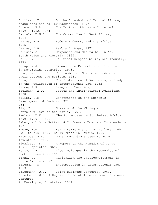Coillard, F. On the Threshold of Central Africa, translated and ed. by Mackintosh, 1897. Coleman, F.L. The Northern Rhodesia Copperbelt  $1899 - 1962$ , 1964. Daniels, E.W.C. The Common Law in West Africa, 1964. Davies, M.J. Modern Industry and the African, 1965. Davies, D.H. Zambia in Maps, 1971. Delissa, A. Companies and Mining Law in New South Wales and Victoria, 1894. Dell, E. Political Responsibility and Industry, 1973. Delupis, J.I. Finance and Protection of Investment in Developing Countries, 1973. Doke, C.M. The Lambas of Northern Rhodesia: their Customs and Beliefs, 1931. Dunn, S. The Protection of Nationals, a Study in the Application of International Law, 1932. Eaton, A.K. Essays on Taxation, 1966. Edelmann, A.T. Copper and International Relations, 1938. Elliot, C.M. Constraints on the Economic Development of Zambia, 1971. 254 Ely, N. Summary of the Mining and Petroleum Laws of the World, 1961. Exelson, E.V. The Portuguese in South-East Africa 1600 -1700, 1960. Faber, M.L.O. & Potter, J.C. Towards Economic Independence, 1971. Fagan, B.M. Early Farmers and Iron Workers, 100 B.C. to A.D. 1500, Early Trade in Zambia, 1966. Fatorous, A.A. Government Guarantees to Foreign Investors, 1962. Figafetta, F. A Report on the Kingdom of Congo, 1591, Reprinted 1969. Fortman, B.G. After Mulungushi; the Economics of Zambian Humanism, 1969. Frank, G. Capitalism and Underdevelopment in Latin America, 1971. Friedman, S. Expropriation in International Law, 1953. Friedmann, W.G. Joint Business Ventures, 1966. Friedmann, W.G. & Beguin, J. Joint International Business Ventures in Developing Countries, 1971.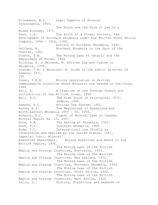Friedmann, W.G. Legal Aspects of Foreign Investments, 1959. The State and the Rule of Law in a Mixed Economy, 1971. Gann, L.H. The Birth of a Plural Society, the Development of Northern Rhodesia under the British South Africa Company, 1894 - 1914, 1958. — History of Northern Rhodesia, 1964. Gelfand, M. Northern Rhodesia in the Days of the Charter, 1961. Gibson, T.W. The Mining Laws of Ontario and the Department of Mines, 1969. Golding, B. & Gelfand, M. African Law and Custom in Rhodesia, 1975. Graham, I.M. & Halwindi, B. Guide to the Public Archives of Zambia, 1971. 255 Green, F.R.H. Mining Legislation in British Commonwealth Countries where Minerals are Vested in the Crown, 1964. Hall, R. **A Treatise on the Foreign Powers and** Jurisdiction of the British Crown, 1894. Hall, R.S. The High Price of Principles, 1970. — Zambia, 1964. Hamond, R.C. African Tax System, 1962. Hanna, A.J. The Beginnings of Nyasaland and North-Eastern Rhodesia 1859 - 95, 1956. Hodgson, E.C. Digest of Mineral Laws of Canada, Mineral Report No. 13, 1967. Hole, H.M. The Making of Rhodesia, 1926. Hone, P.F. Southern Rhodesia, 1909. Hyde, C.C. International Law Chiefly as Interpreted and Applied by the United States, 1947. Imperial Inst., Mineral Resources Department, Mining Royalties and Rents in the British Empire, 1936. The Mining Laws of the British Empire and Foreign Countries, Australia, 1924. The Mining Laws of the British Empire and Foreign Countries, New Zealand, 1931. The Mining Laws of the British Empire and Foreign Countries, Northern Rhodesia, 1930. The Mining Laws of the British Empire and Foreign Countries, South Africa, 1922. The Mining Laws of the British Empire and Foreign Countries, West Africa, 1920. Jalla, L. History, Traditions and Legends of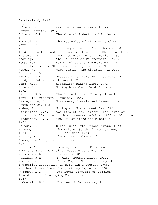Barotseland, 1929. 256 Johnson, J. Reality versus Romance in South Central Africa, 1893. Johnson, J.P. The Mineral Industry of Rhodesia, 1911. Kamarck, K. The Economics of African Develop ment, 1967. Kay, G. Changing Patterns of Settlement and land use in the Eastern Province of Northern Rhodesia, 1965. Katzarov, K. The Theory of Nationalisation, 1964. Keatley, P. The Politics of Partnership, 1963. Kemp, R.E. Law of Mines and Minerals Being a Collection of the Statutes Relating thereto, 1910. Kuper, H. **Urbanisation and Migration in West** Africa, 1965. Kronfol, Z.A. Protection of Foreign Investment, a Study in International Law, 1972. Lang, A.G. Australian Mining Laws, 1971. Lazar, L. Mining Law, South West Africa, 1972. Lillich, R.B. The Protection of Foreign Invest ment, Six Procedural Studies, 1965. Livingstone, D. Missionary Travels and Research in South Africa, 1857. McGee, G. Mining and Environment Law, 1973. Mackintosh, C.W. Coillard of the Zambezi: The Lives of F. & C. Coillard in South and Central Africa, 1858 - 1904, 1964. Macswinney, R.F. The Law of Mines and Minerals, 1922. Mainga, M. Bulozi under the Luyana Kings, 1973. Malcom, D. The British South Africa Company, 1939. Reprinted 1973. Marris, R. The Economic Theory of 'Managerial' Capitalism, 1967. 257 Martin, A. Minding their Own Business, Zambia's Struggle Against Western Control, 1972. Mathers, J.L. Zambezia, 1891. Melland, F.H. In Witch Bound Africa, 1923. Moore, R.J. These Copper Mines, a Study of the Industrial Revolution in Northern Rhodesia, 1948. Northern Mines Press Ltd., Mining Explained, 1968. Nwogugu, E.I. The Legal Problems of Foreign Investment in Developing Countries, 1965. O'Connell, D.P. The Law of Succession, 1956.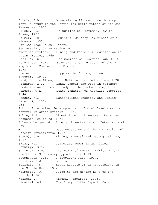Ochola, S.A. Minerals in African Underdevelop ment; A study in the Continuing Exploitation of African Resources, 1975. Ollenu, N.A. Principles of Customary Law in Ghana, 1962. Palmer, R.H. Lewanika, Country Reminisces of a Pioneer, 1955. Pan American Union, General Secretariat, Organisation of American States. Mining and Petroleum Legislation in Latin America, 1969. Park, A.E.W. The Sources of Nigerian Law, 1963. Pennington, R.R. Stannary Law, a History of the Min ing Law of Cornwall and Devon, 1973. Prain, R.L. Copper, the Anatomy of An Industry, 1975. Reid, G.L. & Allen, K. Nationalised Industries, 1970. Richards, A.I. Land, Labour and Diet in Northern Rhodesia, an Economic Study of the Bemba Tribe, 1957. Roberts, W.A. State Taxation of Metallic Deposits, 1944. Robson, W.A. Nationalised Industry and Public Ownership, 1962. 258 Public Enterprise, Developments in Social Development and control in Great Britain, 1965. Rubin, S.J. Direct Foreign Investment Legal and Economic Realities, 1956. Schwanenberger, G. Foreign Investments and International Law, 1969. Decolonisation and the Protection of Foreign Investments, 1967. Shame), C.H. Mining, Mineral and Geological Law, 1907. Sklar, R.L. Corporate Power in an African Country, 1975. Springer, J.M. The Heart of Central Africa Mineral Wealth and Missionary Opportunitv, 1909. Stephenson, J.E. Chirupula's Tale, 1937. Striker, D.W. Barotseland, 1922. Toriguian, S. Legal Aspects of OH Concessions in the Middle East, 1972. Walmesley, O. Guide to the Mining Laws of the World, 1894. Warren, L. Mineral Resources, 1973. Wicnthal, ed. The Story of the Cape to Cairo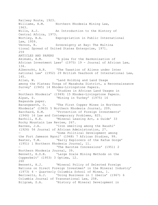Railway Route, 1923. Williams, H.M. Northern Rhodesia Mining Law, 1963. Wills, A.J. **An Introduction to the History of** Central Africa, 1973. Wortley, B.A. Expropriation in Public International Law, 1959. Vernon, R. Sovereignty at Bay: The Multina tional Spread of United States Enterprise, 1971. 259 ARTICLES AND PAPERS Akimumi, A.M. 'A plea for the Harmonisation of African Investment Laws' (1975) 19 - Journal of African Law, 134. Alberncht, A.R. 'The Taxation of Aliens under Inter national Law' (1952) 29 British Yearbook of International Law, 145. Allan, W. **'Land Holding and Land Usage** among the Plateau Tonga of Mazabuka District, a Reconnaissance Survey' (1945) 14 Rhodes-Livingstone Papers. — 'Studies in African Land Usages in Northern Rhodesia' (1949) 15 Rhodes-Livingstone Papers. Alpan, S. 'Mining in Turkey' (1975) 16 Bagaunda paper. Barangwanth, O. 'The First Copper Mines in Northern Rhodesia' (1963) 5 Northern Rhodesia Journal, 209. Barchard, E.M. 'Protection of Foreign Investments' (1946) 16 Law and Contemporary Problems, 825. Barhill, K.E. 'Mineral Leasing Act, a Guide' 33 Rocky Mountain Law Review, 267. Barnes, J.A. 'Iron smelting among the Baushi' (1926) 56 Journal of African Administration, 27. 'Some Political Development among the Fort Jameson Ngoni' (1948) 7 African Studies, 99. Baxter, T.W. The Number's State Cord Manager's Dancer's Corder (1951) 1 Northern Rhodesia Journal, 11. 'The Barotse Concessions' (1951) 2 Northern Rhodesia Journal, 39. Bennett, H.D.B. 'Large Scale Mining Methods on the Copperbelt' (1953) 3 Optima, 12. 260 Bennett, H.J. 'Mineral Policy of Selected Foreign Nations on Direct Foreign Investmen\* in the Mineral Industry' (1973) 4 - Quarterly Columbia School of Mines, 1. Berlowitz, A.J. 'Doing Business in I iberia' (1967) 6 Columbia Journal of Transnational Law, 258. Bilgram, S.A. 'History of Mineral Development in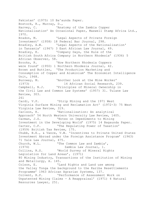Pakistan' (1975) 10 Ba^aunda Paper. Bostock, R., Murray, D., Harvey, C. Natomy of the Zambia Copper Nationalisation' An Occasional Paper, Maxwell Stamp Africa Ltd., 1970. Bradon, M. 'Legal Aspects of Private Foreign Investment' (1958) 18 Federal Bar Journal, 298. Bradley, A.W. 'Legal Aspects of the Nationalisation' in Tanzania' (1967) 3 East African Law Journal, 49. Bradley, K. 'Company Days, the Rule of the British South Africa Company in Northern Rhodesia' (1936) 5 African Observer, 58. Brooks, R. (1998) Now Northern Rhodesia Coppers were found' (1950) 1 Northern Rhodesia Journal, 42. Brown and Buttler, 'The Production Marketing and Consumption of Copper and Aluminium' The Economist Intelligence Unit, 1968. Buroway, M. 'Another Look at the Mine Worker' (1973) 14 African Social Research, 239. Campbell, N.J. 'Principles of Mineral Ownership in the Civil Law and Common Law Systems' (1957) 31. Tulane Law Review, 303. 261 Cardi, V.P. 'Strip Mining and the 1971 West Virginia Surface Mining and Reclamation Act' (1972-3) 75 West Virginia Law Review, 319. Carlson, K. 'Nationalisation: An analytical Approach' 54 North Western University Law Review, 1405. Carman, J.S. 'Notes on Impediments to Mining Investment in the Developing World' (1975) 14 Bagaunda Paper. Carter, C.F. The Requiating Power of Taxation' (1959) British Tax Review, 175. Chubb, B.E., & Vance, V.W. 'Incentives to Private United States Investment Abroad under the Foreign Assistance Program' (1963) 71 Yale Law Journal, 475. Church, W.L. 'The Common Law and Zambia', (1974) Zambia Law Journal, 1. Collins, R.S. 'World Survey of Mineral Rights Legislation for Land Areas', (1971) 80 Mining Industry, Transactions of the Institution of Mining and Metallurgy, A. 145. Colson, E. 'Land Rights and Land use among the Valley Tonga the background to the Kariba Resettlements Programme' 1963 African Agrarian Systems, 137. Colvent, R.P. 'Performance of Assessment Work on Unpatented Mining Claims — A Reappraisal' (1971) 4 Natural Resources Lawyer, 251.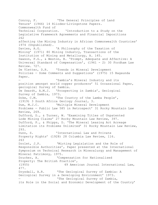Conroy, F. The General Principles of Land Tenure' (1946) 14 Rliodes-Livingstone Papers. Commonwealth Fund of Technical Corporation. 'Introduction to a Study on the Legislative Framework Agreements and Financial Impositions 262 affecting the Mining Industry in African Commonwealth Countries' 1974 (Unpublished). Davies, A.G. 'A Philosophy of the Taxation of Mining' (1971) 80 Mining Industry, Transactions of the Institution of Mining and Metallurgy, A. 145. Dawson, F.G., & Weston, B. 'Prompt, Adequate and Affective: A Universal Standard of Compensation', (1961 - 2) 30 Fordham Law Review. 727. De Vletter, D.R. 'Trends in Mineral Development Policies — Some Comments and Suggestions' (1975) 15 Bagaunda Paper. 'Zambia's Mineral Industry and its position amongst world copper producers' 51 Occassional Paper, geological Survey of Zambia. De Swardt, A.M.J. 'Prospecting in Zambia', Geological Survey of Zambia, 1973. Doke, C.M. The Country of the Lamba People', (1919) 3 South Africa Geology Journal, 3. Due, M.J.C. 'Multiple Mineral Development Problems — Public Law 585 in Retrospect' 31 Rocky Mountain Law Review, 269. Dufford, D., & Turner, W. 'Examining Titles of Unpatented Lode Mining Claims' 27 Rocky Mountain Law Review, 397. Dufford, P., & Phipps, D. 'The Mineral Leasing Act Acreage Limitation its Problems Unlimited' 31 Rocky Mountain Law Review, 293. Dunn, S. 'International Law and Private Property Rights' (1928) 28 Columbia Law Review, 116. 263 Drolet, J.P. 'Mirting Legislation and the Role of Responsible Authorities', Paper presented at the International Symposium on Technical Research in Mineralurgy and Management of Mineral Patrimony, 1975. Drucker, A. 'Compensation for Nationalised Property: The British Practice', (1955) 49 American Journal International Law, 477. Drysdall, A.R. 'The Geological Survey of Zambia: A Geological Survey in a Developing Environment' 1973. 'The Geological Survey of Zambia, its Role in the Social and Economic Development of the Country'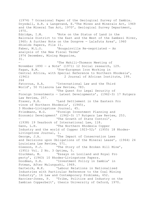(1974) 7 Occasional Paper of the Geological Survey of Zambia. Drysdall, A.R. & Langevand, E.'The Mines and Minerals Act, 1969 and the Mineral Tax Act, 1970', Geological Survey Department, 1970. Edridge, I.M. 'Note on the Status of Land in the Balovale District to the East and the West of the Zambezi River, 1960: A further Note on the Dongvve — Lalafuta Area', 1960 Shields Papers, File II. Faber, M.L.O. 'Bougainville Re-negotiated — An analysis of the New Fiscal Terms' 1974 December, Mining Magazine, 31. 'The Mshili-Thomson Meeting of November 1890 — a Note' (1971) 12 Social research, 129. Fagan, B.M. 'Pre-European Iron Working in Central Africa, with Special Reference to Northern Rhodesia', (1961) 2 Journal of African Institute, 199. 264 Fatorous, A.A. 'International Law and the Third World', 50 Vilanova Law Review, 783. — 'The Quest for Legal Security of Foreign Investments - Latest Developments',  $(1962-3)$  17 Rutgers Law Review, 257. Fraser, R.H. <sup>'Land</sup> Settlement in the Eastern Pro vince of Northern Rhodesia', (1945), 3 Rhodes-Livingstone Journal, 45. Friedmann, W.G. 'Foreign Investment Planning and Economic Development' (1962-3) 17 Rutgers Law Review, 253. 'The Growth of State Control', (1938) 19 Yearbook of International Law, 118. Gann, L.H. 'The Northern Rhodesia Copper Industry and the world of Copper 1923-52;' (1955) 18 Rhodes-Livingstone Journal, 1. George, J.A. The Impact of Conservation Laws and Decisions upon Obligations of the Mineral Lease', (1964) 24 Louisiana Law Review, 571. Gleeson, P.J. The Story of the Broken Hill Mine', (1951) Vol. 2 No. 3 Optima, 5. Gluckman, M. 'Essays on Loziland and Royal Pro perty', (1943) 10 Rhodes-Livingstone Papers. Goodman, S.H. 'Investment Policy in Zambia' in Fotman, After Mulungushi, 1969. Gartwick, W.K. <sup>'Labour Relations in Nationalised</sup> Industries with Particular Reference to the Coal Mining Industry', 16 Law and Contemporary Problems, 652. Harries-Jones, P. 'Tribe, Politic» and Industry on the Zambian Copperbelt', thesis University of Oxford, 1970.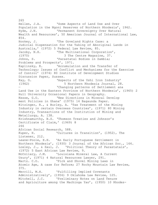265 Hellen, J.A. Some Aspects of Land Use and Over Population in the Ngoni Reserves of Northern Rhodesia', 1962. Hyde, J.N. **'Permanent Sovereignty Over Natural** Wealth and Resources', 50 American Journal of International Law, 854. Hookey, J. 'The Goveland Rights Case: a Judicial Dispensation for the Taking of Aboriginal Lands in Australia,' (1972) 5 Federal Law Review, 85. Jacoby, N.H. 'The Multinational Corporation', (1970) 3 The Centre Magazine, 37. Johns, S. 'Parastatal Bodies in Zambia; Problems and Prospects', 1971. Kaplinsky, R. Nacumulation and the Transfer of Technology; Issues of Conflict and Mechanisms for the Exercise of Control' (1974) 80 Institute of Development Studies Discussion Paper, Sussex. Kay, G. 'Aspects of the Ushi Iron Industry' (1962) 5 Northern Rhodesia Journal, 28. 'Changing patterns of Settlement ana Land Use in the Eastern Province of Northern Rhodesia', (1965) 2 Hull University Occasional Papers in Geography. Kesse, G.O. 'New Directions in Mineral Develop ment Policies in Ghana' (1975) 14 Bagaunda Paper. Kitzinger, R., & Burley, A. 'Tax Treatment of the Mining Industry in certain Overseas Countries', (1971) 80 Mining Industry, Transactions of the Institution of Mining and Metallurgy, A. 138. Krishnamurthy, B.S. 'Thomson Treaties and Johnson's Certificate of Claim,' (1969) 8 266 African Social Research, 588. Kuper, H. Cultures in Transition', (1952), The Listener, 212. Leane-Poole, E.H. 'An Early Portuguese Settlement in Northern Rhodesia', (1930) 3 Journal of the African Soc., 164. Loxley, J., & Saul, J. 'Political Theory of Parastatals', (1972) 5 East African Law Review, 9. McCollary, J.M. 'Louisiana Mineral Law, A Current Usury', (1971) 4 Natural Resources Lawyer, 291. Martz. C.O. **'Pick and Shovel Mining Laws in** Atomic Age, A case for Reform; 27 Rocky Mountain Law Review, 375. Merrill, M.H. 'Fulfilling Implied Covenants Administratively', (1956) 9 Oklahoma Law Review, 125.<br>Mitchell, J.C. Preliminary Notes on Land Tenure 'Preliminary Notes on Land Tenure and Agriculture among the Machinga Yao', (1950) 10 Rhodes-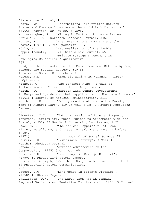Livingstone Journal, 1. Moore, M.M. **International Arbitration Between** States and Foreign Investors — the World Bank Convention', (1966) Stanford Law Review, (1959). Murray-Hughes, R. 'Mining in Northern Rhodesia Review Article', (1963) Northern Rhodesia Journal, 346. Murray, R. The International Company and the State', (1971) 10 The Spokesman, 12. Ndulo, M. 'Nationalisation of the Zambian Copper Industry', (1974) Zambia Law Journal, 55. 'Private Foreign Investment in Developing Countries: A qualitative 267 study on the Evaluation of the Macro-Economic Effects by Bos, Sanders and Secchi, Review', (1975) 13 African Social Research, 767. Nelems, H.E. 'Open Pit Mining at Nchanga', (1955) 5 Optima, 6. Nichols, C. The Bancroft Mine – a tale of Tribulation and Triumph', (1956) 6 Optima, 7. North, A.C. 'African Land Tenure Developments in Kenya and Uganda and their application to Northern Rhodesia', (1961) 1 Journal of African Administration, 211. Northcutt, E. 'Policy considerations in the Develop ment of Mineral Laws', (1970) vol. 3 No. 2 Natural Resources Lawyer, 281. Olmestead, C.J. 'Nationalisation of Foreign Property Interest, Particularly those Subject to Agreements with the State', (1957) 32 New York University Law Review, 1122. Page, M.E. 'The African Copperbelt, African Mining, metallurgy, and trade in Zambia and Katanga before 1890', (1972) 1 Journal of Social Science 55. Palmer, R.H. 'Lewanika's Country', (1951) 4 Northern Rhodesia Journal. Paton, A. (2015) 'African Advancement on the Copperbelt', (1955) 5 Optima, 105. Peters, D.U. 'Land usage in Serenje District', <1950) 10 Rhodes-Livingstone Papers. Peter, D., & Smyth, N.W. 'Land Usage in Barotseland', (1960) 19 Rhodes-Livingstone Communication. 268 Peters, D.U. 'Land usage in Serenje District', (1950) 19 Rhodes Papers. Phillipson, D.W. 'The Early Iron Age in Zambia, Regional Variants and Tentative Conclusions', (1968) 9 Journal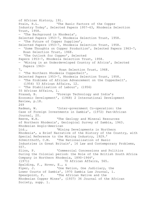of African History, 191. Prain, R.L. 'The Basic Factors of the Copper Industry Today', Selected Papers 1957-63, Rhodesia Selection Trust, 1958. — 'The Background in Rhodesia', Selected Papers 1953-7, Rhodesia Selection Trust, 1958. — 'The Future of Copper Supplies', Selected Papers 1953-7, Rhodesia Selection Trust, 1958. — 'Some Thoughts on Copper Production', Selected Papers 1963-7, Roan Selection Trust, 1968. — 'The Outlook for Copper', Selected Papers 1953-7, Rhodesia Selection Trust, 1958. — 'Mining in an Underdeveloped Country of Africa', Selected Papers 1963- 7, Roan Selection Trust, 1968. - 'The Northern Rhodesia Copperbelt', Selected Papers 1953-7, Rhodesia Selection Trust, 1958. — 'The Problems of African Advancement on the Copperbelt', (1954) 53 African Affairs, 12. — 'The Stabilisation of Labour', (1956) 55 African Affairs, 1. Prasad, B. The 'Foreign Technology and India's Economic Development', (1968) 2 International Development Review, p.18. 269 Radman, W. 'Inter-government Co-operation: the Case of Foreign Investments in Zambia', (1972) Pan-African Journal, 20. Reeve, W.H. 'The Geology and Mineral Resources of Northern Rhodesia', Geological Survey of Zambia, 1963. Rhodesian Anglo-American Ltd.,  $Mining$  Developments in Northern Rhodesia\*, a Brief Narrative of the History of the Country, with Special Reference to the Mining Industry, 1929.' Schmitthoff, C.M. 'The Nationalisation of Basic Industries in Great Britain', 16 Law and Contemporary Problems, 557. Slinn, P. 'Commercial Concessions and Politics During the Colonial period: the Role of the British South Africa Company in Northern Rhodesia, 1890-1964', (1971) 70 African Affairs, 565. Spalding, F., Hover, E., & Piper, J. (2014) 'One Nation, One Judiciary, the Lower Courts of Zambia', 1970 Zambia Law Journal, 1. Spearpoint, F. The African Native and the Rhodesian Copper Mines', (1937) 36 Journal of the African Society, supp. 1.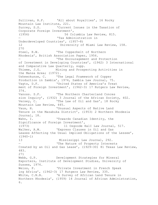```
Sullivan, R.F. 'All about Royalties', 16 Rocky
Mountain Law Institute, 221.
Surrey, S.S. 'Current Issues in the Taxation of
Corporate Foreign Investment',
(1956) 56 Columbia Law Review, 815.
                   'Tax Administration in
Underdeveloped Countries', (1957-8)
12 University of Miami Law Review, 158.
270
Steel, R.W. 'The Copperbelt of Northern
Rhodesia', British Association Paper, 1956.
                  'The Encouragement and Protection
of Investment in Developing Countries', (1962) 3 International 
and Comparative Law Quarterly, supp.
Thieme, J.G. Mining and Prospecting Activities in
the Mansa Area; (1972).
Ushewokunze, C. 'The Legal Framework of Copper
Production in Zambia', 1974, Zambia Law Journal, 75.
Vagts, D.F. 'United States of America's Treat
ment of Foreign Investment', (1962-3) 17 Rutgers Law Review, 
374.
Vanoss. S.F. 'The Northern Charterland Conces
sion Inquiry', (1932) 3 Journal of the African Society, 402.
Versey, C. The Law of Oil and Gas', 18 Rocky
Mountain Law Review, 445.
Vaux, H. 'Unusual Aspects of Native Land
Tenure in the Mazabuka District', (1953) 2 Northern Rhodesia 
Journal, 18.
Wahn, I. 'Towards Canadian Identity, the
Significance of Foreign Investment',
(1973) 11 Osgoode HalI Law Journal, 517.
Walker, A.W. 'Express Clauses in Oil and Gas
Leases Affecting the Usual Implied Obligations of the Lessee', 
(1940-1)
13 Mississippi Law Journal, 292.
                   'The Nature of Property Interests
Created by an Oil and Gas Lease', (1929-30) 81 Texas Law Review, 
483.
271
Webb, G.P. Development Strategies for Mineral
Exporters, Institute of Development Studies, University of 
Sussex, 1974.
Weiss, P. 'Private Investment in French Speak
ing Africa', (1962-3) 17 Rutgers Law Review, 335.
White, C.N.N. <sup>'A</sup> Survey of African Land Tenure in
Northern Rhodesia', (1959) 14 Journal of African Administration, 
6.
```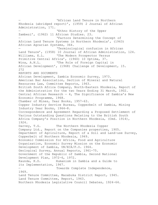'African Land Tenure in Northern Rhodesia (abridged report)', (1959) 2 Journal of African Administration, 171. 'Ethno History of the Upper Zambezi', (1962) 11 African Studies. 23. — 'Factors Determining the Concept of African Land Tenure Systems in Northern Rhodesia', (1963) African Agrarian Systems, 364. — 'Terminological confusion in African Land Tenure', (1958) 10 Journal of African Administration, 124. Williams, E.L. 'The Modern Prospector Versus Primitive Central Africa', (1960) 10 Optima, 37. Wina, A.N.L.<br>
'The Role of Foreign Capital in African Development', (1968) Challenge of Development, 15. 272 REPORTS AND DOCUMENTS African Development, Zambia Economic Survey, 1973. American Bar Association, Section of Mineral and Natural Resources Law, Committee Reports, 1963. British South Africa Company, North-Eastern Rhodesia, Report of the Administration for the two Years Ending 31 March, 1902. Central African Research  $-4$ , The Significance of Zambia's New Economic Programme, 1968. Chamber of Mines, Year Books, 1957-63. Copper Industry Service Bureau, Copperbelt of Zambia, Mining Industry Year Books, 1964-8. Correspondence and Agreement Regarding a Proposed Settlement of Various Outstanding Questions Relating to the British South Africa Company's Position in Northern Rhodesia, (Cmd. 1914), 1924. Darvey, T.G. The Northern Rhodesia Copper Company Ltd., Report on the Companies properties, 1905. Department of Agriculture, Report of a Soil and Land-use Survey, Copperbelt of Northern Rhodesia, 1949. Economic Commission for Africa, Food and Agriculture Organisation, Economic Survey Mission on the Economic Development of Zambia, UN/ECA/F.O. 1964. Geological Survey, Annual Reports, 1961-75. Government of the Republic of Zambia, Second National Development Plan, 1972-6, 1972. Kaunda, K.D. Humanism in Zambia and a Guide to its Implementation, 1967. Towards Complete Independence, 1969. Land Tenure Committee, Mazabuka District Report, 1945. Land Tenure Committee, Report, 1943. Northern Rhodesia Legislative Council Debates, 1924-64.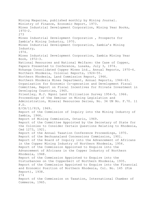Mining Magazine, published monthly by Mining Journal. Ministry of Finance, Economic Report, 1973. Mines Industrial Development Corporation, Mining Year Books, 1970-2. 273 Mines Industrial Development Corporation , Prospects for Zambia's Mining Industry, 1970. Mines Industrial Development Corporation, Zambia's Mining Industry, 1974. Mines Industrial Development Corporation, Zambia Mining Year Book, 1972-3. National Resources and National Welfare: the Case of Copper, Papers Presented to Conference, Lusaka, July 3, 1974. Nchanga Consolidated Copper Mines Ltd., Annual Reports, 1970-4. Northern Rhodesia, Colonial Reports, 1924-55. Northern Rhodesia, Land Commission Report, 1946. Northern Rhodesia Mines Department, Annual Reports, 1946-63. Organisation for Economic Co-operation and Development Fiscal Committee, Report on Fiscal Incentives for Private Investment in Developing Countries, 1965. Priestley, M.J. Ngoni Land Utilisation Survey 1954-5, 1966. Proceedings of the Seminar on Mining Legislation and Administration, Mineral Resources Series, No. 34 UN No. F.70. 11 F.D. E/CH/11/919, 1969. Report of the Commission of Inquiry into the Mining Industry of Zambia, 1966. Report of Mining Commission, Ontario, 1969. Report of the Committee Appointed by the Secretary of State for the Colonies to Consider Certain Questions Relating to Rhodesia, Cmd 1273, 1921. Report of the Annual Taxation Conference Proceedings, 1970. Report of the Bechuanaland Concessions Commission, 1901. Report of the Board of Inquiry into the Advancement of Africans in the Copper Mining Industry of Northern Rhodesia, 1954. Report of the Commission Appointed to Enquire into the Advancement of Africans in the Copper Industry of Northern Rhodesia, 1948. Report of the Commission Appointed to Enquire into the Disturbances on the Copperbelt of Northern Rhodesia, 1935. Report of the Commission Appointed to Enquire into the Financial and Economic Position of Northern Rhodesia, Col. No. 145 (Pim Report), 1938. 274 Report of the Commission on Taxation, International Chamber of Commerce, 1965.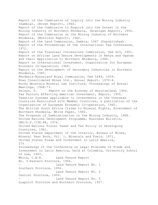Report of the Commission of Inquiry into the Mining Industry (Zambia), (Brown Report), 1966. Report of the Commission to Enquire into the Unrest in the Mining Industry of Northern Rhodesia, (Branigan Report), 1956. Report of the Commission on the Mining Industry of Northern Rhodesia, (Morrison Report), 1962. Report of the Land Commission, Zambia, 1967 (Unpublished). Report of the Proceedings of the International Tax Conference, 1972. Report of the Transvaal Concessions Commission, Cmd 623, 1901. Report on African Land Tenure Developments in Kenya and Uganda and their Application to Northern Rhodesia, 1960. Report on International Investment, Organisation for European Economic Co-operation, 1966. Report on the Development of Secondary Industries in Northern Rhodesia, 1945. Rhodesia-Nyasaland Royal Commission, Cmd 5449, 1939. Roan Consolidated Mines Ltd., Annual Report, 1970-4. Rocky Mountain Mineral Law Institute, Proceedings of Annual Meetings, 1968-73. Selwyn, P. Report on the Economy of Barotseland, 1964. Tax Factors Affecting American Investment, Report, 1955. Taxation Systems Applicable to investments in the Overseas Countries Associated with Member Countries, a publication of the Organisation of European Economic Co-operation, 1960. The British South Africa Claims to Mineral Rights, Government of Northern Rhodesia, White Paper, 1964. The Progress of Zambianisation in the Mining Industry, 1968. United Nations Development Programme, Business Bulletin, UNO/D.P./138.88, 1974. United Nations Fiscal Taxes and Tax Policy in Developing Countries, 1961. United States Department of the Interior, Bureau of Mines, Mineral Year Book, Vol. 1, Minerals and Fuels, 1971. United States Trade and Investment in Latin America, 275 Proceedings of the Conference on Legal Problems of Trade and Investment in Latin America, held at Columbia, University School of Law, 1963. White, C.N.N. Land Tenure Report No. 3 Eastern Province, 1956. Land Tenure Report No. 1 Southern Province, 1956. Land Tenure Report No. 2 Central Province, 1956. Land Tenure Report No. 5 Luapulct Province and Northern Province, 1957.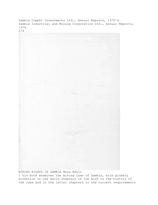Zambia Copper Investments Ltd., Annual Reports, 1970-4. Zambia Industrial and Mining Corporation Ltd., Annual Reports, 1974. 276

MINING RIGHTS IN ZAMBIA Mona Ndulo

1 his book examines the mining laws of Zambia, with primary attention in the early chapters of the book to the history of the laws and in the latter chapters to the current requirements